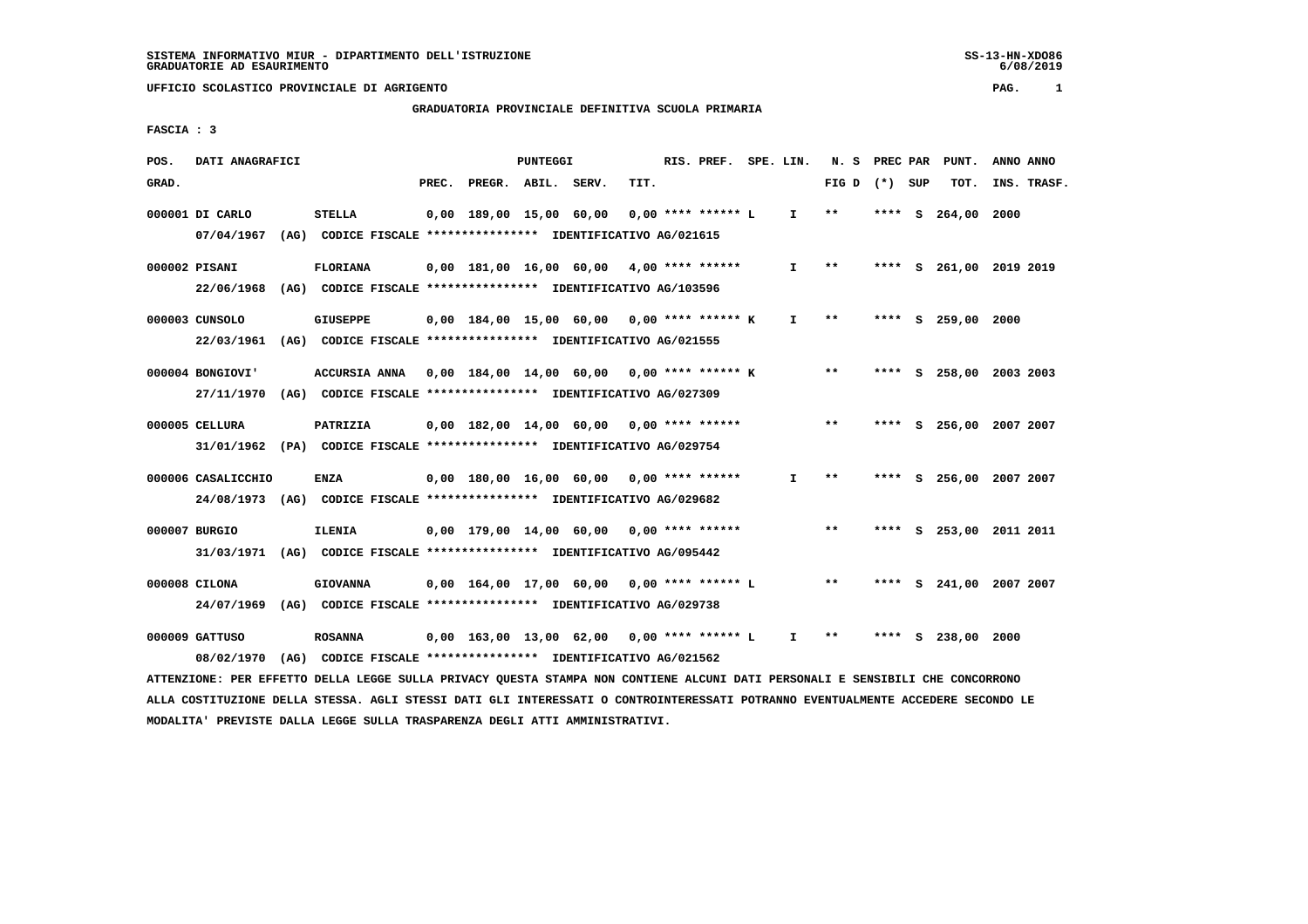# **GRADUATORIA PROVINCIALE DEFINITIVA SCUOLA PRIMARIA**

 **FASCIA : 3**

| POS.  | DATI ANAGRAFICI    |                                                                                                                               |                          | PUNTEGGI |                                                            |      | RIS. PREF. SPE. LIN. |              |                 |      |   | N. S PREC PAR PUNT.     | ANNO ANNO |             |
|-------|--------------------|-------------------------------------------------------------------------------------------------------------------------------|--------------------------|----------|------------------------------------------------------------|------|----------------------|--------------|-----------------|------|---|-------------------------|-----------|-------------|
| GRAD. |                    |                                                                                                                               | PREC. PREGR. ABIL. SERV. |          |                                                            | TIT. |                      |              | FIG D $(*)$ SUP |      |   | TOT.                    |           | INS. TRASF. |
|       | 000001 DI CARLO    | <b>STELLA</b>                                                                                                                 | 0,00 189,00 15,00 60,00  |          |                                                            |      | 0,00 **** ****** L   | $\mathbf{I}$ | $***$           | **** | s | 264,00                  | 2000      |             |
|       | 07/04/1967         | (AG) CODICE FISCALE **************** IDENTIFICATIVO AG/021615                                                                 |                          |          |                                                            |      |                      |              |                 |      |   |                         |           |             |
|       | 000002 PISANI      | <b>FLORIANA</b>                                                                                                               |                          |          | $0,00$ 181,00 16,00 60,00 4,00 **** ******                 |      |                      | I.           | $* *$           |      |   | **** S 261,00 2019 2019 |           |             |
|       | 22/06/1968         | (AG) CODICE FISCALE **************** IDENTIFICATIVO AG/103596                                                                 |                          |          |                                                            |      |                      |              |                 |      |   |                         |           |             |
|       | 000003 CUNSOLO     | <b>GIUSEPPE</b>                                                                                                               |                          |          | $0.00$ 184.00 15.00 60.00 0.00 **** ****** K               |      |                      | $\mathbf{I}$ | $* *$           |      |   | **** S 259,00 2000      |           |             |
|       | 22/03/1961         | (AG) CODICE FISCALE **************** IDENTIFICATIVO AG/021555                                                                 |                          |          |                                                            |      |                      |              |                 |      |   |                         |           |             |
|       | 000004 BONGIOVI'   | ACCURSIA ANNA 0,00 184,00 14,00 60,00 0,00 **** ****** K                                                                      |                          |          |                                                            |      |                      |              | $***$           |      |   | **** S 258,00 2003 2003 |           |             |
|       | 27/11/1970         | (AG) CODICE FISCALE **************** IDENTIFICATIVO AG/027309                                                                 |                          |          |                                                            |      |                      |              |                 |      |   |                         |           |             |
|       | 000005 CELLURA     | PATRIZIA                                                                                                                      |                          |          | $0,00$ 182,00 14,00 60,00 0,00 **** ******                 |      |                      |              | $***$           |      |   | **** S 256,00 2007 2007 |           |             |
|       |                    | 31/01/1962 (PA) CODICE FISCALE *************** IDENTIFICATIVO AG/029754                                                       |                          |          |                                                            |      |                      |              |                 |      |   |                         |           |             |
|       | 000006 CASALICCHIO | <b>ENZA</b>                                                                                                                   |                          |          | 0,00 180,00 16,00 60,00 0,00 **** ******                   |      |                      | I.           | $* *$           |      |   | **** S 256,00 2007 2007 |           |             |
|       |                    | 24/08/1973 (AG) CODICE FISCALE *************** IDENTIFICATIVO AG/029682                                                       |                          |          |                                                            |      |                      |              |                 |      |   |                         |           |             |
|       | 000007 BURGIO      | <b>ILENIA</b>                                                                                                                 |                          |          | $0.00$ 179.00 14.00 60.00 0.00 **** ******                 |      |                      |              | $* *$           |      |   | **** S 253,00 2011 2011 |           |             |
|       |                    | 31/03/1971 (AG) CODICE FISCALE *************** IDENTIFICATIVO AG/095442                                                       |                          |          |                                                            |      |                      |              |                 |      |   |                         |           |             |
|       | 000008 CILONA      | <b>GIOVANNA</b>                                                                                                               |                          |          | $0,00$ $164,00$ $17,00$ $60,00$ $0,00$ $***$ **** ****** L |      |                      |              | $***$           |      |   | **** S 241,00 2007 2007 |           |             |
|       |                    | 24/07/1969 (AG) CODICE FISCALE *************** IDENTIFICATIVO AG/029738                                                       |                          |          |                                                            |      |                      |              |                 |      |   |                         |           |             |
|       | 000009 GATTUSO     | <b>ROSANNA</b>                                                                                                                |                          |          | 0,00 163,00 13,00 62,00 0,00 **** ****** L                 |      |                      | $\mathbf{I}$ | $* *$           |      |   | **** S 238,00 2000      |           |             |
|       | 08/02/1970         | (AG) CODICE FISCALE **************** IDENTIFICATIVO AG/021562                                                                 |                          |          |                                                            |      |                      |              |                 |      |   |                         |           |             |
|       |                    | ATTENZIONE: PER EFFETTO DELLA LEGGE SULLA PRIVACY QUESTA STAMPA NON CONTIENE ALCUNI DATI PERSONALI E SENSIBILI CHE CONCORRONO |                          |          |                                                            |      |                      |              |                 |      |   |                         |           |             |

 **ALLA COSTITUZIONE DELLA STESSA. AGLI STESSI DATI GLI INTERESSATI O CONTROINTERESSATI POTRANNO EVENTUALMENTE ACCEDERE SECONDO LE MODALITA' PREVISTE DALLA LEGGE SULLA TRASPARENZA DEGLI ATTI AMMINISTRATIVI.**

 $6/08/2019$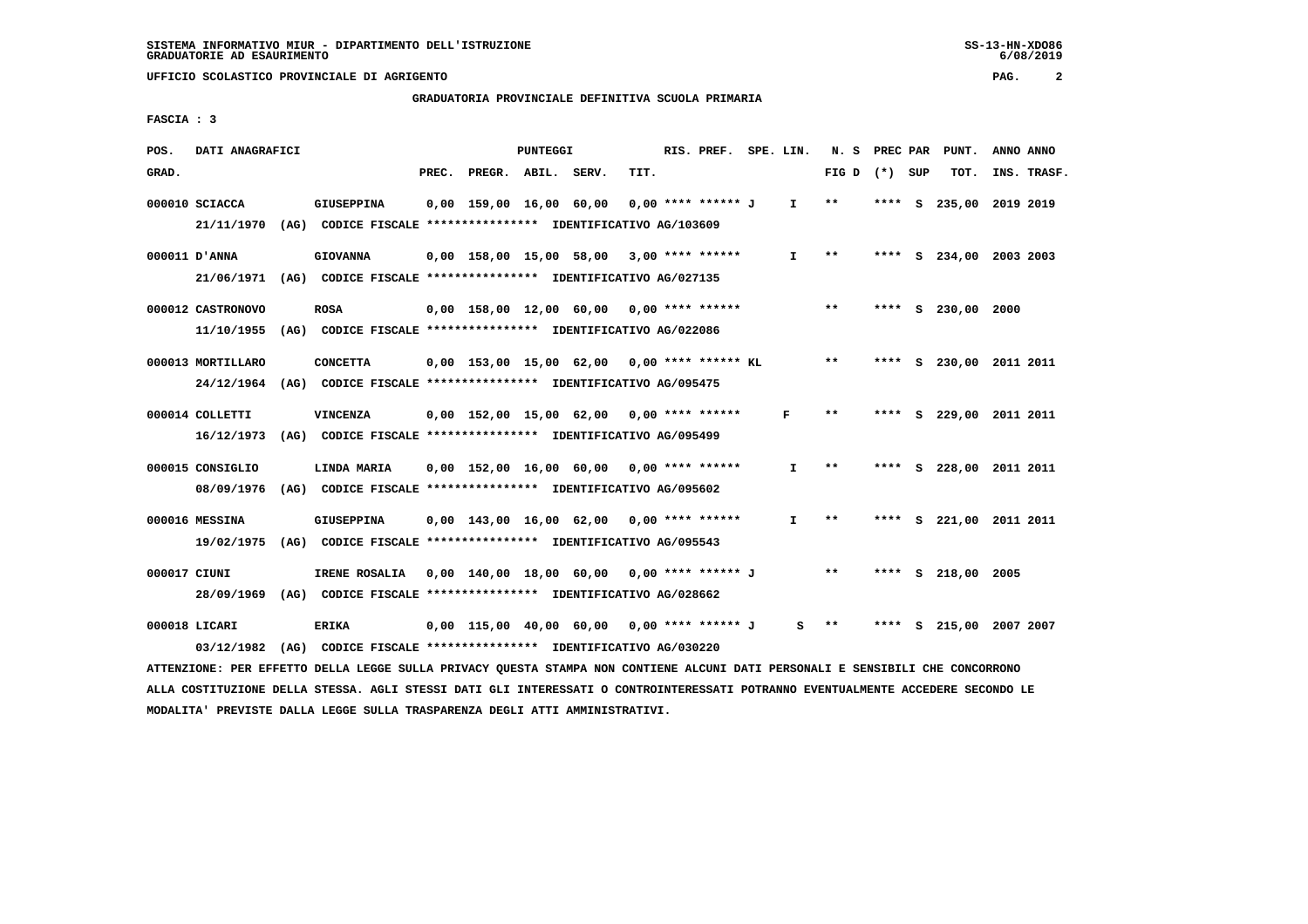# **GRADUATORIA PROVINCIALE DEFINITIVA SCUOLA PRIMARIA**

 **FASCIA : 3**

| POS.         | DATI ANAGRAFICI   |                                                                          |       |                                               | PUNTEGGI |      | RIS. PREF. SPE. LIN. |              | N. S PREC PAR |         |   | PUNT.                   | ANNO ANNO |             |
|--------------|-------------------|--------------------------------------------------------------------------|-------|-----------------------------------------------|----------|------|----------------------|--------------|---------------|---------|---|-------------------------|-----------|-------------|
| GRAD.        |                   |                                                                          | PREC. | PREGR. ABIL. SERV.                            |          | TIT. |                      |              | FIG D         | (*) SUP |   | TOT.                    |           | INS. TRASF. |
|              | 000010 SCIACCA    | <b>GIUSEPPINA</b>                                                        |       | 0,00 159,00 16,00 60,00                       |          |      | 0,00 **** ****** J   | $\mathbf{I}$ | $***$         | **** S  |   | 235,00                  | 2019 2019 |             |
|              |                   | 21/11/1970 (AG) CODICE FISCALE *************** IDENTIFICATIVO AG/103609  |       |                                               |          |      |                      |              |               |         |   |                         |           |             |
|              | 000011 D'ANNA     | <b>GIOVANNA</b>                                                          |       | 0,00 158,00 15,00 58,00 3,00 **** ******      |          |      |                      | $\mathbf{I}$ | $* *$         |         |   | **** S 234,00 2003 2003 |           |             |
|              |                   | 21/06/1971 (AG) CODICE FISCALE *************** IDENTIFICATIVO AG/027135  |       |                                               |          |      |                      |              |               |         |   |                         |           |             |
|              | 000012 CASTRONOVO | <b>ROSA</b>                                                              |       | $0.00$ 158.00 12.00 60.00 0.00 **** ******    |          |      |                      |              | $* *$         |         |   | **** S 230,00           | 2000      |             |
|              |                   | 11/10/1955 (AG) CODICE FISCALE **************** IDENTIFICATIVO AG/022086 |       |                                               |          |      |                      |              |               |         |   |                         |           |             |
|              | 000013 MORTILLARO | <b>CONCETTA</b>                                                          |       | $0,00$ 153,00 15,00 62,00 0,00 **** ****** KL |          |      |                      |              | $***$         |         |   | **** S 230,00 2011 2011 |           |             |
|              |                   | 24/12/1964 (AG) CODICE FISCALE *************** IDENTIFICATIVO AG/095475  |       |                                               |          |      |                      |              |               |         |   |                         |           |             |
|              | 000014 COLLETTI   | <b>VINCENZA</b>                                                          |       | 0,00 152,00 15,00 62,00                       |          |      | $0.00$ **** ******   | F            | $* *$         |         |   | **** S 229,00 2011 2011 |           |             |
|              | 16/12/1973        | (AG) CODICE FISCALE **************** IDENTIFICATIVO AG/095499            |       |                                               |          |      |                      |              |               |         |   |                         |           |             |
|              |                   |                                                                          |       |                                               |          |      |                      |              |               |         |   |                         |           |             |
|              | 000015 CONSIGLIO  | LINDA MARIA                                                              |       | $0.00$ 152.00 16.00 60.00 0.00 **** ******    |          |      |                      | $\mathbf{I}$ | $* *$         |         |   | **** S 228,00 2011 2011 |           |             |
|              | 08/09/1976        | (AG) CODICE FISCALE **************** IDENTIFICATIVO AG/095602            |       |                                               |          |      |                      |              |               |         |   |                         |           |             |
|              | 000016 MESSINA    | <b>GIUSEPPINA</b>                                                        |       | $0,00$ 143,00 16,00 62,00 0,00 **** ******    |          |      |                      | $\mathbf{I}$ | $* *$         |         |   | **** S 221,00 2011 2011 |           |             |
|              |                   | 19/02/1975 (AG) CODICE FISCALE **************** IDENTIFICATIVO AG/095543 |       |                                               |          |      |                      |              |               |         |   |                         |           |             |
| 000017 CIUNI |                   | IRENE ROSALIA                                                            |       | 0,00 140,00 18,00 60,00 0,00 **** ****** J    |          |      |                      |              | $***$         |         |   | **** S 218,00 2005      |           |             |
|              |                   | 28/09/1969 (AG) CODICE FISCALE *************** IDENTIFICATIVO AG/028662  |       |                                               |          |      |                      |              |               |         |   |                         |           |             |
|              | 000018 LICARI     | <b>ERIKA</b>                                                             |       | 0,00 115,00 40,00 60,00                       |          |      | 0,00 **** ****** J   | s            | $* *$         | ****    | s | 215,00 2007 2007        |           |             |
|              |                   | 03/12/1982 (AG) CODICE FISCALE **************** IDENTIFICATIVO AG/030220 |       |                                               |          |      |                      |              |               |         |   |                         |           |             |
|              |                   |                                                                          |       |                                               |          |      |                      |              |               |         |   |                         |           |             |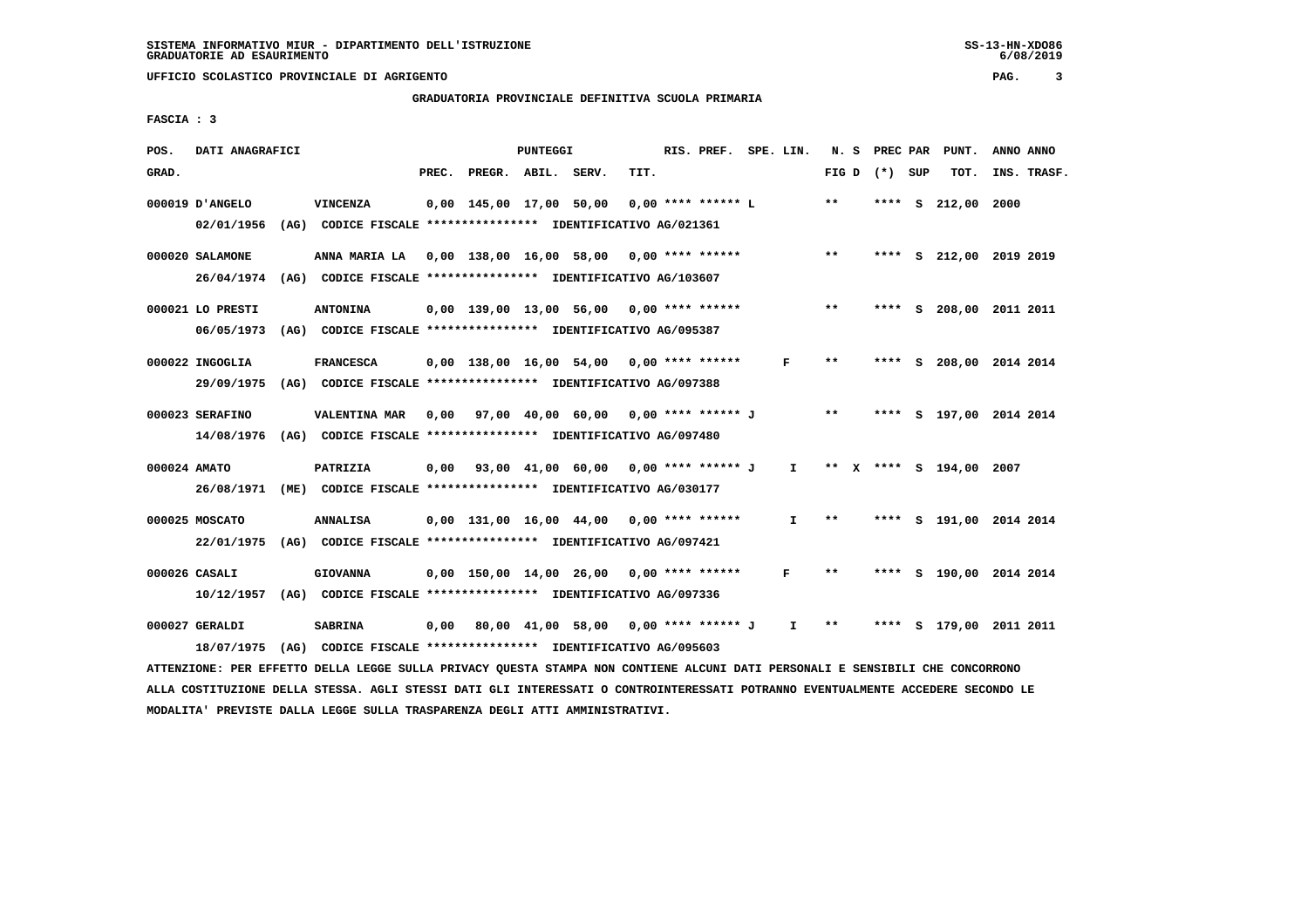# **GRADUATORIA PROVINCIALE DEFINITIVA SCUOLA PRIMARIA**

 **FASCIA : 3**

| POS.  | DATI ANAGRAFICI  |      |                                                                                                                               |       |                                             | PUNTEGGI |      | RIS. PREF. SPE. LIN. |              |       | N. S PREC PAR | PUNT.                   |      | ANNO ANNO   |
|-------|------------------|------|-------------------------------------------------------------------------------------------------------------------------------|-------|---------------------------------------------|----------|------|----------------------|--------------|-------|---------------|-------------------------|------|-------------|
| GRAD. |                  |      |                                                                                                                               | PREC. | PREGR. ABIL. SERV.                          |          | TIT. |                      |              | FIG D | (*) SUP       | TOT.                    |      | INS. TRASF. |
|       | 000019 D'ANGELO  |      | VINCENZA                                                                                                                      |       | 0,00 145,00 17,00 50,00                     |          |      | 0,00 **** ****** L   |              | $* *$ | ****          | s 212,00                | 2000 |             |
|       | 02/01/1956       | (AG) | CODICE FISCALE **************** IDENTIFICATIVO AG/021361                                                                      |       |                                             |          |      |                      |              |       |               |                         |      |             |
|       | 000020 SALAMONE  |      | ANNA MARIA LA 0,00 138,00 16,00 58,00 0,00 **** ******                                                                        |       |                                             |          |      |                      |              | $***$ |               | **** S 212,00 2019 2019 |      |             |
|       | 26/04/1974       |      | (AG) CODICE FISCALE **************** IDENTIFICATIVO AG/103607                                                                 |       |                                             |          |      |                      |              |       |               |                         |      |             |
|       | 000021 LO PRESTI |      | <b>ANTONINA</b>                                                                                                               |       | $0,00$ 139,00 13,00 56,00 0,00 **** ******  |          |      |                      |              | $* *$ |               | **** S 208,00 2011 2011 |      |             |
|       | 06/05/1973       |      | (AG) CODICE FISCALE **************** IDENTIFICATIVO AG/095387                                                                 |       |                                             |          |      |                      |              |       |               |                         |      |             |
|       | 000022 INGOGLIA  |      | <b>FRANCESCA</b>                                                                                                              |       | $0.00$ 138.00 16.00 54.00 0.00 **** ******  |          |      |                      | F            | $**$  |               | **** S 208,00 2014 2014 |      |             |
|       | 29/09/1975       |      | (AG) CODICE FISCALE **************** IDENTIFICATIVO AG/097388                                                                 |       |                                             |          |      |                      |              |       |               |                         |      |             |
|       | 000023 SERAFINO  |      | <b>VALENTINA MAR</b>                                                                                                          |       | $0,00$ 97,00 40,00 60,00 0,00 **** ****** J |          |      |                      |              | $***$ |               | **** S 197,00 2014 2014 |      |             |
|       |                  |      | 14/08/1976 (AG) CODICE FISCALE *************** IDENTIFICATIVO AG/097480                                                       |       |                                             |          |      |                      |              |       |               |                         |      |             |
|       | 000024 AMATO     |      | PATRIZIA                                                                                                                      |       | 0,00 93,00 41,00 60,00 0,00 **** ****** J I |          |      |                      |              |       |               | ** X **** S 194,00 2007 |      |             |
|       |                  |      | 26/08/1971 (ME) CODICE FISCALE *************** IDENTIFICATIVO AG/030177                                                       |       |                                             |          |      |                      |              |       |               |                         |      |             |
|       | 000025 MOSCATO   |      | <b>ANNALISA</b>                                                                                                               |       | $0.00$ 131,00 16,00 44,00                   |          |      | $0.00$ **** ******   | $\mathbf{I}$ | $* *$ |               | **** S 191,00 2014 2014 |      |             |
|       | 22/01/1975       |      | (AG) CODICE FISCALE **************** IDENTIFICATIVO AG/097421                                                                 |       |                                             |          |      |                      |              |       |               |                         |      |             |
|       | 000026 CASALI    |      | <b>GIOVANNA</b>                                                                                                               |       | $0,00$ 150,00 14,00 26,00 0,00 **** ******  |          |      |                      | F            | **    |               | **** S 190,00 2014 2014 |      |             |
|       |                  |      | 10/12/1957 (AG) CODICE FISCALE *************** IDENTIFICATIVO AG/097336                                                       |       |                                             |          |      |                      |              |       |               |                         |      |             |
|       | 000027 GERALDI   |      | <b>SABRINA</b>                                                                                                                | 0,00  | 80,00 41,00 58,00 0,00 **** ****** J        |          |      |                      | $\mathbf{I}$ | $***$ |               | **** S 179,00 2011 2011 |      |             |
|       | 18/07/1975       | (AG) | CODICE FISCALE **************** IDENTIFICATIVO AG/095603                                                                      |       |                                             |          |      |                      |              |       |               |                         |      |             |
|       |                  |      | ATTENZIONE: PER EFFETTO DELLA LEGGE SULLA PRIVACY QUESTA STAMPA NON CONTIENE ALCUNI DATI PERSONALI E SENSIBILI CHE CONCORRONO |       |                                             |          |      |                      |              |       |               |                         |      |             |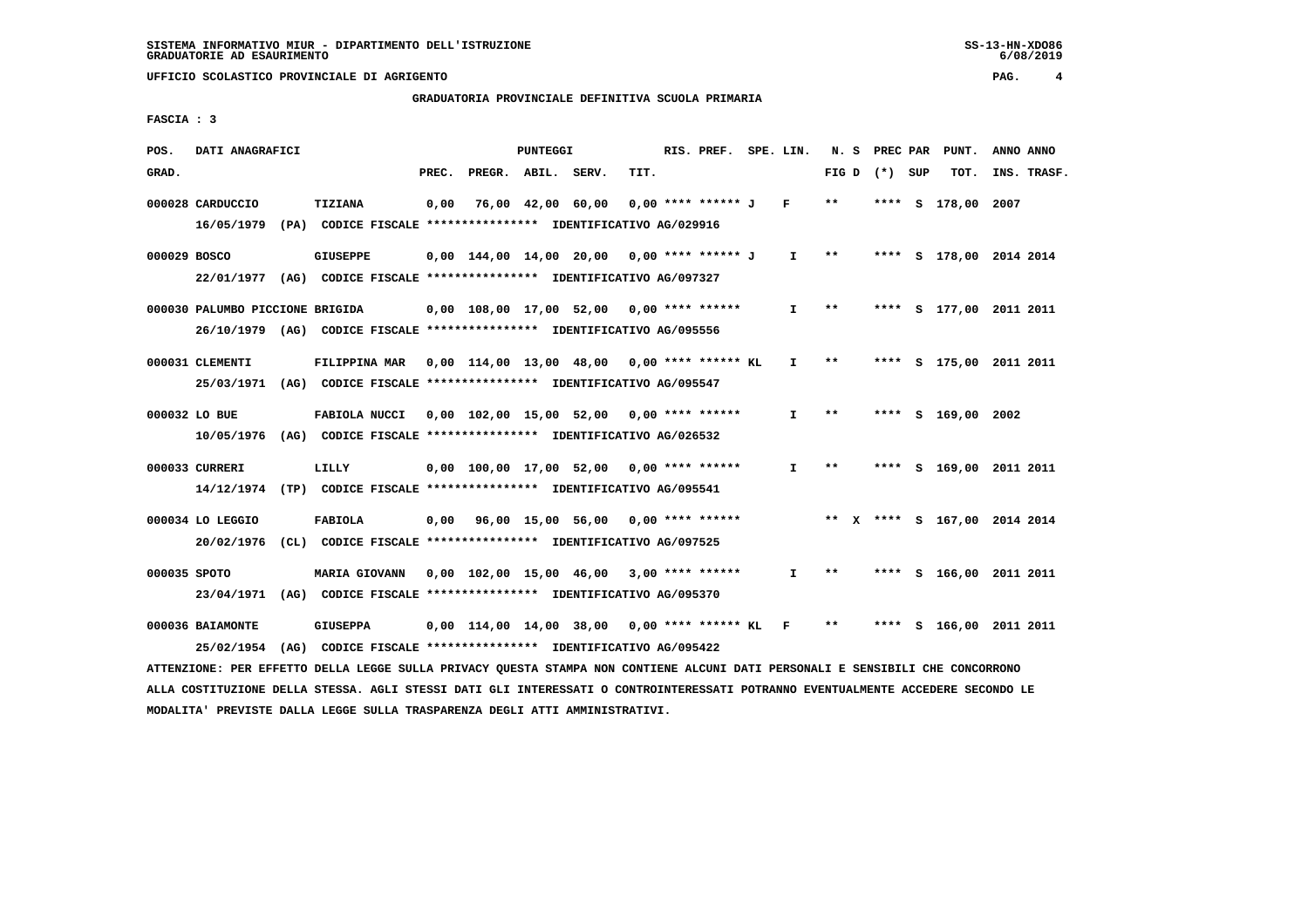# **GRADUATORIA PROVINCIALE DEFINITIVA SCUOLA PRIMARIA**

 **FASCIA : 3**

| POS.  | DATI ANAGRAFICI                                                                                                               |      |                                                               |       |                    | <b>PUNTEGGI</b> |                                                          |      | RIS. PREF. SPE. LIN.   |                     | N.S             |  | PREC PAR | PUNT.                        | ANNO ANNO   |
|-------|-------------------------------------------------------------------------------------------------------------------------------|------|---------------------------------------------------------------|-------|--------------------|-----------------|----------------------------------------------------------|------|------------------------|---------------------|-----------------|--|----------|------------------------------|-------------|
| GRAD. |                                                                                                                               |      |                                                               | PREC. | PREGR. ABIL. SERV. |                 |                                                          | TIT. |                        |                     | FIG D $(*)$ SUP |  |          | TOT.                         | INS. TRASF. |
|       | 000028 CARDUCCIO                                                                                                              |      | TIZIANA                                                       | 0,00  |                    |                 | 76,00 42,00 60,00                                        |      | $0.00$ **** ****** J F |                     | $***$           |  |          | **** S 178,00 2007           |             |
|       | 16/05/1979                                                                                                                    |      | (PA) CODICE FISCALE **************** IDENTIFICATIVO AG/029916 |       |                    |                 |                                                          |      |                        |                     |                 |  |          |                              |             |
|       | 000029 BOSCO                                                                                                                  |      | <b>GIUSEPPE</b>                                               |       |                    |                 | 0,00 144,00 14,00 20,00 0,00 **** ****** J               |      |                        | $I \longrightarrow$ |                 |  |          | **** S 178,00 2014 2014      |             |
|       | 22/01/1977 (AG) CODICE FISCALE *************** IDENTIFICATIVO AG/097327                                                       |      |                                                               |       |                    |                 |                                                          |      |                        |                     |                 |  |          |                              |             |
|       | 000030 PALUMBO PICCIONE BRIGIDA                                                                                               |      |                                                               |       |                    |                 | $0,00$ 108,00 17,00 52,00 0,00 **** ******               |      |                        | I.                  | $***$           |  |          | **** S 177,00 2011 2011      |             |
|       | 26/10/1979 (AG) CODICE FISCALE *************** IDENTIFICATIVO AG/095556                                                       |      |                                                               |       |                    |                 |                                                          |      |                        |                     |                 |  |          |                              |             |
|       | 000031 CLEMENTI                                                                                                               |      | FILIPPINA MAR                                                 |       |                    |                 | $0.00$ 114.00 13.00 48.00 0.00 **** ****** KL            |      |                        | $\mathbf{I}$        | $***$           |  |          | **** S 175,00 2011 2011      |             |
|       | 25/03/1971 (AG) CODICE FISCALE *************** IDENTIFICATIVO AG/095547                                                       |      |                                                               |       |                    |                 |                                                          |      |                        |                     |                 |  |          |                              |             |
|       | 000032 LO BUE                                                                                                                 |      | FABIOLA NUCCI                                                 |       |                    |                 | $0,00$ 102,00 15,00 52,00 0,00 **** ******               |      |                        | $\mathbf{I}$        | $**$            |  |          | **** S 169,00 2002           |             |
|       | 10/05/1976 (AG) CODICE FISCALE *************** IDENTIFICATIVO AG/026532                                                       |      |                                                               |       |                    |                 |                                                          |      |                        |                     |                 |  |          |                              |             |
|       | 000033 CURRERI                                                                                                                |      | LILLY                                                         |       |                    |                 | $0,00$ 100,00 17,00 52,00 0,00 **** ******               |      |                        | $\mathbf{I}$        | $***$           |  |          | **** S 169,00 2011 2011      |             |
|       | 14/12/1974 (TP) CODICE FISCALE *************** IDENTIFICATIVO AG/095541                                                       |      |                                                               |       |                    |                 |                                                          |      |                        |                     |                 |  |          |                              |             |
|       | 000034 LO LEGGIO                                                                                                              |      | FABIOLA                                                       |       |                    |                 | 0,00 96,00 15,00 56,00                                   |      | $0,00$ **** ******     |                     |                 |  |          | ** X **** S 167,00 2014 2014 |             |
|       | 20/02/1976                                                                                                                    |      | (CL) CODICE FISCALE **************** IDENTIFICATIVO AG/097525 |       |                    |                 |                                                          |      |                        |                     |                 |  |          |                              |             |
|       | 000035 SPOTO                                                                                                                  |      | <b>MARIA GIOVANN</b>                                          |       |                    |                 | 0,00 102,00 15,00 46,00 3,00 **** ******                 |      |                        | $\mathbf{I}$        | $***$           |  |          | **** S 166,00 2011 2011      |             |
|       | 23/04/1971 (AG) CODICE FISCALE *************** IDENTIFICATIVO AG/095370                                                       |      |                                                               |       |                    |                 |                                                          |      |                        |                     |                 |  |          |                              |             |
|       | 000036 BAIAMONTE                                                                                                              |      | <b>GIUSEPPA</b>                                               |       |                    |                 | $0,00$ 114,00 14,00 38,00 0,00 **** ****** KL            |      |                        | $\mathbf{F}$        | $***$           |  |          | **** S 166,00 2011 2011      |             |
|       | 25/02/1954                                                                                                                    | (AG) |                                                               |       |                    |                 | CODICE FISCALE **************** IDENTIFICATIVO AG/095422 |      |                        |                     |                 |  |          |                              |             |
|       | ATTENZIONE: PER EFFETTO DELLA LEGGE SULLA PRIVACY QUESTA STAMPA NON CONTIENE ALCUNI DATI PERSONALI E SENSIBILI CHE CONCORRONO |      |                                                               |       |                    |                 |                                                          |      |                        |                     |                 |  |          |                              |             |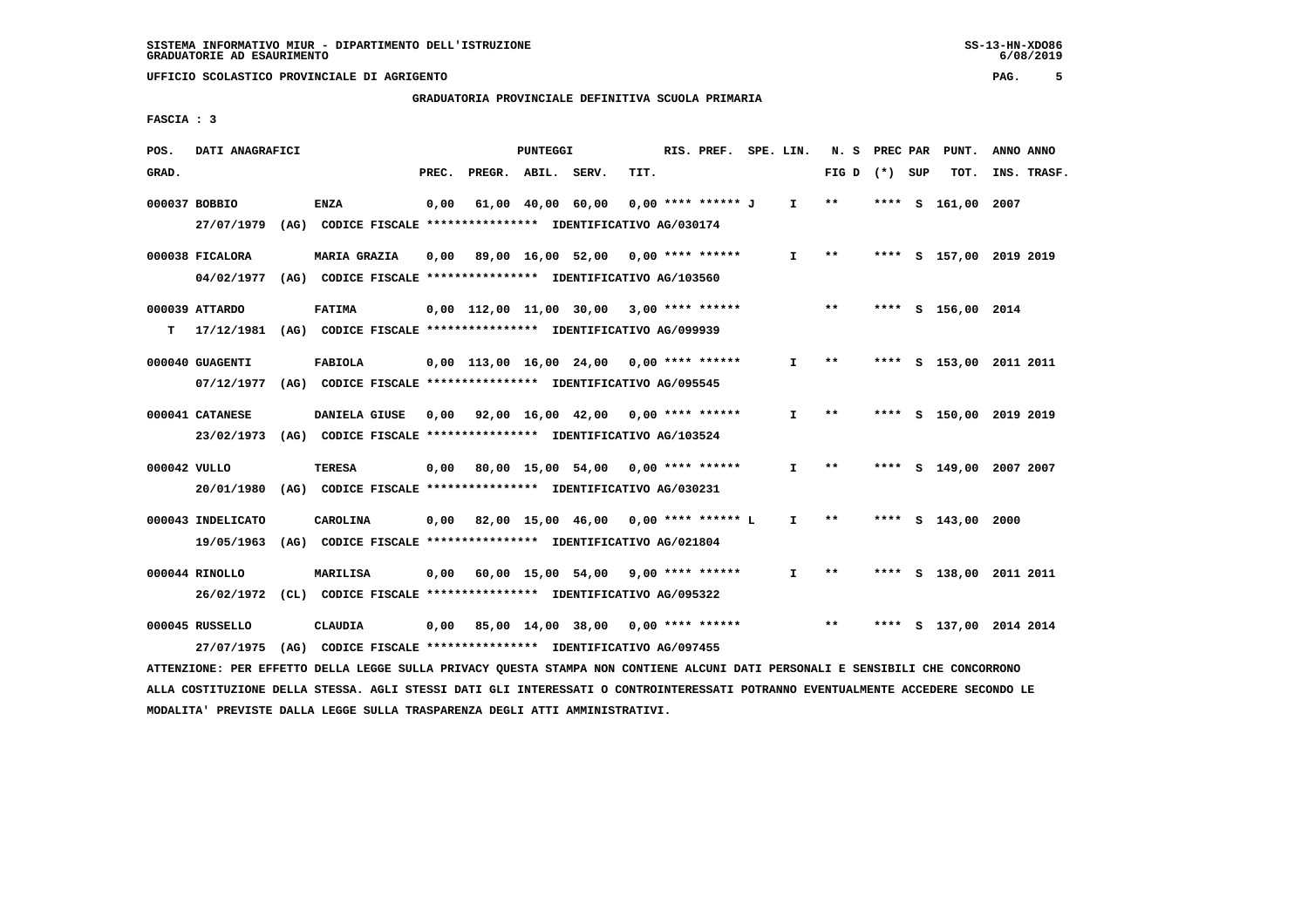**GRADUATORIA PROVINCIALE DEFINITIVA SCUOLA PRIMARIA**

 **FASCIA : 3**

| POS.         | DATI ANAGRAFICI                                                                                                               |                 |       |                    | PUNTEGGI |                                             |      | RIS. PREF. SPE. LIN. |              |                 |        | N. S PREC PAR PUNT.     | ANNO ANNO |             |
|--------------|-------------------------------------------------------------------------------------------------------------------------------|-----------------|-------|--------------------|----------|---------------------------------------------|------|----------------------|--------------|-----------------|--------|-------------------------|-----------|-------------|
| GRAD.        |                                                                                                                               |                 | PREC. | PREGR. ABIL. SERV. |          |                                             | TIT. |                      |              | FIG D $(*)$ SUP |        | TOT.                    |           | INS. TRASF. |
|              | 000037 BOBBIO                                                                                                                 | <b>ENZA</b>     | 0,00  |                    |          | 61,00 40,00 60,00                           |      | 0,00 **** ****** J   | $\mathbf{I}$ | $* *$           | **** S | 161,00 2007             |           |             |
|              | 27/07/1979 (AG) CODICE FISCALE *************** IDENTIFICATIVO AG/030174                                                       |                 |       |                    |          |                                             |      |                      |              |                 |        |                         |           |             |
|              | 000038 FICALORA                                                                                                               | MARIA GRAZIA    |       |                    |          | $0,00$ 89,00 16,00 52,00 0,00 **** ******   |      |                      | $\mathbf{I}$ | $***$           |        | **** S 157,00 2019 2019 |           |             |
|              | 04/02/1977 (AG) CODICE FISCALE *************** IDENTIFICATIVO AG/103560                                                       |                 |       |                    |          |                                             |      |                      |              |                 |        |                         |           |             |
|              | 000039 ATTARDO                                                                                                                | <b>FATIMA</b>   |       |                    |          | $0,00$ 112,00 11,00 30,00 3,00 **** ******  |      |                      |              | $***$           |        | **** S 156,00 2014      |           |             |
|              | T 17/12/1981 (AG) CODICE FISCALE *************** IDENTIFICATIVO AG/099939                                                     |                 |       |                    |          |                                             |      |                      |              |                 |        |                         |           |             |
|              | 000040 GUAGENTI                                                                                                               | <b>FABIOLA</b>  |       |                    |          | $0,00$ 113,00 16,00 24,00 0,00 **** ******  |      |                      | $\mathbf{I}$ | $* *$           |        | **** S 153,00 2011 2011 |           |             |
|              | 07/12/1977 (AG) CODICE FISCALE *************** IDENTIFICATIVO AG/095545                                                       |                 |       |                    |          |                                             |      |                      |              |                 |        |                         |           |             |
|              | 000041 CATANESE                                                                                                               | DANIELA GIUSE   |       |                    |          | 0,00 92,00 16,00 42,00 0,00 **** ******     |      |                      | I.           | $***$           |        | **** S 150,00 2019 2019 |           |             |
|              | 23/02/1973 (AG) CODICE FISCALE *************** IDENTIFICATIVO AG/103524                                                       |                 |       |                    |          |                                             |      |                      |              |                 |        |                         |           |             |
| 000042 VULLO |                                                                                                                               | <b>TERESA</b>   |       |                    |          | $0,00$ 80,00 15,00 54,00 0,00 **** ******   |      |                      | I.           | $* *$           |        | **** S 149,00 2007 2007 |           |             |
|              | 20/01/1980 (AG) CODICE FISCALE *************** IDENTIFICATIVO AG/030231                                                       |                 |       |                    |          |                                             |      |                      |              |                 |        |                         |           |             |
|              | 000043 INDELICATO                                                                                                             | <b>CAROLINA</b> |       |                    |          | $0,00$ 82,00 15,00 46,00 0,00 **** ****** L |      |                      | $\mathbf{I}$ | $***$           |        | **** S 143,00 2000      |           |             |
|              | 19/05/1963 (AG) CODICE FISCALE *************** IDENTIFICATIVO AG/021804                                                       |                 |       |                    |          |                                             |      |                      |              |                 |        |                         |           |             |
|              | 000044 RINOLLO                                                                                                                | <b>MARILISA</b> |       |                    |          | $0.00$ 60.00 15.00 54.00 9.00 **** ******   |      |                      | $\mathbf{I}$ | $***$           |        | **** S 138,00 2011 2011 |           |             |
|              | 26/02/1972 (CL) CODICE FISCALE *************** IDENTIFICATIVO AG/095322                                                       |                 |       |                    |          |                                             |      |                      |              |                 |        |                         |           |             |
|              | 000045 RUSSELLO                                                                                                               | CLAUDIA         |       |                    |          | 0,00 85,00 14,00 38,00 0,00 **** ******     |      |                      |              | $***$           |        | **** S 137,00 2014 2014 |           |             |
|              | 27/07/1975 (AG) CODICE FISCALE *************** IDENTIFICATIVO AG/097455                                                       |                 |       |                    |          |                                             |      |                      |              |                 |        |                         |           |             |
|              | ATTENZIONE: PER EFFETTO DELLA LEGGE SULLA PRIVACY QUESTA STAMPA NON CONTIENE ALCUNI DATI PERSONALI E SENSIBILI CHE CONCORRONO |                 |       |                    |          |                                             |      |                      |              |                 |        |                         |           |             |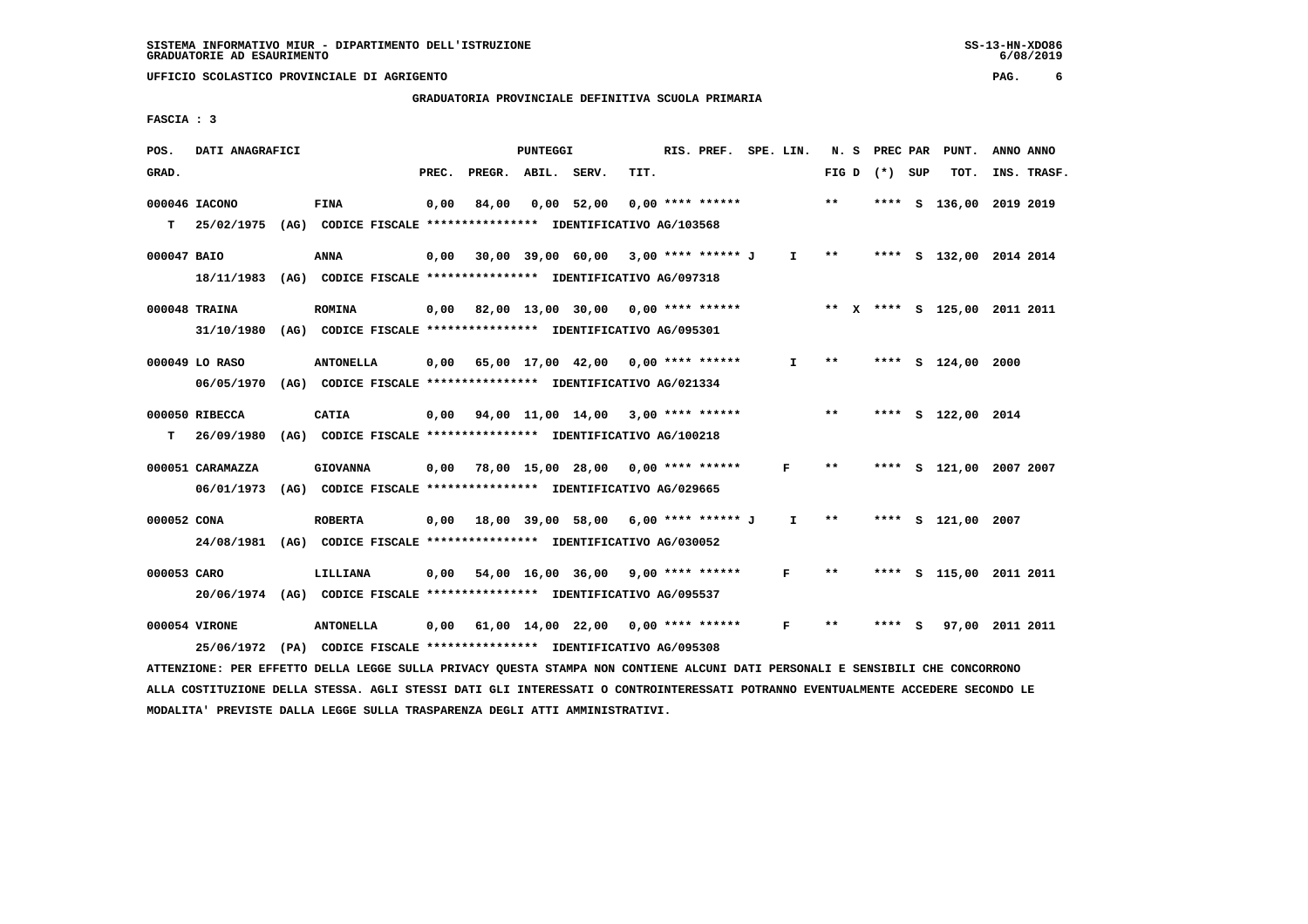# **GRADUATORIA PROVINCIALE DEFINITIVA SCUOLA PRIMARIA**

 **FASCIA : 3**

| POS.        | DATI ANAGRAFICI                                                                                                                             |                                                                          |       |                                                   | PUNTEGGI |                                                 |      | RIS. PREF. SPE. LIN. |              |                        | N. S PREC PAR   | PUNT.                        | ANNO ANNO |             |
|-------------|---------------------------------------------------------------------------------------------------------------------------------------------|--------------------------------------------------------------------------|-------|---------------------------------------------------|----------|-------------------------------------------------|------|----------------------|--------------|------------------------|-----------------|------------------------------|-----------|-------------|
| GRAD.       |                                                                                                                                             |                                                                          | PREC. | PREGR. ABIL. SERV.                                |          |                                                 | TIT. |                      |              |                        | FIG D $(*)$ SUP | TOT.                         |           | INS. TRASF. |
|             | 000046 IACONO<br>T 25/02/1975 (AG) CODICE FISCALE *************** IDENTIFICATIVO AG/103568                                                  | <b>FINA</b>                                                              | 0,00  | 84,00                                             |          | $0,00$ 52,00                                    |      | $0.00$ **** ******   |              | $***$                  |                 | **** S 136,00                | 2019 2019 |             |
|             |                                                                                                                                             |                                                                          |       |                                                   |          |                                                 |      |                      |              |                        |                 |                              |           |             |
| 000047 BAIO |                                                                                                                                             | <b>ANNA</b>                                                              | 0,00  |                                                   |          | 30,00 39,00 60,00 3,00 **** ****** J            |      |                      |              | $I \qquad \star \star$ |                 | **** S 132,00 2014 2014      |           |             |
|             |                                                                                                                                             | 18/11/1983 (AG) CODICE FISCALE *************** IDENTIFICATIVO AG/097318  |       |                                                   |          |                                                 |      |                      |              |                        |                 |                              |           |             |
|             | 000048 TRAINA                                                                                                                               | <b>ROMINA</b>                                                            |       | $0,00$ 82,00 13,00 30,00 0,00 **** ******         |          |                                                 |      |                      |              |                        |                 | ** X **** S 125,00 2011 2011 |           |             |
|             |                                                                                                                                             | 31/10/1980 (AG) CODICE FISCALE *************** IDENTIFICATIVO AG/095301  |       |                                                   |          |                                                 |      |                      |              |                        |                 |                              |           |             |
|             | 000049 LO RASO                                                                                                                              | <b>ANTONELLA</b>                                                         |       | $0,00$ 65,00 17,00 42,00 0,00 **** ******         |          |                                                 |      |                      | $\mathbf{I}$ | $* *$                  |                 | **** S 124,00                | 2000      |             |
|             |                                                                                                                                             | 06/05/1970 (AG) CODICE FISCALE *************** IDENTIFICATIVO AG/021334  |       |                                                   |          |                                                 |      |                      |              |                        |                 |                              |           |             |
|             |                                                                                                                                             |                                                                          |       |                                                   |          |                                                 |      |                      |              |                        |                 |                              |           |             |
|             | 000050 RIBECCA                                                                                                                              | <b>CATIA</b>                                                             |       | $0,00$ $94,00$ $11,00$ $14,00$ $3,00$ **** ****** |          |                                                 |      |                      |              | $***$                  |                 | **** S 122,00 2014           |           |             |
| т           |                                                                                                                                             | 26/09/1980 (AG) CODICE FISCALE **************** IDENTIFICATIVO AG/100218 |       |                                                   |          |                                                 |      |                      |              |                        |                 |                              |           |             |
|             | 000051 CARAMAZZA                                                                                                                            | <b>GIOVANNA</b>                                                          |       | $0,00$ 78,00 15,00 28,00 0,00 **** ******         |          |                                                 |      |                      | F            | $* *$                  |                 | **** S 121,00 2007 2007      |           |             |
|             |                                                                                                                                             | 06/01/1973 (AG) CODICE FISCALE *************** IDENTIFICATIVO AG/029665  |       |                                                   |          |                                                 |      |                      |              |                        |                 |                              |           |             |
|             | 000052 CONA                                                                                                                                 | <b>ROBERTA</b>                                                           |       | 0,00 18,00 39,00 58,00 6,00 **** ****** J         |          |                                                 |      |                      | $\mathbf{I}$ | $* *$                  |                 | **** S 121.00                | 2007      |             |
|             |                                                                                                                                             | 24/08/1981 (AG) CODICE FISCALE *************** IDENTIFICATIVO AG/030052  |       |                                                   |          |                                                 |      |                      |              |                        |                 |                              |           |             |
| 000053 CARO |                                                                                                                                             | LILLIANA                                                                 |       | $0,00$ 54,00 16,00 36,00 9,00 **** ******         |          |                                                 |      |                      | F            | $* *$                  |                 | **** S 115,00 2011 2011      |           |             |
|             |                                                                                                                                             | 20/06/1974 (AG) CODICE FISCALE *************** IDENTIFICATIVO AG/095537  |       |                                                   |          |                                                 |      |                      |              |                        |                 |                              |           |             |
|             |                                                                                                                                             |                                                                          |       |                                                   |          |                                                 |      |                      |              |                        |                 |                              |           |             |
|             | 000054 VIRONE                                                                                                                               | <b>ANTONELLA</b>                                                         | 0,00  |                                                   |          | $61,00$ $14,00$ $22,00$ $0,00$ $***$ **** ***** |      |                      | F            | $***$                  | **** S          | 97,00 2011 2011              |           |             |
|             | 25/06/1972<br>ATTENZIONE: PER EFFETTO DELLA LEGGE SULLA PRIVACY QUESTA STAMPA NON CONTIENE ALCUNI DATI PERSONALI E SENSIBILI CHE CONCORRONO | (PA) CODICE FISCALE **************** IDENTIFICATIVO AG/095308            |       |                                                   |          |                                                 |      |                      |              |                        |                 |                              |           |             |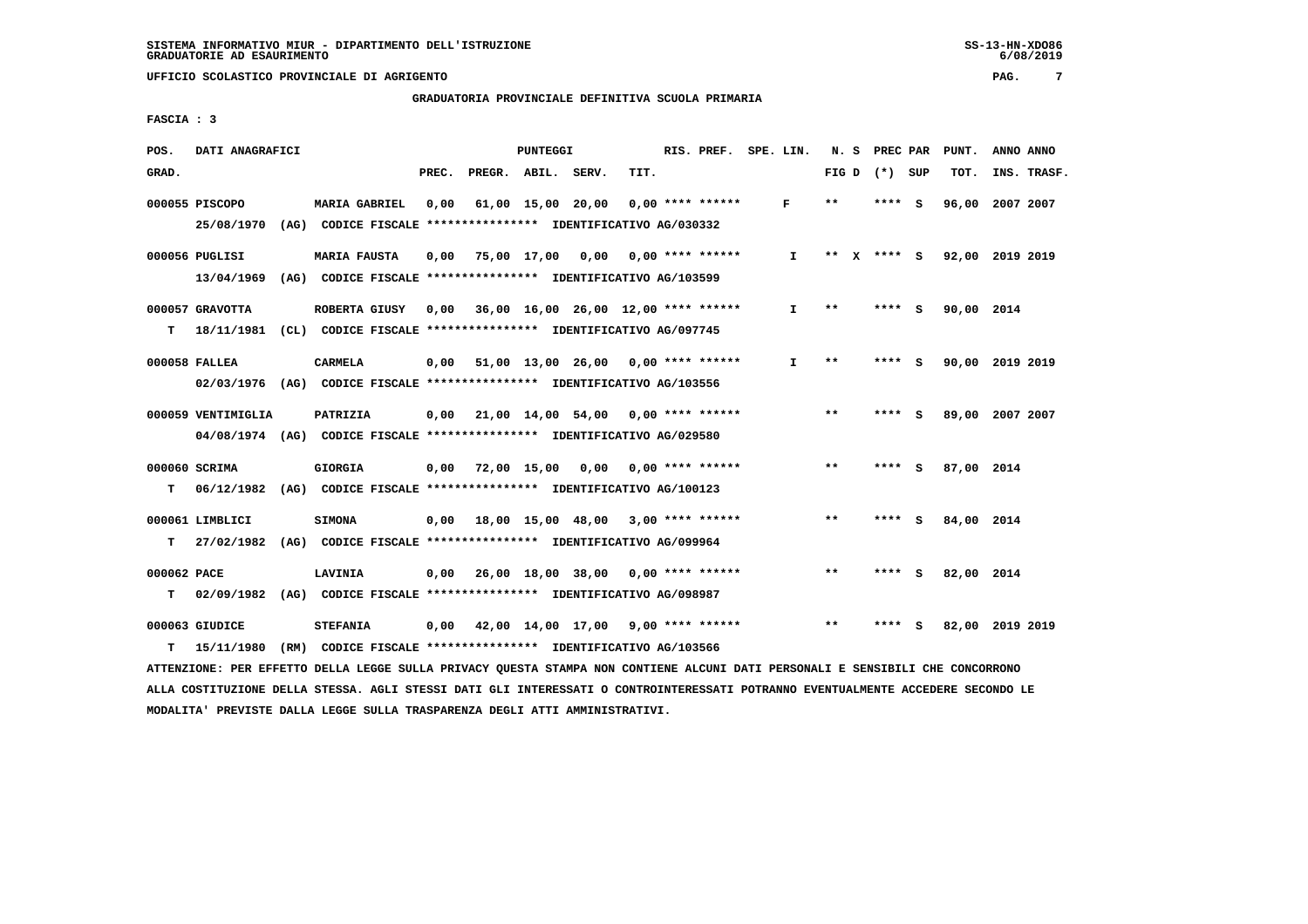**GRADUATORIA PROVINCIALE DEFINITIVA SCUOLA PRIMARIA**

 **FASCIA : 3**

| POS.        | DATI ANAGRAFICI                                                          |                                                               |       |                    | PUNTEGGI |                                     |      | RIS. PREF.         | SPE. LIN. |              | N. S  | PREC PAR        |     | PUNT.                    |           | ANNO ANNO   |
|-------------|--------------------------------------------------------------------------|---------------------------------------------------------------|-------|--------------------|----------|-------------------------------------|------|--------------------|-----------|--------------|-------|-----------------|-----|--------------------------|-----------|-------------|
| GRAD.       |                                                                          |                                                               | PREC. | PREGR. ABIL. SERV. |          |                                     | TIT. |                    |           |              |       | FIG D $(*)$ SUP |     | TOT.                     |           | INS. TRASF. |
|             | 000055 PISCOPO                                                           | <b>MARIA GABRIEL</b>                                          | 0,00  |                    |          | 61,00 15,00 20,00                   |      | $0.00$ **** ****** |           | F            | $* *$ | ****            | - S | 96,00                    | 2007 2007 |             |
|             | 25/08/1970                                                               | (AG) CODICE FISCALE **************** IDENTIFICATIVO AG/030332 |       |                    |          |                                     |      |                    |           |              |       |                 |     |                          |           |             |
|             | 000056 PUGLISI                                                           | <b>MARIA FAUSTA</b>                                           | 0.00  |                    |          | 75,00 17,00 0,00 0,00 **** ******   |      |                    |           | $\mathbf{I}$ | $* *$ |                 |     | X **** S 92,00 2019 2019 |           |             |
|             | 13/04/1969                                                               | (AG) CODICE FISCALE **************** IDENTIFICATIVO AG/103599 |       |                    |          |                                     |      |                    |           |              |       |                 |     |                          |           |             |
|             | 000057 GRAVOTTA                                                          | ROBERTA GIUSY                                                 | 0,00  |                    |          | 36,00 16,00 26,00 12,00 **** ****** |      |                    |           | I.           | **    | ****            | - S | 90,00 2014               |           |             |
| т           | 18/11/1981 (CL) CODICE FISCALE **************** IDENTIFICATIVO AG/097745 |                                                               |       |                    |          |                                     |      |                    |           |              |       |                 |     |                          |           |             |
|             | 000058 FALLEA                                                            | CARMELA                                                       | 0,00  |                    |          | 51,00 13,00 26,00 0,00 **** ******  |      |                    |           | I.           | $* *$ | **** S          |     | 90,00 2019 2019          |           |             |
|             | 02/03/1976 (AG) CODICE FISCALE *************** IDENTIFICATIVO AG/103556  |                                                               |       |                    |          |                                     |      |                    |           |              |       |                 |     |                          |           |             |
|             | 000059 VENTIMIGLIA                                                       | PATRIZIA                                                      | 0,00  |                    |          | 21,00 14,00 54,00 0,00 **** ******  |      |                    |           |              | $***$ | **** S          |     | 89,00 2007 2007          |           |             |
|             | 04/08/1974 (AG) CODICE FISCALE *************** IDENTIFICATIVO AG/029580  |                                                               |       |                    |          |                                     |      |                    |           |              |       |                 |     |                          |           |             |
|             | 000060 SCRIMA                                                            | <b>GIORGIA</b>                                                | 0,00  |                    |          | 72,00 15,00 0,00 0,00 **** ******   |      |                    |           |              | $***$ | **** S          |     | 87,00 2014               |           |             |
| т           | 06/12/1982 (AG) CODICE FISCALE **************** IDENTIFICATIVO AG/100123 |                                                               |       |                    |          |                                     |      |                    |           |              |       |                 |     |                          |           |             |
|             | 000061 LIMBLICI                                                          | <b>SIMONA</b>                                                 | 0.00  |                    |          | 18,00 15,00 48,00 3,00 **** ******  |      |                    |           |              | **    | **** S          |     | 84,00 2014               |           |             |
| т           | 27/02/1982                                                               | (AG) CODICE FISCALE **************** IDENTIFICATIVO AG/099964 |       |                    |          |                                     |      |                    |           |              |       |                 |     |                          |           |             |
| 000062 PACE |                                                                          | <b>LAVINIA</b>                                                | 0,00  |                    |          | 26,00 18,00 38,00 0,00 **** ******  |      |                    |           |              | $**$  | **** S          |     | 82,00 2014               |           |             |
| т           | 02/09/1982                                                               | (AG) CODICE FISCALE **************** IDENTIFICATIVO AG/098987 |       |                    |          |                                     |      |                    |           |              |       |                 |     |                          |           |             |
|             | 000063 GIUDICE                                                           | <b>STEFANIA</b>                                               |       |                    |          | 0,00 42,00 14,00 17,00              |      | $9,00$ **** ****** |           |              | $* *$ | ****            | s   | 82,00 2019 2019          |           |             |
| т           | 15/11/1980                                                               | (RM) CODICE FISCALE **************** IDENTIFICATIVO AG/103566 |       |                    |          |                                     |      |                    |           |              |       |                 |     |                          |           |             |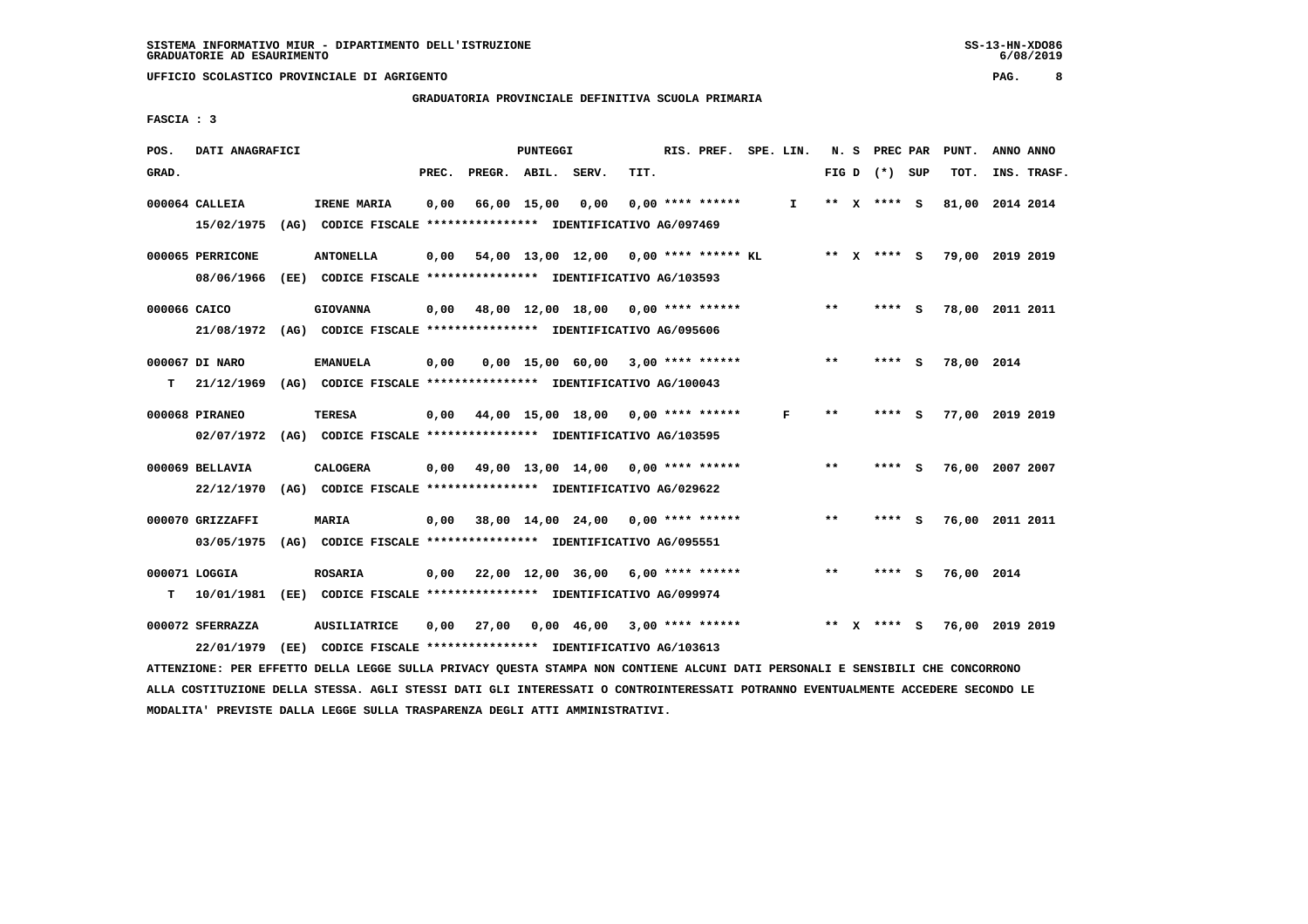# **GRADUATORIA PROVINCIALE DEFINITIVA SCUOLA PRIMARIA**

 **FASCIA : 3**

| POS.         | DATI ANAGRAFICI                |      |                                                                          |       |              | PUNTEGGI |                                       |      | RIS. PREF.         | SPE. LIN.    |               | N. S PREC PAR   |     | PUNT.      | ANNO ANNO       |
|--------------|--------------------------------|------|--------------------------------------------------------------------------|-------|--------------|----------|---------------------------------------|------|--------------------|--------------|---------------|-----------------|-----|------------|-----------------|
| GRAD.        |                                |      |                                                                          | PREC. | PREGR. ABIL. |          | SERV.                                 | TIT. |                    |              |               | FIG D $(*)$ SUP |     | TOT.       | INS. TRASF.     |
|              | $000064$ CALLEIA               |      | IRENE MARIA                                                              | 0.00  | 66,00 15,00  |          | 0.00                                  |      | $0.00$ **** ****** | $\mathbf{I}$ |               | ** X **** S     |     | 81,00      | 2014 2014       |
|              | 15/02/1975                     |      | (AG) CODICE FISCALE **************** IDENTIFICATIVO AG/097469            |       |              |          |                                       |      |                    |              |               |                 |     |            |                 |
|              | 000065 PERRICONE               |      | <b>ANTONELLA</b>                                                         | 0,00  |              |          | 54,00 13,00 12,00 0,00 **** ****** KL |      |                    |              |               | ** X **** S     |     |            | 79,00 2019 2019 |
|              | 08/06/1966                     |      | (EE) CODICE FISCALE **************** IDENTIFICATIVO AG/103593            |       |              |          |                                       |      |                    |              |               |                 |     |            |                 |
| 000066 CAICO |                                |      | <b>GIOVANNA</b>                                                          | 0,00  |              |          | 48,00 12,00 18,00                     |      | 0,00 **** ******   |              | $***$         | **** S          |     |            | 78,00 2011 2011 |
|              | 21/08/1972                     |      | (AG) CODICE FISCALE **************** IDENTIFICATIVO AG/095606            |       |              |          |                                       |      |                    |              |               |                 |     |            |                 |
|              | 000067 DI NARO                 |      | <b>EMANUELA</b>                                                          | 0,00  |              |          | 0,00 15,00 60,00                      |      | $3.00$ **** ****** |              | $* *$         | ****            | - S | 78,00 2014 |                 |
| т            | 21/12/1969                     |      | (AG) CODICE FISCALE **************** IDENTIFICATIVO AG/100043            |       |              |          |                                       |      |                    |              |               |                 |     |            |                 |
|              | 000068 PIRANEO                 |      | TERESA                                                                   | 0.00  |              |          | 44,00 15,00 18,00 0,00 **** ******    |      |                    | F            | $***$         | ****            | - 5 |            | 77,00 2019 2019 |
|              | 02/07/1972                     |      | (AG) CODICE FISCALE **************** IDENTIFICATIVO AG/103595            |       |              |          |                                       |      |                    |              |               |                 |     |            |                 |
|              | 000069 BELLAVIA                |      | <b>CALOGERA</b>                                                          | 0,00  |              |          | 49,00 13,00 14,00                     |      | $0.00$ **** ****** |              | $\star \star$ | ****            | - 5 | 76,00      | 2007 2007       |
|              | 22/12/1970                     |      | (AG) CODICE FISCALE **************** IDENTIFICATIVO AG/029622            |       |              |          |                                       |      |                    |              |               |                 |     |            |                 |
|              |                                |      |                                                                          |       |              |          |                                       |      |                    |              |               |                 |     |            |                 |
|              | 000070 GRIZZAFFI<br>03/05/1975 | (AG) | <b>MARIA</b><br>CODICE FISCALE **************** IDENTIFICATIVO AG/095551 | 0,00  |              |          | 38,00 14,00 24,00                     |      | $0.00$ **** ****** |              | $* *$         | ****            | - S |            | 76,00 2011 2011 |
|              |                                |      |                                                                          |       |              |          |                                       |      |                    |              |               |                 |     |            |                 |
|              | 000071 LOGGIA                  |      | <b>ROSARIA</b>                                                           | 0,00  |              |          | 22,00 12,00 36,00                     |      | 6,00 **** ******   |              | $**$          | **** S          |     | 76,00 2014 |                 |
| т            | 10/01/1981                     |      | (EE) CODICE FISCALE **************** IDENTIFICATIVO AG/099974            |       |              |          |                                       |      |                    |              |               |                 |     |            |                 |
|              | 000072 SFERRAZZA               |      | <b>AUSILIATRICE</b>                                                      | 0,00  | 27,00        |          | 0,00 46,00                            |      | $3,00$ **** ****** |              | **            | **** S          |     |            | 76,00 2019 2019 |
|              | 22/01/1979                     | (EE) | CODICE FISCALE **************** IDENTIFICATIVO AG/103613                 |       |              |          |                                       |      |                    |              |               |                 |     |            |                 |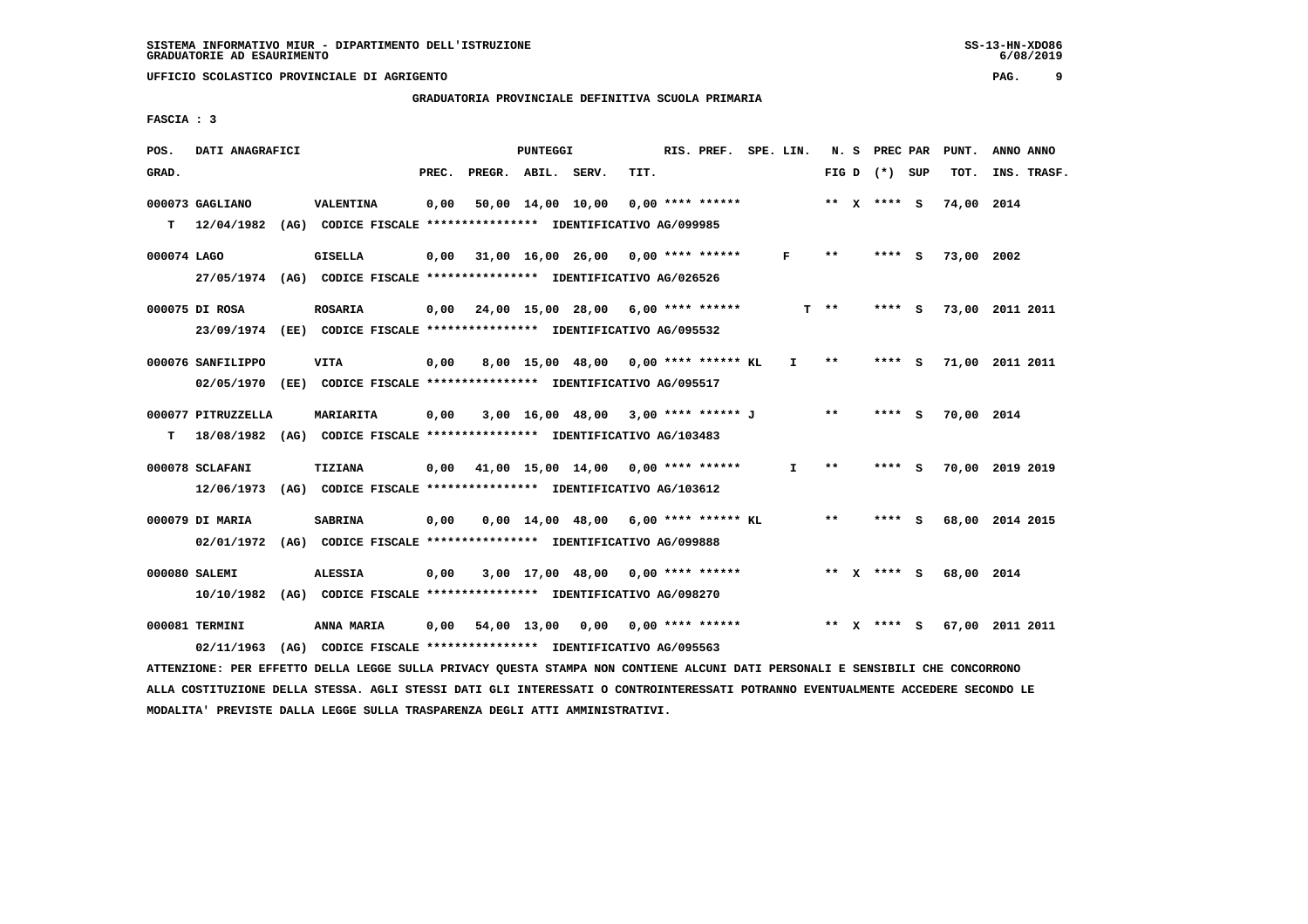# **GRADUATORIA PROVINCIALE DEFINITIVA SCUOLA PRIMARIA**

 **FASCIA : 3**

| POS.        | DATI ANAGRAFICI    |                                                                                                                               |       |                    | PUNTEGGI |                                                         |      | RIS. PREF. SPE. LIN. |              |        | N. S PREC PAR   | PUNT.      | ANNO ANNO       |
|-------------|--------------------|-------------------------------------------------------------------------------------------------------------------------------|-------|--------------------|----------|---------------------------------------------------------|------|----------------------|--------------|--------|-----------------|------------|-----------------|
| GRAD.       |                    |                                                                                                                               | PREC. | PREGR. ABIL. SERV. |          |                                                         | TIT. |                      |              |        | FIG D $(*)$ SUP | TOT.       | INS. TRASF.     |
|             | 000073 GAGLIANO    | <b>VALENTINA</b>                                                                                                              | 0,00  |                    |          | $50,00$ 14,00 10,00 0,00 **** ******                    |      |                      |              |        | ** $X$ **** S   | 74,00 2014 |                 |
|             |                    | T 12/04/1982 (AG) CODICE FISCALE **************** IDENTIFICATIVO AG/099985                                                    |       |                    |          |                                                         |      |                      |              |        |                 |            |                 |
| 000074 LAGO |                    | GISELLA                                                                                                                       |       |                    |          | $0,00$ 31,00 16,00 26,00 0,00 **** ******               |      |                      | F            | **     | **** S          | 73,00 2002 |                 |
|             |                    | 27/05/1974 (AG) CODICE FISCALE *************** IDENTIFICATIVO AG/026526                                                       |       |                    |          |                                                         |      |                      |              |        |                 |            |                 |
|             | 000075 DI ROSA     | <b>ROSARIA</b>                                                                                                                |       |                    |          | $0,00$ $24,00$ $15,00$ $28,00$ $6,00$ $***$ **** ****** |      |                      |              | $T$ ** | $***$ S         |            | 73,00 2011 2011 |
|             |                    | 23/09/1974 (EE) CODICE FISCALE *************** IDENTIFICATIVO AG/095532                                                       |       |                    |          |                                                         |      |                      |              |        |                 |            |                 |
|             | 000076 SANFILIPPO  | <b>VITA</b>                                                                                                                   | 0,00  |                    |          | 8,00 15,00 48,00 0,00 **** ****** KL                    |      |                      | I.           | $***$  | $***$ S         |            | 71,00 2011 2011 |
|             |                    | 02/05/1970 (EE) CODICE FISCALE *************** IDENTIFICATIVO AG/095517                                                       |       |                    |          |                                                         |      |                      |              |        |                 |            |                 |
|             | 000077 PITRUZZELLA | MARIARITA                                                                                                                     | 0,00  |                    |          | 3,00 16,00 48,00 3,00 **** ****** J                     |      |                      |              | $* *$  | **** S          | 70,00 2014 |                 |
| т           |                    | 18/08/1982 (AG) CODICE FISCALE *************** IDENTIFICATIVO AG/103483                                                       |       |                    |          |                                                         |      |                      |              |        |                 |            |                 |
|             | 000078 SCLAFANI    | TIZIANA                                                                                                                       |       |                    |          | $0,00$ 41,00 15,00 14,00 0,00 **** ******               |      |                      | $\mathbf{I}$ | $* *$  | **** S          |            | 70,00 2019 2019 |
|             |                    | 12/06/1973 (AG) CODICE FISCALE *************** IDENTIFICATIVO AG/103612                                                       |       |                    |          |                                                         |      |                      |              |        |                 |            |                 |
|             | 000079 DI MARIA    | <b>SABRINA</b>                                                                                                                | 0,00  |                    |          | $0,00$ 14,00 48,00 6,00 **** ****** KL                  |      |                      |              | $***$  | **** S          |            | 68,00 2014 2015 |
|             |                    | 02/01/1972 (AG) CODICE FISCALE *************** IDENTIFICATIVO AG/099888                                                       |       |                    |          |                                                         |      |                      |              |        |                 |            |                 |
|             | 000080 SALEMI      | <b>ALESSIA</b>                                                                                                                | 0,00  |                    |          | 3,00 17,00 48,00 0,00 **** ******                       |      |                      |              |        | ** x **** S     | 68,00 2014 |                 |
|             |                    | 10/10/1982 (AG) CODICE FISCALE *************** IDENTIFICATIVO AG/098270                                                       |       |                    |          |                                                         |      |                      |              |        |                 |            |                 |
|             | 000081 TERMINI     | ANNA MARIA                                                                                                                    | 0,00  |                    |          | $54,00$ 13,00 0,00 0,00 **** ******                     |      |                      |              |        | ** X **** S     |            | 67,00 2011 2011 |
|             | 02/11/1963         | (AG) CODICE FISCALE **************** IDENTIFICATIVO AG/095563                                                                 |       |                    |          |                                                         |      |                      |              |        |                 |            |                 |
|             |                    | ATTENZIONE: PER EFFETTO DELLA LEGGE SULLA PRIVACY QUESTA STAMPA NON CONTIENE ALCUNI DATI PERSONALI E SENSIBILI CHE CONCORRONO |       |                    |          |                                                         |      |                      |              |        |                 |            |                 |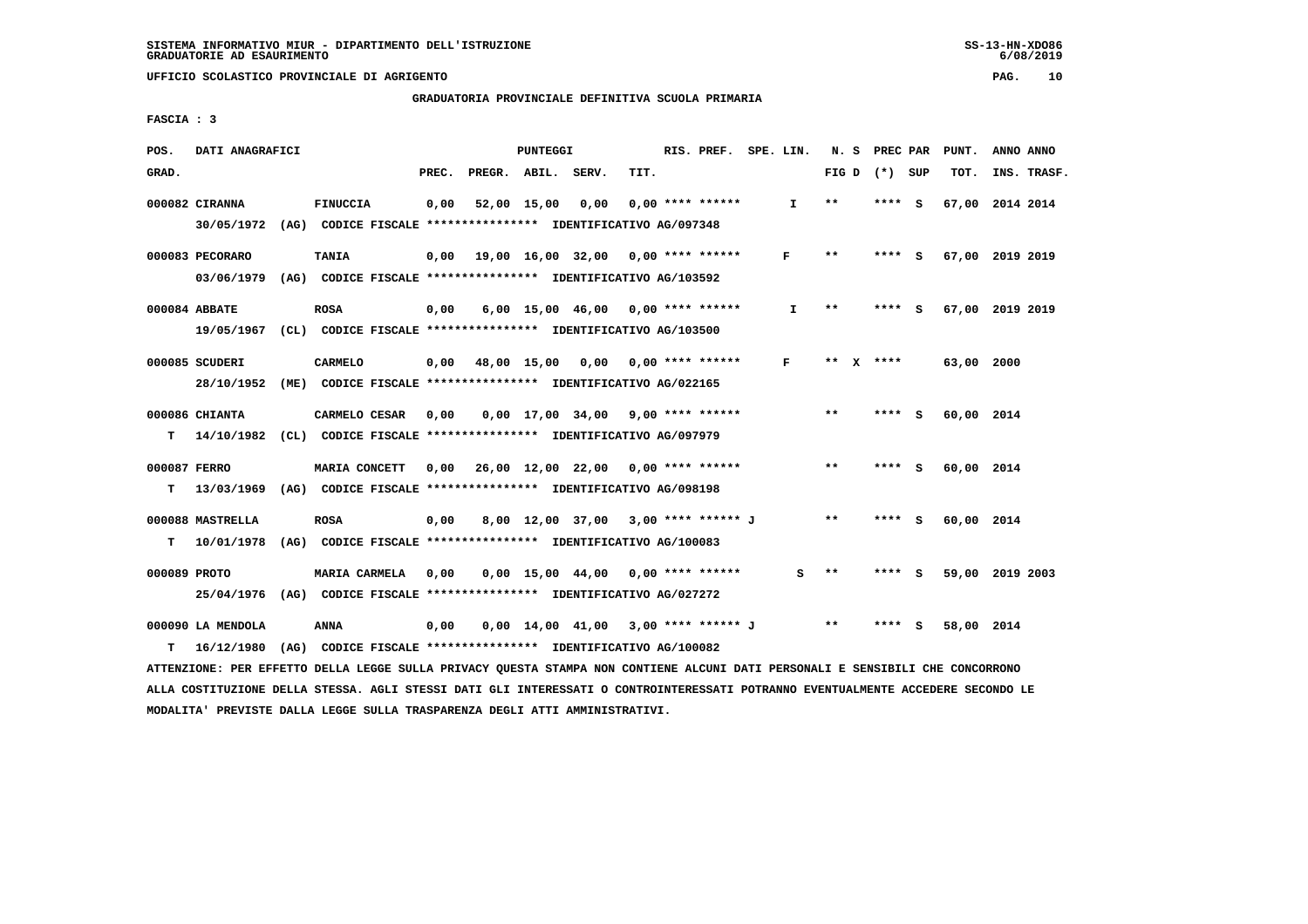### **GRADUATORIA PROVINCIALE DEFINITIVA SCUOLA PRIMARIA**

 **FASCIA : 3**

| POS.  | DATI ANAGRAFICI                                                                            |                                                                                |       |                    | PUNTEGGI    |                                     |      | RIS. PREF. SPE. LIN. |              |              | N. S PREC PAR |          | PUNT.      | ANNO ANNO       |
|-------|--------------------------------------------------------------------------------------------|--------------------------------------------------------------------------------|-------|--------------------|-------------|-------------------------------------|------|----------------------|--------------|--------------|---------------|----------|------------|-----------------|
| GRAD. |                                                                                            |                                                                                | PREC. | PREGR. ABIL. SERV. |             |                                     | TIT. |                      |              | FIG D        | (*) SUP       |          | TOT.       | INS. TRASF.     |
|       | 000082 CIRANNA<br>30/05/1972 (AG) CODICE FISCALE *************** IDENTIFICATIVO AG/097348  | <b>FINUCCIA</b>                                                                | 0,00  |                    | 52,00 15,00 | 0,00                                |      | $0.00$ **** ******   | $\mathbf{I}$ | $* *$        | **** S        |          | 67,00      | 2014 2014       |
|       | 000083 PECORARO<br>03/06/1979 (AG) CODICE FISCALE *************** IDENTIFICATIVO AG/103592 | <b>TANIA</b>                                                                   | 0,00  |                    |             | 19,00 16,00 32,00 0,00 **** ******  |      |                      | F            | $***$        | ****          | <b>S</b> |            | 67,00 2019 2019 |
|       | 000084 ABBATE<br>19/05/1967 (CL) CODICE FISCALE *************** IDENTIFICATIVO AG/103500   | <b>ROSA</b>                                                                    | 0,00  |                    |             | $6,00$ 15,00 46,00 0,00 **** ****** |      |                      | I.           | $\star\star$ | ****          | - S      |            | 67,00 2019 2019 |
|       | 000085 SCUDERI<br>28/10/1952 (ME) CODICE FISCALE *************** IDENTIFICATIVO AG/022165  | <b>CARMELO</b>                                                                 |       | $0,00$ 48,00 15,00 |             | 0,00                                |      | $0.00$ **** ******   | F            | ** X         | ****          |          | 63,00 2000 |                 |
| т     | 000086 CHIANTA<br>14/10/1982                                                               | CARMELO CESAR<br>(CL) CODICE FISCALE *************** IDENTIFICATIVO AG/097979  | 0,00  |                    |             | 0,00 17,00 34,00                    |      | $9,00$ **** ******   |              | $***$        | **** S        |          | 60,00 2014 |                 |
| T.    | 000087 FERRO<br>13/03/1969 (AG) CODICE FISCALE **************** IDENTIFICATIVO AG/098198   | MARIA CONCETT                                                                  | 0.00  |                    |             | 26,00 12,00 22,00 0,00 **** ******  |      |                      |              | $* *$        | **** S        |          | 60,00 2014 |                 |
| T.    | 000088 MASTRELLA<br>10/01/1978                                                             | <b>ROSA</b><br>(AG) CODICE FISCALE **************** IDENTIFICATIVO AG/100083   | 0,00  |                    |             | 8,00 12,00 37,00 3,00 **** ****** J |      |                      |              | $* *$        | **** S        |          | 60,00 2014 |                 |
|       | 000089 PROTO<br>25/04/1976                                                                 | MARIA CARMELA<br>(AG) CODICE FISCALE **************** IDENTIFICATIVO AG/027272 | 0.00  |                    |             | $0.00$ 15.00 44.00 0.00 **** ****** |      |                      | s            | $* *$        | ****          | <b>S</b> |            | 59,00 2019 2003 |
| т     | 000090 LA MENDOLA<br>16/12/1980                                                            | ANNA<br>(AG) CODICE FISCALE **************** IDENTIFICATIVO AG/100082          | 0,00  |                    |             | 0,00 14,00 41,00                    |      | 3,00 **** ****** J   |              | **           | ****          | s        | 58,00      | 2014            |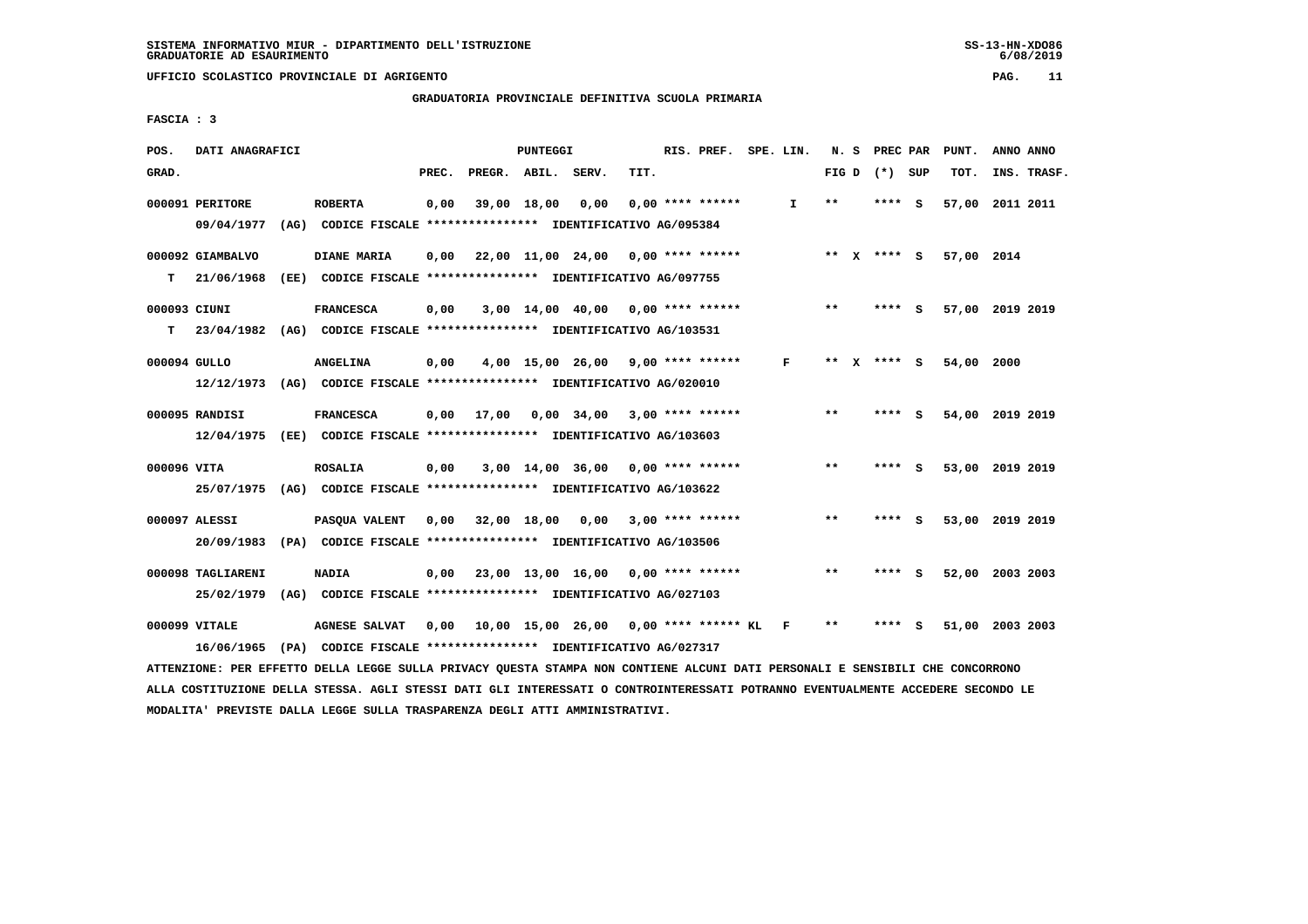**GRADUATORIA PROVINCIALE DEFINITIVA SCUOLA PRIMARIA**

 **FASCIA : 3**

| POS.<br>DATI ANAGRAFICI |                                                                          | PUNTEGGI                                | RIS. PREF. SPE. LIN. |    | N. S         | PREC PAR        | PUNT.      | ANNO ANNO       |
|-------------------------|--------------------------------------------------------------------------|-----------------------------------------|----------------------|----|--------------|-----------------|------------|-----------------|
| GRAD.                   | PREC.                                                                    | PREGR. ABIL. SERV.                      | TIT.                 |    |              | FIG D $(*)$ SUP | TOT.       | INS. TRASF.     |
| 000091 PERITORE         | <b>ROBERTA</b><br>0,00                                                   | 39,00 18,00<br>0,00                     | $0.00$ **** ******   | I. | $* *$        | **** S          |            | 57,00 2011 2011 |
| 09/04/1977              | (AG) CODICE FISCALE **************** IDENTIFICATIVO AG/095384            |                                         |                      |    |              |                 |            |                 |
| 000092 GIAMBALVO        | DIANE MARIA<br>0.00                                                      | 22,00 11,00 24,00 0,00 **** ******      |                      |    |              | ** X **** S     | 57,00 2014 |                 |
| 21/06/1968<br>т         | (EE) CODICE FISCALE **************** IDENTIFICATIVO AG/097755            |                                         |                      |    |              |                 |            |                 |
| 000093 CIUNI            | <b>FRANCESCA</b><br>0,00                                                 | $3,00$ 14,00 40,00 0,00 **** ******     |                      |    | $* *$        | **** S          |            | 57,00 2019 2019 |
| т                       | 23/04/1982 (AG) CODICE FISCALE **************** IDENTIFICATIVO AG/103531 |                                         |                      |    |              |                 |            |                 |
| 000094 GULLO            | <b>ANGELINA</b><br>0,00                                                  | $4,00$ 15,00 26,00 9,00 **** ******     |                      | F  | ** x **** s  |                 | 54,00 2000 |                 |
|                         | 12/12/1973 (AG) CODICE FISCALE **************** IDENTIFICATIVO AG/020010 |                                         |                      |    |              |                 |            |                 |
| 000095 RANDISI          | <b>FRANCESCA</b><br>0,00                                                 | 17,00<br>0,00 34,00                     | $3,00$ **** ******   |    | $\star\star$ | **** S          |            | 54,00 2019 2019 |
|                         | 12/04/1975 (EE) CODICE FISCALE *************** IDENTIFICATIVO AG/103603  |                                         |                      |    |              |                 |            |                 |
| 000096 VITA             | <b>ROSALIA</b><br>0,00                                                   | $3,00$ 14,00 36,00 0,00 **** ******     |                      |    | $***$        | **** S          |            | 53,00 2019 2019 |
|                         | 25/07/1975 (AG) CODICE FISCALE *************** IDENTIFICATIVO AG/103622  |                                         |                      |    |              |                 |            |                 |
| 000097 ALESSI           | PASOUA VALENT<br>0,00                                                    | 32,00 18,00<br>0,00                     | $3,00$ **** ******   |    | $* *$        | **** S          |            | 53,00 2019 2019 |
|                         | 20/09/1983 (PA) CODICE FISCALE *************** IDENTIFICATIVO AG/103506  |                                         |                      |    |              |                 |            |                 |
| 000098 TAGLIARENI       | <b>NADIA</b><br>0,00                                                     | 23,00 13,00 16,00 0,00 **** ******      |                      |    | $* *$        | ****<br>- S     |            | 52,00 2003 2003 |
|                         | 25/02/1979 (AG) CODICE FISCALE *************** IDENTIFICATIVO AG/027103  |                                         |                      |    |              |                 |            |                 |
|                         |                                                                          |                                         |                      |    |              |                 |            |                 |
| 000099 VITALE           | <b>AGNESE SALVAT</b><br>0,00                                             | 10,00 15,00 26,00 0,00 **** ****** KL F |                      |    | $* *$        | ****<br>- 5     |            | 51,00 2003 2003 |
|                         | 16/06/1965 (PA) CODICE FISCALE *************** IDENTIFICATIVO AG/027317  |                                         |                      |    |              |                 |            |                 |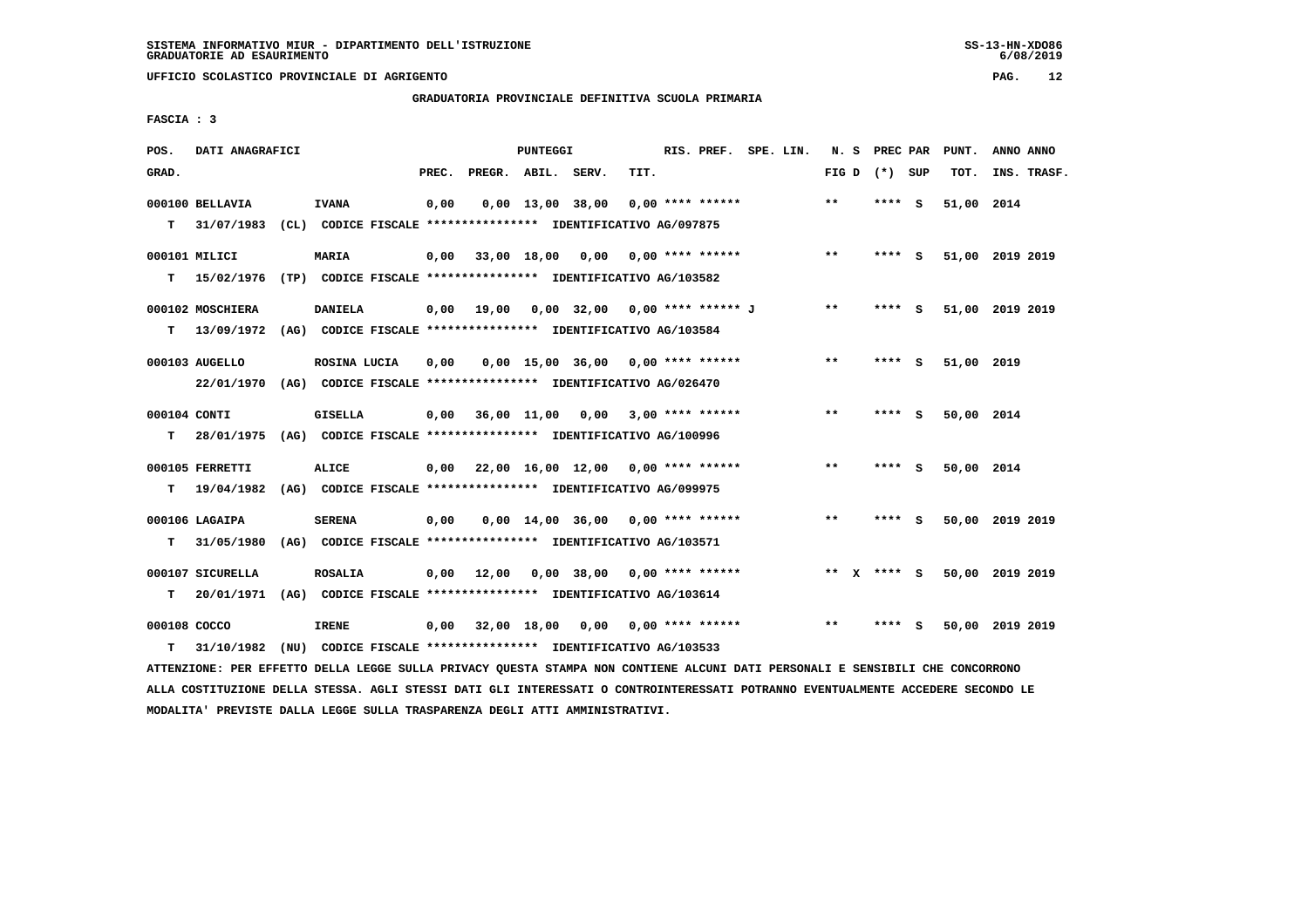**UFFICIO SCOLASTICO PROVINCIALE DI AGRIGENTO PAG. 12**

 **GRADUATORIA PROVINCIALE DEFINITIVA SCUOLA PRIMARIA**

 **FASCIA : 3**

| POS.         | DATI ANAGRAFICI  |                                                                                                                               |       |                    | PUNTEGGI |                                           |      | RIS. PREF. SPE. LIN. |  |       | N. S PREC PAR     |     | PUNT.           | ANNO ANNO |             |
|--------------|------------------|-------------------------------------------------------------------------------------------------------------------------------|-------|--------------------|----------|-------------------------------------------|------|----------------------|--|-------|-------------------|-----|-----------------|-----------|-------------|
| GRAD.        |                  |                                                                                                                               | PREC. | PREGR. ABIL. SERV. |          |                                           | TIT. |                      |  |       | FIG $D$ $(*)$ SUP |     | TOT.            |           | INS. TRASF. |
|              | 000100 BELLAVIA  | <b>IVANA</b>                                                                                                                  | 0,00  |                    |          | $0,00 \quad 13,00 \quad 38,00$            |      | $0.00$ **** ******   |  | **    | ****              | - S | 51,00 2014      |           |             |
| т            | 31/07/1983       | (CL) CODICE FISCALE *************** IDENTIFICATIVO AG/097875                                                                  |       |                    |          |                                           |      |                      |  |       |                   |     |                 |           |             |
|              | 000101 MILICI    | <b>MARIA</b>                                                                                                                  | 0,00  |                    |          | 33,00 18,00 0,00 0,00 **** ******         |      |                      |  | $***$ | **** S            |     | 51,00 2019 2019 |           |             |
|              | $T = 15/02/1976$ | (TP) CODICE FISCALE **************** IDENTIFICATIVO AG/103582                                                                 |       |                    |          |                                           |      |                      |  |       |                   |     |                 |           |             |
|              |                  |                                                                                                                               |       |                    |          |                                           |      |                      |  |       |                   |     |                 |           |             |
|              | 000102 MOSCHIERA | <b>DANIELA</b>                                                                                                                | 0,00  |                    |          | 19,00  0,00  32,00  0,00  ****  ******  J |      |                      |  | $* *$ | **** S            |     | 51,00 2019 2019 |           |             |
|              |                  | T 13/09/1972 (AG) CODICE FISCALE *************** IDENTIFICATIVO AG/103584                                                     |       |                    |          |                                           |      |                      |  |       |                   |     |                 |           |             |
|              | 000103 AUGELLO   | ROSINA LUCIA                                                                                                                  | 0,00  |                    |          | $0.00$ 15.00 36.00 0.00 **** ******       |      |                      |  | $***$ | **** S            |     | 51,00 2019      |           |             |
|              | 22/01/1970       | (AG) CODICE FISCALE **************** IDENTIFICATIVO AG/026470                                                                 |       |                    |          |                                           |      |                      |  |       |                   |     |                 |           |             |
| 000104 CONTI |                  | GISELLA                                                                                                                       | 0,00  |                    |          | 36,00 11,00 0,00 3,00 **** ******         |      |                      |  | $**$  | **** S            |     | 50,00 2014      |           |             |
| т            | 28/01/1975       | (AG) CODICE FISCALE **************** IDENTIFICATIVO AG/100996                                                                 |       |                    |          |                                           |      |                      |  |       |                   |     |                 |           |             |
|              |                  |                                                                                                                               |       |                    |          |                                           |      |                      |  |       |                   |     |                 |           |             |
|              | 000105 FERRETTI  | <b>ALICE</b>                                                                                                                  |       |                    |          | $0,00$ 22,00 16,00 12,00 0,00 **** ****** |      |                      |  | $* *$ | **** S            |     | 50,00 2014      |           |             |
| T.           | 19/04/1982       | (AG) CODICE FISCALE **************** IDENTIFICATIVO AG/099975                                                                 |       |                    |          |                                           |      |                      |  |       |                   |     |                 |           |             |
|              | 000106 LAGAIPA   | <b>SERENA</b>                                                                                                                 | 0,00  |                    |          | $0,00$ 14,00 36,00 0,00 **** ******       |      |                      |  | $***$ | **** S            |     | 50,00 2019 2019 |           |             |
| т            | 31/05/1980       | (AG) CODICE FISCALE **************** IDENTIFICATIVO AG/103571                                                                 |       |                    |          |                                           |      |                      |  |       |                   |     |                 |           |             |
|              | 000107 SICURELLA | <b>ROSALIA</b>                                                                                                                |       | 12,00              |          | 0,00 38,00 0,00 **** ******               |      |                      |  |       | ** X **** S       |     | 50,00 2019 2019 |           |             |
|              |                  |                                                                                                                               | 0,00  |                    |          |                                           |      |                      |  |       |                   |     |                 |           |             |
| т            |                  | 20/01/1971 (AG) CODICE FISCALE **************** IDENTIFICATIVO AG/103614                                                      |       |                    |          |                                           |      |                      |  |       |                   |     |                 |           |             |
| 000108 COCCO |                  | <b>IRENE</b>                                                                                                                  | 0,00  |                    |          | 32,00 18,00 0,00 0,00 **** ******         |      |                      |  | $***$ | **** S            |     | 50,00 2019 2019 |           |             |
| т            | 31/10/1982       | (NU) CODICE FISCALE *************** IDENTIFICATIVO AG/103533                                                                  |       |                    |          |                                           |      |                      |  |       |                   |     |                 |           |             |
|              |                  | ATTENZIONE: PER EFFETTO DELLA LEGGE SULLA PRIVACY QUESTA STAMPA NON CONTIENE ALCUNI DATI PERSONALI E SENSIBILI CHE CONCORRONO |       |                    |          |                                           |      |                      |  |       |                   |     |                 |           |             |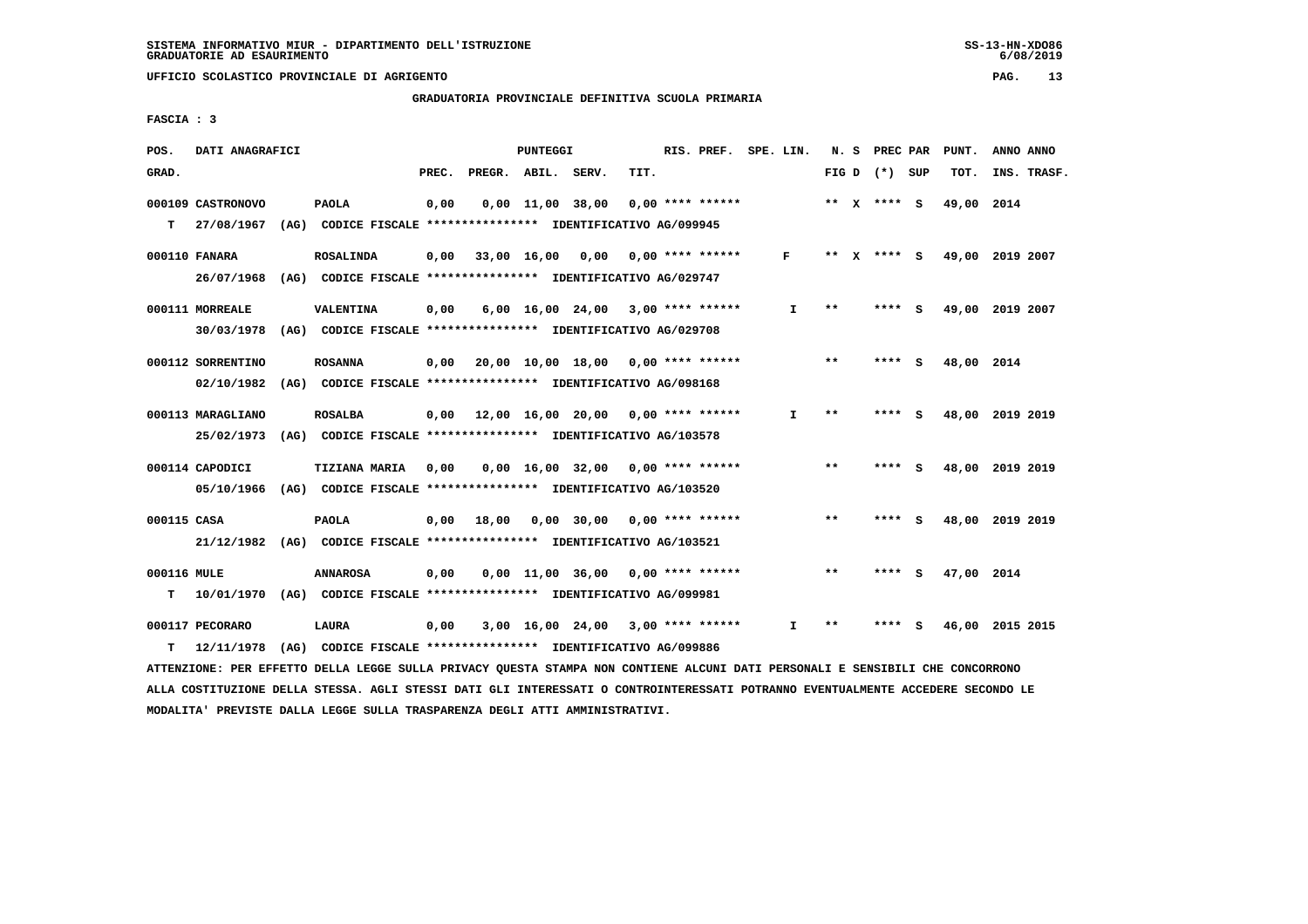# **GRADUATORIA PROVINCIALE DEFINITIVA SCUOLA PRIMARIA**

 **FASCIA : 3**

| POS.             | DATI ANAGRAFICI   |                                                                                  |       |                    | <b>PUNTEGGI</b> |                                           |      | RIS. PREF.         | SPE. LIN.    | N.S   |              | PREC PAR        |     | PUNT.           | ANNO ANNO |             |
|------------------|-------------------|----------------------------------------------------------------------------------|-------|--------------------|-----------------|-------------------------------------------|------|--------------------|--------------|-------|--------------|-----------------|-----|-----------------|-----------|-------------|
| GRAD.            |                   |                                                                                  | PREC. | PREGR. ABIL. SERV. |                 |                                           | TIT. |                    |              |       |              | FIG D $(*)$ SUP |     | TOT.            |           | INS. TRASF. |
|                  | 000109 CASTRONOVO | <b>PAOLA</b>                                                                     | 0,00  |                    |                 | $0,00 \quad 11,00 \quad 38,00$            |      | $0.00$ **** ****** |              |       |              | ** X **** S     |     | 49,00           | 2014      |             |
| т                | 27/08/1967        | (AG) CODICE FISCALE **************** IDENTIFICATIVO AG/099945                    |       |                    |                 |                                           |      |                    |              |       |              |                 |     |                 |           |             |
|                  | 000110 FANARA     | <b>ROSALINDA</b>                                                                 | 0,00  |                    | 33,00 16,00     | 0,00                                      |      | $0.00$ **** ****** | $\mathbf{F}$ | $***$ | $\mathbf{x}$ | **** S          |     | 49,00 2019 2007 |           |             |
|                  | 26/07/1968        | (AG) CODICE FISCALE **************** IDENTIFICATIVO AG/029747                    |       |                    |                 |                                           |      |                    |              |       |              |                 |     |                 |           |             |
|                  | 000111 MORREALE   | <b>VALENTINA</b>                                                                 | 0,00  |                    |                 | $6,00$ 16,00 24,00 3,00 **** ******       |      |                    | I.           | * *   |              |                 | s   | 49,00           | 2019 2007 |             |
|                  | 30/03/1978        | (AG) CODICE FISCALE **************** IDENTIFICATIVO AG/029708                    |       |                    |                 |                                           |      |                    |              |       |              |                 |     |                 |           |             |
|                  | 000112 SORRENTINO | <b>ROSANNA</b>                                                                   | 0,00  |                    |                 | $20,00$ 10,00 18,00 0,00 **** ******      |      |                    |              | $* *$ |              | **** S          |     | 48,00           | 2014      |             |
|                  | 02/10/1982        | (AG) CODICE FISCALE **************** IDENTIFICATIVO AG/098168                    |       |                    |                 |                                           |      |                    |              |       |              |                 |     |                 |           |             |
|                  | 000113 MARAGLIANO | <b>ROSALBA</b>                                                                   |       |                    |                 | $0.00$ 12.00 16.00 20.00 0.00 **** ****** |      |                    | I.           | $**$  |              | ****            | - 5 | 48,00           | 2019 2019 |             |
|                  | 25/02/1973        | (AG) CODICE FISCALE **************** IDENTIFICATIVO AG/103578                    |       |                    |                 |                                           |      |                    |              |       |              |                 |     |                 |           |             |
|                  | 000114 CAPODICI   | <b>TIZIANA MARIA</b>                                                             | 0.00  |                    |                 | $0.00 \quad 16.00 \quad 32.00$            |      | 0,00 **** ******   |              | $* *$ |              | ****            | - S | 48,00 2019 2019 |           |             |
|                  | 05/10/1966        | (AG) CODICE FISCALE **************** IDENTIFICATIVO AG/103520                    |       |                    |                 |                                           |      |                    |              |       |              |                 |     |                 |           |             |
| 000115 CASA      |                   | <b>PAOLA</b>                                                                     | 0,00  | 18,00              |                 | $0,00$ 30,00                              |      | $0.00$ **** ****** |              | **    |              | ****            | - S | 48,00           | 2019 2019 |             |
|                  | 21/12/1982        | (AG) CODICE FISCALE **************** IDENTIFICATIVO AG/103521                    |       |                    |                 |                                           |      |                    |              |       |              |                 |     |                 |           |             |
|                  |                   |                                                                                  |       |                    |                 |                                           |      |                    |              | $* *$ |              | ****            |     |                 |           |             |
| 000116 MULE<br>т | 10/01/1970        | <b>ANNAROSA</b><br>(AG) CODICE FISCALE **************** IDENTIFICATIVO AG/099981 | 0,00  |                    |                 | $0.00$ 11.00 36.00 0.00 **** ******       |      |                    |              |       |              |                 | - 5 | 47,00 2014      |           |             |
|                  |                   |                                                                                  |       |                    |                 |                                           |      |                    |              |       |              |                 |     |                 |           |             |
|                  | 000117 PECORARO   | LAURA<br>(AG) CODICE FISCALE **************** IDENTIFICATIVO AG/099886           | 0,00  |                    |                 | 3,00 16,00 24,00                          |      | $3,00$ **** ****** | I.           | $* *$ |              |                 | s   | 46,00           | 2015 2015 |             |
| т                | 12/11/1978        |                                                                                  |       |                    |                 |                                           |      |                    |              |       |              |                 |     |                 |           |             |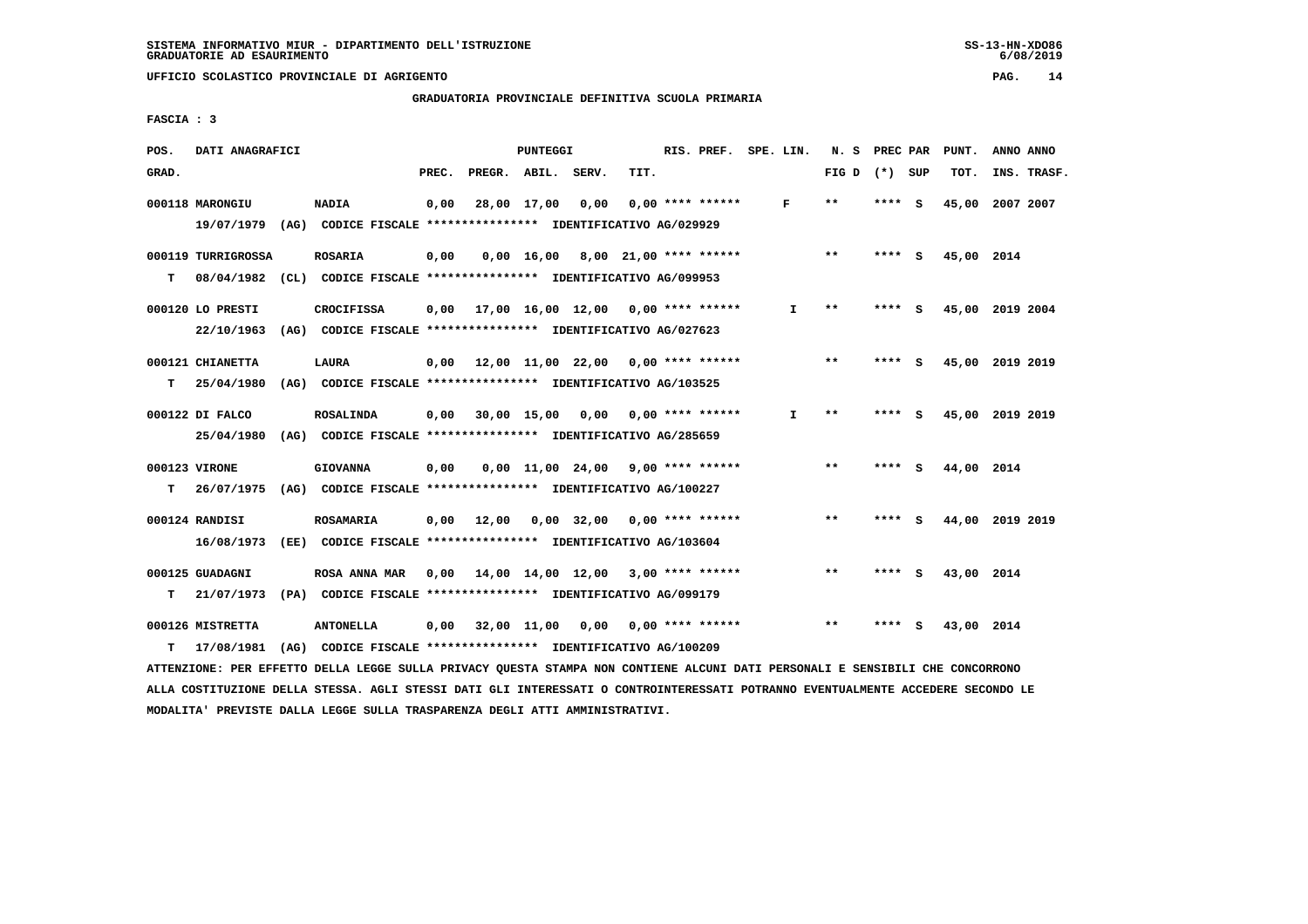**UFFICIO SCOLASTICO PROVINCIALE DI AGRIGENTO PAG. 14**

 **GRADUATORIA PROVINCIALE DEFINITIVA SCUOLA PRIMARIA**

 **FASCIA : 3**

| POS.  | DATI ANAGRAFICI             |      |                                                                                  |       |              | <b>PUNTEGGI</b> |                                                 |      | RIS. PREF.         | SPE. LIN. |    | N. S            | PREC PAR |     | PUNT.      | ANNO ANNO       |
|-------|-----------------------------|------|----------------------------------------------------------------------------------|-------|--------------|-----------------|-------------------------------------------------|------|--------------------|-----------|----|-----------------|----------|-----|------------|-----------------|
| GRAD. |                             |      |                                                                                  | PREC. | PREGR. ABIL. |                 | SERV.                                           | TIT. |                    |           |    | FIG D $(*)$ SUP |          |     | TOT.       | INS. TRASF.     |
|       | 000118 MARONGIU             |      | <b>NADIA</b>                                                                     | 0,00  |              | 28,00 17,00     | 0,00                                            |      | $0.00$ **** ****** |           | F  | $**$            | **** S   |     | 45,00      | 2007 2007       |
|       | 19/07/1979                  |      | (AG) CODICE FISCALE **************** IDENTIFICATIVO AG/029929                    |       |              |                 |                                                 |      |                    |           |    |                 |          |     |            |                 |
|       | 000119 TURRIGROSSA          |      | <b>ROSARIA</b>                                                                   | 0,00  |              |                 | $0,00$ 16,00 8,00 21,00 **** ******             |      |                    |           |    | $***$           | ****     | - 5 | 45,00 2014 |                 |
| т     | 08/04/1982                  |      | (CL) CODICE FISCALE **************** IDENTIFICATIVO AG/099953                    |       |              |                 |                                                 |      |                    |           |    |                 |          |     |            |                 |
|       | 000120 LO PRESTI            |      | <b>CROCIFISSA</b>                                                                | 0.00  |              |                 | $17,00$ $16,00$ $12,00$ $0,00$ $***$ **** ***** |      |                    |           | I. | $* *$           | ****     | - S |            | 45,00 2019 2004 |
|       | 22/10/1963                  |      | (AG) CODICE FISCALE **************** IDENTIFICATIVO AG/027623                    |       |              |                 |                                                 |      |                    |           |    |                 |          |     |            |                 |
|       | 000121 CHIANETTA            |      | <b>LAURA</b>                                                                     | 0,00  |              |                 | 12,00 11,00 22,00 0,00 **** ******              |      |                    |           |    | $**$            | ****     | - S |            | 45,00 2019 2019 |
| т     | 25/04/1980                  |      | (AG) CODICE FISCALE **************** IDENTIFICATIVO AG/103525                    |       |              |                 |                                                 |      |                    |           |    |                 |          |     |            |                 |
|       | 000122 DI FALCO             |      | <b>ROSALINDA</b>                                                                 | 0.00  | 30,00 15,00  |                 | 0.00                                            |      | $0.00$ **** ****** |           | I. | $**$            | ****     | - 5 |            | 45,00 2019 2019 |
|       | 25/04/1980                  |      | (AG) CODICE FISCALE **************** IDENTIFICATIVO AG/285659                    |       |              |                 |                                                 |      |                    |           |    |                 |          |     |            |                 |
|       |                             |      |                                                                                  |       |              |                 |                                                 |      | $9.00$ **** ****** |           |    | $***$           | ****     | - S |            |                 |
| т     | 000123 VIRONE<br>26/07/1975 |      | <b>GIOVANNA</b><br>(AG) CODICE FISCALE **************** IDENTIFICATIVO AG/100227 | 0.00  |              |                 | 0,00 11,00 24,00                                |      |                    |           |    |                 |          |     | 44,00 2014 |                 |
|       |                             |      |                                                                                  |       |              |                 |                                                 |      |                    |           |    |                 |          |     |            |                 |
|       | 000124 RANDISI              |      | <b>ROSAMARIA</b>                                                                 | 0,00  | 12,00        |                 | 0,00 32,00                                      |      | $0.00$ **** ****** |           |    | $***$           | ****     | S.  |            | 44,00 2019 2019 |
|       | 16/08/1973                  | (EE) | CODICE FISCALE **************** IDENTIFICATIVO AG/103604                         |       |              |                 |                                                 |      |                    |           |    |                 |          |     |            |                 |
|       | 000125 GUADAGNI             |      | ROSA ANNA MAR                                                                    | 0.00  |              |                 | 14,00 14,00 12,00 3,00 **** ******              |      |                    |           |    | $* *$           | **** S   |     | 43,00 2014 |                 |
| т     | 21/07/1973                  |      | (PA) CODICE FISCALE **************** IDENTIFICATIVO AG/099179                    |       |              |                 |                                                 |      |                    |           |    |                 |          |     |            |                 |
|       | 000126 MISTRETTA            |      | <b>ANTONELLA</b>                                                                 | 0,00  |              | 32,00 11,00     | 0,00                                            |      | $0.00$ **** ****** |           |    | $* *$           | ****     | s   | 43,00 2014 |                 |
| т     | 17/08/1981                  | (AG) | CODICE FISCALE **************** IDENTIFICATIVO AG/100209                         |       |              |                 |                                                 |      |                    |           |    |                 |          |     |            |                 |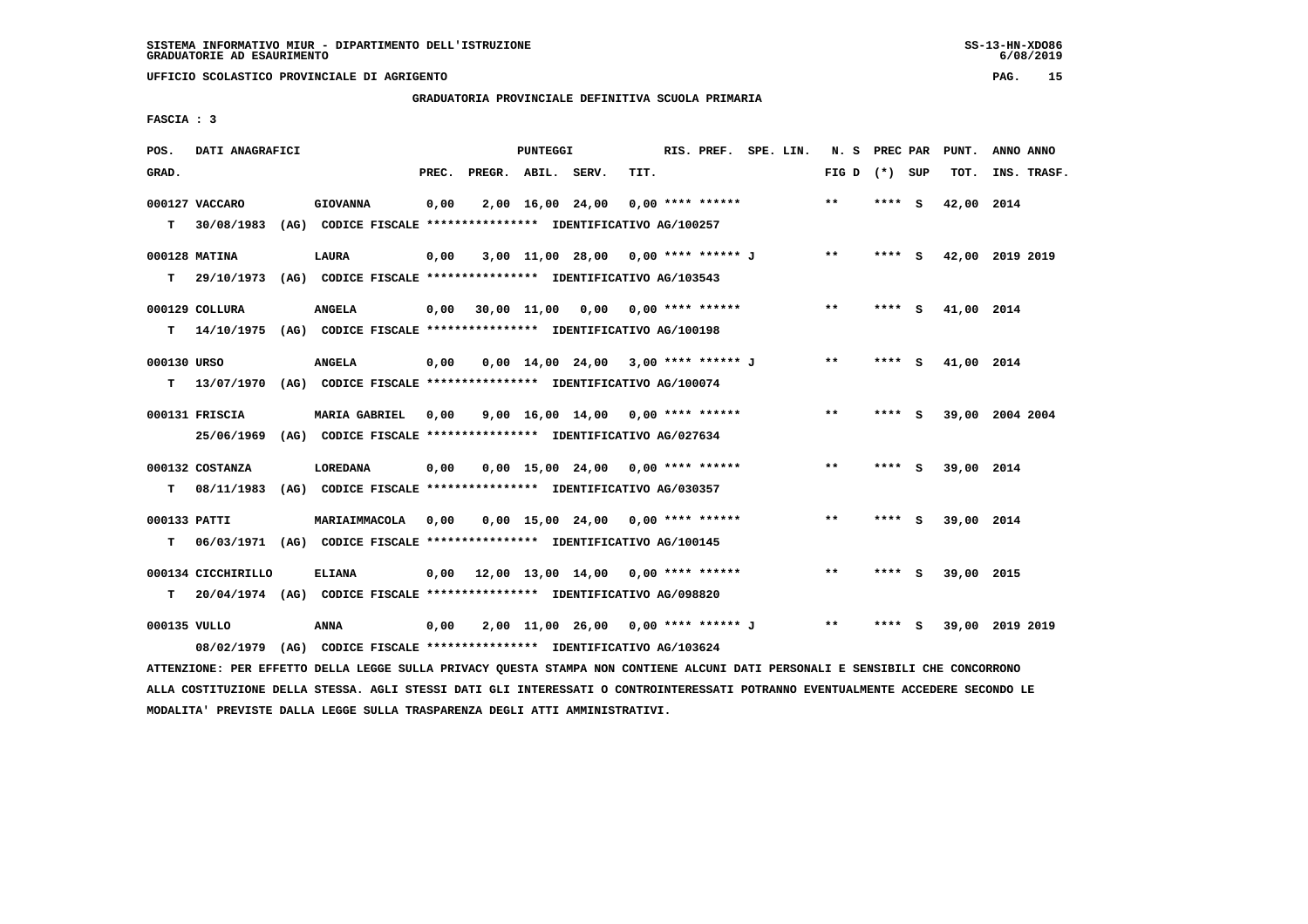**UFFICIO SCOLASTICO PROVINCIALE DI AGRIGENTO PAG. 15**

 **GRADUATORIA PROVINCIALE DEFINITIVA SCUOLA PRIMARIA**

 **FASCIA : 3**

| POS.         | DATI ANAGRAFICI    |                                                                                                                               |      |                          | <b>PUNTEGGI</b> |                                                                  |      | RIS. PREF. SPE. LIN. |  | N. S PREC PAR   |         | PUNT.      | ANNO ANNO       |  |
|--------------|--------------------|-------------------------------------------------------------------------------------------------------------------------------|------|--------------------------|-----------------|------------------------------------------------------------------|------|----------------------|--|-----------------|---------|------------|-----------------|--|
| GRAD.        |                    |                                                                                                                               |      | PREC. PREGR. ABIL. SERV. |                 |                                                                  | TIT. |                      |  | FIG D $(*)$ SUP |         | TOT.       | INS. TRASF.     |  |
|              | 000127 VACCARO     | <b>GIOVANNA</b>                                                                                                               | 0,00 |                          |                 | $2,00$ 16,00 24,00 0,00 **** ******                              |      |                      |  | $***$           | $***$ S | 42,00 2014 |                 |  |
| T.           | 30/08/1983         | (AG) CODICE FISCALE *************** IDENTIFICATIVO AG/100257                                                                  |      |                          |                 |                                                                  |      |                      |  |                 |         |            |                 |  |
|              |                    |                                                                                                                               |      |                          |                 |                                                                  |      |                      |  |                 |         |            |                 |  |
|              | 000128 MATINA      | LAURA                                                                                                                         | 0,00 |                          |                 | 3,00 11,00 28,00 0,00 **** ****** J                              |      |                      |  | $***$           | **** S  |            | 42,00 2019 2019 |  |
| т            | 29/10/1973         | (AG) CODICE FISCALE **************** IDENTIFICATIVO AG/103543                                                                 |      |                          |                 |                                                                  |      |                      |  |                 |         |            |                 |  |
|              | 000129 COLLURA     | <b>ANGELA</b>                                                                                                                 | 0,00 |                          |                 | 30,00 11,00 0,00 0,00 **** ******                                |      |                      |  | $***$           | **** S  | 41,00 2014 |                 |  |
|              |                    | T 14/10/1975 (AG) CODICE FISCALE *************** IDENTIFICATIVO AG/100198                                                     |      |                          |                 |                                                                  |      |                      |  |                 |         |            |                 |  |
| 000130 URSO  |                    | <b>ANGELA</b>                                                                                                                 |      |                          |                 | $0,00$ 14,00 24,00 3,00 **** ****** J                            |      |                      |  | $* *$           | **** S  | 41,00 2014 |                 |  |
|              |                    |                                                                                                                               | 0,00 |                          |                 |                                                                  |      |                      |  |                 |         |            |                 |  |
|              |                    | T 13/07/1970 (AG) CODICE FISCALE *************** IDENTIFICATIVO AG/100074                                                     |      |                          |                 |                                                                  |      |                      |  |                 |         |            |                 |  |
|              | 000131 FRISCIA     | <b>MARIA GABRIEL</b>                                                                                                          | 0,00 |                          |                 | $9.00 \quad 16.00 \quad 14.00 \quad 0.00 \quad *** \quad ******$ |      |                      |  | $***$           | **** S  |            | 39,00 2004 2004 |  |
|              | 25/06/1969         | (AG) CODICE FISCALE **************** IDENTIFICATIVO AG/027634                                                                 |      |                          |                 |                                                                  |      |                      |  |                 |         |            |                 |  |
|              | 000132 COSTANZA    | LOREDANA                                                                                                                      | 0,00 |                          |                 | $0,00$ 15,00 24,00 0,00 **** ******                              |      |                      |  | $***$           | **** S  | 39,00 2014 |                 |  |
|              |                    |                                                                                                                               |      |                          |                 |                                                                  |      |                      |  |                 |         |            |                 |  |
|              |                    | T 08/11/1983 (AG) CODICE FISCALE *************** IDENTIFICATIVO AG/030357                                                     |      |                          |                 |                                                                  |      |                      |  |                 |         |            |                 |  |
| 000133 PATTI |                    | MARIAIMMACOLA                                                                                                                 | 0,00 |                          |                 | $0,00$ 15,00 24,00 0,00 **** ******                              |      |                      |  | $***$           | **** S  | 39,00 2014 |                 |  |
| T.           |                    | 06/03/1971 (AG) CODICE FISCALE **************** IDENTIFICATIVO AG/100145                                                      |      |                          |                 |                                                                  |      |                      |  |                 |         |            |                 |  |
|              |                    |                                                                                                                               |      |                          |                 |                                                                  |      |                      |  |                 |         |            |                 |  |
|              | 000134 CICCHIRILLO | <b>ELIANA</b>                                                                                                                 | 0,00 |                          |                 | 12,00 13,00 14,00 0,00 **** ******                               |      |                      |  | $***$           | **** S  | 39,00 2015 |                 |  |
| т            |                    | 20/04/1974 (AG) CODICE FISCALE **************** IDENTIFICATIVO AG/098820                                                      |      |                          |                 |                                                                  |      |                      |  |                 |         |            |                 |  |
| 000135 VULLO |                    | ANNA                                                                                                                          | 0,00 |                          |                 | 2,00 11,00 26,00 0,00 **** ****** J                              |      |                      |  | $* *$           | **** S  |            | 39,00 2019 2019 |  |
|              | 08/02/1979         | (AG) CODICE FISCALE **************** IDENTIFICATIVO AG/103624                                                                 |      |                          |                 |                                                                  |      |                      |  |                 |         |            |                 |  |
|              |                    | ATTENZIONE: PER EFFETTO DELLA LEGGE SULLA PRIVACY QUESTA STAMPA NON CONTIENE ALCUNI DATI PERSONALI E SENSIBILI CHE CONCORRONO |      |                          |                 |                                                                  |      |                      |  |                 |         |            |                 |  |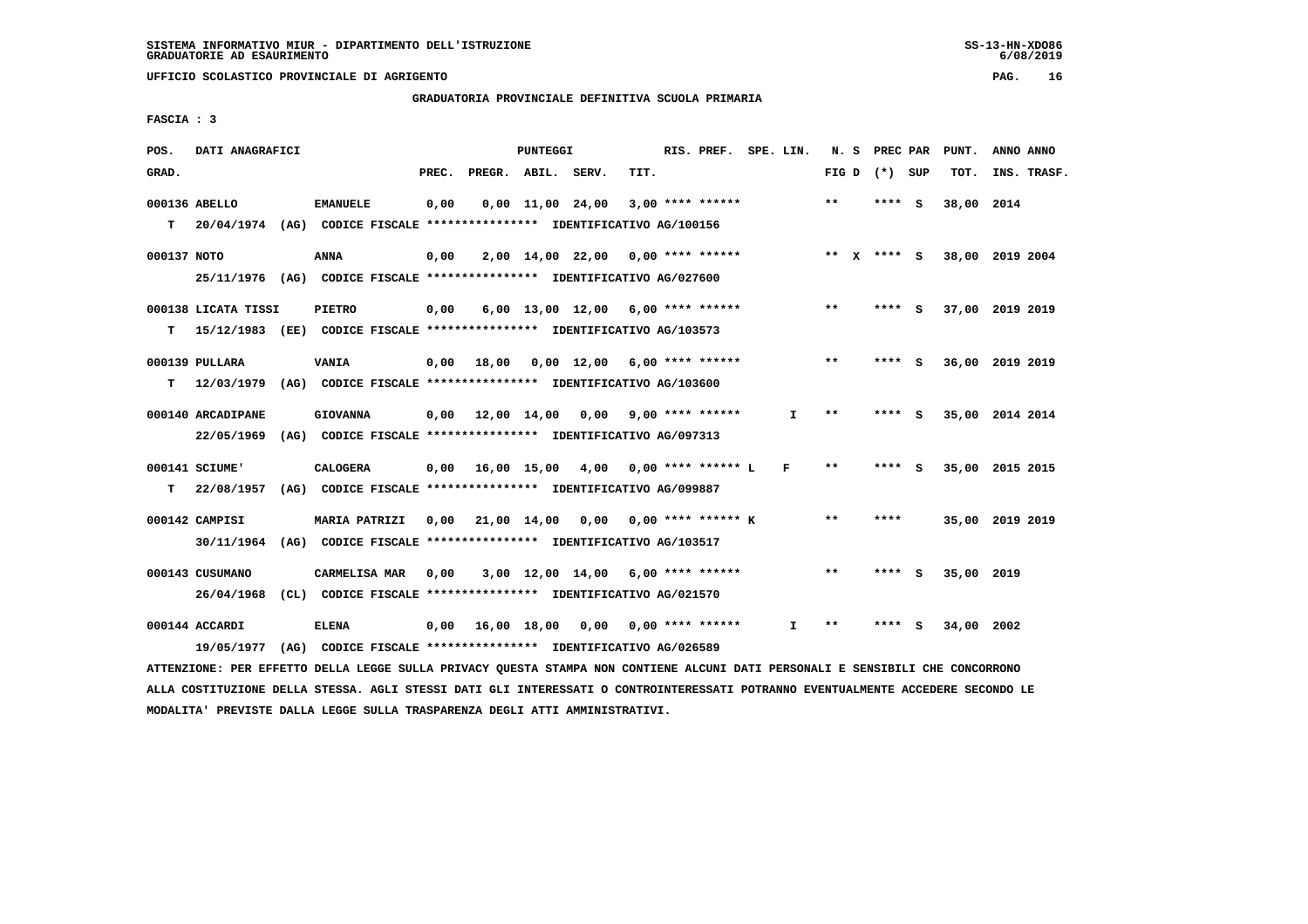**GRADUATORIA PROVINCIALE DEFINITIVA SCUOLA PRIMARIA**

 **FASCIA : 3**

| POS.          | DATI ANAGRAFICI     |                                                                                                                                                                                                        |       |                                            | <b>PUNTEGGI</b> |                                     |      | RIS. PREF. SPE. LIN. |              |       | N. S PREC PAR   |          | PUNT.      | ANNO ANNO       |
|---------------|---------------------|--------------------------------------------------------------------------------------------------------------------------------------------------------------------------------------------------------|-------|--------------------------------------------|-----------------|-------------------------------------|------|----------------------|--------------|-------|-----------------|----------|------------|-----------------|
| GRAD.         |                     |                                                                                                                                                                                                        | PREC. | PREGR. ABIL. SERV.                         |                 |                                     | TIT. |                      |              |       | FIG D $(*)$ SUP |          | TOT.       | INS. TRASF.     |
| 000136 ABELLO |                     | <b>EMANUELE</b>                                                                                                                                                                                        | 0,00  |                                            |                 | $0,00$ 11,00 24,00                  |      | $3,00$ **** ******   |              | $* *$ | **** S          |          | 38,00 2014 |                 |
| т             |                     | 20/04/1974 (AG) CODICE FISCALE *************** IDENTIFICATIVO AG/100156                                                                                                                                |       |                                            |                 |                                     |      |                      |              |       |                 |          |            |                 |
| 000137 NOTO   |                     | <b>ANNA</b>                                                                                                                                                                                            | 0,00  |                                            |                 | 2,00 14,00 22,00                    |      | 0,00 **** ******     |              |       | ** x **** S     |          |            | 38,00 2019 2004 |
|               |                     | 25/11/1976 (AG) CODICE FISCALE *************** IDENTIFICATIVO AG/027600                                                                                                                                |       |                                            |                 |                                     |      |                      |              |       |                 |          |            |                 |
|               | 000138 LICATA TISSI | <b>PIETRO</b>                                                                                                                                                                                          | 0,00  |                                            |                 | $6,00$ 13,00 12,00 6,00 **** ****** |      |                      |              | $***$ | ****            | - S      |            | 37,00 2019 2019 |
| т             |                     | 15/12/1983 (EE) CODICE FISCALE *************** IDENTIFICATIVO AG/103573                                                                                                                                |       |                                            |                 |                                     |      |                      |              |       |                 |          |            |                 |
|               | 000139 PULLARA      | <b>VANIA</b>                                                                                                                                                                                           | 0,00  | 18,00                                      |                 | $0,00$ 12,00 6,00 **** ******       |      |                      |              | **    | **** S          |          |            | 36,00 2019 2019 |
| т             |                     | 12/03/1979 (AG) CODICE FISCALE **************** IDENTIFICATIVO AG/103600                                                                                                                               |       |                                            |                 |                                     |      |                      |              |       |                 |          |            |                 |
|               | 000140 ARCADIPANE   | <b>GIOVANNA</b>                                                                                                                                                                                        |       | $0,00$ 12,00 14,00 0,00                    |                 |                                     |      | $9.00$ **** ******   | $\mathbf{I}$ | $* *$ | ****            | - S      |            | 35,00 2014 2014 |
|               | 22/05/1969          | (AG) CODICE FISCALE **************** IDENTIFICATIVO AG/097313                                                                                                                                          |       |                                            |                 |                                     |      |                      |              |       |                 |          |            |                 |
|               | 000141 SCIUME'      | <b>CALOGERA</b>                                                                                                                                                                                        |       | $0,00$ 16,00 15,00 4,00 0,00 **** ****** L |                 |                                     |      |                      | F            | $* *$ | ****            | - S      |            | 35,00 2015 2015 |
| т             | 22/08/1957          | (AG) CODICE FISCALE **************** IDENTIFICATIVO AG/099887                                                                                                                                          |       |                                            |                 |                                     |      |                      |              |       |                 |          |            |                 |
|               | 000142 CAMPISI      | <b>MARIA PATRIZI</b>                                                                                                                                                                                   |       | $0.00$ $21.00$ $14.00$                     |                 | 0,00                                |      | $0.00$ **** ****** K |              | $* *$ | ****            |          |            | 35,00 2019 2019 |
|               |                     | 30/11/1964 (AG) CODICE FISCALE *************** IDENTIFICATIVO AG/103517                                                                                                                                |       |                                            |                 |                                     |      |                      |              |       |                 |          |            |                 |
|               | 000143 CUSUMANO     | CARMELISA MAR                                                                                                                                                                                          | 0,00  |                                            |                 | 3,00 12,00 14,00                    |      | 6,00 **** ******     |              | $***$ | ****            | <b>S</b> | 35,00 2019 |                 |
|               | 26/04/1968          | (CL) CODICE FISCALE **************** IDENTIFICATIVO AG/021570                                                                                                                                          |       |                                            |                 |                                     |      |                      |              |       |                 |          |            |                 |
|               | 000144 ACCARDI      | <b>ELENA</b>                                                                                                                                                                                           | 0,00  | 16,00 18,00 0,00                           |                 |                                     |      | 0,00 **** ******     | $\mathbf{I}$ | $* *$ | **** S          |          | 34,00 2002 |                 |
|               |                     | 19/05/1977 (AG) CODICE FISCALE *************** IDENTIFICATIVO AG/026589<br>IMMINISTANT, AND BREEMA ARELA LEGGE GUILA ADIULAN ANIMAL AMANAA MAN GAMETRUP ALGUILANTE ARAGANILE E GENGERELE GUE GAMGARAMA |       |                                            |                 |                                     |      |                      |              |       |                 |          |            |                 |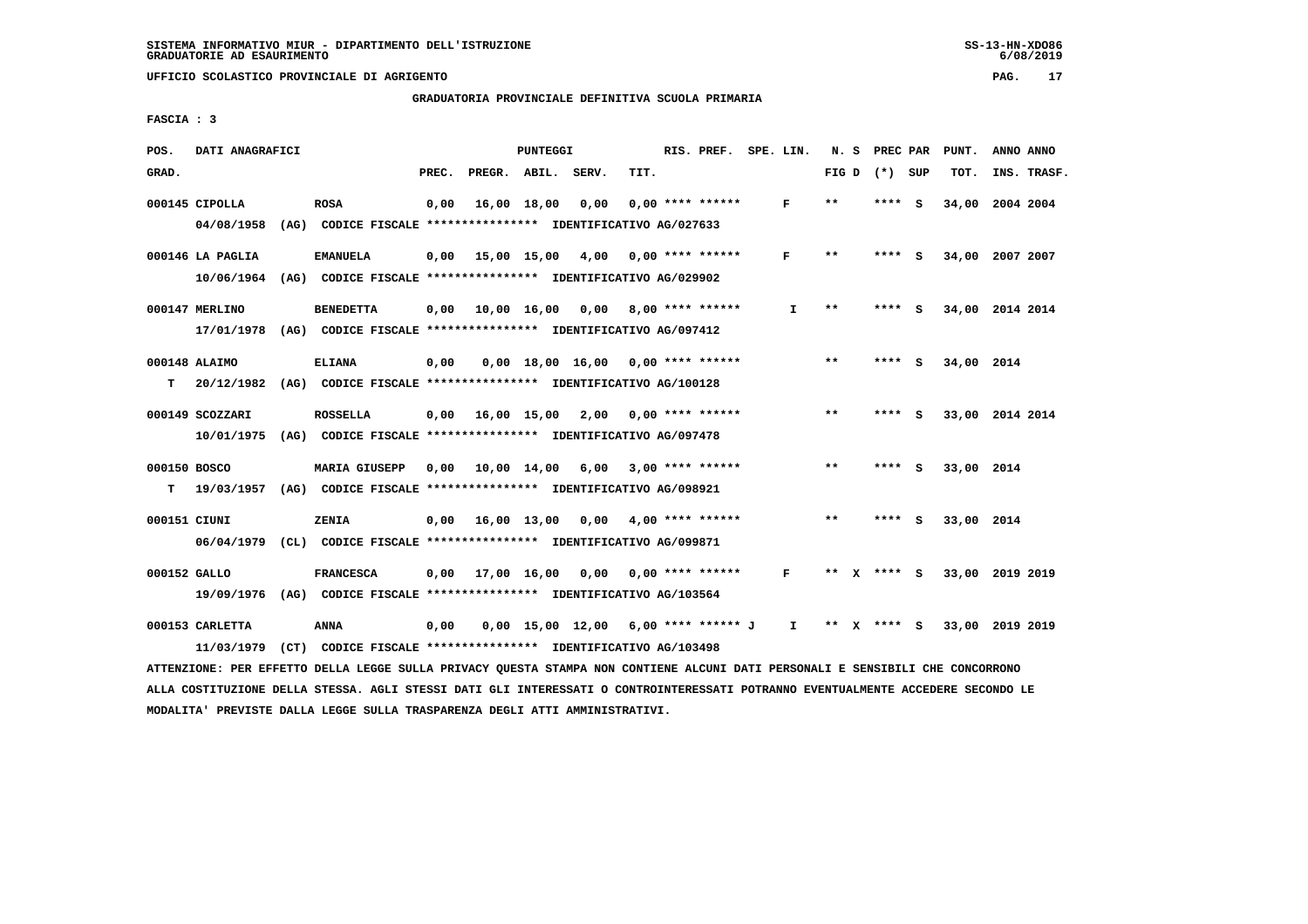**GRADUATORIA PROVINCIALE DEFINITIVA SCUOLA PRIMARIA**

 **FASCIA : 3**

| POS.         | DATI ANAGRAFICI                                                          |                                                               |       |                                                          | <b>PUNTEGGI</b> |                                       |      | RIS. PREF.         | SPE. LIN.    |       |    | N. S PREC PAR   |     | PUNT.           |           | ANNO ANNO   |
|--------------|--------------------------------------------------------------------------|---------------------------------------------------------------|-------|----------------------------------------------------------|-----------------|---------------------------------------|------|--------------------|--------------|-------|----|-----------------|-----|-----------------|-----------|-------------|
| GRAD.        |                                                                          |                                                               | PREC. | PREGR. ABIL. SERV.                                       |                 |                                       | TIT. |                    |              |       |    | FIG D $(*)$ SUP |     | TOT.            |           | INS. TRASF. |
|              |                                                                          |                                                               |       |                                                          |                 |                                       |      |                    |              |       |    |                 |     |                 |           |             |
|              | 000145 CIPOLLA                                                           | <b>ROSA</b>                                                   | 0,00  |                                                          | 16,00 18,00     | 0,00                                  |      | $0.00$ **** ****** | F            | $* *$ |    | $***$ S         |     | 34,00 2004 2004 |           |             |
|              | 04/08/1958                                                               | (AG) CODICE FISCALE **************** IDENTIFICATIVO AG/027633 |       |                                                          |                 |                                       |      |                    |              |       |    |                 |     |                 |           |             |
|              |                                                                          |                                                               |       |                                                          |                 |                                       |      |                    |              |       |    |                 |     |                 |           |             |
|              | 000146 LA PAGLIA                                                         | <b>EMANUELA</b>                                               |       | 0,00 15,00 15,00                                         |                 | 4,00                                  |      | $0.00$ **** ****** | F            | $* *$ |    | **** S          |     | 34,00           | 2007 2007 |             |
|              | 10/06/1964                                                               | (AG) CODICE FISCALE **************** IDENTIFICATIVO AG/029902 |       |                                                          |                 |                                       |      |                    |              |       |    |                 |     |                 |           |             |
|              |                                                                          |                                                               |       |                                                          |                 |                                       |      |                    |              |       |    |                 |     |                 |           |             |
|              | 000147 MERLINO                                                           | <b>BENEDETTA</b>                                              | 0,00  | 10,00 16,00 0,00 8,00 **** ******                        |                 |                                       |      |                    | $\mathbf{I}$ | $* *$ |    | **** S          |     | 34,00 2014 2014 |           |             |
|              | 17/01/1978 (AG)                                                          |                                                               |       | CODICE FISCALE **************** IDENTIFICATIVO AG/097412 |                 |                                       |      |                    |              |       |    |                 |     |                 |           |             |
|              |                                                                          |                                                               |       |                                                          |                 |                                       |      |                    |              |       |    |                 |     |                 |           |             |
|              | 000148 ALAIMO                                                            | <b>ELIANA</b>                                                 | 0,00  |                                                          |                 | $0.00 \quad 18.00 \quad 16.00$        |      | 0,00 **** ******   |              | $* *$ |    | **** S          |     | 34,00 2014      |           |             |
| т            | 20/12/1982 (AG) CODICE FISCALE *************** IDENTIFICATIVO AG/100128  |                                                               |       |                                                          |                 |                                       |      |                    |              |       |    |                 |     |                 |           |             |
|              |                                                                          |                                                               |       |                                                          |                 |                                       |      |                    |              |       |    |                 |     |                 |           |             |
|              | 000149 SCOZZARI                                                          | <b>ROSSELLA</b>                                               |       | $0.00$ $16.00$ $15.00$ $2.00$                            |                 |                                       |      | $0.00$ **** ****** |              | $* *$ |    | ****            | - S | 33,00 2014 2014 |           |             |
|              | 10/01/1975 (AG) CODICE FISCALE *************** IDENTIFICATIVO AG/097478  |                                                               |       |                                                          |                 |                                       |      |                    |              |       |    |                 |     |                 |           |             |
|              |                                                                          |                                                               |       |                                                          |                 |                                       |      |                    |              |       |    |                 |     |                 |           |             |
| 000150 BOSCO |                                                                          | <b>MARIA GIUSEPP</b>                                          | 0.00  | 10,00 14,00                                              |                 | 6,00                                  |      | $3,00$ **** ****** |              | $***$ |    | ****            | - 5 | 33,00 2014      |           |             |
| т            | 19/03/1957 (AG) CODICE FISCALE **************** IDENTIFICATIVO AG/098921 |                                                               |       |                                                          |                 |                                       |      |                    |              |       |    |                 |     |                 |           |             |
|              |                                                                          |                                                               |       |                                                          |                 |                                       |      |                    |              | $* *$ |    |                 |     |                 |           |             |
| 000151 CIUNI |                                                                          | ZENIA                                                         |       | 0.00 16.00 13.00                                         |                 | 0,00                                  |      | $4.00$ **** ****** |              |       |    | ****            | - S | 33,00 2014      |           |             |
|              | 06/04/1979 (CL) CODICE FISCALE *************** IDENTIFICATIVO AG/099871  |                                                               |       |                                                          |                 |                                       |      |                    |              |       |    |                 |     |                 |           |             |
|              |                                                                          |                                                               |       |                                                          |                 |                                       |      |                    |              | **    |    |                 |     |                 |           |             |
| 000152 GALLO |                                                                          | <b>FRANCESCA</b>                                              |       | $0.00$ $17.00$ $16.00$ $0.00$                            |                 |                                       |      | $0.00$ **** ****** | F            |       |    | X **** S        |     | 33,00 2019 2019 |           |             |
|              | 19/09/1976 (AG) CODICE FISCALE *************** IDENTIFICATIVO AG/103564  |                                                               |       |                                                          |                 |                                       |      |                    |              |       |    |                 |     |                 |           |             |
|              | 000153 CARLETTA                                                          | <b>ANNA</b>                                                   | 0,00  |                                                          |                 | $0,00$ 15,00 12,00 6,00 **** ****** J |      |                    | $\mathbf{I}$ | $***$ |    | **** S          |     | 33,00 2019 2019 |           |             |
|              |                                                                          |                                                               |       |                                                          |                 |                                       |      |                    |              |       | X. |                 |     |                 |           |             |
|              | 11/03/1979                                                               | (CT) CODICE FISCALE **************** IDENTIFICATIVO AG/103498 |       |                                                          |                 |                                       |      |                    |              |       |    |                 |     |                 |           |             |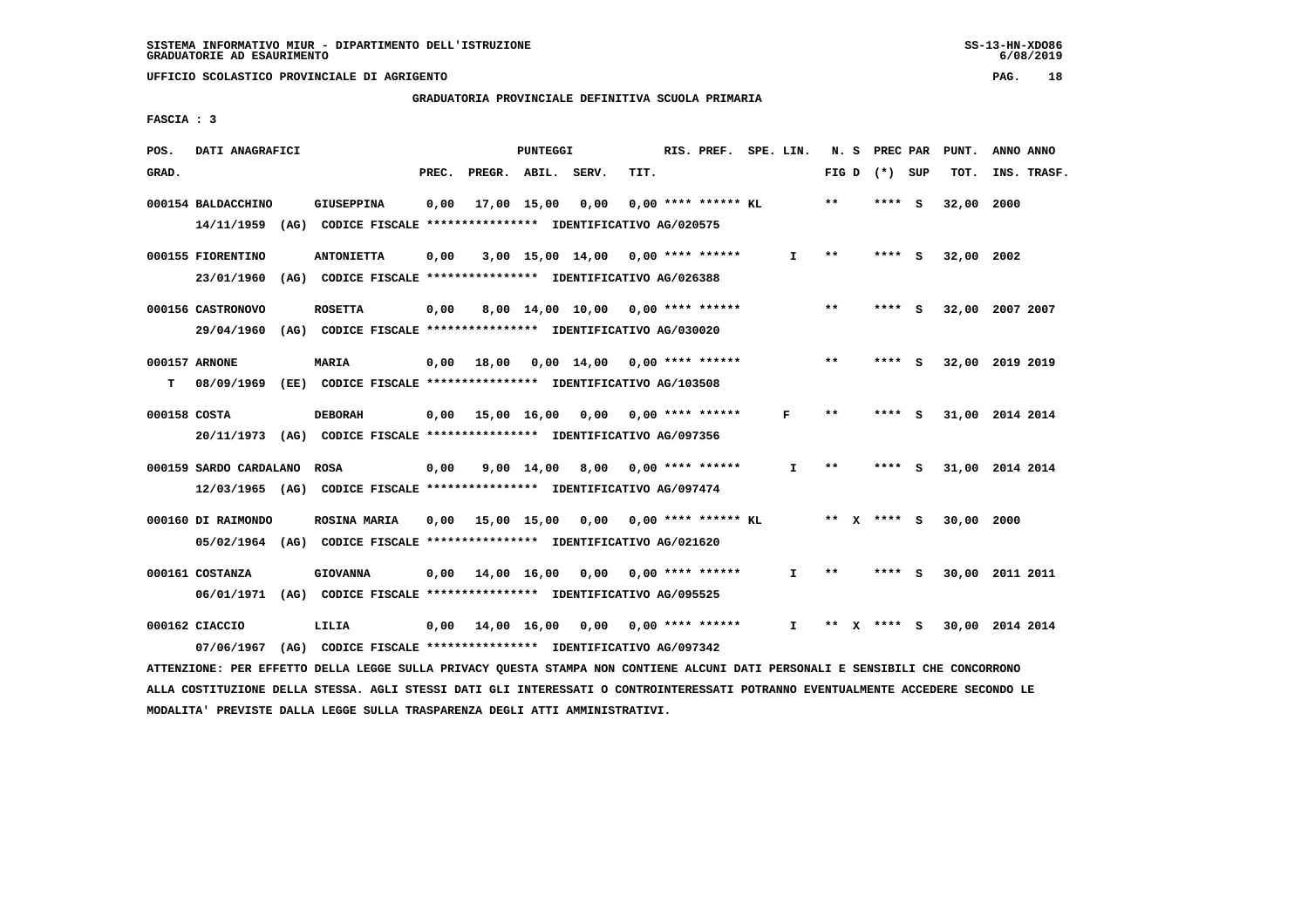# **GRADUATORIA PROVINCIALE DEFINITIVA SCUOLA PRIMARIA**

 **FASCIA : 3**

| POS.  | DATI ANAGRAFICI                                                                                                               |                                                               |       |                                          | PUNTEGGI   |                                                   |      | RIS. PREF. SPE. LIN.    |              |       | N. S PREC PAR   | PUNT.      | ANNO ANNO       |
|-------|-------------------------------------------------------------------------------------------------------------------------------|---------------------------------------------------------------|-------|------------------------------------------|------------|---------------------------------------------------|------|-------------------------|--------------|-------|-----------------|------------|-----------------|
| GRAD. |                                                                                                                               |                                                               | PREC. | PREGR. ABIL. SERV.                       |            |                                                   | TIT. |                         |              |       | FIG D $(*)$ SUP | TOT.       | INS. TRASF.     |
|       | 000154 BALDACCHINO                                                                                                            | <b>GIUSEPPINA</b>                                             | 0,00  |                                          |            | 17,00 15,00 0,00                                  |      | $0.00$ **** ****** KL   |              | **    | **** S          | 32,00      | 2000            |
|       | 14/11/1959 (AG) CODICE FISCALE *************** IDENTIFICATIVO AG/020575                                                       |                                                               |       |                                          |            |                                                   |      |                         |              |       |                 |            |                 |
|       | 000155 FIORENTINO                                                                                                             | <b>ANTONIETTA</b>                                             | 0,00  |                                          |            | $3,00$ 15,00 14,00 0,00 **** ******               |      |                         | $\mathbf{I}$ | $**$  | **** S          | 32,00 2002 |                 |
|       | 23/01/1960 (AG) CODICE FISCALE *************** IDENTIFICATIVO AG/026388                                                       |                                                               |       |                                          |            |                                                   |      |                         |              |       |                 |            |                 |
|       | 000156 CASTRONOVO                                                                                                             | <b>ROSETTA</b>                                                | 0,00  |                                          |            | $8,00$ 14,00 10,00 0,00 **** ******               |      |                         |              | **    | **** S          |            | 32,00 2007 2007 |
|       | 29/04/1960 (AG) CODICE FISCALE *************** IDENTIFICATIVO AG/030020                                                       |                                                               |       |                                          |            |                                                   |      |                         |              |       |                 |            |                 |
|       | 000157 ARNONE                                                                                                                 | MARIA                                                         |       | $0,00$ 18,00                             |            | $0.00 \quad 14.00 \quad 0.00 \quad *** \quad ***$ |      |                         |              | **    | **** S          |            | 32,00 2019 2019 |
| т     | 08/09/1969                                                                                                                    | (EE) CODICE FISCALE **************** IDENTIFICATIVO AG/103508 |       |                                          |            |                                                   |      |                         |              |       |                 |            |                 |
|       | 000158 COSTA                                                                                                                  | <b>DEBORAH</b>                                                |       | $0.00$ 15.00 16.00 0.00 0.00 **** ****** |            |                                                   |      |                         | F            | $**$  | **** S          |            | 31,00 2014 2014 |
|       | 20/11/1973 (AG) CODICE FISCALE *************** IDENTIFICATIVO AG/097356                                                       |                                                               |       |                                          |            |                                                   |      |                         |              |       |                 |            |                 |
|       | 000159 SARDO CARDALANO                                                                                                        | ROSA                                                          | 0,00  |                                          | 9,00 14,00 |                                                   |      | $8,00$ 0,00 **** ****** | $\mathbf{I}$ | $***$ | **** S          |            | 31,00 2014 2014 |
|       | 12/03/1965 (AG) CODICE FISCALE *************** IDENTIFICATIVO AG/097474                                                       |                                                               |       |                                          |            |                                                   |      |                         |              |       |                 |            |                 |
|       | 000160 DI RAIMONDO                                                                                                            | <b>ROSINA MARIA</b>                                           |       | 0,00 15,00 15,00 0,00                    |            |                                                   |      | $0.00$ **** ****** KL   |              |       | ** x **** S     | 30.00      | 2000            |
|       | 05/02/1964 (AG) CODICE FISCALE *************** IDENTIFICATIVO AG/021620                                                       |                                                               |       |                                          |            |                                                   |      |                         |              |       |                 |            |                 |
|       | 000161 COSTANZA                                                                                                               | <b>GIOVANNA</b>                                               |       | $0.00$ 14.00 16.00 0.00 0.00 **** ****** |            |                                                   |      |                         | $\mathbf{I}$ | $**$  | $***$ S         |            | 30,00 2011 2011 |
|       | 06/01/1971 (AG) CODICE FISCALE *************** IDENTIFICATIVO AG/095525                                                       |                                                               |       |                                          |            |                                                   |      |                         |              |       |                 |            |                 |
|       | 000162 CIACCIO                                                                                                                | LILIA                                                         |       | 0,00 14,00 16,00 0,00 0,00 **** ******   |            |                                                   |      |                         | $\mathbf{I}$ |       | ** x **** S     |            | 30,00 2014 2014 |
|       | 07/06/1967                                                                                                                    | (AG) CODICE FISCALE **************** IDENTIFICATIVO AG/097342 |       |                                          |            |                                                   |      |                         |              |       |                 |            |                 |
|       | ATTENZIONE: PER EFFETTO DELLA LEGGE SULLA PRIVACY QUESTA STAMPA NON CONTIENE ALCUNI DATI PERSONALI E SENSIBILI CHE CONCORRONO |                                                               |       |                                          |            |                                                   |      |                         |              |       |                 |            |                 |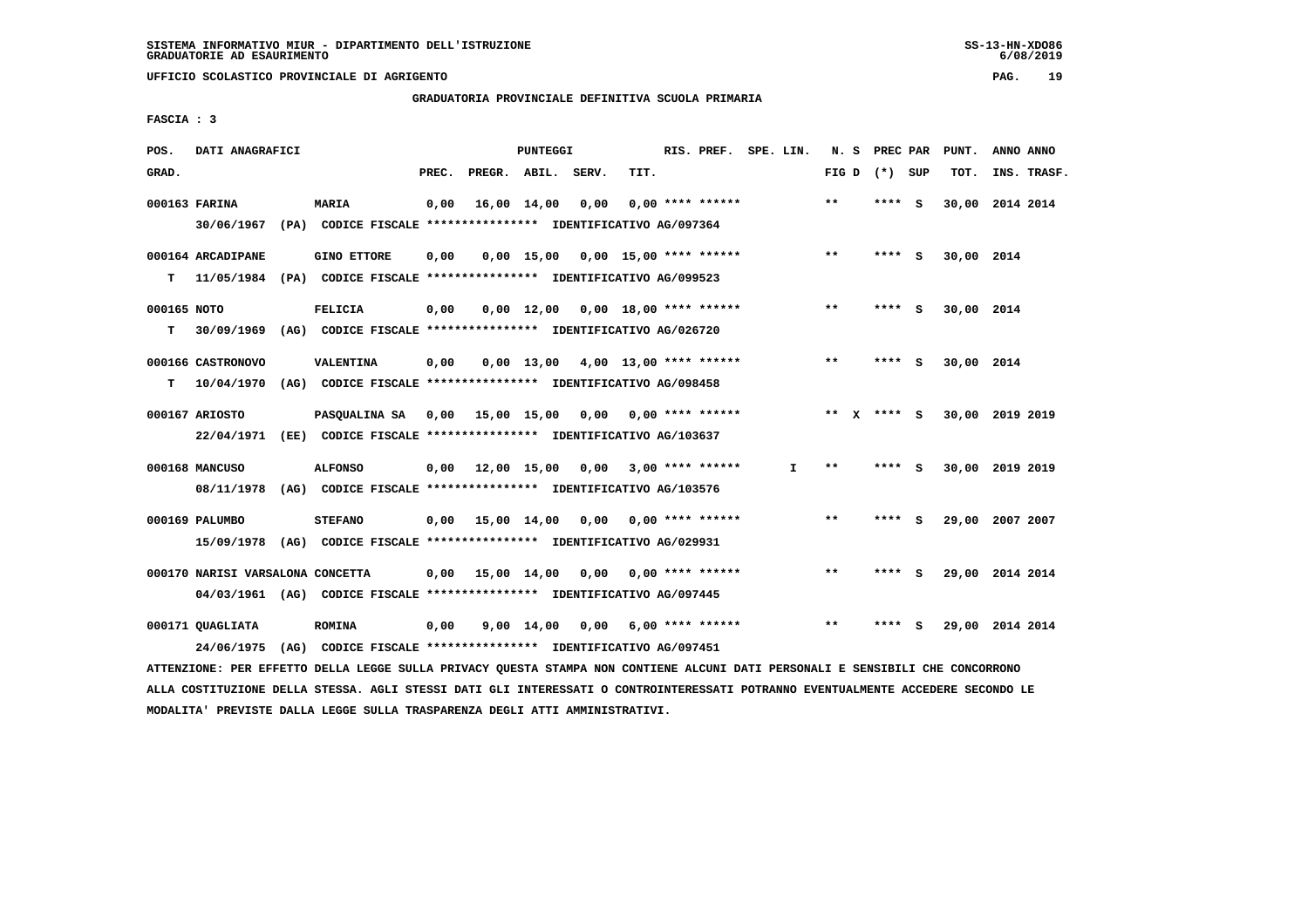**UFFICIO SCOLASTICO PROVINCIALE DI AGRIGENTO PAG. 19**

 **GRADUATORIA PROVINCIALE DEFINITIVA SCUOLA PRIMARIA**

 **FASCIA : 3**

| POS.        | DATI ANAGRAFICI                                                          |                                                               |       |                    | PUNTEGGI |                                          |      | RIS. PREF. SPE. LIN. |              |       | N. S PREC PAR     |     | PUNT.           | ANNO ANNO |             |
|-------------|--------------------------------------------------------------------------|---------------------------------------------------------------|-------|--------------------|----------|------------------------------------------|------|----------------------|--------------|-------|-------------------|-----|-----------------|-----------|-------------|
| GRAD.       |                                                                          |                                                               | PREC. | PREGR. ABIL. SERV. |          |                                          | TIT. |                      |              |       | FIG $D$ $(*)$ SUP |     | TOT.            |           | INS. TRASF. |
|             | 000163 FARINA                                                            | <b>MARIA</b>                                                  | 0,00  | 16,00 14,00        |          | 0,00                                     |      | $0.00$ **** ******   |              | $***$ | **** S            |     | 30,00 2014 2014 |           |             |
|             | 30/06/1967 (PA) CODICE FISCALE *************** IDENTIFICATIVO AG/097364  |                                                               |       |                    |          |                                          |      |                      |              |       |                   |     |                 |           |             |
|             | 000164 ARCADIPANE                                                        | <b>GINO ETTORE</b>                                            | 0,00  |                    |          | $0,00$ 15,00 0,00 15,00 **** ******      |      |                      |              | $***$ | **** S            |     | 30,00 2014      |           |             |
| T.          | 11/05/1984 (PA) CODICE FISCALE **************** IDENTIFICATIVO AG/099523 |                                                               |       |                    |          |                                          |      |                      |              |       |                   |     |                 |           |             |
| 000165 NOTO |                                                                          | <b>FELICIA</b>                                                | 0,00  |                    |          | $0,00$ 12,00 0,00 18,00 **** ******      |      |                      |              | $* *$ | **** S            |     | 30,00 2014      |           |             |
| T.          | 30/09/1969 (AG) CODICE FISCALE **************** IDENTIFICATIVO AG/026720 |                                                               |       |                    |          |                                          |      |                      |              |       |                   |     |                 |           |             |
|             | 000166 CASTRONOVO                                                        | <b>VALENTINA</b>                                              | 0,00  |                    |          | $0,00$ 13,00 4,00 13,00 **** ******      |      |                      |              | $***$ | ****              | - 5 | 30,00 2014      |           |             |
| T.          | 10/04/1970 (AG) CODICE FISCALE *************** IDENTIFICATIVO AG/098458  |                                                               |       |                    |          |                                          |      |                      |              |       |                   |     |                 |           |             |
|             | 000167 ARIOSTO                                                           | PASQUALINA SA 0,00 15,00 15,00 0,00 0,00 **** ******          |       |                    |          |                                          |      |                      |              |       | ** x **** S       |     | 30,00 2019 2019 |           |             |
|             | 22/04/1971 (EE) CODICE FISCALE *************** IDENTIFICATIVO AG/103637  |                                                               |       |                    |          |                                          |      |                      |              |       |                   |     |                 |           |             |
|             | 000168 MANCUSO                                                           | <b>ALFONSO</b>                                                |       |                    |          | 0,00 12,00 15,00 0,00                    |      | $3,00$ **** ******   | $\mathbf{I}$ | $* *$ | **** S            |     | 30,00 2019 2019 |           |             |
|             | 08/11/1978 (AG) CODICE FISCALE *************** IDENTIFICATIVO AG/103576  |                                                               |       |                    |          |                                          |      |                      |              |       |                   |     |                 |           |             |
|             | 000169 PALUMBO                                                           | <b>STEFANO</b>                                                |       |                    |          | 0,00 15,00 14,00 0,00                    |      | $0.00$ **** ******   |              | $***$ | **** S            |     | 29,00 2007 2007 |           |             |
|             | 15/09/1978 (AG) CODICE FISCALE *************** IDENTIFICATIVO AG/029931  |                                                               |       |                    |          |                                          |      |                      |              |       |                   |     |                 |           |             |
|             | 000170 NARISI VARSALONA CONCETTA                                         |                                                               |       |                    |          | $0.00$ 15.00 14.00 0.00 0.00 **** ****** |      |                      |              | $***$ | **** S            |     | 29,00 2014 2014 |           |             |
|             | 04/03/1961 (AG) CODICE FISCALE *************** IDENTIFICATIVO AG/097445  |                                                               |       |                    |          |                                          |      |                      |              |       |                   |     |                 |           |             |
|             | 000171 OUAGLIATA                                                         | <b>ROMINA</b>                                                 | 0,00  |                    |          | 9,00 14,00 0,00                          |      | 6,00 **** ******     |              | $* *$ | ****              | - S | 29,00 2014 2014 |           |             |
|             | 24/06/1975                                                               | (AG) CODICE FISCALE **************** IDENTIFICATIVO AG/097451 |       |                    |          |                                          |      |                      |              |       |                   |     |                 |           |             |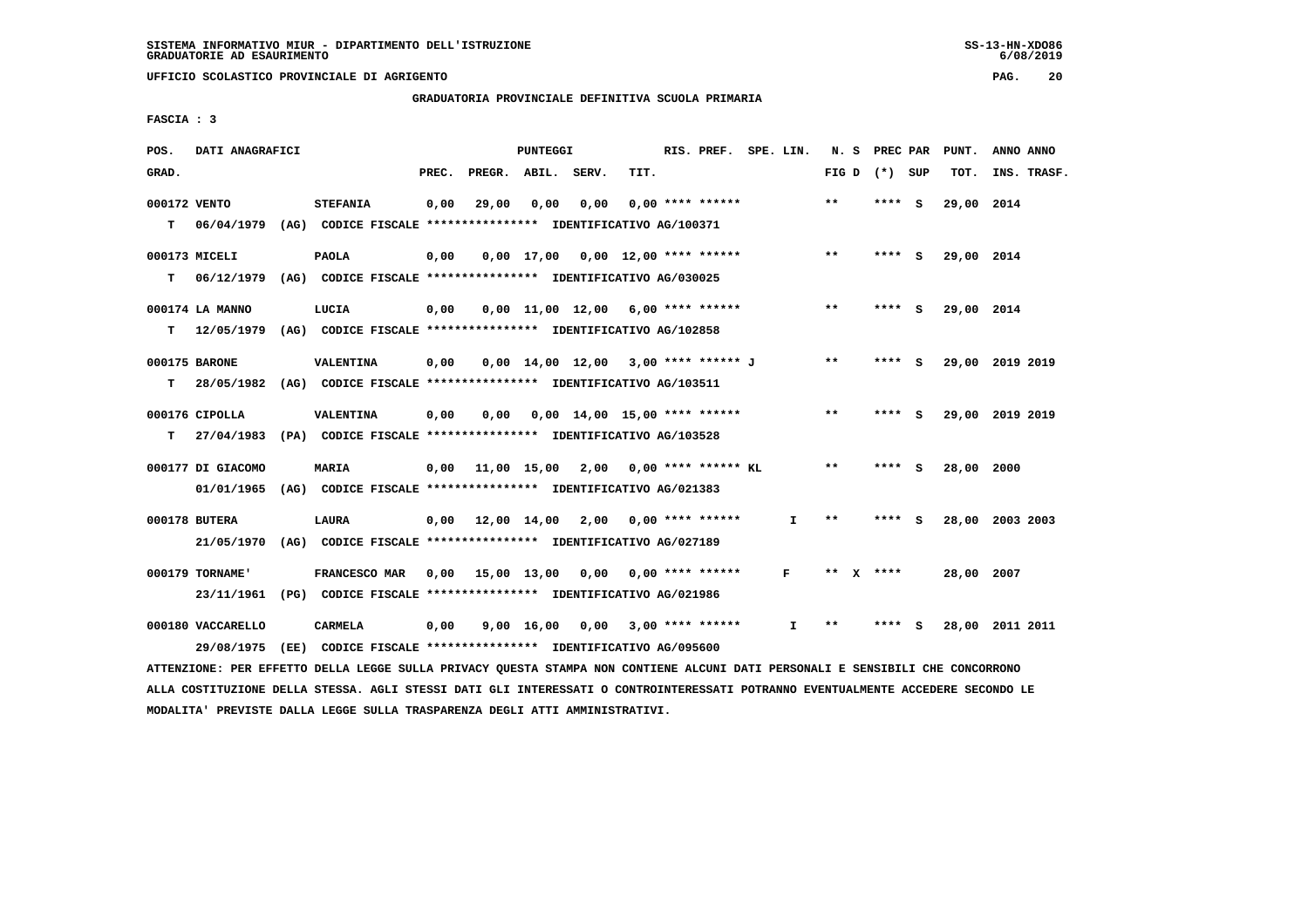**UFFICIO SCOLASTICO PROVINCIALE DI AGRIGENTO PAG. 20**

 **GRADUATORIA PROVINCIALE DEFINITIVA SCUOLA PRIMARIA**

 **FASCIA : 3**

| POS.         | DATI ANAGRAFICI   |      |                                                                                                                               |       |                                             | <b>PUNTEGGI</b> |      |                                       | RIS. PREF. SPE. LIN. |              |       | N. S PREC PAR   | PUNT.      | ANNO ANNO       |
|--------------|-------------------|------|-------------------------------------------------------------------------------------------------------------------------------|-------|---------------------------------------------|-----------------|------|---------------------------------------|----------------------|--------------|-------|-----------------|------------|-----------------|
| GRAD.        |                   |      |                                                                                                                               | PREC. | PREGR. ABIL. SERV.                          |                 |      | TIT.                                  |                      |              |       | FIG D $(*)$ SUP | TOT.       | INS. TRASF.     |
| 000172 VENTO |                   |      | <b>STEFANIA</b>                                                                                                               | 0,00  | 29,00                                       | 0,00            | 0,00 |                                       | $0,00$ **** ******   |              | $***$ | **** S          | 29,00 2014 |                 |
| т            |                   |      | 06/04/1979 (AG) CODICE FISCALE *************** IDENTIFICATIVO AG/100371                                                       |       |                                             |                 |      |                                       |                      |              |       |                 |            |                 |
|              | 000173 MICELI     |      | <b>PAOLA</b>                                                                                                                  | 0,00  |                                             |                 |      | $0,00$ 17,00 0,00 12,00 **** ******   |                      |              | $***$ | **** S          | 29,00 2014 |                 |
| т            |                   |      | 06/12/1979 (AG) CODICE FISCALE **************** IDENTIFICATIVO AG/030025                                                      |       |                                             |                 |      |                                       |                      |              |       |                 |            |                 |
|              | 000174 LA MANNO   |      | LUCIA                                                                                                                         | 0,00  |                                             |                 |      | $0,00$ 11,00 12,00 6,00 **** ******   |                      |              | $***$ | **** S          | 29,00 2014 |                 |
| T.           |                   |      | 12/05/1979 (AG) CODICE FISCALE *************** IDENTIFICATIVO AG/102858                                                       |       |                                             |                 |      |                                       |                      |              |       |                 |            |                 |
|              | 000175 BARONE     |      | <b>VALENTINA</b>                                                                                                              | 0,00  |                                             |                 |      | $0,00$ 14,00 12,00 3,00 **** ****** J |                      |              | $***$ | **** S          |            | 29,00 2019 2019 |
| т            |                   |      | 28/05/1982 (AG) CODICE FISCALE *************** IDENTIFICATIVO AG/103511                                                       |       |                                             |                 |      |                                       |                      |              |       |                 |            |                 |
|              | 000176 CIPOLLA    |      | VALENTINA                                                                                                                     | 0,00  | 0,00                                        |                 |      | $0.00$ 14.00 15.00 **** ******        |                      |              | **    | **** S          |            | 29,00 2019 2019 |
| T.           |                   |      | 27/04/1983 (PA) CODICE FISCALE *************** IDENTIFICATIVO AG/103528                                                       |       |                                             |                 |      |                                       |                      |              |       |                 |            |                 |
|              | 000177 DI GIACOMO |      | <b>MARIA</b>                                                                                                                  |       | $0.00$ 11,00 15,00 2,00 0,00 **** ****** KL |                 |      |                                       |                      |              | $* *$ | **** S          | 28,00 2000 |                 |
|              |                   |      | 01/01/1965 (AG) CODICE FISCALE *************** IDENTIFICATIVO AG/021383                                                       |       |                                             |                 |      |                                       |                      |              |       |                 |            |                 |
|              | 000178 BUTERA     |      | LAURA                                                                                                                         |       | $0,00$ 12,00 14,00 2,00 0,00 **** ******    |                 |      |                                       |                      | I.           | $***$ | **** S          |            | 28,00 2003 2003 |
|              |                   |      | 21/05/1970 (AG) CODICE FISCALE *************** IDENTIFICATIVO AG/027189                                                       |       |                                             |                 |      |                                       |                      |              |       |                 |            |                 |
|              | 000179 TORNAME'   |      | FRANCESCO MAR                                                                                                                 |       | 0,00 15,00 13,00                            |                 | 0,00 |                                       | $0.00$ **** ******   | F            | $***$ | ****            | 28,00 2007 |                 |
|              |                   |      | 23/11/1961 (PG) CODICE FISCALE *************** IDENTIFICATIVO AG/021986                                                       |       |                                             |                 |      |                                       |                      |              |       |                 |            |                 |
|              | 000180 VACCARELLO |      | CARMELA                                                                                                                       | 0,00  |                                             |                 |      | $9,00$ 16,00 0,00 3,00 **** ******    |                      | $\mathbf{I}$ | $* *$ | **** S          |            | 28,00 2011 2011 |
|              | 29/08/1975        | (EE) | CODICE FISCALE **************** IDENTIFICATIVO AG/095600                                                                      |       |                                             |                 |      |                                       |                      |              |       |                 |            |                 |
|              |                   |      | ATTENZIONE: PER EFFETTO DELLA LEGGE SULLA PRIVACY QUESTA STAMPA NON CONTIENE ALCUNI DATI PERSONALI E SENSIBILI CHE CONCORRONO |       |                                             |                 |      |                                       |                      |              |       |                 |            |                 |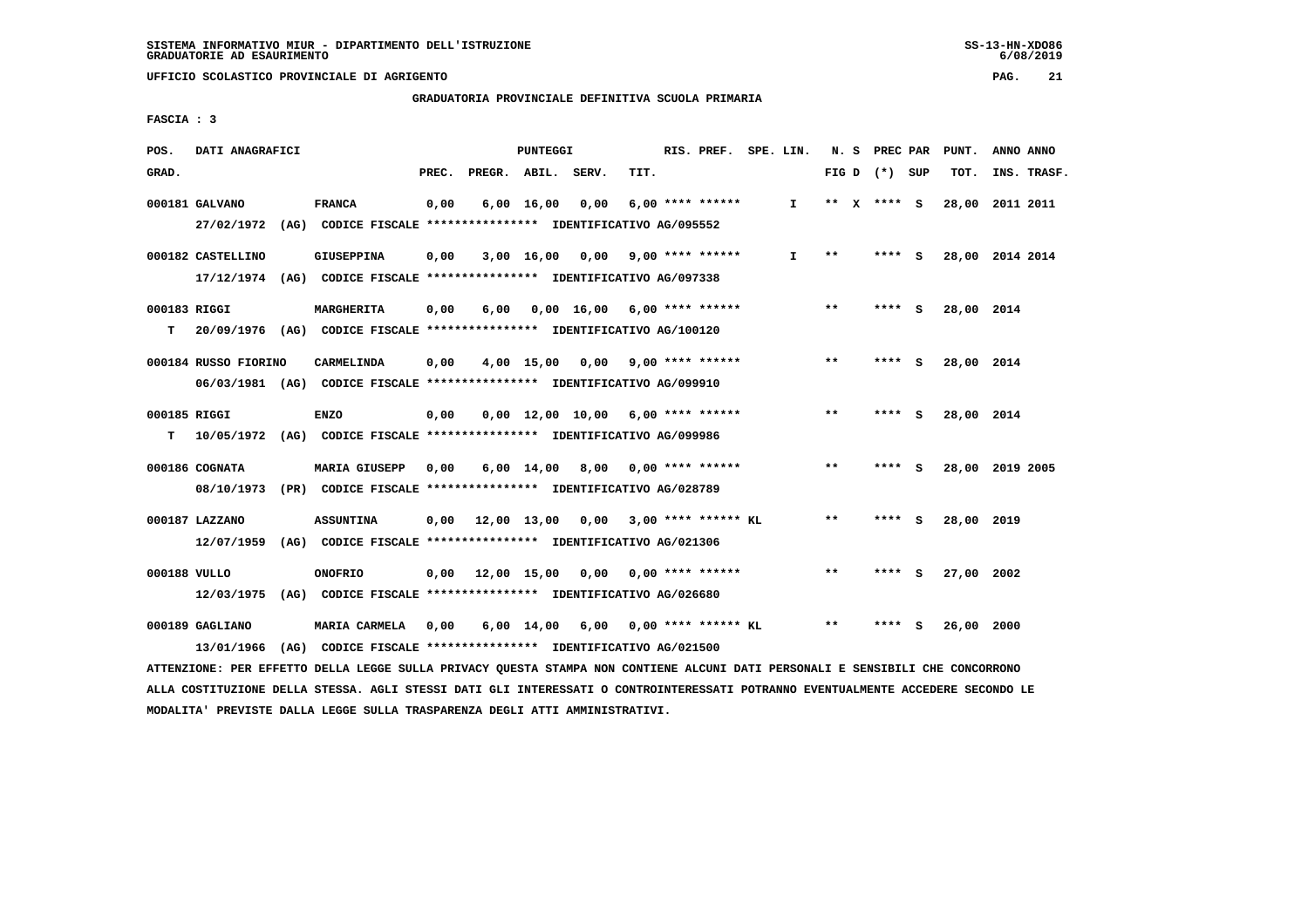**GRADUATORIA PROVINCIALE DEFINITIVA SCUOLA PRIMARIA**

 **FASCIA : 3**

| POS.              | DATI ANAGRAFICI               |                                                                                                 |       |              | PUNTEGGI           |                                          |      | RIS. PREF. SPE. LIN.  |              |              | N. S PREC PAR   |              | PUNT.      | ANNO ANNO       |
|-------------------|-------------------------------|-------------------------------------------------------------------------------------------------|-------|--------------|--------------------|------------------------------------------|------|-----------------------|--------------|--------------|-----------------|--------------|------------|-----------------|
| GRAD.             |                               |                                                                                                 | PREC. | PREGR. ABIL. |                    | SERV.                                    | TIT. |                       |              |              | FIG D $(*)$ SUP |              | TOT.       | INS. TRASF.     |
|                   | 000181 GALVANO                | <b>FRANCA</b><br>27/02/1972 (AG) CODICE FISCALE *************** IDENTIFICATIVO AG/095552        | 0,00  |              | $6,00 \quad 16,00$ | 0,00                                     |      | $6.00$ **** ******    | $\mathbf{I}$ |              | ** $X$ **** S   |              | 28,00      | 2011 2011       |
|                   | 000182 CASTELLINO             | <b>GIUSEPPINA</b><br>17/12/1974 (AG) CODICE FISCALE *************** IDENTIFICATIVO AG/097338    | 0,00  |              |                    | 3,00 16,00 0,00                          |      | $9.00$ **** ******    | $\mathbf{I}$ | $* *$        | **** S          |              |            | 28,00 2014 2014 |
| 000183 RIGGI      |                               | MARGHERITA<br>20/09/1976 (AG) CODICE FISCALE **************** IDENTIFICATIVO AG/100120          | 0,00  | 6,00         |                    | $0,00$ 16,00 6,00 **** ******            |      |                       |              | $***$        | **** S          |              | 28,00 2014 |                 |
| т                 | 000184 RUSSO FIORINO          | <b>CARMELINDA</b><br>06/03/1981 (AG) CODICE FISCALE *************** IDENTIFICATIVO AG/099910    | 0,00  |              | 4,00 15,00         | 0,00                                     |      | $9.00$ **** ******    |              | $* *$        | **** S          |              | 28,00 2014 |                 |
| 000185 RIGGI<br>т |                               | <b>ENZO</b><br>10/05/1972 (AG) CODICE FISCALE **************** IDENTIFICATIVO AG/099986         | 0,00  |              |                    | $0.00$ 12.00 10.00 6.00 **** ******      |      |                       |              | $* *$        | ****            | $\mathbf{s}$ | 28,00 2014 |                 |
|                   | 000186 COGNATA                | <b>MARIA GIUSEPP</b><br>08/10/1973 (PR) CODICE FISCALE *************** IDENTIFICATIVO AG/028789 | 0,00  |              | $6,00 \quad 14,00$ |                                          |      | 8,00 0,00 **** ****** |              | $* *$        | **** S          |              |            | 28,00 2019 2005 |
|                   | 000187 LAZZANO                | <b>ASSUNTINA</b><br>12/07/1959 (AG) CODICE FISCALE *************** IDENTIFICATIVO AG/021306     |       |              |                    | $0.00$ $12.00$ $13.00$ $0.00$            |      | $3.00$ **** ****** KL |              | $* *$        | ****            | - S          | 28,00 2019 |                 |
| 000188 VULLO      | 12/03/1975                    | <b>ONOFRIO</b><br>(AG) CODICE FISCALE **************** IDENTIFICATIVO AG/026680                 |       |              |                    | $0,00$ 12,00 15,00 0,00 0,00 **** ****** |      |                       |              | $\star\star$ | ****            | - S          | 27,00 2002 |                 |
|                   | 000189 GAGLIANO<br>13/01/1966 | MARIA CARMELA<br>(AG) CODICE FISCALE **************** IDENTIFICATIVO AG/021500                  | 0,00  |              |                    | 6,00 14,00 6,00 0,00 **** ****** KL      |      |                       |              | $* *$        | ****            | s            | 26,00 2000 |                 |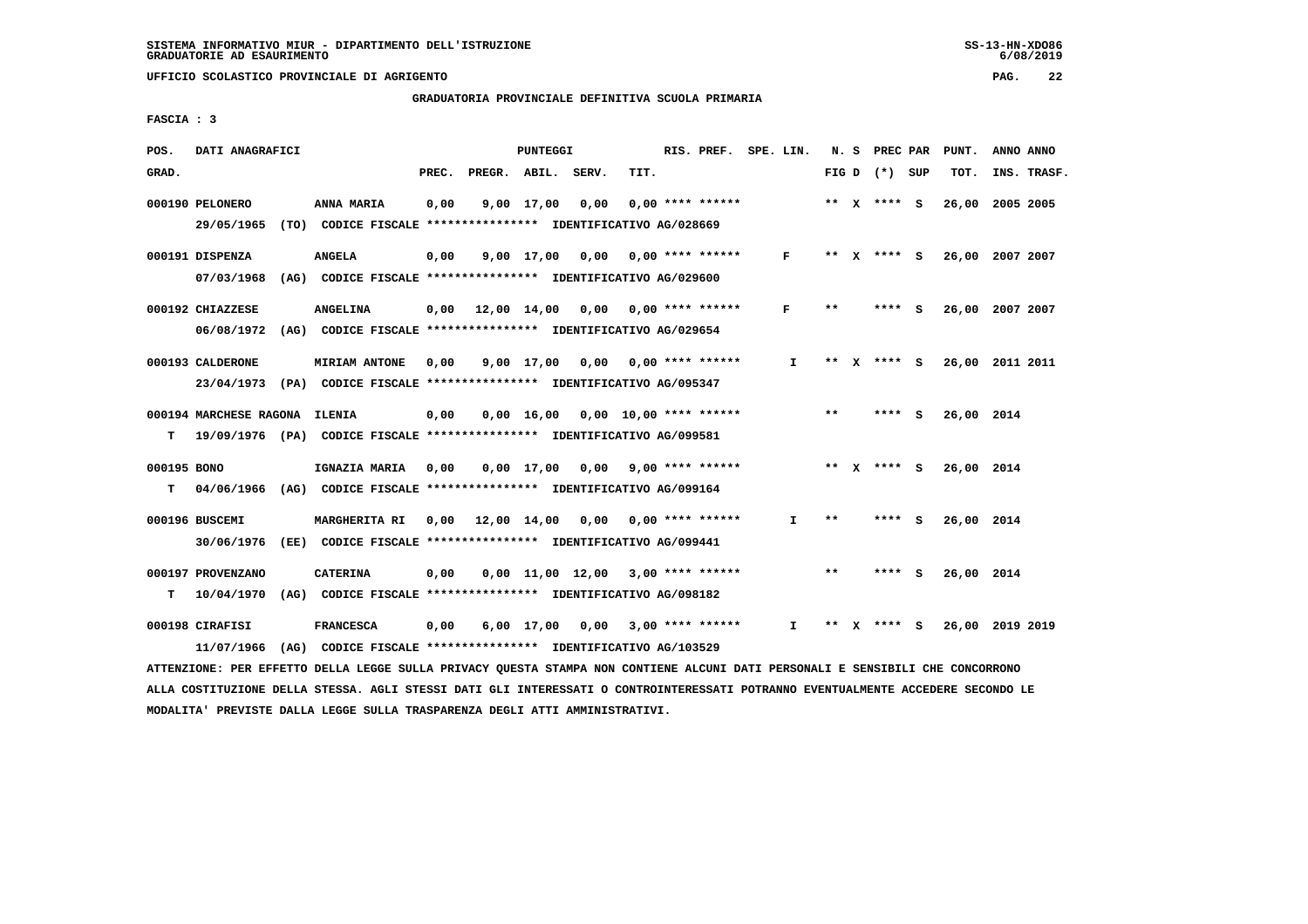**UFFICIO SCOLASTICO PROVINCIALE DI AGRIGENTO PAG. 22**

 **GRADUATORIA PROVINCIALE DEFINITIVA SCUOLA PRIMARIA**

 **FASCIA : 3**

| POS.        | DATI ANAGRAFICI               |                                                                          |       |              | PUNTEGGI     |                                     |      | RIS. PREF.                | SPE. LIN.    | N. S         |              | PREC PAR        | PUNT.           | ANNO ANNO |             |
|-------------|-------------------------------|--------------------------------------------------------------------------|-------|--------------|--------------|-------------------------------------|------|---------------------------|--------------|--------------|--------------|-----------------|-----------------|-----------|-------------|
| GRAD.       |                               |                                                                          | PREC. | PREGR. ABIL. |              | SERV.                               | TIT. |                           |              |              |              | FIG D $(*)$ SUP | TOT.            |           | INS. TRASF. |
|             | 000190 PELONERO               | ANNA MARIA                                                               | 0,00  |              | $9,00$ 17,00 | 0,00                                |      | $0.00$ **** ******        |              |              |              | ** x **** S     | 26,00           | 2005 2005 |             |
|             | 29/05/1965                    | (TO) CODICE FISCALE **************** IDENTIFICATIVO AG/028669            |       |              |              |                                     |      |                           |              |              |              |                 |                 |           |             |
|             | 000191 DISPENZA               | <b>ANGELA</b>                                                            | 0,00  |              |              | $9,00$ 17,00 0,00 0,00 **** ******  |      |                           | $\mathbf{F}$ |              |              | ** x **** S     | 26,00 2007 2007 |           |             |
|             | 07/03/1968                    | (AG) CODICE FISCALE **************** IDENTIFICATIVO AG/029600            |       |              |              |                                     |      |                           |              |              |              |                 |                 |           |             |
|             | 000192 CHIAZZESE              | <b>ANGELINA</b>                                                          | 0,00  |              |              | 12,00 14,00 0,00 0,00 **** ******   |      |                           | F            | $***$        |              | **** S          | 26,00 2007 2007 |           |             |
|             | 06/08/1972                    | (AG) CODICE FISCALE **************** IDENTIFICATIVO AG/029654            |       |              |              |                                     |      |                           |              |              |              |                 |                 |           |             |
|             | 000193 CALDERONE              | <b>MIRIAM ANTONE</b>                                                     | 0.00  |              | 9,00 17,00   |                                     |      | $0.00$ $0.00$ **** ****** | I.           | $***$        | $\mathbf{x}$ | **** S          | 26,00 2011 2011 |           |             |
|             | 23/04/1973                    | (PA) CODICE FISCALE **************** IDENTIFICATIVO AG/095347            |       |              |              |                                     |      |                           |              |              |              |                 |                 |           |             |
|             | 000194 MARCHESE RAGONA ILENIA |                                                                          | 0,00  |              |              | $0,00$ 16,00 0,00 10,00 **** ****** |      |                           |              | $\star\star$ |              | $***5$          | 26,00 2014      |           |             |
| т           |                               | 19/09/1976 (PA) CODICE FISCALE **************** IDENTIFICATIVO AG/099581 |       |              |              |                                     |      |                           |              |              |              |                 |                 |           |             |
|             |                               |                                                                          |       |              |              |                                     |      |                           |              |              |              |                 |                 |           |             |
| 000195 BONO |                               | IGNAZIA MARIA                                                            | 0,00  |              |              | $0,00$ $17,00$ $0,00$               |      | $9,00$ **** ******        |              |              |              | ** x **** S     | 26,00 2014      |           |             |
| т           |                               | 04/06/1966 (AG) CODICE FISCALE *************** IDENTIFICATIVO AG/099164  |       |              |              |                                     |      |                           |              |              |              |                 |                 |           |             |
|             | 000196 BUSCEMI                | <b>MARGHERITA RI</b>                                                     | 0,00  |              |              | 12,00 14,00 0,00 0,00 **** ******   |      |                           | Ι.           | $**$         |              | **** S          | 26,00 2014      |           |             |
|             | 30/06/1976                    | (EE) CODICE FISCALE **************** IDENTIFICATIVO AG/099441            |       |              |              |                                     |      |                           |              |              |              |                 |                 |           |             |
|             | 000197 PROVENZANO             | <b>CATERINA</b>                                                          | 0,00  |              |              | $0,00$ 11,00 12,00 3,00 **** ****** |      |                           |              | $* *$        |              | **** S          | 26,00 2014      |           |             |
| т           | 10/04/1970                    | (AG) CODICE FISCALE **************** IDENTIFICATIVO AG/098182            |       |              |              |                                     |      |                           |              |              |              |                 |                 |           |             |
|             | 000198 CIRAFISI               | <b>FRANCESCA</b>                                                         | 0,00  |              | $6,00$ 17,00 | $0,00$ 3,00 **** ******             |      |                           | I.           | **           |              | **** S          | 26,00 2019 2019 |           |             |
|             | 11/07/1966                    | (AG) CODICE FISCALE **************** IDENTIFICATIVO AG/103529            |       |              |              |                                     |      |                           |              |              |              |                 |                 |           |             |
|             |                               |                                                                          |       |              |              |                                     |      |                           |              |              |              |                 |                 |           |             |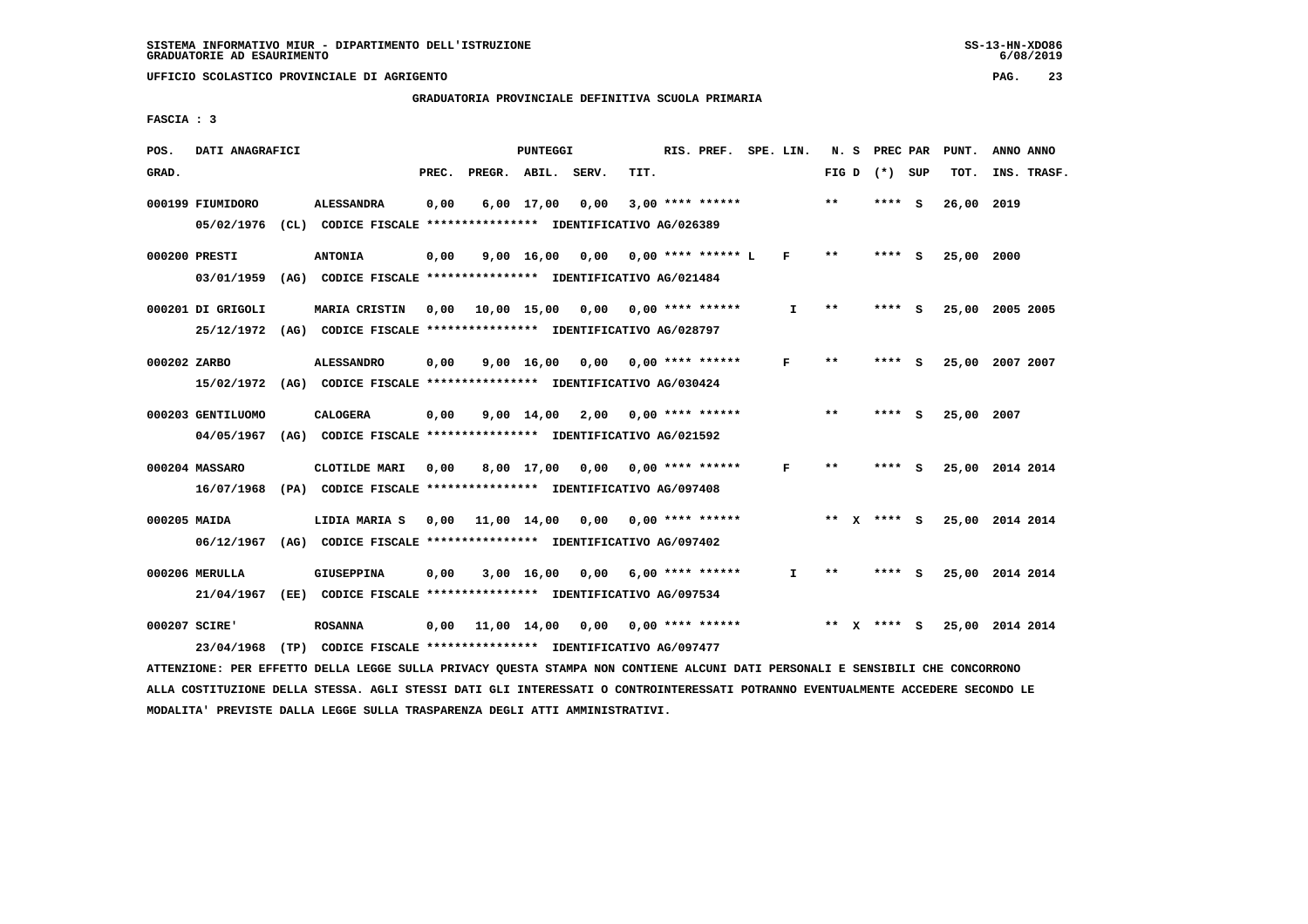# **GRADUATORIA PROVINCIALE DEFINITIVA SCUOLA PRIMARIA**

 **FASCIA : 3**

| POS.         | DATI ANAGRAFICI   |                                                                                                                               |       |                    | PUNTEGGI   |                                          |      | RIS. PREF. SPE. LIN. |              |       | N. S PREC PAR   | PUNT.      | ANNO ANNO       |
|--------------|-------------------|-------------------------------------------------------------------------------------------------------------------------------|-------|--------------------|------------|------------------------------------------|------|----------------------|--------------|-------|-----------------|------------|-----------------|
| GRAD.        |                   |                                                                                                                               | PREC. | PREGR. ABIL. SERV. |            |                                          | TIT. |                      |              |       | FIG D $(*)$ SUP | TOT.       | INS. TRASF.     |
|              | 000199 FIUMIDORO  | <b>ALESSANDRA</b>                                                                                                             | 0,00  |                    | 6,00 17,00 | 0,00                                     |      | $3,00$ **** ******   |              | $***$ | $***$ S         | 26,00 2019 |                 |
|              |                   | 05/02/1976 (CL) CODICE FISCALE *************** IDENTIFICATIVO AG/026389                                                       |       |                    |            |                                          |      |                      |              |       |                 |            |                 |
|              | 000200 PRESTI     | <b>ANTONIA</b>                                                                                                                | 0,00  |                    |            | $9.00$ 16.00 0.00 0.00 **** ****** L     |      |                      | F            | $* *$ | **** S          | 25,00 2000 |                 |
|              |                   | 03/01/1959 (AG) CODICE FISCALE *************** IDENTIFICATIVO AG/021484                                                       |       |                    |            |                                          |      |                      |              |       |                 |            |                 |
|              | 000201 DI GRIGOLI | MARIA CRISTIN                                                                                                                 |       |                    |            | 0,00 10,00 15,00 0,00 0,00 **** ******   |      |                      | I.           | **    | **** S          |            | 25,00 2005 2005 |
|              |                   | 25/12/1972 (AG) CODICE FISCALE *************** IDENTIFICATIVO AG/028797                                                       |       |                    |            |                                          |      |                      |              |       |                 |            |                 |
| 000202 ZARBO |                   | <b>ALESSANDRO</b>                                                                                                             | 0,00  |                    |            | $9,00$ 16,00 0,00 0,00 **** ******       |      |                      | F            | $* *$ | **** S          |            | 25,00 2007 2007 |
|              |                   | 15/02/1972 (AG) CODICE FISCALE *************** IDENTIFICATIVO AG/030424                                                       |       |                    |            |                                          |      |                      |              |       |                 |            |                 |
|              | 000203 GENTILUOMO | <b>CALOGERA</b>                                                                                                               | 0,00  |                    |            | $9,00$ 14,00 2,00 0,00 **** ******       |      |                      |              | **    | **** S          | 25,00 2007 |                 |
|              |                   | 04/05/1967 (AG) CODICE FISCALE *************** IDENTIFICATIVO AG/021592                                                       |       |                    |            |                                          |      |                      |              |       |                 |            |                 |
|              | 000204 MASSARO    | CLOTILDE MARI                                                                                                                 | 0,00  |                    |            | 8,00 17,00 0,00 0,00 **** ******         |      |                      | F            | **    | **** S          |            | 25,00 2014 2014 |
|              |                   | 16/07/1968 (PA) CODICE FISCALE *************** IDENTIFICATIVO AG/097408                                                       |       |                    |            |                                          |      |                      |              |       |                 |            |                 |
|              |                   |                                                                                                                               |       |                    |            |                                          |      |                      |              |       |                 |            |                 |
| 000205 MAIDA |                   | LIDIA MARIA S                                                                                                                 |       |                    |            | 0,00 11,00 14,00 0,00                    |      | $0.00$ **** ******   |              |       | ** $X$ **** S   |            | 25,00 2014 2014 |
|              |                   | 06/12/1967 (AG) CODICE FISCALE *************** IDENTIFICATIVO AG/097402                                                       |       |                    |            |                                          |      |                      |              |       |                 |            |                 |
|              | 000206 MERULLA    | <b>GIUSEPPINA</b>                                                                                                             | 0,00  |                    |            | $3,00$ 16,00 0,00 6,00 **** ******       |      |                      | $\mathbf{I}$ | $***$ | **** S          |            | 25,00 2014 2014 |
|              |                   | 21/04/1967 (EE) CODICE FISCALE *************** IDENTIFICATIVO AG/097534                                                       |       |                    |            |                                          |      |                      |              |       |                 |            |                 |
|              | 000207 SCIRE'     | <b>ROSANNA</b>                                                                                                                |       |                    |            | $0,00$ 11,00 14,00 0,00 0,00 **** ****** |      |                      |              |       | ** x **** s     |            | 25,00 2014 2014 |
|              | 23/04/1968        | (TP) CODICE FISCALE **************** IDENTIFICATIVO AG/097477                                                                 |       |                    |            |                                          |      |                      |              |       |                 |            |                 |
|              |                   | ATTENZIONE: PER EFFETTO DELLA LEGGE SULLA PRIVACY QUESTA STAMPA NON CONTIENE ALCUNI DATI PERSONALI E SENSIBILI CHE CONCORRONO |       |                    |            |                                          |      |                      |              |       |                 |            |                 |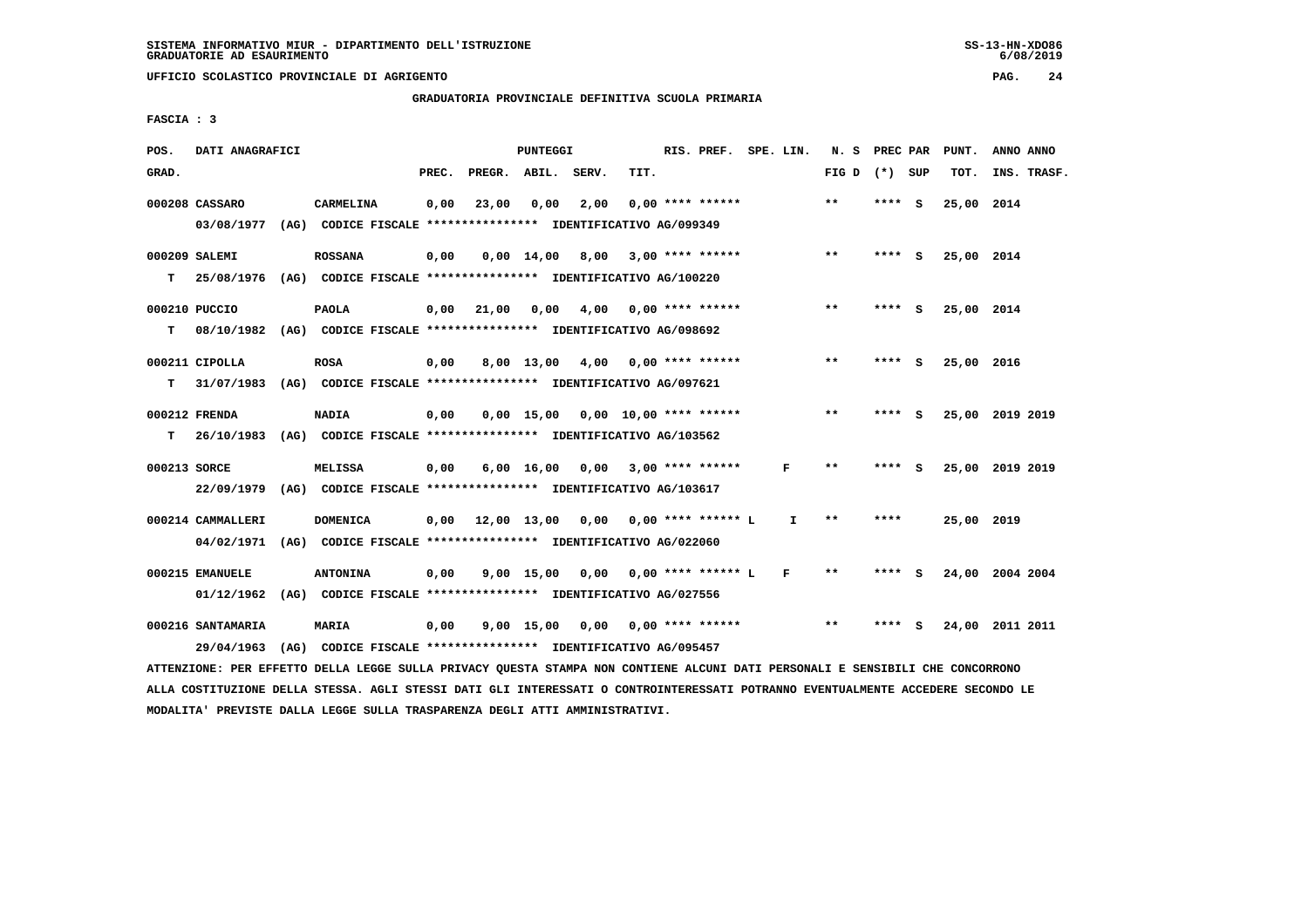**UFFICIO SCOLASTICO PROVINCIALE DI AGRIGENTO PAG. 24**

 **GRADUATORIA PROVINCIALE DEFINITIVA SCUOLA PRIMARIA**

 **FASCIA : 3**

| POS.         | DATI ANAGRAFICI   |                                                                                                                                 |       |            | PUNTEGGI           |                                     |                         | RIS. PREF. SPE. LIN. |              |                   | N. S PREC PAR |     | PUNT.      | ANNO ANNO       |
|--------------|-------------------|---------------------------------------------------------------------------------------------------------------------------------|-------|------------|--------------------|-------------------------------------|-------------------------|----------------------|--------------|-------------------|---------------|-----|------------|-----------------|
| GRAD.        |                   |                                                                                                                                 | PREC. |            |                    | PREGR. ABIL. SERV.                  | TIT.                    |                      |              | FIG $D$ $(*)$ SUP |               |     | TOT.       | INS. TRASF.     |
|              | 000208 CASSARO    | <b>CARMELINA</b>                                                                                                                | 0,00  | 23,00      | 0,00               | 2,00                                |                         | $0.00$ **** ******   |              | $**$              | **** S        |     | 25,00 2014 |                 |
|              |                   | 03/08/1977 (AG) CODICE FISCALE *************** IDENTIFICATIVO AG/099349                                                         |       |            |                    |                                     |                         |                      |              |                   |               |     |            |                 |
|              | 000209 SALEMI     | <b>ROSSANA</b>                                                                                                                  | 0,00  |            | $0,00 \quad 14,00$ | 8,00                                |                         | $3,00$ **** ******   |              | $* *$             | **** S        |     | 25,00 2014 |                 |
| T.           |                   | 25/08/1976 (AG) CODICE FISCALE **************** IDENTIFICATIVO AG/100220                                                        |       |            |                    |                                     |                         |                      |              |                   |               |     |            |                 |
|              | 000210 PUCCIO     | <b>PAOLA</b>                                                                                                                    | 0,00  | 21,00 0,00 |                    |                                     | $4,00$ 0,00 **** ****** |                      |              | $***$             | **** S        |     | 25,00 2014 |                 |
| т            |                   | 08/10/1982 (AG) CODICE FISCALE *************** IDENTIFICATIVO AG/098692                                                         |       |            |                    |                                     |                         |                      |              |                   |               |     |            |                 |
|              | 000211 CIPOLLA    | <b>ROSA</b>                                                                                                                     | 0,00  |            | $8,00 \quad 13,00$ | 4,00                                |                         | $0.00$ **** ******   |              | $* *$             | **** S        |     | 25,00 2016 |                 |
| т            |                   | 31/07/1983 (AG) CODICE FISCALE *************** IDENTIFICATIVO AG/097621                                                         |       |            |                    |                                     |                         |                      |              |                   |               |     |            |                 |
|              |                   |                                                                                                                                 |       |            |                    |                                     |                         |                      |              |                   |               |     |            |                 |
|              | 000212 FRENDA     | <b>NADIA</b>                                                                                                                    | 0,00  |            |                    | $0,00$ 15,00 0,00 10,00 **** ****** |                         |                      |              | $\star\star$      | **** S        |     |            | 25,00 2019 2019 |
| т            |                   | 26/10/1983 (AG) CODICE FISCALE **************** IDENTIFICATIVO AG/103562                                                        |       |            |                    |                                     |                         |                      |              |                   |               |     |            |                 |
| 000213 SORCE |                   | <b>MELISSA</b>                                                                                                                  | 0,00  |            | $6,00 \quad 16,00$ | 0,00                                |                         | $3,00$ **** ******   | F            | **                | **** S        |     |            | 25,00 2019 2019 |
|              |                   | 22/09/1979 (AG) CODICE FISCALE *************** IDENTIFICATIVO AG/103617                                                         |       |            |                    |                                     |                         |                      |              |                   |               |     |            |                 |
|              | 000214 CAMMALLERI | <b>DOMENICA</b>                                                                                                                 |       |            |                    | $0,00$ $12,00$ $13,00$ $0,00$       |                         | $0.00$ **** ****** L | $\mathbf{I}$ | $**$              | ****          |     | 25,00 2019 |                 |
|              |                   | 04/02/1971 (AG) CODICE FISCALE *************** IDENTIFICATIVO AG/022060                                                         |       |            |                    |                                     |                         |                      |              |                   |               |     |            |                 |
|              |                   |                                                                                                                                 |       |            |                    |                                     |                         |                      |              |                   |               |     |            |                 |
|              | 000215 EMANUELE   | <b>ANTONINA</b>                                                                                                                 | 0,00  |            | $9,00$ 15,00       | 0.00                                |                         | $0.00$ **** ****** L | F            | $***$             | **** S        |     |            | 24,00 2004 2004 |
|              |                   | 01/12/1962 (AG) CODICE FISCALE **************** IDENTIFICATIVO AG/027556                                                        |       |            |                    |                                     |                         |                      |              |                   |               |     |            |                 |
|              | 000216 SANTAMARIA | <b>MARIA</b>                                                                                                                    | 0,00  |            | 9,00 15,00         | 0,00                                |                         | $0,00$ **** ******   |              | **                | ****          | - S |            | 24,00 2011 2011 |
|              | 29/04/1963        | (AG) CODICE FISCALE **************** IDENTIFICATIVO AG/095457                                                                   |       |            |                    |                                     |                         |                      |              |                   |               |     |            |                 |
|              |                   | ATTENZIONE: PER EFFETTO DELLA LEGGE SULLA PRIVACY OUESTA STAMPA NON CONTIENE ALCUNI DATI PERSONALI E SENSIBILI CHE CONCORRONO   |       |            |                    |                                     |                         |                      |              |                   |               |     |            |                 |
|              |                   | ALLA COSTITUZIONE DELLA STESSA. AGLI STESSI DATI GLI INTERESSATI O CONTROINTERESSATI POTRANNO EVENTUALMENTE ACCEDERE SECONDO LE |       |            |                    |                                     |                         |                      |              |                   |               |     |            |                 |

 **MODALITA' PREVISTE DALLA LEGGE SULLA TRASPARENZA DEGLI ATTI AMMINISTRATIVI.**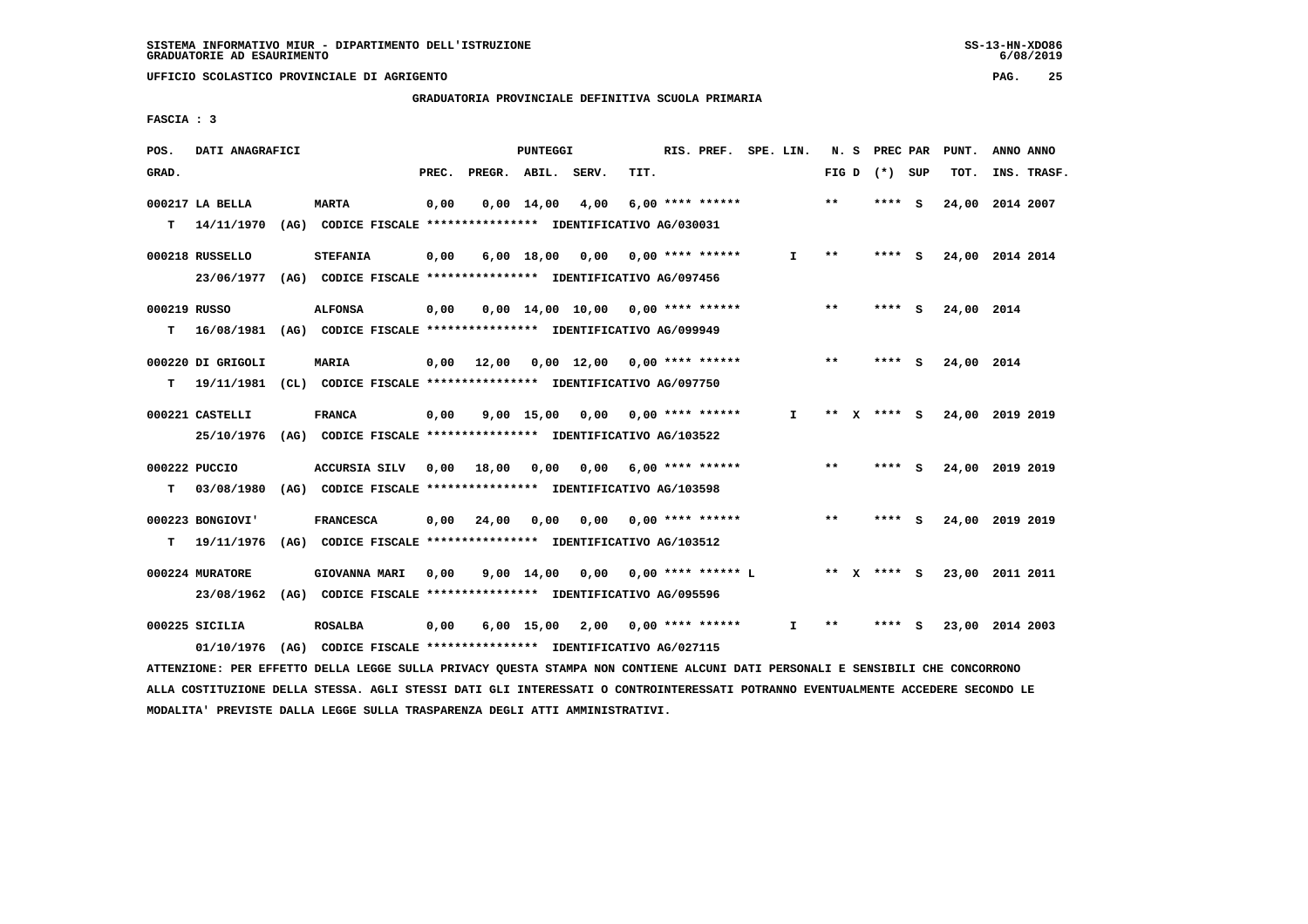**UFFICIO SCOLASTICO PROVINCIALE DI AGRIGENTO PAG. 25**

 **GRADUATORIA PROVINCIALE DEFINITIVA SCUOLA PRIMARIA**

 **FASCIA : 3**

| POS.         | DATI ANAGRAFICI              |                                                                                 |       |              | PUNTEGGI           |                                     |      | RIS. PREF.           | SPE. LIN. | N. S            | PREC PAR |     | PUNT.           | ANNO ANNO |             |
|--------------|------------------------------|---------------------------------------------------------------------------------|-------|--------------|--------------------|-------------------------------------|------|----------------------|-----------|-----------------|----------|-----|-----------------|-----------|-------------|
| GRAD.        |                              |                                                                                 | PREC. | PREGR. ABIL. |                    | SERV.                               | TIT. |                      |           | FIG D $(*)$ SUP |          |     | TOT.            |           | INS. TRASF. |
|              | 000217 LA BELLA              | <b>MARTA</b>                                                                    | 0,00  |              | $0,00 \quad 14,00$ | 4,00                                |      | $6,00$ **** ******   |           | $* *$           | **** S   |     | 24,00 2014 2007 |           |             |
| т            | 14/11/1970                   | (AG) CODICE FISCALE **************** IDENTIFICATIVO AG/030031                   |       |              |                    |                                     |      |                      |           |                 |          |     |                 |           |             |
|              | 000218 RUSSELLO              | <b>STEFANIA</b>                                                                 | 0,00  |              | $6,00$ 18,00       | 0,00                                |      | $0.00$ **** ******   | I.        | $**$            | **** S   |     | 24,00 2014 2014 |           |             |
|              | 23/06/1977                   | (AG) CODICE FISCALE **************** IDENTIFICATIVO AG/097456                   |       |              |                    |                                     |      |                      |           |                 |          |     |                 |           |             |
| 000219 RUSSO |                              | <b>ALFONSA</b>                                                                  | 0,00  |              |                    | $0.00$ 14.00 10.00 0.00 **** ****** |      |                      |           | $***$           | **** S   |     | 24,00 2014      |           |             |
| T.           | 16/08/1981                   | (AG) CODICE FISCALE **************** IDENTIFICATIVO AG/099949                   |       |              |                    |                                     |      |                      |           |                 |          |     |                 |           |             |
|              | 000220 DI GRIGOLI            | MARIA                                                                           | 0.00  | 12,00        |                    | $0.00$ 12.00 0.00 **** ******       |      |                      |           | $* *$           | ****     | - S | 24,00 2014      |           |             |
| т            | 19/11/1981                   | (CL) CODICE FISCALE **************** IDENTIFICATIVO AG/097750                   |       |              |                    |                                     |      |                      |           |                 |          |     |                 |           |             |
|              | 000221 CASTELLI              | <b>FRANCA</b>                                                                   | 0,00  |              | $9,00$ 15,00       | 0,00                                |      | $0.00$ **** ******   | I.        | ** x **** S     |          |     | 24,00 2019 2019 |           |             |
|              | 25/10/1976                   | (AG) CODICE FISCALE **************** IDENTIFICATIVO AG/103522                   |       |              |                    |                                     |      |                      |           |                 |          |     |                 |           |             |
|              | 000222 PUCCIO                | <b>ACCURSIA SILV</b>                                                            | 0.00  | 18,00        | 0.00               | 0,00                                |      | 6,00 **** ******     |           | $**$            | **** S   |     | 24,00 2019 2019 |           |             |
| т            | 03/08/1980                   | (AG) CODICE FISCALE **************** IDENTIFICATIVO AG/103598                   |       |              |                    |                                     |      |                      |           |                 |          |     |                 |           |             |
|              | 000223 BONGIOVI'             | <b>FRANCESCA</b>                                                                | 0.00  | 24,00        | 0.00               | 0,00                                |      | $0.00$ **** ******   |           | $* *$           | **** S   |     | 24,00 2019 2019 |           |             |
| т            | 19/11/1976                   | (AG) CODICE FISCALE **************** IDENTIFICATIVO AG/103512                   |       |              |                    |                                     |      |                      |           |                 |          |     |                 |           |             |
|              | 000224 MURATORE              | GIOVANNA MARI                                                                   | 0,00  |              | $9,00$ 14,00       | 0,00                                |      | $0.00$ **** ****** L |           | $***$ X         | $***5$   |     | 23,00 2011 2011 |           |             |
|              | 23/08/1962                   | (AG) CODICE FISCALE **************** IDENTIFICATIVO AG/095596                   |       |              |                    |                                     |      |                      |           |                 |          |     |                 |           |             |
|              | 000225 SICILIA<br>01/10/1976 | <b>ROSALBA</b><br>(AG) CODICE FISCALE **************** IDENTIFICATIVO AG/027115 | 0,00  |              | $6,00$ 15,00       | 2,00                                |      | $0.00$ **** ******   | I.        | $***$           | ****     | s   | 23,00           | 2014 2003 |             |
|              |                              |                                                                                 |       |              |                    |                                     |      |                      |           |                 |          |     |                 |           |             |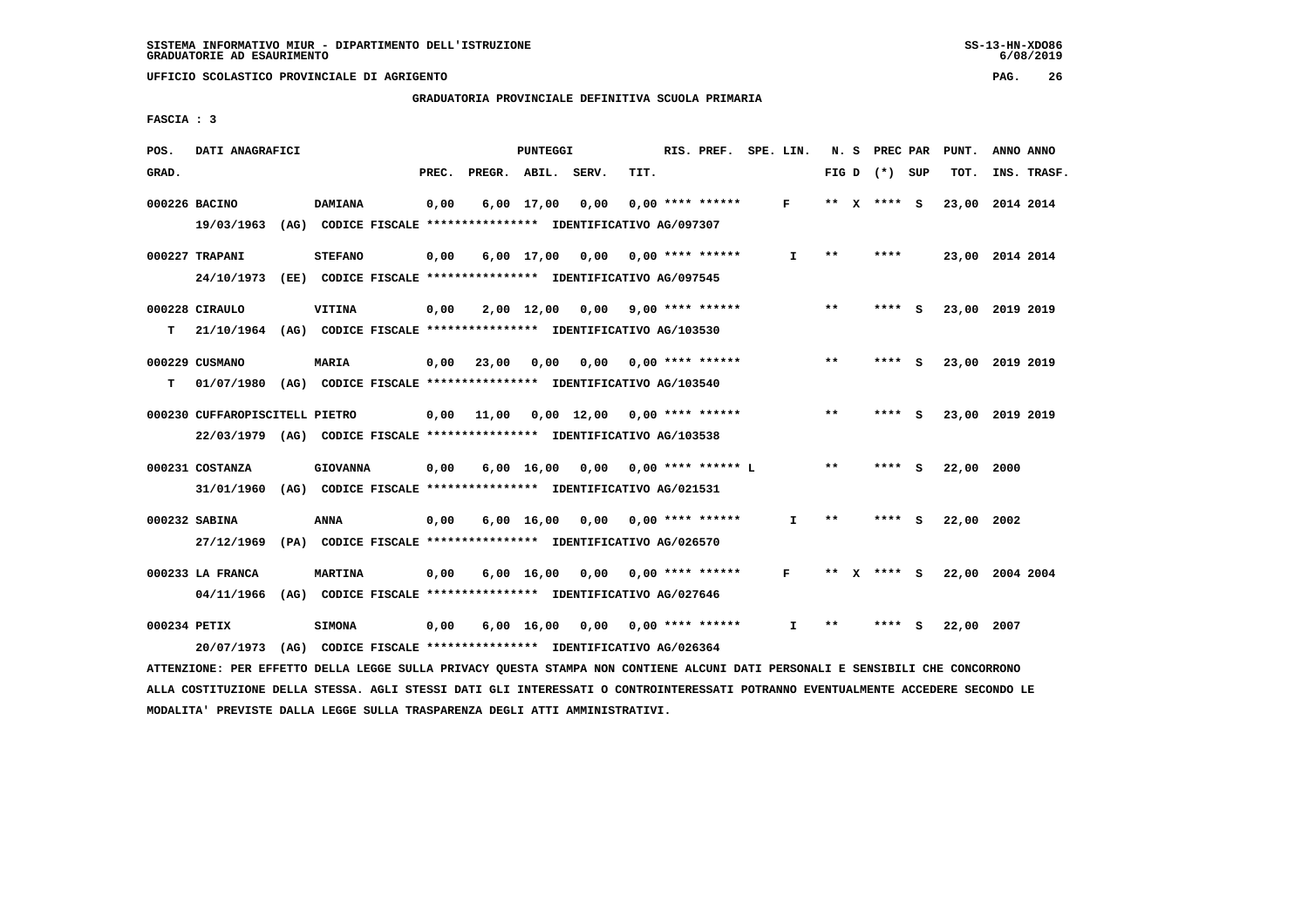# **GRADUATORIA PROVINCIALE DEFINITIVA SCUOLA PRIMARIA**

 **FASCIA : 3**

| POS.         | DATI ANAGRAFICI                                                                                                               |                 |       |                    | PUNTEGGI   |                                                               |      | RIS. PREF. SPE. LIN. |              |       | N. S PREC PAR   | PUNT.           | ANNO ANNO |             |
|--------------|-------------------------------------------------------------------------------------------------------------------------------|-----------------|-------|--------------------|------------|---------------------------------------------------------------|------|----------------------|--------------|-------|-----------------|-----------------|-----------|-------------|
| GRAD.        |                                                                                                                               |                 | PREC. | PREGR. ABIL. SERV. |            |                                                               | TIT. |                      |              |       | FIG D $(*)$ SUP | TOT.            |           | INS. TRASF. |
|              | 000226 BACINO                                                                                                                 | <b>DAMIANA</b>  | 0,00  |                    | 6,00 17,00 | 0,00                                                          |      | $0.00$ **** ******   | F            |       | ** $X$ **** S   | 23,00 2014 2014 |           |             |
|              | 19/03/1963                                                                                                                    |                 |       |                    |            | (AG) CODICE FISCALE **************** IDENTIFICATIVO AG/097307 |      |                      |              |       |                 |                 |           |             |
|              | 000227 TRAPANI                                                                                                                | <b>STEFANO</b>  | 0,00  |                    |            | $6,00$ 17,00 0,00 0,00 **** ******                            |      |                      | $\mathbf{I}$ | $* *$ | ****            | 23,00 2014 2014 |           |             |
|              | 24/10/1973 (EE) CODICE FISCALE *************** IDENTIFICATIVO AG/097545                                                       |                 |       |                    |            |                                                               |      |                      |              |       |                 |                 |           |             |
|              | 000228 CIRAULO                                                                                                                | VITINA          | 0,00  |                    |            | $2,00$ 12,00 0,00 9,00 **** ******                            |      |                      |              | $* *$ | **** S          | 23,00 2019 2019 |           |             |
| т            | 21/10/1964 (AG) CODICE FISCALE **************** IDENTIFICATIVO AG/103530                                                      |                 |       |                    |            |                                                               |      |                      |              |       |                 |                 |           |             |
|              | 000229 CUSMANO                                                                                                                | <b>MARIA</b>    |       |                    |            | $0,00$ $23,00$ $0,00$ $0,00$                                  |      | $0.00$ **** ******   |              | $***$ | **** S          | 23,00 2019 2019 |           |             |
| т            | 01/07/1980 (AG) CODICE FISCALE *************** IDENTIFICATIVO AG/103540                                                       |                 |       |                    |            |                                                               |      |                      |              |       |                 |                 |           |             |
|              | 000230 CUFFAROPISCITELL PIETRO                                                                                                |                 |       |                    |            | $0,00$ 11,00 0,00 12,00 0,00 **** ******                      |      |                      |              | $* *$ | **** S          | 23,00 2019 2019 |           |             |
|              | 22/03/1979 (AG) CODICE FISCALE *************** IDENTIFICATIVO AG/103538                                                       |                 |       |                    |            |                                                               |      |                      |              |       |                 |                 |           |             |
|              | 000231 COSTANZA                                                                                                               | <b>GIOVANNA</b> | 0,00  |                    |            | 6,00 16,00 0,00 0,00 **** ****** L                            |      |                      |              | $* *$ | **** S          | 22,00           | 2000      |             |
|              | 31/01/1960 (AG) CODICE FISCALE *************** IDENTIFICATIVO AG/021531                                                       |                 |       |                    |            |                                                               |      |                      |              |       |                 |                 |           |             |
|              | 000232 SABINA                                                                                                                 | ANNA            | 0,00  |                    |            | $6,00 \quad 16,00 \quad 0,00$                                 |      | 0,00 **** ******     | I.           | $* *$ | **** S          | 22,00 2002      |           |             |
|              | 27/12/1969 (PA) CODICE FISCALE *************** IDENTIFICATIVO AG/026570                                                       |                 |       |                    |            |                                                               |      |                      |              |       |                 |                 |           |             |
|              | 000233 LA FRANCA                                                                                                              | <b>MARTINA</b>  | 0,00  |                    |            | $6,00$ 16,00 0,00 0,00 **** ******                            |      |                      | F            | ** X  | **** S          | 22,00 2004 2004 |           |             |
|              | 04/11/1966 (AG) CODICE FISCALE *************** IDENTIFICATIVO AG/027646                                                       |                 |       |                    |            |                                                               |      |                      |              |       |                 |                 |           |             |
| 000234 PETIX |                                                                                                                               | <b>SIMONA</b>   | 0,00  |                    |            | 6,00 16,00 0,00 0,00 **** ******                              |      |                      | $\mathbf{I}$ | **    | **** S          | 22,00 2007      |           |             |
|              | 20/07/1973                                                                                                                    |                 |       |                    |            | (AG) CODICE FISCALE **************** IDENTIFICATIVO AG/026364 |      |                      |              |       |                 |                 |           |             |
|              | ATTENZIONE: PER EFFETTO DELLA LEGGE SULLA PRIVACY QUESTA STAMPA NON CONTIENE ALCUNI DATI PERSONALI E SENSIBILI CHE CONCORRONO |                 |       |                    |            |                                                               |      |                      |              |       |                 |                 |           |             |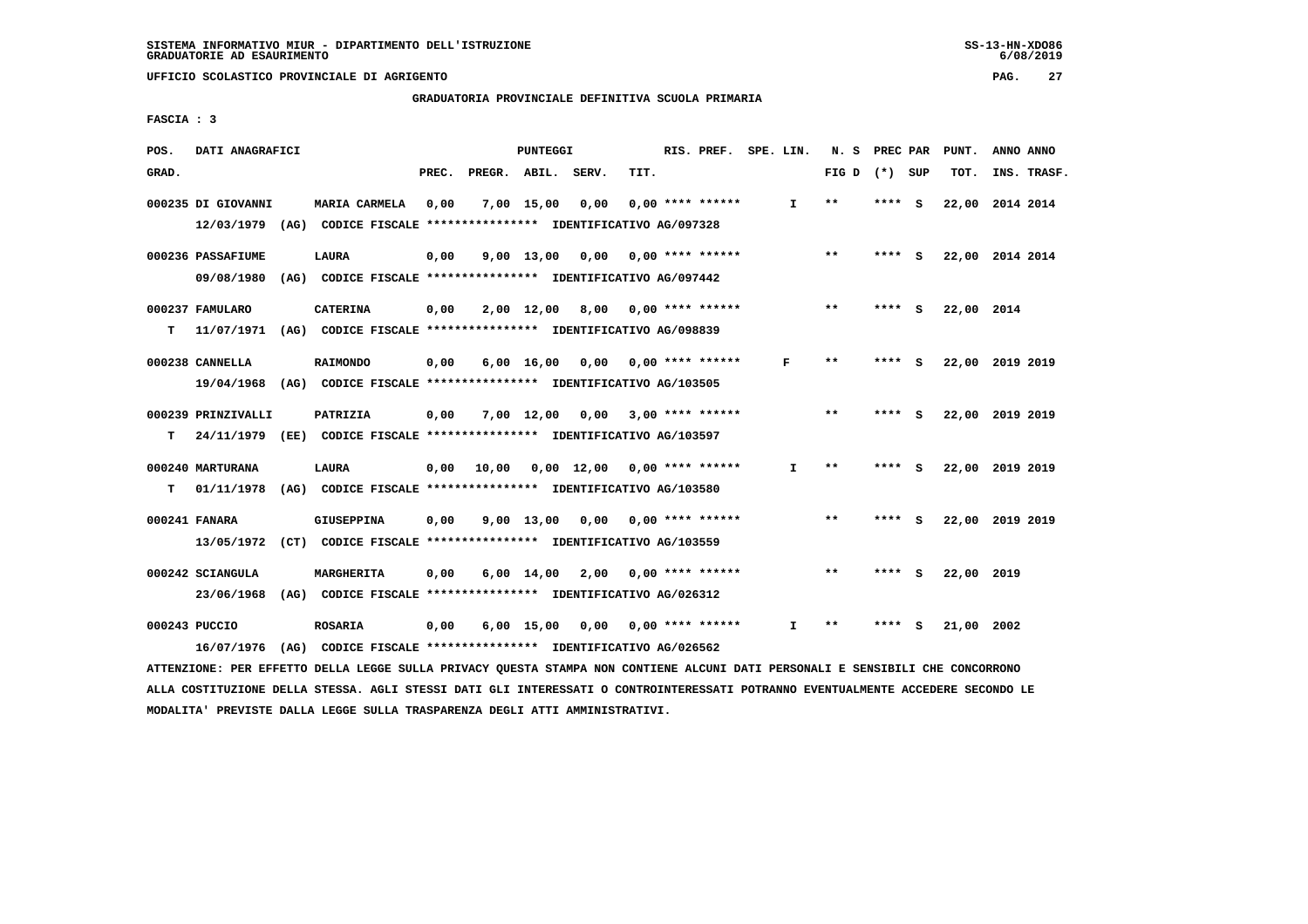**GRADUATORIA PROVINCIALE DEFINITIVA SCUOLA PRIMARIA**

 **FASCIA : 3**

| POS.  | DATI ANAGRAFICI                                                         |                                                               |       |              | <b>PUNTEGGI</b>    |              |      | RIS. PREF.         | SPE. LIN. |              | N. S  | PREC PAR |     | PUNT.           | ANNO ANNO |             |
|-------|-------------------------------------------------------------------------|---------------------------------------------------------------|-------|--------------|--------------------|--------------|------|--------------------|-----------|--------------|-------|----------|-----|-----------------|-----------|-------------|
| GRAD. |                                                                         |                                                               | PREC. | PREGR. ABIL. |                    | SERV.        | TIT. |                    |           |              | FIG D | $(*)$    | SUP | TOT.            |           | INS. TRASF. |
|       | 000235 DI GIOVANNI                                                      | MARIA CARMELA                                                 | 0,00  |              | 7,00 15,00         | 0,00         |      | $0.00$ **** ****** |           | $\mathbf{I}$ | $* *$ | ****     | - S | 22,00           | 2014 2014 |             |
|       | 12/03/1979 (AG) CODICE FISCALE *************** IDENTIFICATIVO AG/097328 |                                                               |       |              |                    |              |      |                    |           |              |       |          |     |                 |           |             |
|       | 000236 PASSAFIUME                                                       | <b>LAURA</b>                                                  | 0,00  |              | $9,00$ 13,00       | 0,00         |      | $0.00$ **** ****** |           |              | **    | **** S   |     | 22,00 2014 2014 |           |             |
|       | 09/08/1980                                                              | (AG) CODICE FISCALE **************** IDENTIFICATIVO AG/097442 |       |              |                    |              |      |                    |           |              |       |          |     |                 |           |             |
|       | 000237 FAMULARO                                                         | <b>CATERINA</b>                                               | 0,00  |              | 2,00 12,00         | 8,00         |      | $0.00$ **** ****** |           |              | **    | ****     | - S | 22,00 2014      |           |             |
| т     | 11/07/1971                                                              | (AG) CODICE FISCALE **************** IDENTIFICATIVO AG/098839 |       |              |                    |              |      |                    |           |              |       |          |     |                 |           |             |
|       | 000238 CANNELLA                                                         | <b>RAIMONDO</b>                                               | 0,00  |              | $6,00 \quad 16,00$ | 0,00         |      | $0.00$ **** ****** | F         |              | $* *$ | **** S   |     | 22,00 2019 2019 |           |             |
|       | 19/04/1968                                                              | (AG) CODICE FISCALE **************** IDENTIFICATIVO AG/103505 |       |              |                    |              |      |                    |           |              |       |          |     |                 |           |             |
|       | 000239 PRINZIVALLI                                                      | PATRIZIA                                                      | 0,00  |              | 7,00 12,00         | 0,00         |      | $3,00$ **** ****** |           |              | $* *$ | ****     | - S | 22,00           | 2019 2019 |             |
| т     | 24/11/1979                                                              | (EE) CODICE FISCALE *************** IDENTIFICATIVO AG/103597  |       |              |                    |              |      |                    |           |              |       |          |     |                 |           |             |
|       | 000240 MARTURANA                                                        | <b>LAURA</b>                                                  | 0,00  | 10,00        |                    | $0,00$ 12,00 |      | 0,00 **** ******   |           | I.           | $* *$ | **** S   |     | 22,00 2019 2019 |           |             |
| т     | 01/11/1978                                                              | (AG) CODICE FISCALE **************** IDENTIFICATIVO AG/103580 |       |              |                    |              |      |                    |           |              |       |          |     |                 |           |             |
|       |                                                                         |                                                               |       |              |                    |              |      |                    |           |              |       |          |     |                 |           |             |
|       | 000241 FANARA                                                           | <b>GIUSEPPINA</b>                                             | 0,00  |              | $9,00$ 13,00       | 0.00         |      | $0.00$ **** ****** |           |              | $* *$ | **** S   |     | 22,00           | 2019 2019 |             |
|       | 13/05/1972                                                              | (CT) CODICE FISCALE **************** IDENTIFICATIVO AG/103559 |       |              |                    |              |      |                    |           |              |       |          |     |                 |           |             |
|       | 000242 SCIANGULA                                                        | MARGHERITA                                                    | 0,00  |              | $6,00 \quad 14,00$ | 2,00         |      | $0.00$ **** ****** |           |              | $* *$ | ****     | - 5 | 22,00           | 2019      |             |
|       | 23/06/1968                                                              | (AG) CODICE FISCALE **************** IDENTIFICATIVO AG/026312 |       |              |                    |              |      |                    |           |              |       |          |     |                 |           |             |
|       | 000243 PUCCIO                                                           | <b>ROSARIA</b>                                                | 0,00  |              | $6,00$ 15,00       | 0,00         |      | $0.00$ **** ****** |           | I            | $* *$ | ****     | s   | 21,00           | 2002      |             |
|       | 16/07/1976                                                              | (AG) CODICE FISCALE **************** IDENTIFICATIVO AG/026562 |       |              |                    |              |      |                    |           |              |       |          |     |                 |           |             |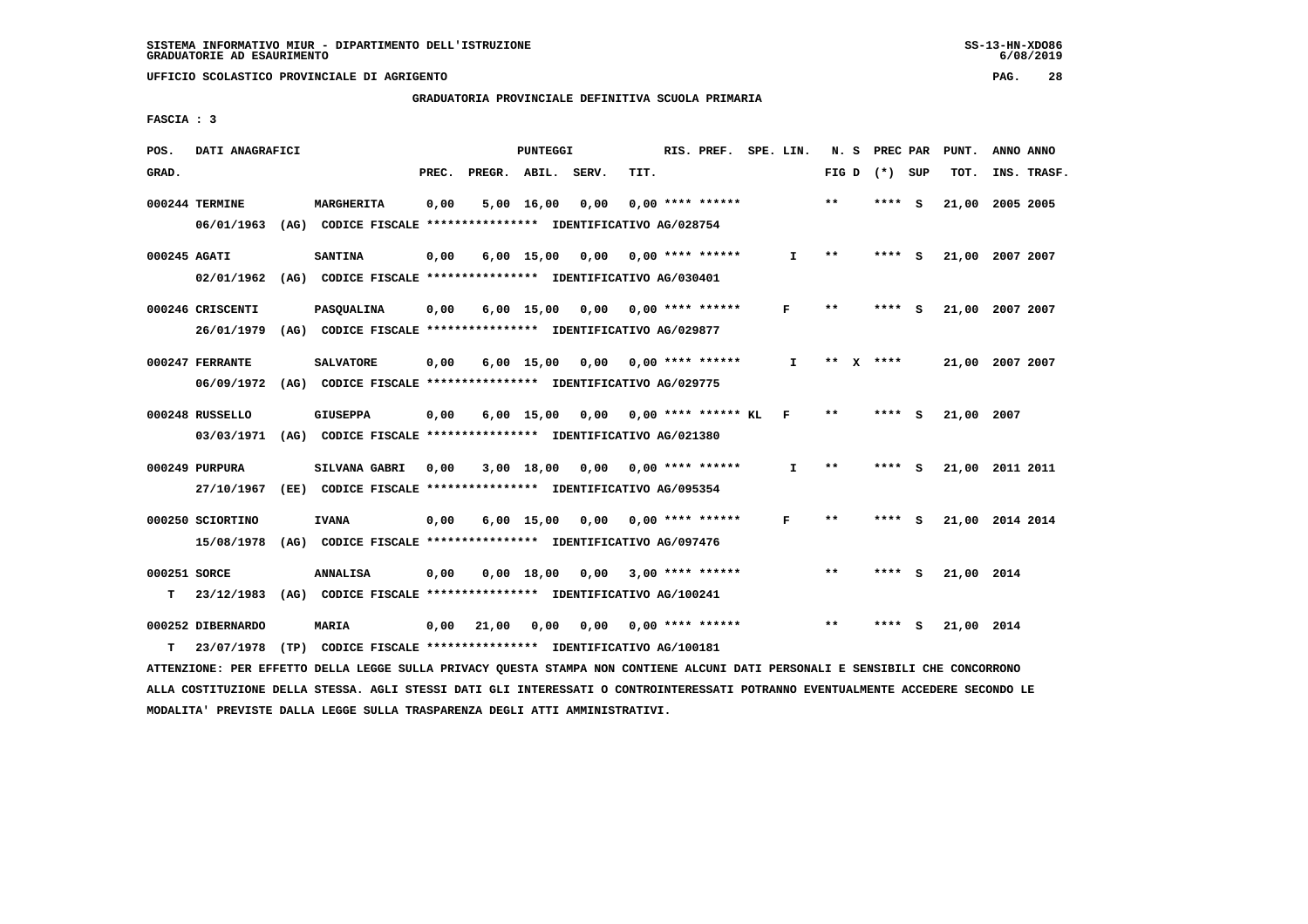# **GRADUATORIA PROVINCIALE DEFINITIVA SCUOLA PRIMARIA**

 **FASCIA : 3**

| POS.         | DATI ANAGRAFICI   |      |                                                               |       |              | PUNTEGGI     |       |      | RIS. PREF. SPE. LIN.      |              | N. S  | PREC PAR |     | PUNT.      | ANNO ANNO       |
|--------------|-------------------|------|---------------------------------------------------------------|-------|--------------|--------------|-------|------|---------------------------|--------------|-------|----------|-----|------------|-----------------|
| GRAD.        |                   |      |                                                               | PREC. | PREGR. ABIL. |              | SERV. | TIT. |                           |              | FIG D | (*) SUP  |     | TOT.       | INS. TRASF.     |
|              | 000244 TERMINE    |      | MARGHERITA                                                    | 0,00  |              | 5,00 16,00   | 0,00  |      | $0.00$ **** ******        |              | $***$ | **** S   |     | 21,00      | 2005 2005       |
|              | 06/01/1963        | (AG) | CODICE FISCALE **************** IDENTIFICATIVO AG/028754      |       |              |              |       |      |                           |              |       |          |     |            |                 |
| 000245 AGATI |                   |      | <b>SANTINA</b>                                                | 0,00  |              | $6,00$ 15,00 | 0.00  |      | $0.00$ **** ******        | $\mathbf{I}$ | $**$  | **** S   |     |            | 21,00 2007 2007 |
|              | 02/01/1962        |      | (AG) CODICE FISCALE **************** IDENTIFICATIVO AG/030401 |       |              |              |       |      |                           |              |       |          |     |            |                 |
|              | 000246 CRISCENTI  |      | PASQUALINA                                                    | 0,00  |              | $6,00$ 15,00 |       |      | $0.00$ $0.00$ **** ****** | F            | $***$ | ****     | - s |            | 21,00 2007 2007 |
|              | 26/01/1979        |      | (AG) CODICE FISCALE **************** IDENTIFICATIVO AG/029877 |       |              |              |       |      |                           |              |       |          |     |            |                 |
|              | 000247 FERRANTE   |      | <b>SALVATORE</b>                                              | 0,00  |              | $6,00$ 15,00 | 0,00  |      | $0.00$ **** ******        | I.           | $***$ | $X$ **** |     |            | 21,00 2007 2007 |
|              | 06/09/1972        |      | (AG) CODICE FISCALE **************** IDENTIFICATIVO AG/029775 |       |              |              |       |      |                           |              |       |          |     |            |                 |
|              | 000248 RUSSELLO   |      | <b>GIUSEPPA</b>                                               | 0,00  |              | $6,00$ 15,00 | 0,00  |      | $0.00$ **** ****** KL     | $\mathbf{F}$ | $**$  | ****     | - 5 | 21,00 2007 |                 |
|              | 03/03/1971        |      | (AG) CODICE FISCALE **************** IDENTIFICATIVO AG/021380 |       |              |              |       |      |                           |              |       |          |     |            |                 |
|              | 000249 PURPURA    |      | <b>SILVANA GABRI</b>                                          | 0,00  |              | 3,00 18,00   | 0,00  |      | $0.00$ **** ******        | $\mathbf{I}$ | $* *$ | **** S   |     |            | 21,00 2011 2011 |
|              | 27/10/1967        |      | (EE) CODICE FISCALE **************** IDENTIFICATIVO AG/095354 |       |              |              |       |      |                           |              |       |          |     |            |                 |
|              | 000250 SCIORTINO  |      | <b>IVANA</b>                                                  | 0,00  |              | $6,00$ 15,00 | 0,00  |      | $0.00$ **** ******        | F            | **    | ****     | - 5 |            | 21,00 2014 2014 |
|              | 15/08/1978        |      | (AG) CODICE FISCALE **************** IDENTIFICATIVO AG/097476 |       |              |              |       |      |                           |              |       |          |     |            |                 |
| 000251 SORCE |                   |      | <b>ANNALISA</b>                                               | 0,00  |              | $0,00$ 18,00 | 0,00  |      | $3,00$ **** ******        |              | $**$  | ****     | - 5 | 21,00 2014 |                 |
| т            | 23/12/1983        |      | (AG) CODICE FISCALE **************** IDENTIFICATIVO AG/100241 |       |              |              |       |      |                           |              |       |          |     |            |                 |
|              | 000252 DIBERNARDO |      | <b>MARIA</b>                                                  | 0,00  | 21,00        | 0,00         | 0,00  |      | $0.00$ **** ******        |              | $**$  | ****     | - S | 21,00 2014 |                 |
| т            | 23/07/1978        |      | (TP) CODICE FISCALE **************** IDENTIFICATIVO AG/100181 |       |              |              |       |      |                           |              |       |          |     |            |                 |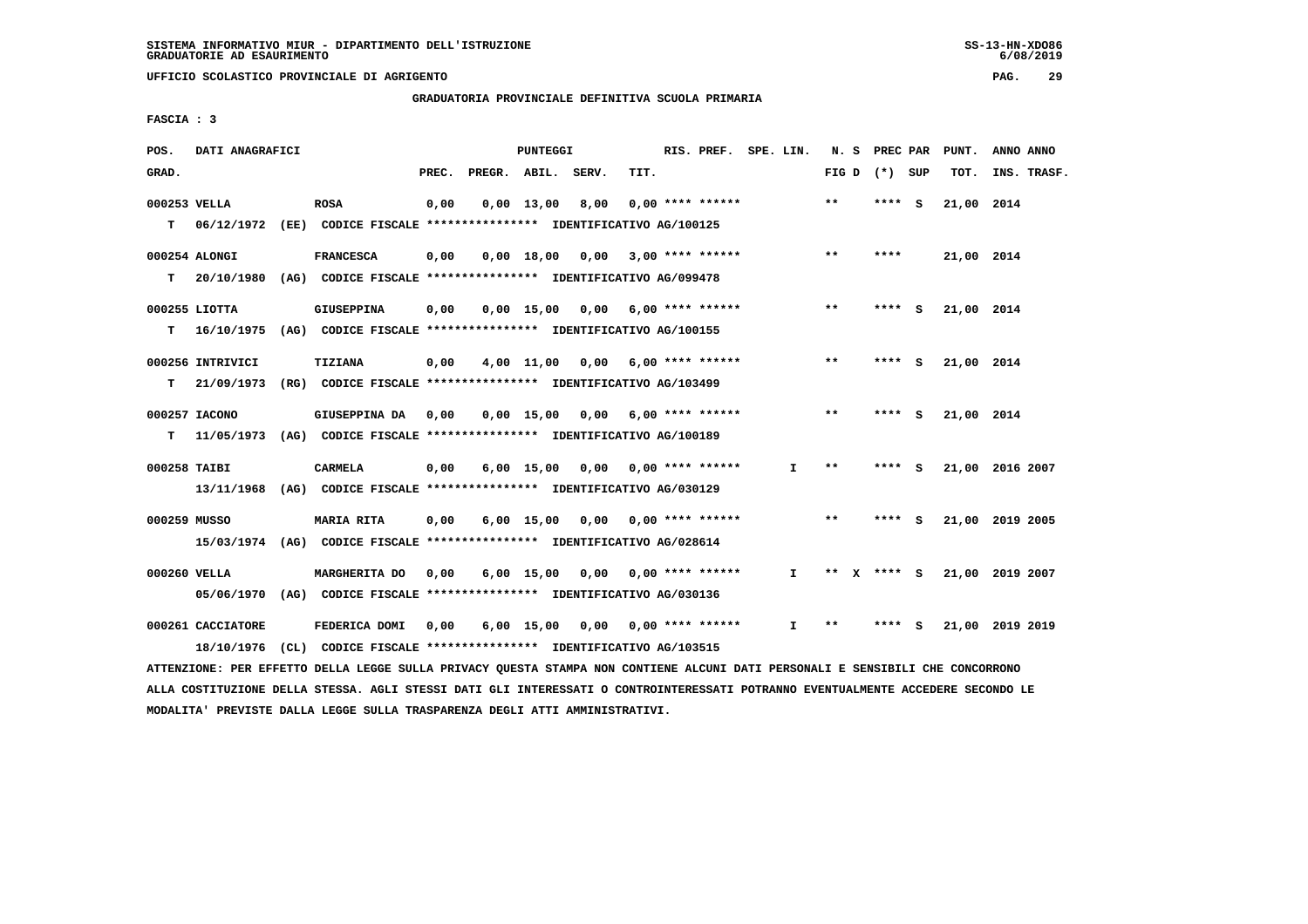**UFFICIO SCOLASTICO PROVINCIALE DI AGRIGENTO PAG. 29**

 **GRADUATORIA PROVINCIALE DEFINITIVA SCUOLA PRIMARIA**

 **FASCIA : 3**

| POS.         | DATI ANAGRAFICI   |                                                                                                                               |      |                          | PUNTEGGI     |                                    |      | RIS. PREF. SPE. LIN.      |    |       |                 |     | N. S PREC PAR PUNT. | ANNO ANNO       |
|--------------|-------------------|-------------------------------------------------------------------------------------------------------------------------------|------|--------------------------|--------------|------------------------------------|------|---------------------------|----|-------|-----------------|-----|---------------------|-----------------|
| GRAD.        |                   |                                                                                                                               |      | PREC. PREGR. ABIL. SERV. |              |                                    | TIT. |                           |    |       | FIG D $(*)$ SUP |     | TOT.                | INS. TRASF.     |
| 000253 VELLA |                   | <b>ROSA</b>                                                                                                                   | 0,00 |                          | $0.00$ 13.00 | 8,00                               |      | $0.00$ **** ******        |    | $***$ | ****            | - S | 21,00 2014          |                 |
| T.           |                   | 06/12/1972 (EE) CODICE FISCALE **************** IDENTIFICATIVO AG/100125                                                      |      |                          |              |                                    |      |                           |    |       |                 |     |                     |                 |
|              |                   |                                                                                                                               |      |                          |              |                                    |      |                           |    |       |                 |     |                     |                 |
|              | 000254 ALONGI     | <b>FRANCESCA</b>                                                                                                              | 0,00 |                          | $0,00$ 18,00 | 0,00                               |      | $3,00$ **** ******        |    | **    | ****            |     | 21,00 2014          |                 |
| т            | 20/10/1980        | (AG) CODICE FISCALE *************** IDENTIFICATIVO AG/099478                                                                  |      |                          |              |                                    |      |                           |    |       |                 |     |                     |                 |
|              | 000255 LIOTTA     | GIUSEPPINA                                                                                                                    | 0,00 |                          |              | $0,00$ 15,00 0,00 6,00 **** ****** |      |                           |    | $***$ | **** S          |     | 21,00 2014          |                 |
| т            | 16/10/1975        | (AG) CODICE FISCALE **************** IDENTIFICATIVO AG/100155                                                                 |      |                          |              |                                    |      |                           |    |       |                 |     |                     |                 |
|              |                   |                                                                                                                               |      |                          |              |                                    |      |                           |    | $* *$ |                 |     |                     |                 |
|              | 000256 INTRIVICI  | TIZIANA                                                                                                                       | 0,00 |                          |              | $4,00$ 11,00 0,00 6,00 **** ****** |      |                           |    |       | **** S          |     | 21,00 2014          |                 |
| т            | 21/09/1973        | (RG) CODICE FISCALE **************** IDENTIFICATIVO AG/103499                                                                 |      |                          |              |                                    |      |                           |    |       |                 |     |                     |                 |
|              | 000257 IACONO     | GIUSEPPINA DA                                                                                                                 | 0,00 |                          | 0,00 15,00   | 0,00                               |      | 6,00 **** ******          |    | $**$  | **** S          |     | 21,00 2014          |                 |
| т            | 11/05/1973        | (AG) CODICE FISCALE **************** IDENTIFICATIVO AG/100189                                                                 |      |                          |              |                                    |      |                           |    |       |                 |     |                     |                 |
| 000258 TAIBI |                   | <b>CARMELA</b>                                                                                                                | 0,00 |                          |              | $6,00$ 15,00 0,00 0,00 **** ****** |      |                           | I. | $**$  | **** S          |     |                     | 21,00 2016 2007 |
|              |                   |                                                                                                                               |      |                          |              |                                    |      |                           |    |       |                 |     |                     |                 |
|              | 13/11/1968        | (AG) CODICE FISCALE **************** IDENTIFICATIVO AG/030129                                                                 |      |                          |              |                                    |      |                           |    |       |                 |     |                     |                 |
| 000259 MUSSO |                   | MARIA RITA                                                                                                                    | 0,00 |                          | 6,00 15,00   |                                    |      | $0,00$ $0,00$ **** ****** |    | $***$ | **** S          |     |                     | 21,00 2019 2005 |
|              |                   | 15/03/1974 (AG) CODICE FISCALE *************** IDENTIFICATIVO AG/028614                                                       |      |                          |              |                                    |      |                           |    |       |                 |     |                     |                 |
| 000260 VELLA |                   | MARGHERITA DO                                                                                                                 | 0,00 |                          | 6,00 15,00   |                                    |      | $0,00$ 0,00 **** ******   | I. |       | ** X **** S     |     |                     | 21,00 2019 2007 |
|              |                   | 05/06/1970 (AG) CODICE FISCALE *************** IDENTIFICATIVO AG/030136                                                       |      |                          |              |                                    |      |                           |    |       |                 |     |                     |                 |
|              |                   |                                                                                                                               |      |                          |              |                                    |      |                           |    |       |                 |     |                     |                 |
|              | 000261 CACCIATORE | FEDERICA DOMI                                                                                                                 | 0,00 |                          |              | 6,00 15,00 0,00 0,00 **** ******   |      |                           | I. | $* *$ | **** S          |     |                     | 21,00 2019 2019 |
|              | 18/10/1976        | (CL) CODICE FISCALE **************** IDENTIFICATIVO AG/103515                                                                 |      |                          |              |                                    |      |                           |    |       |                 |     |                     |                 |
|              |                   | ATTENZIONE: PER EFFETTO DELLA LEGGE SULLA PRIVACY OUESTA STAMPA NON CONTIENE ALCUNI DATI PERSONALI E SENSIBILI CHE CONCORRONO |      |                          |              |                                    |      |                           |    |       |                 |     |                     |                 |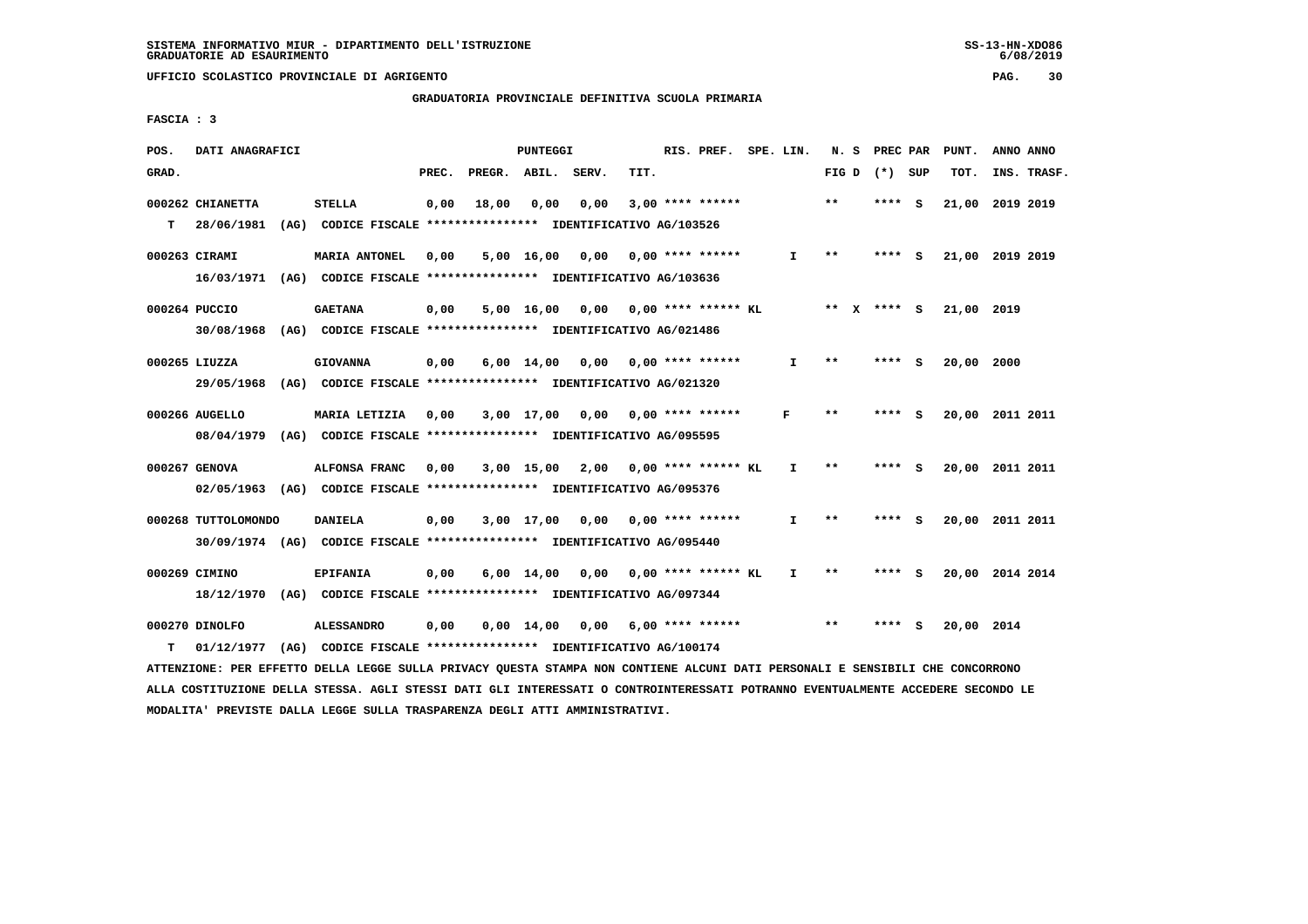# **GRADUATORIA PROVINCIALE DEFINITIVA SCUOLA PRIMARIA**

 **FASCIA : 3**

| POS.  | DATI ANAGRAFICI                                                                                                               |                   |       |                    | <b>PUNTEGGI</b> |                                                               |      | RIS. PREF. SPE. LIN. |              |       | N. S PREC PAR   | PUNT.           | ANNO ANNO |             |
|-------|-------------------------------------------------------------------------------------------------------------------------------|-------------------|-------|--------------------|-----------------|---------------------------------------------------------------|------|----------------------|--------------|-------|-----------------|-----------------|-----------|-------------|
| GRAD. |                                                                                                                               |                   | PREC. | PREGR. ABIL. SERV. |                 |                                                               | TIT. |                      |              |       | FIG D $(*)$ SUP | TOT.            |           | INS. TRASF. |
|       | 000262 CHIANETTA                                                                                                              | <b>STELLA</b>     | 0,00  | 18,00              | 0,00            | 0,00                                                          |      | $3,00$ **** ******   |              | $* *$ | $***$ S         | 21,00 2019 2019 |           |             |
| T.    | 28/06/1981 (AG) CODICE FISCALE **************** IDENTIFICATIVO AG/103526                                                      |                   |       |                    |                 |                                                               |      |                      |              |       |                 |                 |           |             |
|       |                                                                                                                               |                   |       |                    |                 |                                                               |      |                      |              |       |                 |                 |           |             |
|       | 000263 CIRAMI                                                                                                                 | MARIA ANTONEL     | 0,00  |                    |                 | $5,00$ 16,00 0,00 0,00 **** ******                            |      |                      | I.           | $* *$ | **** S          | 21,00 2019 2019 |           |             |
|       | 16/03/1971 (AG) CODICE FISCALE *************** IDENTIFICATIVO AG/103636                                                       |                   |       |                    |                 |                                                               |      |                      |              |       |                 |                 |           |             |
|       |                                                                                                                               |                   |       |                    |                 |                                                               |      |                      |              |       |                 |                 |           |             |
|       | 000264 PUCCIO                                                                                                                 | <b>GAETANA</b>    | 0,00  |                    |                 | 5,00 16,00 0,00 0,00 **** ****** KL                           |      |                      |              |       | ** x **** s     | 21,00 2019      |           |             |
|       | 30/08/1968 (AG) CODICE FISCALE *************** IDENTIFICATIVO AG/021486                                                       |                   |       |                    |                 |                                                               |      |                      |              |       |                 |                 |           |             |
|       | 000265 LIUZZA                                                                                                                 | <b>GIOVANNA</b>   | 0,00  |                    |                 | $6,00 \quad 14,00 \quad 0,00$                                 |      | 0,00 **** ******     | $\mathbf{I}$ | $* *$ | **** S          | 20,00 2000      |           |             |
|       | 29/05/1968                                                                                                                    |                   |       |                    |                 | (AG) CODICE FISCALE **************** IDENTIFICATIVO AG/021320 |      |                      |              |       |                 |                 |           |             |
|       |                                                                                                                               |                   |       |                    |                 |                                                               |      |                      |              |       |                 |                 |           |             |
|       | 000266 AUGELLO                                                                                                                | MARIA LETIZIA     | 0,00  |                    |                 | $3,00$ 17,00 0,00 0,00 **** ******                            |      |                      | F            | $* *$ | **** S          | 20,00 2011 2011 |           |             |
|       | 08/04/1979 (AG) CODICE FISCALE *************** IDENTIFICATIVO AG/095595                                                       |                   |       |                    |                 |                                                               |      |                      |              |       |                 |                 |           |             |
|       |                                                                                                                               |                   |       |                    |                 |                                                               |      |                      |              |       |                 |                 |           |             |
|       | 000267 GENOVA                                                                                                                 | ALFONSA FRANC     | 0,00  |                    |                 | 3,00 15,00 2,00                                               |      | 0,00 **** ****** KL  | $\mathbf{I}$ | **    | $***$ S         | 20,00 2011 2011 |           |             |
|       | 02/05/1963 (AG) CODICE FISCALE *************** IDENTIFICATIVO AG/095376                                                       |                   |       |                    |                 |                                                               |      |                      |              |       |                 |                 |           |             |
|       | 000268 TUTTOLOMONDO                                                                                                           | <b>DANIELA</b>    | 0,00  |                    |                 | 3,00 17,00 0,00 0,00 **** ******                              |      |                      | $\mathbf{I}$ | $* *$ | $***5$          | 20,00 2011 2011 |           |             |
|       | 30/09/1974 (AG) CODICE FISCALE *************** IDENTIFICATIVO AG/095440                                                       |                   |       |                    |                 |                                                               |      |                      |              |       |                 |                 |           |             |
|       |                                                                                                                               |                   |       |                    |                 |                                                               |      |                      |              |       |                 |                 |           |             |
|       | 000269 CIMINO                                                                                                                 | <b>EPIFANIA</b>   | 0,00  |                    |                 | $6,00$ 14,00 0,00 0,00 **** ****** KL                         |      |                      | $\mathbf{I}$ | **    | **** S          | 20,00 2014 2014 |           |             |
|       | 18/12/1970 (AG) CODICE FISCALE *************** IDENTIFICATIVO AG/097344                                                       |                   |       |                    |                 |                                                               |      |                      |              |       |                 |                 |           |             |
|       |                                                                                                                               |                   |       |                    |                 |                                                               |      |                      |              |       |                 |                 |           |             |
|       | 000270 DINOLFO                                                                                                                | <b>ALESSANDRO</b> | 0,00  |                    |                 | 0,00 14,00 0,00                                               |      | 6,00 **** ******     |              | $***$ | **** S          | 20,00 2014      |           |             |
| т     | 01/12/1977 (AG) CODICE FISCALE **************** IDENTIFICATIVO AG/100174                                                      |                   |       |                    |                 |                                                               |      |                      |              |       |                 |                 |           |             |
|       | ATTENZIONE: PER EFFETTO DELLA LEGGE SULLA PRIVACY QUESTA STAMPA NON CONTIENE ALCUNI DATI PERSONALI E SENSIBILI CHE CONCORRONO |                   |       |                    |                 |                                                               |      |                      |              |       |                 |                 |           |             |

 **ALLA COSTITUZIONE DELLA STESSA. AGLI STESSI DATI GLI INTERESSATI O CONTROINTERESSATI POTRANNO EVENTUALMENTE ACCEDERE SECONDO LE**

 **MODALITA' PREVISTE DALLA LEGGE SULLA TRASPARENZA DEGLI ATTI AMMINISTRATIVI.**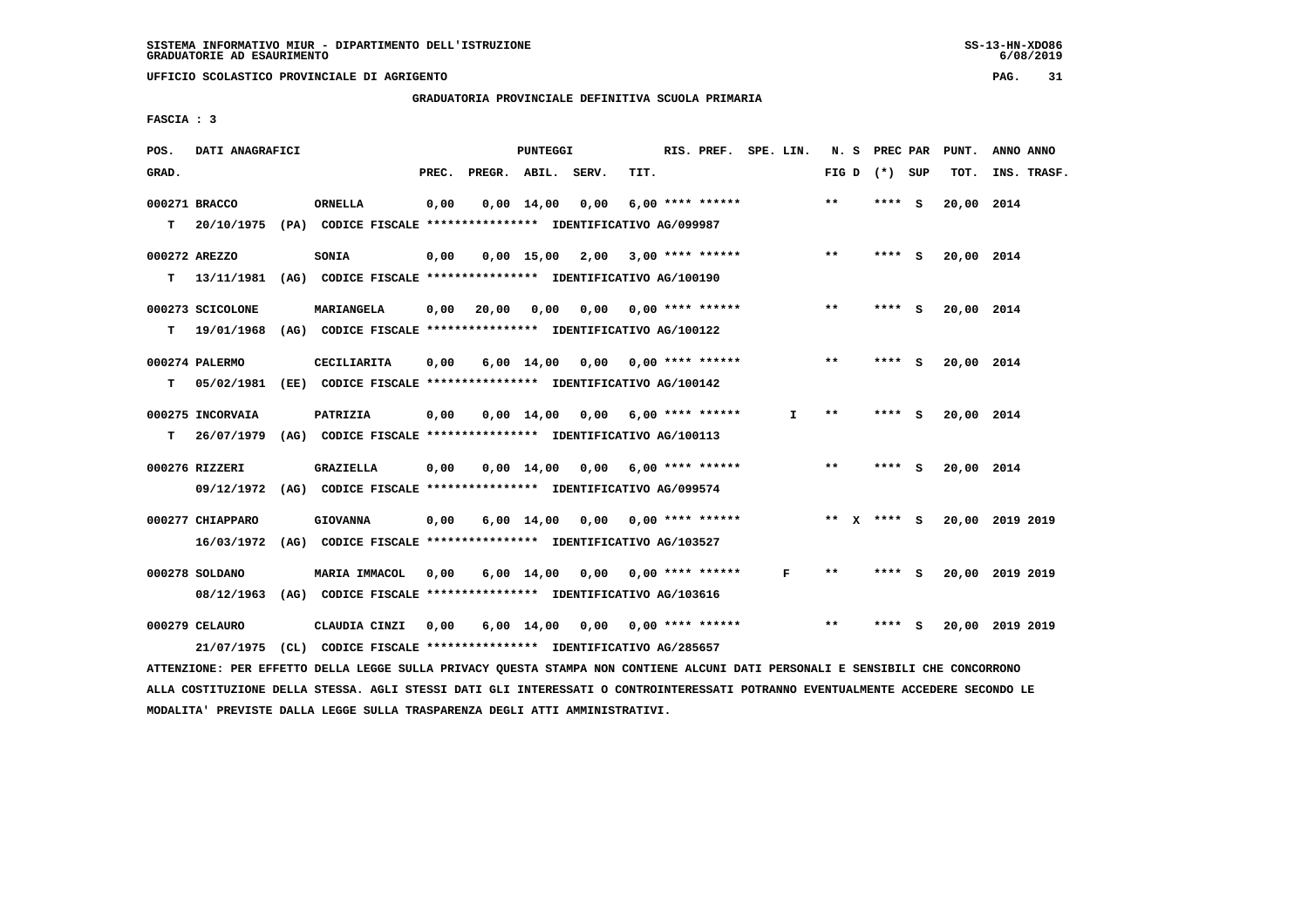**UFFICIO SCOLASTICO PROVINCIALE DI AGRIGENTO PAG. 31**

 **GRADUATORIA PROVINCIALE DEFINITIVA SCUOLA PRIMARIA**

 **FASCIA : 3**

| POS.  | DATI ANAGRAFICI  |                                                                                                                               |       |                    | PUNTEGGI           |                                    |      | RIS. PREF. SPE. LIN.      |    |       | N. S PREC PAR   |     | PUNT.      | ANNO ANNO       |  |
|-------|------------------|-------------------------------------------------------------------------------------------------------------------------------|-------|--------------------|--------------------|------------------------------------|------|---------------------------|----|-------|-----------------|-----|------------|-----------------|--|
| GRAD. |                  |                                                                                                                               | PREC. | PREGR. ABIL. SERV. |                    |                                    | TIT. |                           |    |       | FIG D $(*)$ SUP |     | TOT.       | INS. TRASF.     |  |
|       | 000271 BRACCO    | <b>ORNELLA</b>                                                                                                                | 0,00  |                    | $0,00$ 14,00       | 0,00                               |      | 6,00 **** ******          |    | $***$ | **** S          |     | 20,00 2014 |                 |  |
| T.    | 20/10/1975       | (PA) CODICE FISCALE *************** IDENTIFICATIVO AG/099987                                                                  |       |                    |                    |                                    |      |                           |    |       |                 |     |            |                 |  |
|       | 000272 AREZZO    | SONIA                                                                                                                         | 0,00  |                    |                    | $0,00$ 15,00 2,00 3,00 **** ****** |      |                           |    | **    | **** S          |     | 20,00 2014 |                 |  |
| т     | 13/11/1981       | (AG) CODICE FISCALE **************** IDENTIFICATIVO AG/100190                                                                 |       |                    |                    |                                    |      |                           |    |       |                 |     |            |                 |  |
|       |                  |                                                                                                                               |       |                    |                    |                                    |      |                           |    |       |                 |     |            |                 |  |
|       | 000273 SCICOLONE | MARIANGELA                                                                                                                    | 0,00  | 20,00              | 0,00               | 0,00                               |      | $0.00$ **** ******        |    | **    | **** S          |     | 20,00 2014 |                 |  |
| т     | 19/01/1968       | (AG) CODICE FISCALE **************** IDENTIFICATIVO AG/100122                                                                 |       |                    |                    |                                    |      |                           |    |       |                 |     |            |                 |  |
|       | 000274 PALERMO   | CECILIARITA                                                                                                                   | 0,00  |                    |                    | $6,00$ 14,00 0,00 0,00 **** ****** |      |                           |    | $**$  | **** S          |     | 20,00 2014 |                 |  |
| т     | 05/02/1981       | (EE) CODICE FISCALE **************** IDENTIFICATIVO AG/100142                                                                 |       |                    |                    |                                    |      |                           |    |       |                 |     |            |                 |  |
|       | 000275 INCORVAIA | PATRIZIA                                                                                                                      | 0,00  |                    |                    | $0,00$ 14,00 0,00 6,00 **** ****** |      |                           | I. | $* *$ | ****            | - S | 20,00 2014 |                 |  |
| т     | 26/07/1979       | (AG) CODICE FISCALE **************** IDENTIFICATIVO AG/100113                                                                 |       |                    |                    |                                    |      |                           |    |       |                 |     |            |                 |  |
|       |                  |                                                                                                                               |       |                    |                    |                                    |      |                           |    |       |                 |     |            |                 |  |
|       | 000276 RIZZERI   | GRAZIELLA                                                                                                                     | 0,00  |                    | $0.00$ 14.00       | 0.00                               |      | 6,00 **** ******          |    | **    | **** S          |     | 20,00 2014 |                 |  |
|       | 09/12/1972       | (AG) CODICE FISCALE **************** IDENTIFICATIVO AG/099574                                                                 |       |                    |                    |                                    |      |                           |    |       |                 |     |            |                 |  |
|       | 000277 CHIAPPARO | <b>GIOVANNA</b>                                                                                                               | 0,00  |                    |                    | 6,00 14,00 0,00                    |      | $0.00$ **** ******        |    |       | ** x **** S     |     |            | 20,00 2019 2019 |  |
|       | 16/03/1972       | (AG) CODICE FISCALE **************** IDENTIFICATIVO AG/103527                                                                 |       |                    |                    |                                    |      |                           |    |       |                 |     |            |                 |  |
|       | 000278 SOLDANO   | <b>MARIA IMMACOL</b>                                                                                                          | 0,00  |                    |                    | $6,00$ 14,00 0,00 0,00 **** ****** |      |                           | F  | $***$ | **** S          |     |            | 20,00 2019 2019 |  |
|       |                  | 08/12/1963 (AG) CODICE FISCALE *************** IDENTIFICATIVO AG/103616                                                       |       |                    |                    |                                    |      |                           |    |       |                 |     |            |                 |  |
|       |                  |                                                                                                                               |       |                    |                    |                                    |      |                           |    |       |                 |     |            |                 |  |
|       | 000279 CELAURO   | CLAUDIA CINZI                                                                                                                 | 0,00  |                    | $6,00 \quad 14,00$ |                                    |      | $0,00$ $0,00$ **** ****** |    | $**$  | **** S          |     |            | 20,00 2019 2019 |  |
|       | 21/07/1975       | (CL) CODICE FISCALE **************** IDENTIFICATIVO AG/285657                                                                 |       |                    |                    |                                    |      |                           |    |       |                 |     |            |                 |  |
|       |                  | ATTENZIONE: PER EFFETTO DELLA LEGGE SULLA PRIVACY QUESTA STAMPA NON CONTIENE ALCUNI DATI PERSONALI E SENSIBILI CHE CONCORRONO |       |                    |                    |                                    |      |                           |    |       |                 |     |            |                 |  |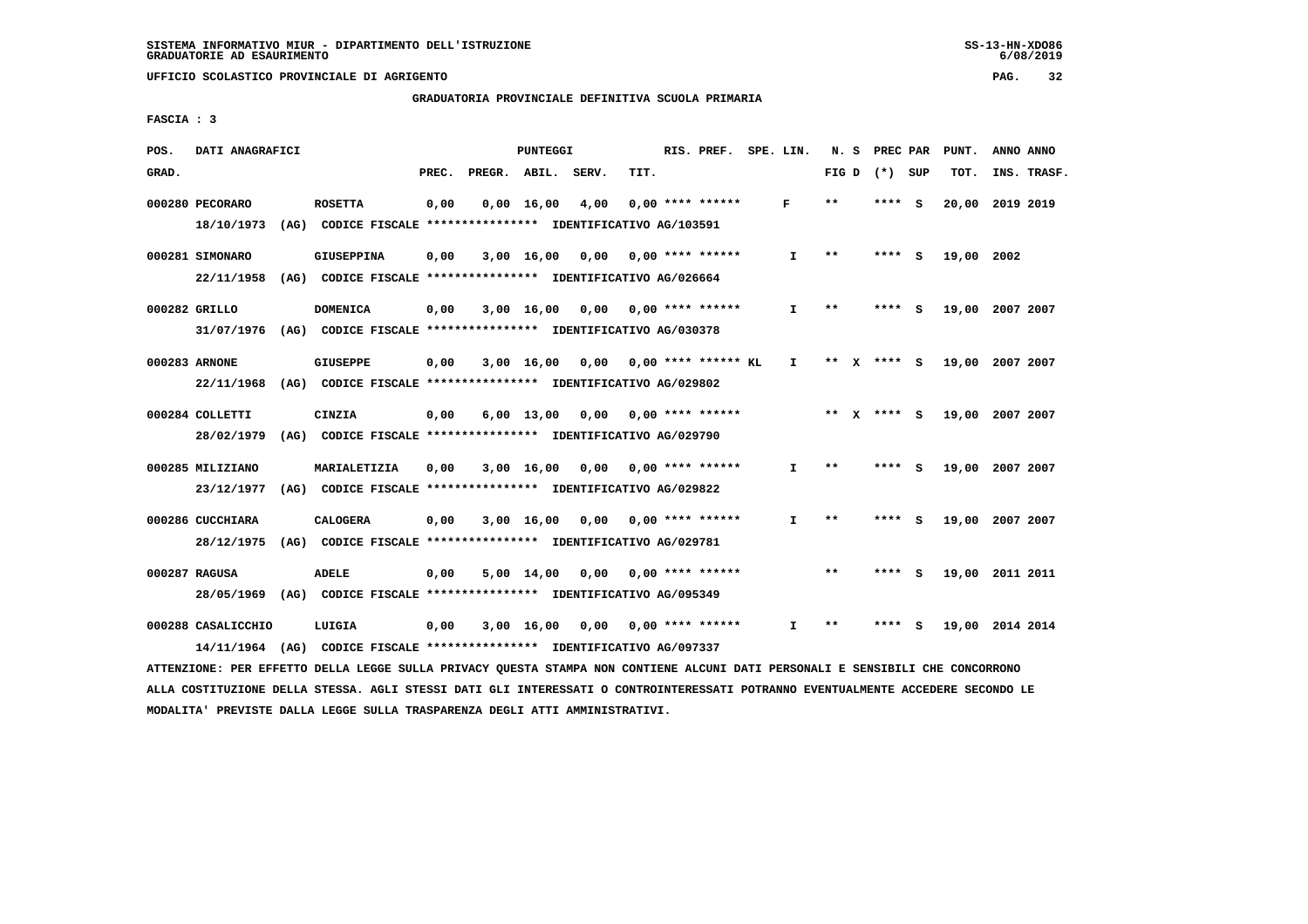# **GRADUATORIA PROVINCIALE DEFINITIVA SCUOLA PRIMARIA**

 **FASCIA : 3**

| POS.  | DATI ANAGRAFICI                  |                                                                                    |       |        | PUNTEGGI           |       |      | RIS. PREF.            | SPE. LIN. | N. S  |   | PREC PAR      |     | PUNT.           | ANNO ANNO |             |
|-------|----------------------------------|------------------------------------------------------------------------------------|-------|--------|--------------------|-------|------|-----------------------|-----------|-------|---|---------------|-----|-----------------|-----------|-------------|
| GRAD. |                                  |                                                                                    | PREC. | PREGR. | ABIL.              | SERV. | TIT. |                       |           | FIG D |   | (*) SUP       |     | TOT.            |           | INS. TRASF. |
|       | 000280 PECORARO<br>18/10/1973    | <b>ROSETTA</b><br>(AG) CODICE FISCALE **************** IDENTIFICATIVO AG/103591    | 0,00  |        | $0,00 \quad 16,00$ | 4,00  |      | $0.00$ **** ******    | F         | $* *$ |   | **** S        |     | 20,00           | 2019 2019 |             |
|       | 000281 SIMONARO<br>22/11/1958    | <b>GIUSEPPINA</b><br>(AG) CODICE FISCALE **************** IDENTIFICATIVO AG/026664 | 0,00  |        | 3,00 16,00         | 0,00  |      | $0.00$ **** ******    | I.        | $* *$ |   | **** S        |     | 19,00 2002      |           |             |
|       | 000282 GRILLO<br>31/07/1976      | <b>DOMENICA</b><br>(AG) CODICE FISCALE **************** IDENTIFICATIVO AG/030378   | 0,00  |        | $3,00$ 16,00       | 0,00  |      | $0.00$ **** ******    | Ι.        | **    |   | ****          | - S | 19,00 2007 2007 |           |             |
|       | 000283 ARNONE<br>22/11/1968      | <b>GIUSEPPE</b><br>(AG) CODICE FISCALE **************** IDENTIFICATIVO AG/029802   | 0,00  |        | 3,00 16,00         | 0,00  |      | $0.00$ **** ****** KL | I.        | $***$ | x | $***5$        |     | 19,00 2007 2007 |           |             |
|       | 000284 COLLETTI<br>28/02/1979    | CINZIA<br>(AG) CODICE FISCALE **************** IDENTIFICATIVO AG/029790            | 0,00  |        | $6,00 \quad 13,00$ | 0.00  |      | $0.00$ **** ******    |           |       |   | ** $X$ **** S |     | 19,00 2007 2007 |           |             |
|       | 000285 MILIZIANO<br>23/12/1977   | MARIALETIZIA<br>(AG) CODICE FISCALE **************** IDENTIFICATIVO AG/029822      | 0,00  |        | 3,00 16,00         | 0,00  |      | $0.00$ **** ******    | I.        | $***$ |   | **** S        |     | 19,00 2007 2007 |           |             |
|       | 000286 CUCCHIARA<br>28/12/1975   | <b>CALOGERA</b><br>(AG) CODICE FISCALE **************** IDENTIFICATIVO AG/029781   | 0,00  |        | 3,00 16,00         | 0,00  |      | $0.00$ **** ******    | I.        | **    |   | **** S        |     | 19,00 2007 2007 |           |             |
|       | 000287 RAGUSA<br>28/05/1969      | <b>ADELE</b><br>(AG) CODICE FISCALE **************** IDENTIFICATIVO AG/095349      | 0,00  |        | 5,00 14,00         | 0,00  |      | $0.00$ **** ******    |           | $***$ |   | ****          | - S | 19,00 2011 2011 |           |             |
|       | 000288 CASALICCHIO<br>14/11/1964 | LUIGIA<br>(AG) CODICE FISCALE **************** IDENTIFICATIVO AG/097337            | 0,00  |        | $3,00$ 16,00       | 0.00  |      | $0.00$ **** ******    | I.        | **    |   | ****          | S   | 19,00           | 2014 2014 |             |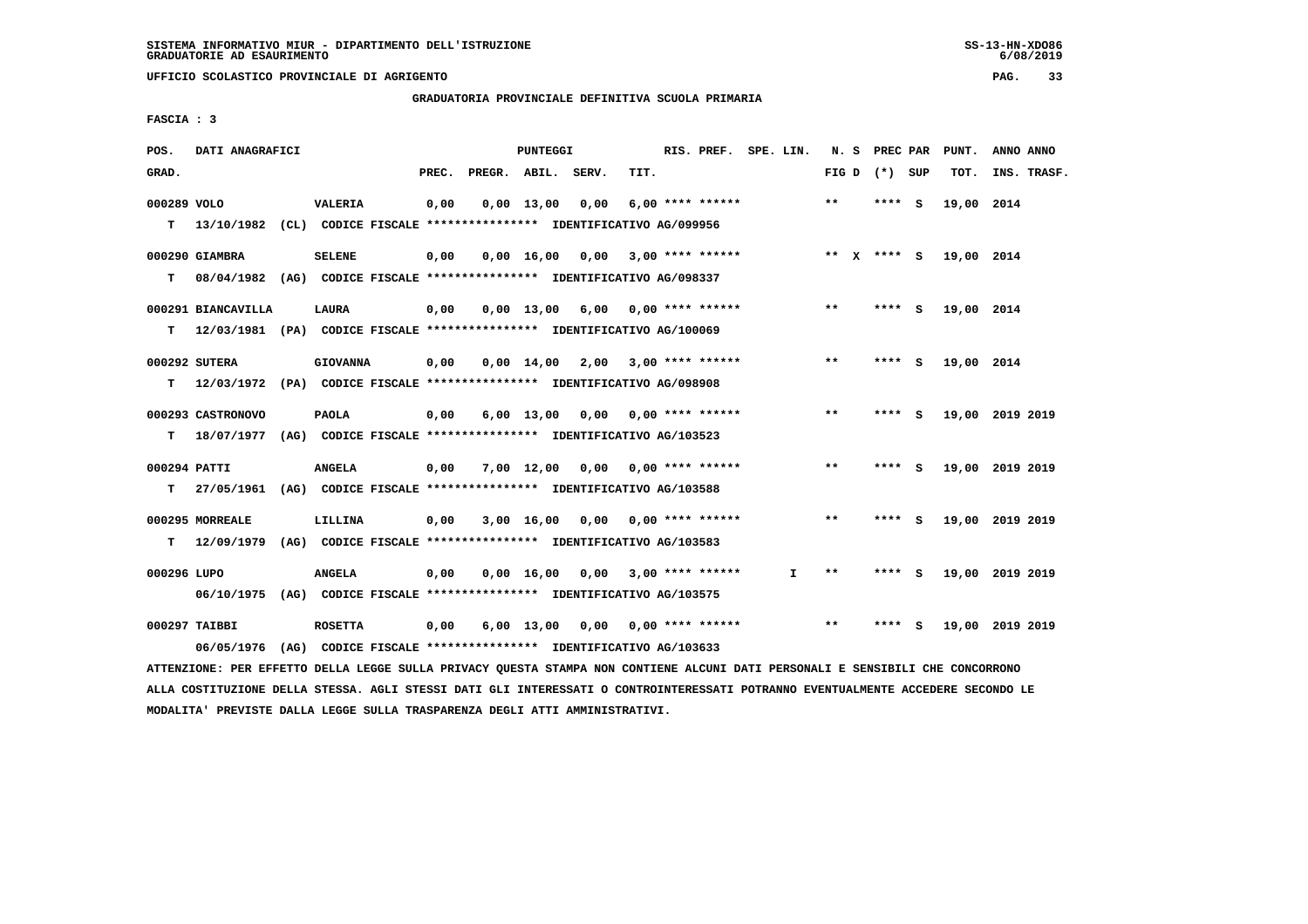**UFFICIO SCOLASTICO PROVINCIALE DI AGRIGENTO PAG. 33**

 **GRADUATORIA PROVINCIALE DEFINITIVA SCUOLA PRIMARIA**

 **FASCIA : 3**

| POS.         | DATI ANAGRAFICI                                                                                                               |                                                               |       | PUNTEGGI |                                    |      | RIS. PREF. SPE. LIN. |              |       | N. S PREC PAR   | PUNT.           | ANNO ANNO |             |
|--------------|-------------------------------------------------------------------------------------------------------------------------------|---------------------------------------------------------------|-------|----------|------------------------------------|------|----------------------|--------------|-------|-----------------|-----------------|-----------|-------------|
| GRAD.        |                                                                                                                               |                                                               | PREC. |          | PREGR. ABIL. SERV.                 | TIT. |                      |              |       | FIG D $(*)$ SUP | тот.            |           | INS. TRASF. |
| 000289 VOLO  |                                                                                                                               | <b>VALERIA</b>                                                | 0,00  |          | $0,00$ 13,00 0,00                  |      | $6.00$ **** ******   |              | $***$ | **** S          | 19,00 2014      |           |             |
|              | T 13/10/1982 (CL) CODICE FISCALE *************** IDENTIFICATIVO AG/099956                                                     |                                                               |       |          |                                    |      |                      |              |       |                 |                 |           |             |
|              | 000290 GIAMBRA                                                                                                                | <b>SELENE</b>                                                 | 0,00  |          | $0,00$ 16,00 0,00 3,00 **** ****** |      |                      |              |       | ** X **** S     | 19,00 2014      |           |             |
|              | T 08/04/1982 (AG) CODICE FISCALE *************** IDENTIFICATIVO AG/098337                                                     |                                                               |       |          |                                    |      |                      |              |       |                 |                 |           |             |
|              | 000291 BIANCAVILLA                                                                                                            | <b>LAURA</b>                                                  | 0,00  |          | $0.00$ 13.00 6,00 0,00 **** ****** |      |                      |              | $***$ | $***$ S         | 19,00 2014      |           |             |
| T.           | 12/03/1981 (PA) CODICE FISCALE *************** IDENTIFICATIVO AG/100069                                                       |                                                               |       |          |                                    |      |                      |              |       |                 |                 |           |             |
|              | 000292 SUTERA                                                                                                                 | <b>GIOVANNA</b>                                               | 0,00  |          | $0,00$ 14,00 2,00 3,00 **** ****** |      |                      |              | **    | $***$ S         | 19,00 2014      |           |             |
|              | T 12/03/1972 (PA) CODICE FISCALE **************** IDENTIFICATIVO AG/098908                                                    |                                                               |       |          |                                    |      |                      |              |       |                 |                 |           |             |
|              |                                                                                                                               |                                                               |       |          |                                    |      |                      |              |       |                 |                 |           |             |
|              | 000293 CASTRONOVO                                                                                                             | <b>PAOLA</b>                                                  | 0,00  |          | $6,00$ 13,00 0,00 0,00 **** ****** |      |                      |              | $***$ | $***$ S         | 19,00 2019 2019 |           |             |
|              | T 18/07/1977 (AG) CODICE FISCALE *************** IDENTIFICATIVO AG/103523                                                     |                                                               |       |          |                                    |      |                      |              |       |                 |                 |           |             |
| 000294 PATTI |                                                                                                                               | <b>ANGELA</b>                                                 | 0,00  |          | 7,00 12,00 0,00 0,00 **** ******   |      |                      |              | $***$ | $***$ S         | 19,00 2019 2019 |           |             |
|              | T 27/05/1961 (AG) CODICE FISCALE *************** IDENTIFICATIVO AG/103588                                                     |                                                               |       |          |                                    |      |                      |              |       |                 |                 |           |             |
|              | 000295 MORREALE                                                                                                               | LILLINA                                                       | 0,00  |          | $3,00$ 16,00 0,00 0,00 **** ****** |      |                      |              | **    | **** S          | 19,00 2019 2019 |           |             |
|              | T 12/09/1979 (AG) CODICE FISCALE *************** IDENTIFICATIVO AG/103583                                                     |                                                               |       |          |                                    |      |                      |              |       |                 |                 |           |             |
| 000296 LUPO  |                                                                                                                               | <b>ANGELA</b>                                                 | 0,00  |          | $0,00$ 16,00 0,00 3,00 **** ****** |      |                      | $\mathbf{I}$ | $***$ | $***$ S         | 19,00 2019 2019 |           |             |
|              | 06/10/1975 (AG) CODICE FISCALE *************** IDENTIFICATIVO AG/103575                                                       |                                                               |       |          |                                    |      |                      |              |       |                 |                 |           |             |
|              | 000297 TAIBBI                                                                                                                 | <b>ROSETTA</b>                                                | 0,00  |          | 6,00 13,00 0,00 0,00 **** ******   |      |                      |              | $***$ | **** S          | 19,00 2019 2019 |           |             |
|              | 06/05/1976                                                                                                                    | (AG) CODICE FISCALE **************** IDENTIFICATIVO AG/103633 |       |          |                                    |      |                      |              |       |                 |                 |           |             |
|              | ATTENZIONE: PER EFFETTO DELLA LEGGE SULLA PRIVACY QUESTA STAMPA NON CONTIENE ALCUNI DATI PERSONALI E SENSIBILI CHE CONCORRONO |                                                               |       |          |                                    |      |                      |              |       |                 |                 |           |             |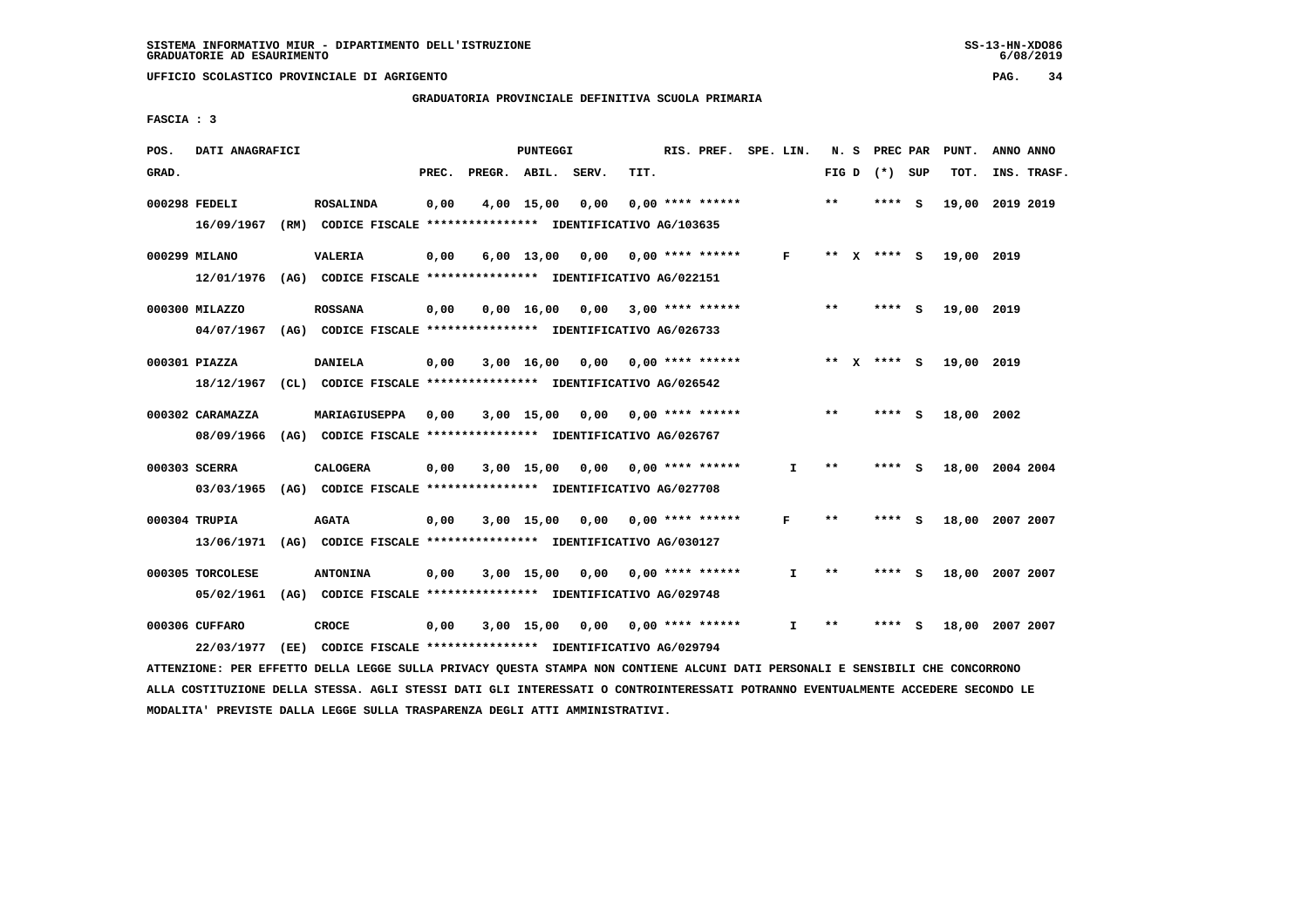### **GRADUATORIA PROVINCIALE DEFINITIVA SCUOLA PRIMARIA**

 **FASCIA : 3**

| POS.  | DATI ANAGRAFICI  |                                                                                                                               |       |                    | PUNTEGGI     |                                    |      | RIS. PREF. SPE. LIN.      |    |       | N. S PREC PAR   |     | PUNT.           | ANNO ANNO |             |
|-------|------------------|-------------------------------------------------------------------------------------------------------------------------------|-------|--------------------|--------------|------------------------------------|------|---------------------------|----|-------|-----------------|-----|-----------------|-----------|-------------|
| GRAD. |                  |                                                                                                                               | PREC. | PREGR. ABIL. SERV. |              |                                    | TIT. |                           |    |       | FIG D $(*)$ SUP |     | TOT.            |           | INS. TRASF. |
|       | 000298 FEDELI    | <b>ROSALINDA</b>                                                                                                              | 0,00  |                    | 4,00 15,00   | 0,00                               |      | $0.00$ **** ******        |    | $**$  | ****            | - S | 19,00 2019 2019 |           |             |
|       | 16/09/1967       | (RM) CODICE FISCALE **************** IDENTIFICATIVO AG/103635                                                                 |       |                    |              |                                    |      |                           |    |       |                 |     |                 |           |             |
|       | 000299 MILANO    | <b>VALERIA</b>                                                                                                                | 0,00  |                    | $6,00$ 13,00 |                                    |      | $0.00$ $0.00$ **** ****** | F  |       | ** X **** S     |     | 19,00 2019      |           |             |
|       | 12/01/1976       | (AG) CODICE FISCALE **************** IDENTIFICATIVO AG/022151                                                                 |       |                    |              |                                    |      |                           |    |       |                 |     |                 |           |             |
|       | 000300 MILAZZO   | <b>ROSSANA</b>                                                                                                                | 0,00  |                    |              | $0,00$ 16,00 0,00 3,00 **** ****** |      |                           |    | **    | **** S          |     | 19,00 2019      |           |             |
|       |                  | 04/07/1967 (AG) CODICE FISCALE *************** IDENTIFICATIVO AG/026733                                                       |       |                    |              |                                    |      |                           |    |       |                 |     |                 |           |             |
|       | 000301 PIAZZA    | <b>DANIELA</b>                                                                                                                | 0,00  |                    |              | $3,00$ 16,00 0,00 0,00 **** ****** |      |                           |    |       | ** x **** S     |     | 19,00 2019      |           |             |
|       | 18/12/1967       | (CL) CODICE FISCALE **************** IDENTIFICATIVO AG/026542                                                                 |       |                    |              |                                    |      |                           |    |       |                 |     |                 |           |             |
|       | 000302 CARAMAZZA | MARIAGIUSEPPA                                                                                                                 | 0,00  |                    | $3,00$ 15,00 |                                    |      | $0.00$ $0.00$ **** ****** |    | $**$  | ****            | - S | 18,00 2002      |           |             |
|       | 08/09/1966       | (AG) CODICE FISCALE **************** IDENTIFICATIVO AG/026767                                                                 |       |                    |              |                                    |      |                           |    |       |                 |     |                 |           |             |
|       | 000303 SCERRA    | <b>CALOGERA</b>                                                                                                               | 0,00  |                    |              | 3,00 15,00 0,00                    |      | $0.00$ **** ******        | I. | **    | **** S          |     | 18,00 2004 2004 |           |             |
|       |                  | 03/03/1965 (AG) CODICE FISCALE *************** IDENTIFICATIVO AG/027708                                                       |       |                    |              |                                    |      |                           |    |       |                 |     |                 |           |             |
|       | 000304 TRUPIA    | <b>AGATA</b>                                                                                                                  | 0,00  |                    |              | $3,00$ 15,00 0,00 0,00 **** ****** |      |                           | F  | **    | **** S          |     | 18,00 2007 2007 |           |             |
|       |                  | 13/06/1971 (AG) CODICE FISCALE *************** IDENTIFICATIVO AG/030127                                                       |       |                    |              |                                    |      |                           |    |       |                 |     |                 |           |             |
|       | 000305 TORCOLESE | <b>ANTONINA</b>                                                                                                               | 0,00  |                    | $3,00$ 15,00 | 0.00                               |      | $0.00$ **** ******        | I. | $**$  | **** S          |     | 18,00 2007 2007 |           |             |
|       | 05/02/1961       | (AG) CODICE FISCALE **************** IDENTIFICATIVO AG/029748                                                                 |       |                    |              |                                    |      |                           |    |       |                 |     |                 |           |             |
|       | 000306 CUFFARO   | <b>CROCE</b>                                                                                                                  | 0,00  |                    |              | $3,00$ 15,00 0,00 0,00 **** ****** |      |                           | I. | $* *$ | **** S          |     | 18,00 2007 2007 |           |             |
|       | 22/03/1977       | (EE) CODICE FISCALE **************** IDENTIFICATIVO AG/029794                                                                 |       |                    |              |                                    |      |                           |    |       |                 |     |                 |           |             |
|       |                  | ATTENZIONE: PER EFFETTO DELLA LEGGE SULLA PRIVACY QUESTA STAMPA NON CONTIENE ALCUNI DATI PERSONALI E SENSIBILI CHE CONCORRONO |       |                    |              |                                    |      |                           |    |       |                 |     |                 |           |             |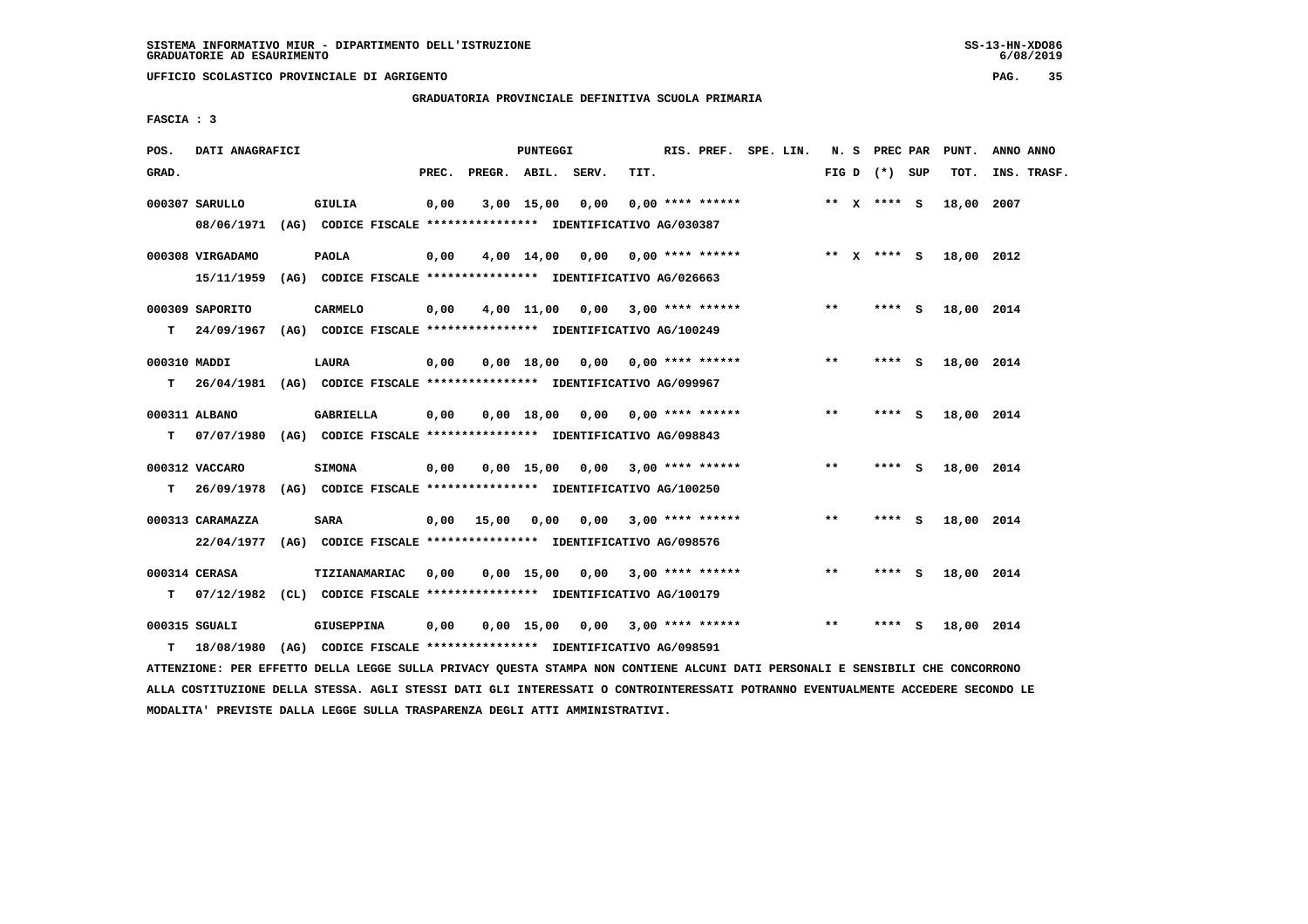**UFFICIO SCOLASTICO PROVINCIALE DI AGRIGENTO PAG. 35**

 **GRADUATORIA PROVINCIALE DEFINITIVA SCUOLA PRIMARIA**

 **FASCIA : 3**

| POS.         | DATI ANAGRAFICI                                                                           |                   |       |              | PUNTEGGI     |                                                               |      | RIS. PREF. SPE. LIN.    |  |       | N. S PREC PAR   |   | PUNT.      | ANNO ANNO   |  |
|--------------|-------------------------------------------------------------------------------------------|-------------------|-------|--------------|--------------|---------------------------------------------------------------|------|-------------------------|--|-------|-----------------|---|------------|-------------|--|
| GRAD.        |                                                                                           |                   | PREC. |              |              | PREGR. ABIL. SERV.                                            | TIT. |                         |  |       | FIG D $(*)$ SUP |   | TOT.       | INS. TRASF. |  |
|              | 000307 SARULLO<br>08/06/1971 (AG) CODICE FISCALE *************** IDENTIFICATIVO AG/030387 | <b>GIULIA</b>     | 0,00  |              | 3,00 15,00   | 0,00                                                          |      | $0.00$ **** ******      |  |       | ** $X$ **** S   |   | 18,00      | 2007        |  |
|              |                                                                                           |                   |       |              |              |                                                               |      |                         |  |       |                 |   |            |             |  |
|              | 000308 VIRGADAMO                                                                          | <b>PAOLA</b>      | 0,00  |              |              | $4,00$ $14,00$ $0,00$ $0,00$ $***$ **** ******                |      |                         |  |       | ** x **** S     |   | 18,00 2012 |             |  |
|              | 15/11/1959                                                                                |                   |       |              |              | (AG) CODICE FISCALE **************** IDENTIFICATIVO AG/026663 |      |                         |  |       |                 |   |            |             |  |
|              | 000309 SAPORITO                                                                           | <b>CARMELO</b>    | 0,00  |              |              | $4,00$ 11,00 0,00 3,00 **** ******                            |      |                         |  | $***$ | **** S          |   | 18,00 2014 |             |  |
| T.           | 24/09/1967 (AG) CODICE FISCALE *************** IDENTIFICATIVO AG/100249                   |                   |       |              |              |                                                               |      |                         |  |       |                 |   |            |             |  |
| 000310 MADDI |                                                                                           | LAURA             | 0,00  |              | 0,00 18,00   |                                                               |      | $0,00$ 0,00 **** ****** |  | $***$ | **** S          |   | 18,00 2014 |             |  |
| T.           | 26/04/1981 (AG) CODICE FISCALE **************** IDENTIFICATIVO AG/099967                  |                   |       |              |              |                                                               |      |                         |  |       |                 |   |            |             |  |
|              |                                                                                           |                   |       |              |              |                                                               |      |                         |  | $***$ |                 |   |            |             |  |
| T.           | 000311 ALBANO<br>07/07/1980 (AG) CODICE FISCALE *************** IDENTIFICATIVO AG/098843  | <b>GABRIELLA</b>  | 0,00  |              |              | $0,00$ 18,00 0,00 0,00 **** ******                            |      |                         |  |       | **** S          |   | 18,00 2014 |             |  |
|              |                                                                                           |                   |       |              |              |                                                               |      |                         |  |       |                 |   |            |             |  |
|              | 000312 VACCARO                                                                            | <b>SIMONA</b>     | 0,00  |              |              | $0,00$ 15,00 0,00 3,00 **** ******                            |      |                         |  | $* *$ | $***$ S         |   | 18,00 2014 |             |  |
| T.           | 26/09/1978 (AG) CODICE FISCALE **************** IDENTIFICATIVO AG/100250                  |                   |       |              |              |                                                               |      |                         |  |       |                 |   |            |             |  |
|              | 000313 CARAMAZZA                                                                          | <b>SARA</b>       |       | $0,00$ 15,00 | 0,00         |                                                               |      | $0.00$ 3.00 **** ****** |  | $* *$ | **** S          |   | 18,00 2014 |             |  |
|              | 22/04/1977                                                                                |                   |       |              |              | (AG) CODICE FISCALE *************** IDENTIFICATIVO AG/098576  |      |                         |  |       |                 |   |            |             |  |
|              | 000314 CERASA                                                                             | TIZIANAMARIAC     | 0,00  |              | $0,00$ 15,00 | 0,00                                                          |      | $3,00$ **** ******      |  | $* *$ | **** S          |   | 18,00 2014 |             |  |
| т            | 07/12/1982 (CL) CODICE FISCALE *************** IDENTIFICATIVO AG/100179                   |                   |       |              |              |                                                               |      |                         |  |       |                 |   |            |             |  |
|              |                                                                                           |                   |       |              |              |                                                               |      |                         |  | $* *$ |                 |   |            |             |  |
| т            | 000315 SGUALI<br>18/08/1980 (AG) CODICE FISCALE *************** IDENTIFICATIVO AG/098591  | <b>GIUSEPPINA</b> | 0,00  |              | $0,00$ 15,00 | 0,00                                                          |      | 3,00 **** ******        |  |       | ****            | s | 18,00 2014 |             |  |
|              |                                                                                           |                   |       |              |              |                                                               |      |                         |  |       |                 |   |            |             |  |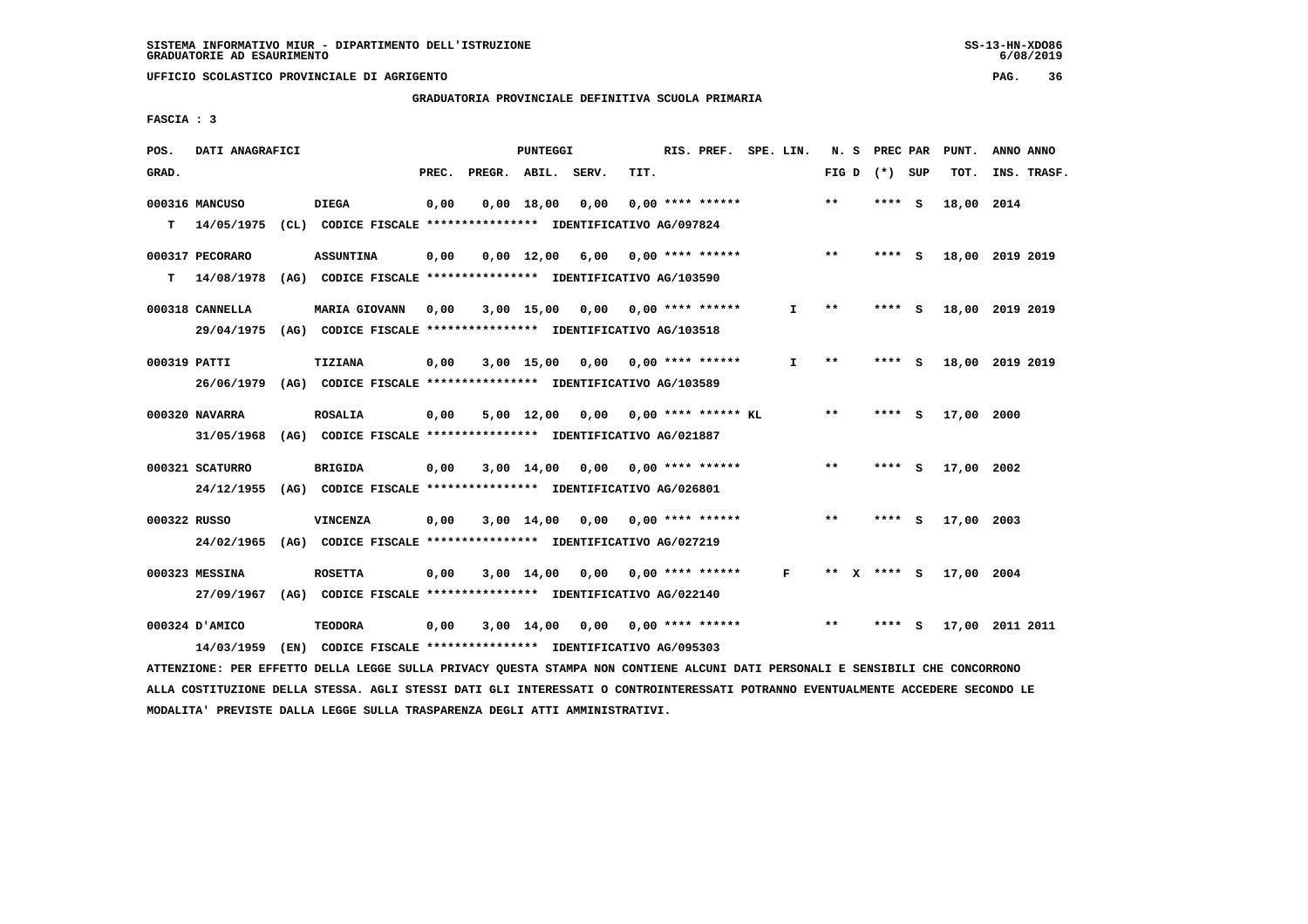**UFFICIO SCOLASTICO PROVINCIALE DI AGRIGENTO PAG. 36**

# **GRADUATORIA PROVINCIALE DEFINITIVA SCUOLA PRIMARIA**

 **FASCIA : 3**

| POS.         | DATI ANAGRAFICI |                                                               |       |                    | PUNTEGGI           |                 |      | RIS. PREF. SPE. LIN.      |    | N. S         |      | PREC PAR        | PUNT.      | ANNO ANNO       |
|--------------|-----------------|---------------------------------------------------------------|-------|--------------------|--------------------|-----------------|------|---------------------------|----|--------------|------|-----------------|------------|-----------------|
| GRAD.        |                 |                                                               | PREC. | PREGR. ABIL. SERV. |                    |                 | TIT. |                           |    |              |      | FIG D $(*)$ SUP | TOT.       | INS. TRASF.     |
|              | 000316 MANCUSO  | <b>DIEGA</b>                                                  | 0,00  |                    | 0.00 18.00         | 0,00            |      | $0.00$ **** ******        |    | $* *$        |      | **** S          | 18,00 2014 |                 |
| т            | 14/05/1975      | (CL) CODICE FISCALE **************** IDENTIFICATIVO AG/097824 |       |                    |                    |                 |      |                           |    |              |      |                 |            |                 |
|              | 000317 PECORARO | <b>ASSUNTINA</b>                                              | 0,00  |                    | $0.00 \quad 12.00$ | 6,00            |      | 0,00 **** ******          |    | $* *$        |      | $***$ S         |            | 18,00 2019 2019 |
| т            | 14/08/1978      | (AG) CODICE FISCALE **************** IDENTIFICATIVO AG/103590 |       |                    |                    |                 |      |                           |    |              |      |                 |            |                 |
|              | 000318 CANNELLA | <b>MARIA GIOVANN</b>                                          | 0,00  |                    | 3,00 15,00         |                 |      | $0,00$ $0,00$ **** ****** | I. | $***$        |      | **** S          |            | 18,00 2019 2019 |
|              | 29/04/1975      | (AG) CODICE FISCALE **************** IDENTIFICATIVO AG/103518 |       |                    |                    |                 |      |                           |    |              |      |                 |            |                 |
| 000319 PATTI |                 | <b>TIZIANA</b>                                                | 0,00  |                    | $3,00$ 15,00       | 0,00            |      | 0,00 **** ******          | I. | $* *$        |      | **** S          |            | 18,00 2019 2019 |
|              | 26/06/1979      | (AG) CODICE FISCALE **************** IDENTIFICATIVO AG/103589 |       |                    |                    |                 |      |                           |    |              |      |                 |            |                 |
|              | 000320 NAVARRA  | <b>ROSALIA</b>                                                | 0,00  |                    |                    | 5,00 12,00 0,00 |      | $0.00$ **** ****** KL     |    | $\star\star$ |      | **** S          | 17,00 2000 |                 |
|              | 31/05/1968      | (AG) CODICE FISCALE **************** IDENTIFICATIVO AG/021887 |       |                    |                    |                 |      |                           |    |              |      |                 |            |                 |
|              | 000321 SCATURRO | <b>BRIGIDA</b>                                                | 0,00  |                    | $3,00 \quad 14,00$ | 0.00            |      | 0,00 **** ******          |    | $* *$        | **** | - S             | 17,00 2002 |                 |
|              | 24/12/1955      | (AG) CODICE FISCALE **************** IDENTIFICATIVO AG/026801 |       |                    |                    |                 |      |                           |    |              |      |                 |            |                 |
| 000322 RUSSO |                 | VINCENZA                                                      | 0,00  |                    | 3,00 14,00         |                 |      | $0,00$ $0,00$ **** ****** |    | $* *$        | **** | - S             | 17,00 2003 |                 |
|              | 24/02/1965      | (AG) CODICE FISCALE **************** IDENTIFICATIVO AG/027219 |       |                    |                    |                 |      |                           |    |              |      |                 |            |                 |
|              | 000323 MESSINA  | <b>ROSETTA</b>                                                | 0,00  |                    | $3,00$ 14,00       | 0,00            |      | $0.00$ **** ******        | F  | **           |      | **** S          | 17,00 2004 |                 |
|              | 27/09/1967      | (AG) CODICE FISCALE **************** IDENTIFICATIVO AG/022140 |       |                    |                    |                 |      |                           |    |              |      |                 |            |                 |
|              | 000324 D'AMICO  | <b>TEODORA</b>                                                | 0,00  |                    | 3,00 14,00         | 0.00            |      | 0,00 **** ******          |    | $**$         | **** | - S             |            | 17,00 2011 2011 |
|              | 14/03/1959      | (EN) CODICE FISCALE *************** IDENTIFICATIVO AG/095303  |       |                    |                    |                 |      |                           |    |              |      |                 |            |                 |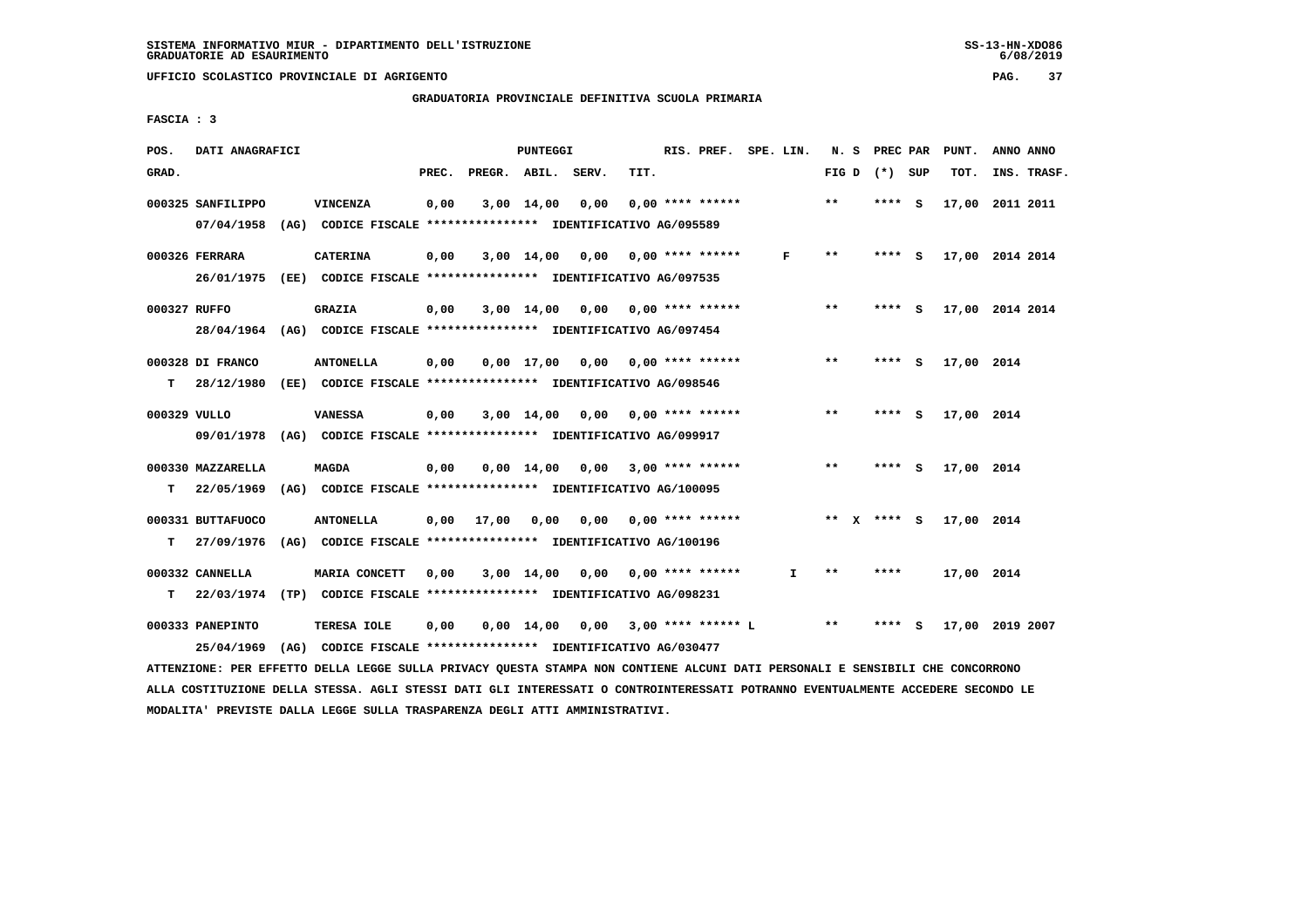### **GRADUATORIA PROVINCIALE DEFINITIVA SCUOLA PRIMARIA**

 **FASCIA : 3**

| POS.         | DATI ANAGRAFICI   |                                                                                                             |       |                    | PUNTEGGI     |                                      |      | RIS. PREF. SPE. LIN.      |              |       | N. S | PREC PAR        | PUNT.      | ANNO ANNO       |  |
|--------------|-------------------|-------------------------------------------------------------------------------------------------------------|-------|--------------------|--------------|--------------------------------------|------|---------------------------|--------------|-------|------|-----------------|------------|-----------------|--|
| GRAD.        |                   |                                                                                                             | PREC. | PREGR. ABIL. SERV. |              |                                      | TIT. |                           |              |       |      | FIG D $(*)$ SUP | TOT.       | INS. TRASF.     |  |
|              | 000325 SANFILIPPO | VINCENZA                                                                                                    | 0,00  |                    | $3,00$ 14,00 | 0,00                                 |      | $0.00$ **** ******        |              | $* *$ |      | **** S          |            | 17,00 2011 2011 |  |
|              | 07/04/1958        | (AG) CODICE FISCALE **************** IDENTIFICATIVO AG/095589                                               |       |                    |              |                                      |      |                           |              |       |      |                 |            |                 |  |
|              | 000326 FERRARA    | <b>CATERINA</b>                                                                                             | 0,00  |                    | $3,00$ 14,00 |                                      |      | $0,00$ $0,00$ **** ****** | F            | $***$ |      | **** S          |            | 17,00 2014 2014 |  |
|              | 26/01/1975        | (EE) CODICE FISCALE *************** IDENTIFICATIVO AG/097535                                                |       |                    |              |                                      |      |                           |              |       |      |                 |            |                 |  |
|              |                   |                                                                                                             |       |                    |              |                                      |      |                           |              |       |      |                 |            |                 |  |
| 000327 RUFFO |                   | <b>GRAZIA</b>                                                                                               | 0,00  |                    | 3,00 14,00   | 0,00                                 |      | $0.00$ **** ******        |              | **    |      | **** S          |            | 17,00 2014 2014 |  |
|              | 28/04/1964        | (AG) CODICE FISCALE **************** IDENTIFICATIVO AG/097454                                               |       |                    |              |                                      |      |                           |              |       |      |                 |            |                 |  |
|              | 000328 DI FRANCO  | <b>ANTONELLA</b>                                                                                            | 0,00  |                    |              | $0,00$ 17,00 0,00 0,00 **** ******   |      |                           |              | $* *$ |      | **** S          | 17,00 2014 |                 |  |
| т            | 28/12/1980        | (EE) CODICE FISCALE **************** IDENTIFICATIVO AG/098546                                               |       |                    |              |                                      |      |                           |              |       |      |                 |            |                 |  |
| 000329 VULLO |                   | <b>VANESSA</b>                                                                                              | 0,00  |                    |              | $3,00$ 14,00 0,00 0,00 **** ******   |      |                           |              | $**$  |      | **** S          | 17,00 2014 |                 |  |
|              | 09/01/1978        | (AG) CODICE FISCALE **************** IDENTIFICATIVO AG/099917                                               |       |                    |              |                                      |      |                           |              |       |      |                 |            |                 |  |
|              |                   |                                                                                                             |       |                    |              |                                      |      |                           |              |       |      |                 |            |                 |  |
|              | 000330 MAZZARELLA | <b>MAGDA</b>                                                                                                | 0,00  |                    |              | $0,00$ 14,00 0,00 3,00 **** ******   |      |                           |              | $***$ |      | **** S          | 17,00 2014 |                 |  |
| т            | 22/05/1969        | (AG) CODICE FISCALE **************** IDENTIFICATIVO AG/100095                                               |       |                    |              |                                      |      |                           |              |       |      |                 |            |                 |  |
|              | 000331 BUTTAFUOCO | <b>ANTONELLA</b>                                                                                            | 0,00  | 17,00              | 0,00         | 0,00                                 |      | $0.00$ **** ******        |              |       |      | ** x **** s     | 17,00 2014 |                 |  |
| т            | 27/09/1976        | (AG) CODICE FISCALE **************** IDENTIFICATIVO AG/100196                                               |       |                    |              |                                      |      |                           |              |       |      |                 |            |                 |  |
|              | 000332 CANNELLA   | MARIA CONCETT                                                                                               | 0,00  |                    |              | 3,00 14,00 0,00                      |      | $0.00$ **** ******        | $\mathbf{I}$ | $* *$ |      | ****            | 17,00 2014 |                 |  |
|              |                   | (TP) CODICE FISCALE **************** IDENTIFICATIVO AG/098231                                               |       |                    |              |                                      |      |                           |              |       |      |                 |            |                 |  |
| т            | 22/03/1974        |                                                                                                             |       |                    |              |                                      |      |                           |              |       |      |                 |            |                 |  |
|              | 000333 PANEPINTO  | TERESA IOLE                                                                                                 | 0,00  |                    |              | $0,00$ 14,00 0,00 3,00 **** ****** L |      |                           |              | $***$ |      | **** S          |            | 17,00 2019 2007 |  |
|              | 25/04/1969        | (AG) CODICE FISCALE **************** IDENTIFICATIVO AG/030477                                               |       |                    |              |                                      |      |                           |              |       |      |                 |            |                 |  |
|              |                   | RRENERANE AEA EESERRA AEIIA IEAAS AUIIA ARTUAN AUSARA ARAIAA NAU AANRISHE AIANEI AART AEAAANIIF E ASNATATIT |       |                    |              |                                      |      |                           |              |       |      |                 |            |                 |  |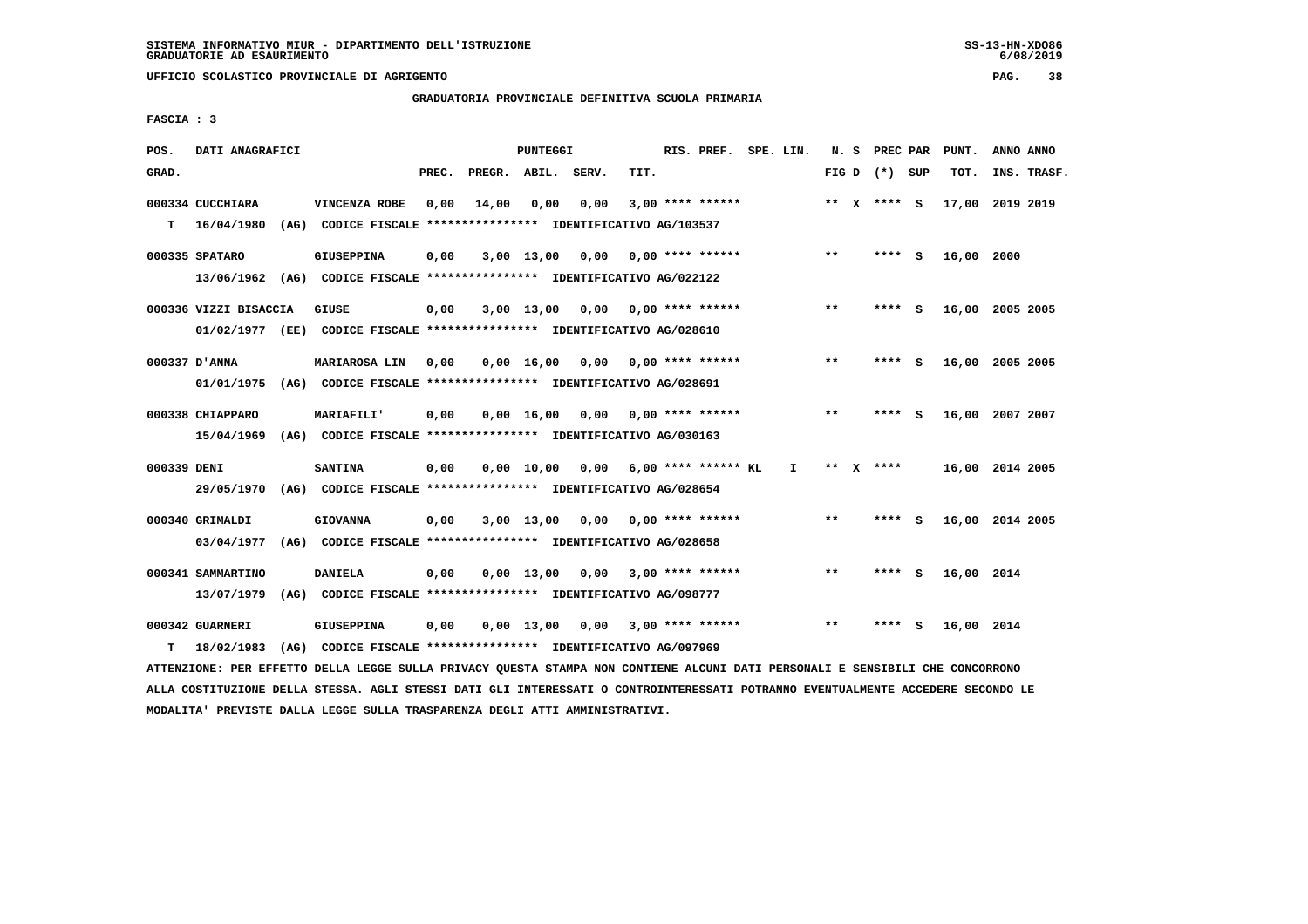# **GRADUATORIA PROVINCIALE DEFINITIVA SCUOLA PRIMARIA**

 **FASCIA : 3**

|            |                                                                                                                                                                                                   |                                          |                                                        |                              |      |                                                      |                                    |                                                                                                                                                                                                                                                                                                                                                                                                                                                                                                                                                                                                                          |                                                                                                                                                                                                                                                                |                                                            |                |  | PUNT.                                                                                                                               | ANNO ANNO   |                                                                                                                                                                                                                                                                                           |
|------------|---------------------------------------------------------------------------------------------------------------------------------------------------------------------------------------------------|------------------------------------------|--------------------------------------------------------|------------------------------|------|------------------------------------------------------|------------------------------------|--------------------------------------------------------------------------------------------------------------------------------------------------------------------------------------------------------------------------------------------------------------------------------------------------------------------------------------------------------------------------------------------------------------------------------------------------------------------------------------------------------------------------------------------------------------------------------------------------------------------------|----------------------------------------------------------------------------------------------------------------------------------------------------------------------------------------------------------------------------------------------------------------|------------------------------------------------------------|----------------|--|-------------------------------------------------------------------------------------------------------------------------------------|-------------|-------------------------------------------------------------------------------------------------------------------------------------------------------------------------------------------------------------------------------------------------------------------------------------------|
|            |                                                                                                                                                                                                   |                                          | PREC.                                                  |                              |      | TIT.                                                 |                                    |                                                                                                                                                                                                                                                                                                                                                                                                                                                                                                                                                                                                                          |                                                                                                                                                                                                                                                                |                                                            |                |  |                                                                                                                                     | INS. TRASF. |                                                                                                                                                                                                                                                                                           |
|            |                                                                                                                                                                                                   | VINCENZA ROBE                            | 0,00                                                   | 14,00                        | 0,00 |                                                      |                                    |                                                                                                                                                                                                                                                                                                                                                                                                                                                                                                                                                                                                                          |                                                                                                                                                                                                                                                                |                                                            |                |  |                                                                                                                                     |             |                                                                                                                                                                                                                                                                                           |
|            |                                                                                                                                                                                                   |                                          |                                                        |                              |      |                                                      |                                    |                                                                                                                                                                                                                                                                                                                                                                                                                                                                                                                                                                                                                          |                                                                                                                                                                                                                                                                |                                                            |                |  |                                                                                                                                     |             |                                                                                                                                                                                                                                                                                           |
|            |                                                                                                                                                                                                   | <b>GIUSEPPINA</b>                        | 0,00                                                   |                              |      |                                                      |                                    |                                                                                                                                                                                                                                                                                                                                                                                                                                                                                                                                                                                                                          |                                                                                                                                                                                                                                                                | $* *$                                                      |                |  |                                                                                                                                     |             |                                                                                                                                                                                                                                                                                           |
|            |                                                                                                                                                                                                   |                                          |                                                        |                              |      |                                                      |                                    |                                                                                                                                                                                                                                                                                                                                                                                                                                                                                                                                                                                                                          |                                                                                                                                                                                                                                                                |                                                            |                |  |                                                                                                                                     |             |                                                                                                                                                                                                                                                                                           |
|            |                                                                                                                                                                                                   |                                          |                                                        |                              |      |                                                      |                                    |                                                                                                                                                                                                                                                                                                                                                                                                                                                                                                                                                                                                                          |                                                                                                                                                                                                                                                                | $***$                                                      |                |  |                                                                                                                                     |             |                                                                                                                                                                                                                                                                                           |
|            |                                                                                                                                                                                                   |                                          |                                                        |                              |      |                                                      |                                    |                                                                                                                                                                                                                                                                                                                                                                                                                                                                                                                                                                                                                          |                                                                                                                                                                                                                                                                |                                                            |                |  |                                                                                                                                     |             |                                                                                                                                                                                                                                                                                           |
|            |                                                                                                                                                                                                   |                                          |                                                        |                              |      |                                                      |                                    |                                                                                                                                                                                                                                                                                                                                                                                                                                                                                                                                                                                                                          |                                                                                                                                                                                                                                                                |                                                            |                |  |                                                                                                                                     |             |                                                                                                                                                                                                                                                                                           |
|            |                                                                                                                                                                                                   |                                          |                                                        |                              |      |                                                      |                                    |                                                                                                                                                                                                                                                                                                                                                                                                                                                                                                                                                                                                                          |                                                                                                                                                                                                                                                                |                                                            |                |  |                                                                                                                                     |             |                                                                                                                                                                                                                                                                                           |
|            |                                                                                                                                                                                                   |                                          |                                                        |                              |      |                                                      |                                    |                                                                                                                                                                                                                                                                                                                                                                                                                                                                                                                                                                                                                          |                                                                                                                                                                                                                                                                |                                                            |                |  |                                                                                                                                     |             |                                                                                                                                                                                                                                                                                           |
|            |                                                                                                                                                                                                   | <b>MARIAFILI'</b>                        | 0,00                                                   |                              |      |                                                      |                                    |                                                                                                                                                                                                                                                                                                                                                                                                                                                                                                                                                                                                                          |                                                                                                                                                                                                                                                                | $***$                                                      |                |  |                                                                                                                                     |             |                                                                                                                                                                                                                                                                                           |
| 15/04/1969 |                                                                                                                                                                                                   |                                          |                                                        |                              |      |                                                      |                                    |                                                                                                                                                                                                                                                                                                                                                                                                                                                                                                                                                                                                                          |                                                                                                                                                                                                                                                                |                                                            |                |  |                                                                                                                                     |             |                                                                                                                                                                                                                                                                                           |
|            |                                                                                                                                                                                                   | <b>SANTINA</b>                           | 0,00                                                   |                              |      |                                                      |                                    |                                                                                                                                                                                                                                                                                                                                                                                                                                                                                                                                                                                                                          | $\mathbf{I}$                                                                                                                                                                                                                                                   |                                                            |                |  |                                                                                                                                     |             |                                                                                                                                                                                                                                                                                           |
| 29/05/1970 |                                                                                                                                                                                                   |                                          |                                                        |                              |      |                                                      |                                    |                                                                                                                                                                                                                                                                                                                                                                                                                                                                                                                                                                                                                          |                                                                                                                                                                                                                                                                |                                                            |                |  |                                                                                                                                     |             |                                                                                                                                                                                                                                                                                           |
|            |                                                                                                                                                                                                   | <b>GIOVANNA</b>                          | 0,00                                                   |                              |      |                                                      |                                    |                                                                                                                                                                                                                                                                                                                                                                                                                                                                                                                                                                                                                          |                                                                                                                                                                                                                                                                | $***$                                                      |                |  |                                                                                                                                     |             |                                                                                                                                                                                                                                                                                           |
| 03/04/1977 |                                                                                                                                                                                                   |                                          |                                                        |                              |      |                                                      |                                    |                                                                                                                                                                                                                                                                                                                                                                                                                                                                                                                                                                                                                          |                                                                                                                                                                                                                                                                |                                                            |                |  |                                                                                                                                     |             |                                                                                                                                                                                                                                                                                           |
|            |                                                                                                                                                                                                   |                                          |                                                        |                              |      |                                                      |                                    |                                                                                                                                                                                                                                                                                                                                                                                                                                                                                                                                                                                                                          |                                                                                                                                                                                                                                                                | $***$                                                      |                |  |                                                                                                                                     |             |                                                                                                                                                                                                                                                                                           |
| 13/07/1979 |                                                                                                                                                                                                   |                                          |                                                        |                              |      |                                                      |                                    |                                                                                                                                                                                                                                                                                                                                                                                                                                                                                                                                                                                                                          |                                                                                                                                                                                                                                                                |                                                            |                |  |                                                                                                                                     |             |                                                                                                                                                                                                                                                                                           |
|            |                                                                                                                                                                                                   |                                          |                                                        |                              |      |                                                      |                                    |                                                                                                                                                                                                                                                                                                                                                                                                                                                                                                                                                                                                                          |                                                                                                                                                                                                                                                                |                                                            |                |  |                                                                                                                                     |             |                                                                                                                                                                                                                                                                                           |
|            |                                                                                                                                                                                                   |                                          |                                                        |                              |      |                                                      |                                    |                                                                                                                                                                                                                                                                                                                                                                                                                                                                                                                                                                                                                          |                                                                                                                                                                                                                                                                |                                                            |                |  |                                                                                                                                     |             |                                                                                                                                                                                                                                                                                           |
|            |                                                                                                                                                                                                   |                                          |                                                        |                              |      |                                                      |                                    |                                                                                                                                                                                                                                                                                                                                                                                                                                                                                                                                                                                                                          |                                                                                                                                                                                                                                                                |                                                            |                |  |                                                                                                                                     |             |                                                                                                                                                                                                                                                                                           |
|            | 000334 CUCCHIARA<br>$T = 16/04/1980$<br>000335 SPATARO<br>000337 D'ANNA<br>01/01/1975<br>000338 CHIAPPARO<br>000339 DENI<br>000340 GRIMALDI<br>000341 SAMMARTINO<br>000342 GUARNERI<br>18/02/1983 | DATI ANAGRAFICI<br>000336 VIZZI BISACCIA | GIUSE<br>MARIAROSA LIN<br><b>DANIELA</b><br>GIUSEPPINA | 0,00<br>0,00<br>0,00<br>0,00 |      | PUNTEGGI<br>PREGR. ABIL. SERV.<br>0,00<br>0.00 10.00 | 0,00 16,00 0,00<br>3,00 13,00 0,00 | (AG) CODICE FISCALE **************** IDENTIFICATIVO AG/103537<br>13/06/1962 (AG) CODICE FISCALE *************** IDENTIFICATIVO AG/022122<br>01/02/1977 (EE) CODICE FISCALE *************** IDENTIFICATIVO AG/028610<br>(AG) CODICE FISCALE **************** IDENTIFICATIVO AG/028691<br>(AG) CODICE FISCALE **************** IDENTIFICATIVO AG/030163<br>(AG) CODICE FISCALE **************** IDENTIFICATIVO AG/028654<br>(AG) CODICE FISCALE *************** IDENTIFICATIVO AG/028658<br>(AG) CODICE FISCALE **************** IDENTIFICATIVO AG/098777<br>(AG) CODICE FISCALE **************** IDENTIFICATIVO AG/097969 | $3,00$ **** ******<br>$3,00$ 13,00 0,00 0,00 **** ******<br>$3,00$ $13,00$ $0,00$ $0,00$ $***$ **** ******<br>$0,00$ **** ******<br>$0.00$ 16.00 0.00 0.00 **** ******<br>0,00 6,00 **** ****** KL<br>$0.00$ **** ******<br>$0,00$ 13,00 0,00 3,00 **** ****** | RIS. PREF. SPE. LIN.<br>$0,00$ 13,00 0,00 3,00 **** ****** | $***$<br>$* *$ |  | N. S PREC PAR<br>FIG D $(*)$ SUP<br>** x **** s<br>**** S<br>**** S<br>$***$ S<br>**** S<br>** X ****<br>**** S<br>**** S<br>**** S | тот.        | 17,00 2019 2019<br>16,00 2000<br>16,00 2005 2005<br>16,00 2005 2005<br>16,00 2007 2007<br>16,00 2014 2005<br>16,00 2014 2005<br>16,00 2014<br>16,00 2014<br>ATTENZIONE: PER EFFETTO DELLA LEGGE SULLA PRIVACY QUESTA STAMPA NON CONTIENE ALCUNI DATI PERSONALI E SENSIBILI CHE CONCORRONO |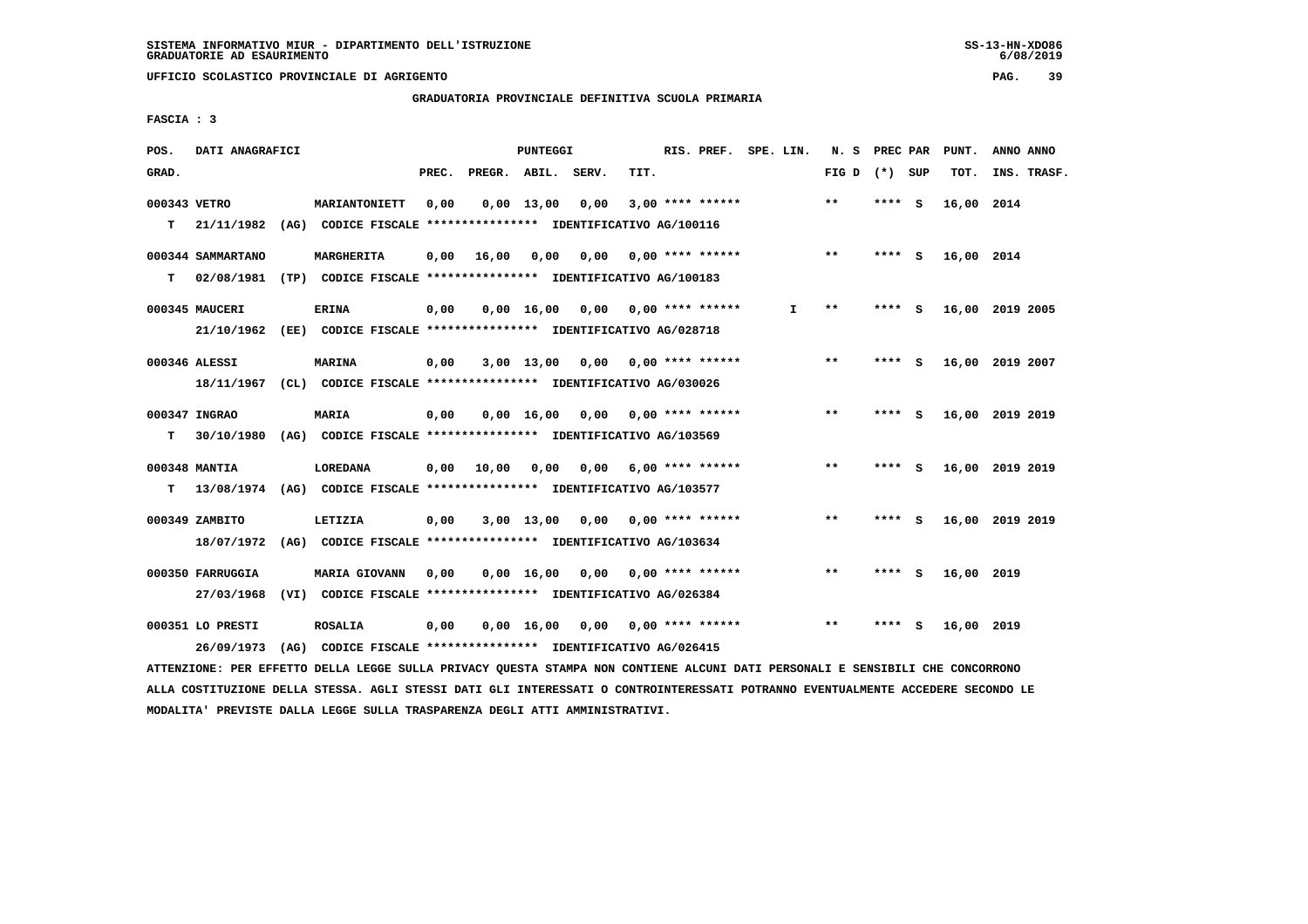**UFFICIO SCOLASTICO PROVINCIALE DI AGRIGENTO PAG. 39**

 **GRADUATORIA PROVINCIALE DEFINITIVA SCUOLA PRIMARIA**

 **FASCIA : 3**

| POS.         | DATI ANAGRAFICI   |                                                                         |       |              | PUNTEGGI           |       |      | RIS. PREF. SPE. LIN.      |    | N. S            | PREC PAR |          | PUNT.           | ANNO ANNO       |  |
|--------------|-------------------|-------------------------------------------------------------------------|-------|--------------|--------------------|-------|------|---------------------------|----|-----------------|----------|----------|-----------------|-----------------|--|
| GRAD.        |                   |                                                                         | PREC. | PREGR. ABIL. |                    | SERV. | TIT. |                           |    | FIG D $(*)$ SUP |          |          | TOT.            | INS. TRASF.     |  |
| 000343 VETRO |                   | <b>MARIANTONIETT</b>                                                    | 0.00  |              | $0.00$ 13.00       | 0.00  |      | $3,00$ **** ******        |    | $***$           | ****     | - S      | 16,00 2014      |                 |  |
| т            | 21/11/1982        | (AG) CODICE FISCALE **************** IDENTIFICATIVO AG/100116           |       |              |                    |       |      |                           |    |                 |          |          |                 |                 |  |
|              | 000344 SAMMARTANO | <b>MARGHERITA</b>                                                       | 0,00  | 16,00        | 0,00               | 0,00  |      | $0.00$ **** ******        |    | $**$            | **** S   |          | 16,00 2014      |                 |  |
| т            | 02/08/1981        | (TP) CODICE FISCALE **************** IDENTIFICATIVO AG/100183           |       |              |                    |       |      |                           |    |                 |          |          |                 |                 |  |
|              | 000345 MAUCERI    | <b>ERINA</b>                                                            | 0,00  |              | $0,00$ 16,00       | 0,00  |      | $0.00$ **** ******        | I. | $* *$           | ****     | - S      | 16,00           | 2019 2005       |  |
|              |                   | 21/10/1962 (EE) CODICE FISCALE *************** IDENTIFICATIVO AG/028718 |       |              |                    |       |      |                           |    |                 |          |          |                 |                 |  |
|              | 000346 ALESSI     | <b>MARINA</b>                                                           | 0,00  |              | $3,00$ 13,00       | 0.00  |      | $0.00$ **** ******        |    | $* *$           | ****     | <b>S</b> |                 | 16,00 2019 2007 |  |
|              |                   | 18/11/1967 (CL) CODICE FISCALE *************** IDENTIFICATIVO AG/030026 |       |              |                    |       |      |                           |    |                 |          |          |                 |                 |  |
|              | 000347 INGRAO     | MARIA                                                                   | 0,00  |              | 0.00 16.00         | 0.00  |      | $0.00$ **** ******        |    | $***$           | **** S   |          |                 | 16,00 2019 2019 |  |
| т            |                   | 30/10/1980 (AG) CODICE FISCALE *************** IDENTIFICATIVO AG/103569 |       |              |                    |       |      |                           |    |                 |          |          |                 |                 |  |
|              | 000348 MANTIA     | <b>LOREDANA</b>                                                         | 0,00  | 10,00        | 0,00               | 0,00  |      | $6.00$ **** ******        |    | $***$           | **** S   |          |                 | 16,00 2019 2019 |  |
| т            |                   | 13/08/1974 (AG) CODICE FISCALE *************** IDENTIFICATIVO AG/103577 |       |              |                    |       |      |                           |    |                 |          |          |                 |                 |  |
|              | 000349 ZAMBITO    | LETIZIA                                                                 | 0,00  |              | $3,00$ 13,00       | 0,00  |      | $0.00$ **** ******        |    | $***$           | **** S   |          | 16,00 2019 2019 |                 |  |
|              | 18/07/1972        | (AG) CODICE FISCALE **************** IDENTIFICATIVO AG/103634           |       |              |                    |       |      |                           |    |                 |          |          |                 |                 |  |
|              |                   |                                                                         |       |              |                    |       |      |                           |    |                 |          |          |                 |                 |  |
|              | 000350 FARRUGGIA  | <b>MARIA GIOVANN</b>                                                    | 0.00  |              | 0.00 16.00         | 0,00  |      | $0.00$ **** ******        |    | $***$           | **** S   |          | 16,00 2019      |                 |  |
|              | 27/03/1968        | (VI) CODICE FISCALE **************** IDENTIFICATIVO AG/026384           |       |              |                    |       |      |                           |    |                 |          |          |                 |                 |  |
|              | 000351 LO PRESTI  | <b>ROSALIA</b>                                                          | 0,00  |              | $0,00 \quad 16,00$ |       |      | $0,00$ $0,00$ **** ****** |    | $* *$           | ****     | - 5      | 16,00 2019      |                 |  |
|              | 26/09/1973        | (AG) CODICE FISCALE **************** IDENTIFICATIVO AG/026415           |       |              |                    |       |      |                           |    |                 |          |          |                 |                 |  |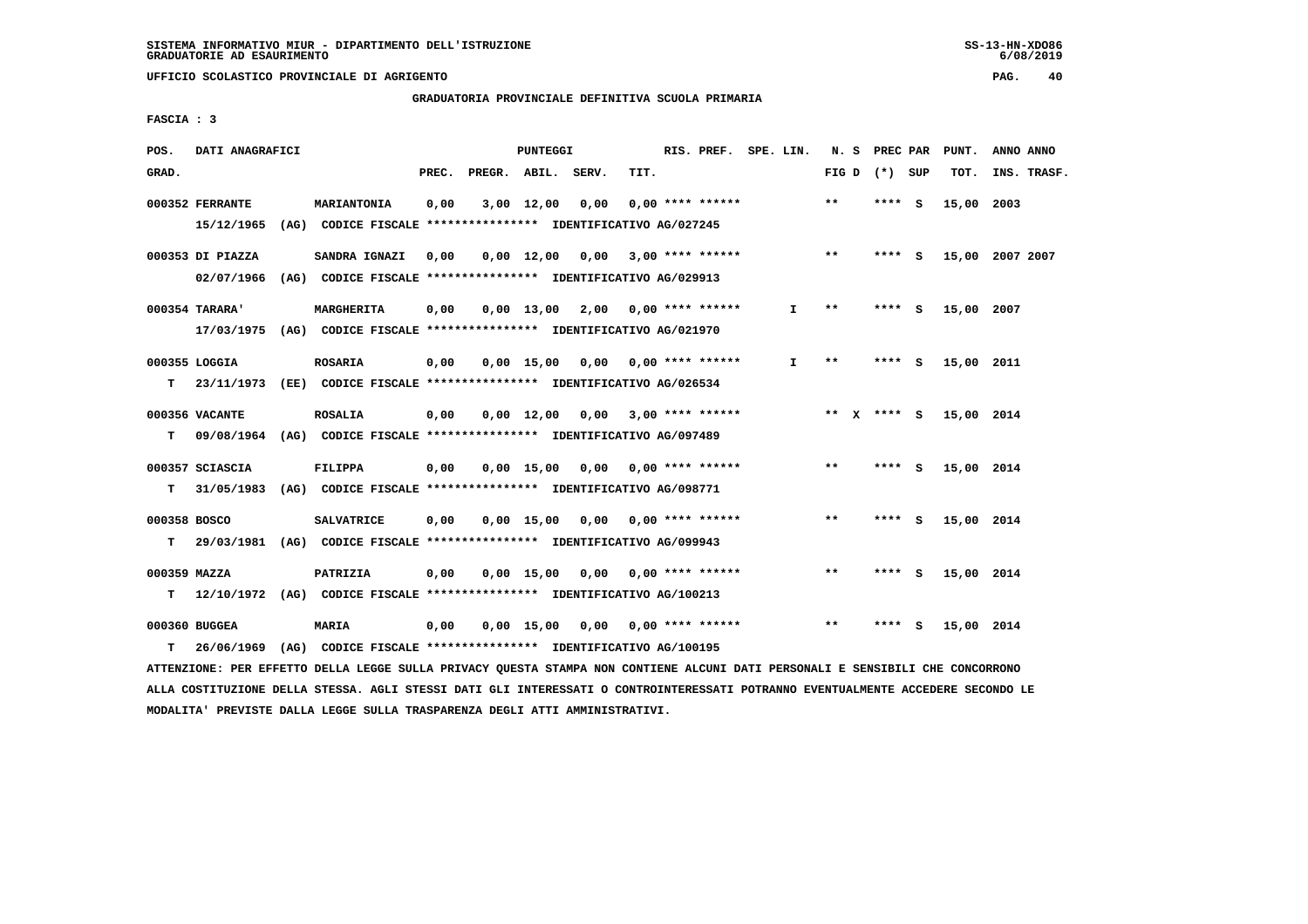**UFFICIO SCOLASTICO PROVINCIALE DI AGRIGENTO PAG. 40**

 **GRADUATORIA PROVINCIALE DEFINITIVA SCUOLA PRIMARIA**

 **FASCIA : 3**

| POS.         | DATI ANAGRAFICI  |                                                                         |       |                    | <b>PUNTEGGI</b>    |                                    |      | RIS. PREF. SPE. LIN.      |    |                 | N. S PREC PAR |     | PUNT.      | ANNO ANNO       |
|--------------|------------------|-------------------------------------------------------------------------|-------|--------------------|--------------------|------------------------------------|------|---------------------------|----|-----------------|---------------|-----|------------|-----------------|
| GRAD.        |                  |                                                                         | PREC. | PREGR. ABIL. SERV. |                    |                                    | TIT. |                           |    | FIG D $(*)$ SUP |               |     | TOT.       | INS. TRASF.     |
|              | 000352 FERRANTE  | MARIANTONIA                                                             | 0,00  |                    | $3,00$ 12,00       | 0,00                               |      | $0.00$ **** ******        |    | **              | **** S        |     | 15,00      | 2003            |
|              | 15/12/1965       | (AG) CODICE FISCALE **************** IDENTIFICATIVO AG/027245           |       |                    |                    |                                    |      |                           |    |                 |               |     |            |                 |
|              | 000353 DI PIAZZA | SANDRA IGNAZI                                                           | 0.00  |                    |                    | $0,00 \quad 12,00 \quad 0,00$      |      | $3,00$ **** ******        |    | $***$           | ****          | - S |            | 15,00 2007 2007 |
|              | 02/07/1966       | (AG) CODICE FISCALE **************** IDENTIFICATIVO AG/029913           |       |                    |                    |                                    |      |                           |    |                 |               |     |            |                 |
|              | 000354 TARARA'   | MARGHERITA                                                              | 0,00  |                    |                    | $0,00$ 13,00 2,00 0,00 **** ****** |      |                           | I. | **              | **** S        |     | 15,00 2007 |                 |
|              |                  | 17/03/1975 (AG) CODICE FISCALE *************** IDENTIFICATIVO AG/021970 |       |                    |                    |                                    |      |                           |    |                 |               |     |            |                 |
|              | 000355 LOGGIA    | <b>ROSARIA</b>                                                          | 0,00  |                    |                    | $0.00$ 15.00 0.00 0.00 **** ****** |      |                           | I. | **              | ****          | - S | 15,00 2011 |                 |
| т            | 23/11/1973       | (EE) CODICE FISCALE **************** IDENTIFICATIVO AG/026534           |       |                    |                    |                                    |      |                           |    |                 |               |     |            |                 |
|              | 000356 VACANTE   | <b>ROSALIA</b>                                                          | 0,00  |                    | $0,00 \quad 12,00$ |                                    |      | $0,00$ 3,00 **** ******   |    | ** $X$ **** S   |               |     | 15,00 2014 |                 |
| т            | 09/08/1964       | (AG) CODICE FISCALE **************** IDENTIFICATIVO AG/097489           |       |                    |                    |                                    |      |                           |    |                 |               |     |            |                 |
|              | 000357 SCIASCIA  | FILIPPA                                                                 | 0,00  |                    | 0,00 15,00         |                                    |      | $0,00$ $0,00$ **** ****** |    | $**$            | ****          | - S | 15,00 2014 |                 |
| т            | 31/05/1983       | (AG) CODICE FISCALE **************** IDENTIFICATIVO AG/098771           |       |                    |                    |                                    |      |                           |    |                 |               |     |            |                 |
| 000358 BOSCO |                  | <b>SALVATRICE</b>                                                       | 0,00  |                    |                    | $0,00$ 15,00 0,00                  |      | $0.00$ **** ******        |    | $\star\star$    | **** S        |     | 15,00 2014 |                 |
| т            | 29/03/1981       | (AG) CODICE FISCALE **************** IDENTIFICATIVO AG/099943           |       |                    |                    |                                    |      |                           |    |                 |               |     |            |                 |
| 000359 MAZZA |                  | PATRIZIA                                                                | 0,00  |                    | 0,00 15,00         | 0,00                               |      | $0.00$ **** ******        |    | **              | $***$ S       |     | 15,00 2014 |                 |
| т            |                  | 12/10/1972 (AG) CODICE FISCALE *************** IDENTIFICATIVO AG/100213 |       |                    |                    |                                    |      |                           |    |                 |               |     |            |                 |
|              | 000360 BUGGEA    | <b>MARIA</b>                                                            | 0.00  |                    |                    | $0,00$ 15,00 0,00 0,00 **** ****** |      |                           |    | $***$           | ****          | - S | 15,00 2014 |                 |
| т            | 26/06/1969       | (AG) CODICE FISCALE **************** IDENTIFICATIVO AG/100195           |       |                    |                    |                                    |      |                           |    |                 |               |     |            |                 |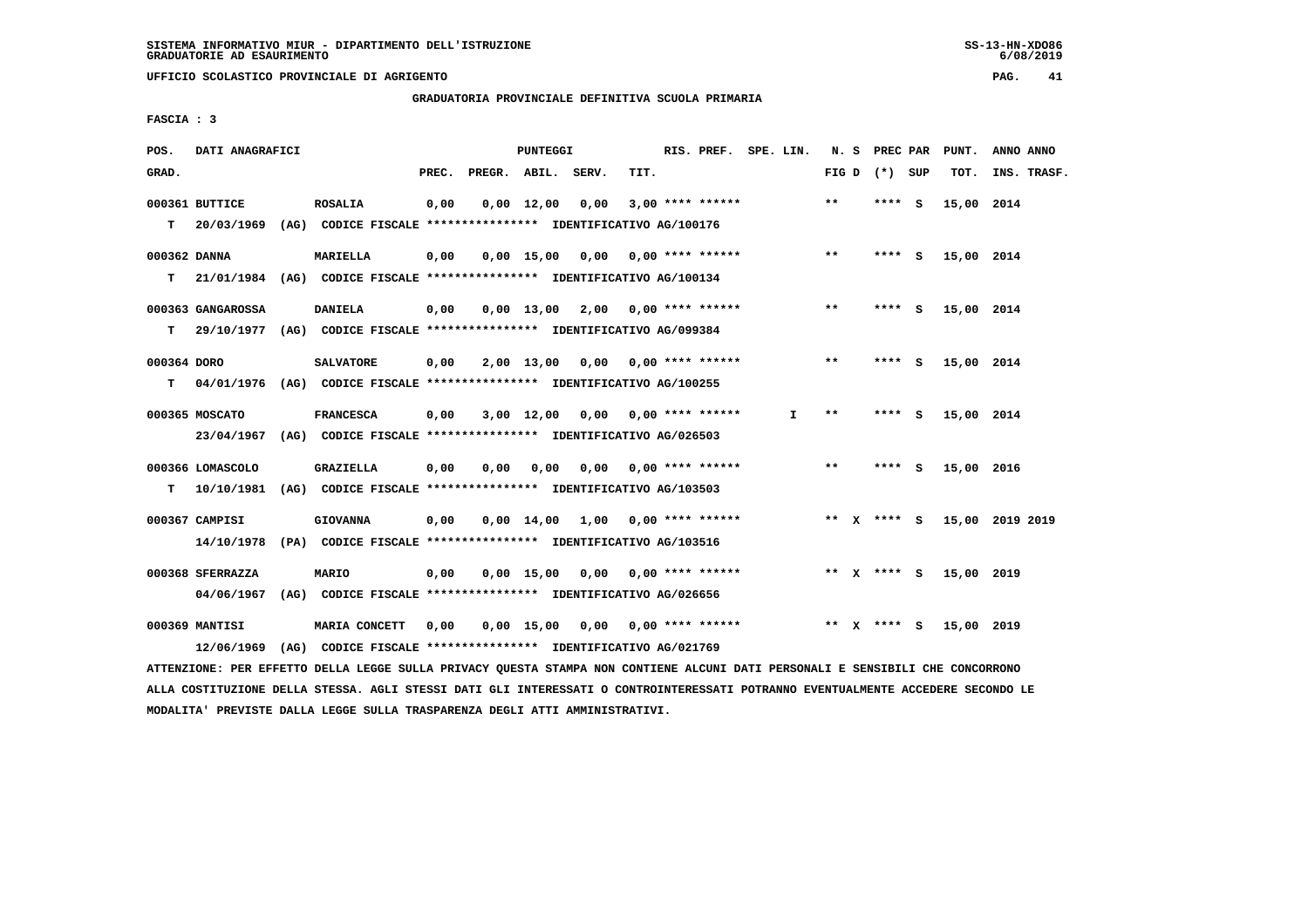**UFFICIO SCOLASTICO PROVINCIALE DI AGRIGENTO PAG. 41**

 **GRADUATORIA PROVINCIALE DEFINITIVA SCUOLA PRIMARIA**

 **FASCIA : 3**

| POS.        | DATI ANAGRAFICI   |                                                                          |       |              | PUNTEGGI           |                                    |                           | RIS. PREF. SPE. LIN. |    |       | N. S PREC PAR   | PUNT.      | ANNO ANNO       |
|-------------|-------------------|--------------------------------------------------------------------------|-------|--------------|--------------------|------------------------------------|---------------------------|----------------------|----|-------|-----------------|------------|-----------------|
| GRAD.       |                   |                                                                          | PREC. | PREGR. ABIL. |                    | SERV.                              | TIT.                      |                      |    |       | FIG D $(*)$ SUP | TOT.       | INS. TRASF.     |
|             | 000361 BUTTICE    | <b>ROSALIA</b>                                                           | 0,00  |              | $0.00 \quad 12.00$ | 0,00                               |                           | $3,00$ **** ******   |    | $* *$ | **** S          | 15,00 2014 |                 |
| т           | 20/03/1969        | (AG) CODICE FISCALE **************** IDENTIFICATIVO AG/100176            |       |              |                    |                                    |                           |                      |    |       |                 |            |                 |
|             | 000362 DANNA      | <b>MARIELLA</b>                                                          | 0,00  |              | $0,00$ 15,00       |                                    |                           |                      |    | $***$ | $***$ S         | 15,00 2014 |                 |
| T.          |                   | 21/01/1984 (AG) CODICE FISCALE *************** IDENTIFICATIVO AG/100134  |       |              |                    |                                    |                           |                      |    |       |                 |            |                 |
|             | 000363 GANGAROSSA | <b>DANIELA</b>                                                           | 0,00  |              |                    | $0.00$ 13.00 2.00 0.00 **** ****** |                           |                      |    | $***$ | **** S          | 15,00 2014 |                 |
| т           |                   | 29/10/1977 (AG) CODICE FISCALE **************** IDENTIFICATIVO AG/099384 |       |              |                    |                                    |                           |                      |    |       |                 |            |                 |
| 000364 DORO |                   | <b>SALVATORE</b>                                                         | 0,00  |              | 2,00 13,00         |                                    | $0.00$ $0.00$ **** ****** |                      |    | $* *$ | **** S          | 15,00 2014 |                 |
| т           |                   | 04/01/1976 (AG) CODICE FISCALE **************** IDENTIFICATIVO AG/100255 |       |              |                    |                                    |                           |                      |    |       |                 |            |                 |
|             | 000365 MOSCATO    | <b>FRANCESCA</b>                                                         | 0,00  |              | 3,00 12,00         | 0,00                               |                           | $0.00$ **** ******   | I. | $* *$ | **** S          | 15,00 2014 |                 |
|             | 23/04/1967        | (AG) CODICE FISCALE **************** IDENTIFICATIVO AG/026503            |       |              |                    |                                    |                           |                      |    |       |                 |            |                 |
|             | 000366 LOMASCOLO  | <b>GRAZIELLA</b>                                                         | 0,00  | 0.00         | 0.00               | 0,00                               |                           | $0.00$ **** ******   |    | $* *$ | **** S          | 15,00 2016 |                 |
| т           | 10/10/1981        | (AG) CODICE FISCALE **************** IDENTIFICATIVO AG/103503            |       |              |                    |                                    |                           |                      |    |       |                 |            |                 |
|             | 000367 CAMPISI    | <b>GIOVANNA</b>                                                          | 0,00  |              |                    | $0,00$ 14,00 1,00 0,00 **** ****** |                           |                      |    |       | ** x **** S     |            | 15,00 2019 2019 |
|             | 14/10/1978        | (PA) CODICE FISCALE **************** IDENTIFICATIVO AG/103516            |       |              |                    |                                    |                           |                      |    |       |                 |            |                 |
|             | 000368 SFERRAZZA  | <b>MARIO</b>                                                             | 0,00  |              | $0.00$ 15.00       | 0,00 0,00 **** ******              |                           |                      |    |       | ** x **** S     | 15,00 2019 |                 |
|             | 04/06/1967        | (AG) CODICE FISCALE **************** IDENTIFICATIVO AG/026656            |       |              |                    |                                    |                           |                      |    |       |                 |            |                 |
|             | 000369 MANTISI    | MARIA CONCETT                                                            | 0,00  |              | $0,00$ 15,00       |                                    | $0,00$ $0,00$ **** ****** |                      |    |       | ** X **** S     | 15,00 2019 |                 |
|             | 12/06/1969        | (AG) CODICE FISCALE **************** IDENTIFICATIVO AG/021769            |       |              |                    |                                    |                           |                      |    |       |                 |            |                 |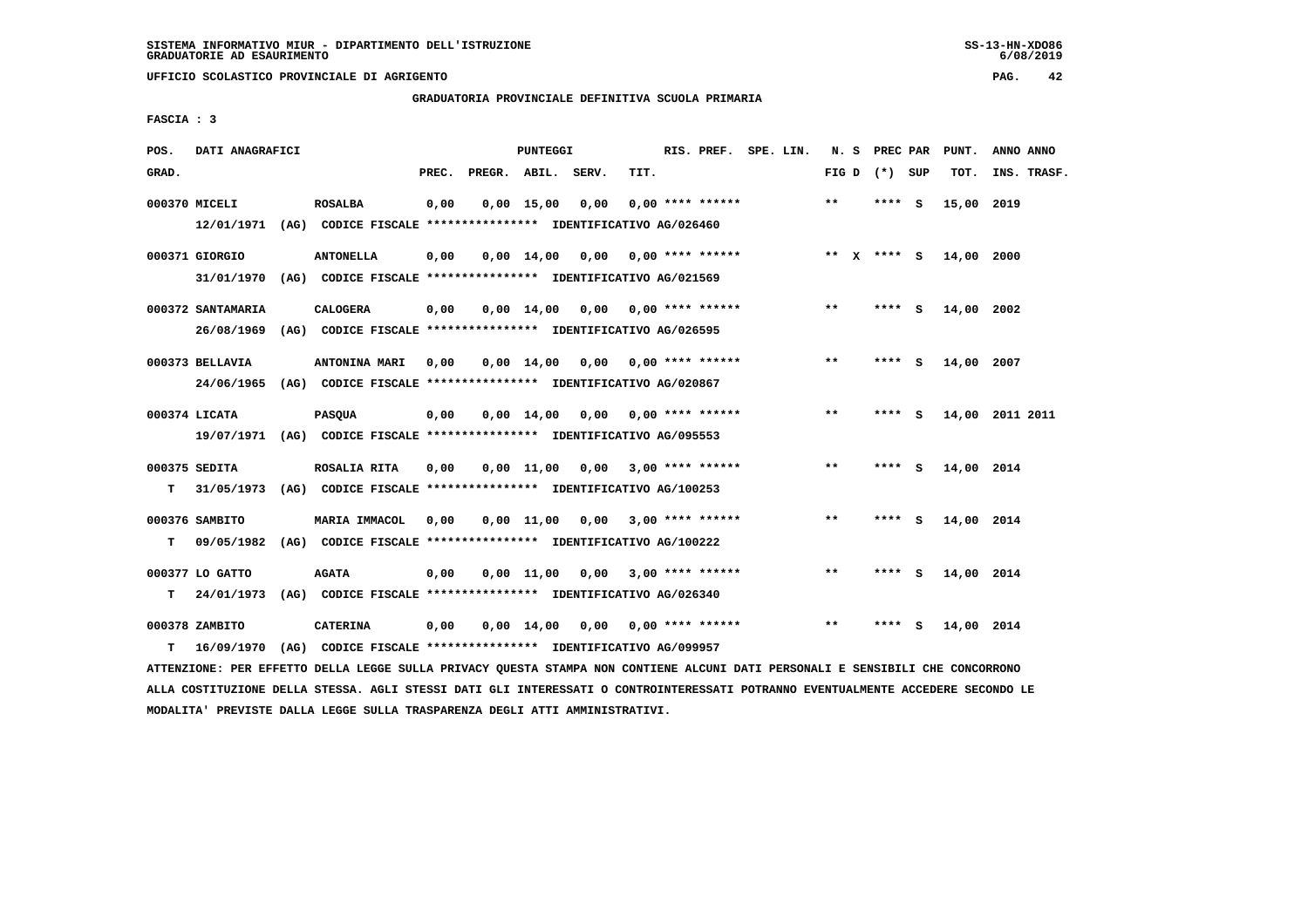**UFFICIO SCOLASTICO PROVINCIALE DI AGRIGENTO PAG. 42**

 **GRADUATORIA PROVINCIALE DEFINITIVA SCUOLA PRIMARIA**

 **FASCIA : 3**

| POS.  | DATI ANAGRAFICI   |                                                                         |       |                    | PUNTEGGI     |                                    |      | RIS. PREF. SPE. LIN.      |  |         | N. S PREC PAR   |          | PUNT.           | ANNO ANNO   |  |
|-------|-------------------|-------------------------------------------------------------------------|-------|--------------------|--------------|------------------------------------|------|---------------------------|--|---------|-----------------|----------|-----------------|-------------|--|
| GRAD. |                   |                                                                         | PREC. | PREGR. ABIL. SERV. |              |                                    | TIT. |                           |  |         | FIG D $(*)$ SUP |          | TOT.            | INS. TRASF. |  |
|       | 000370 MICELI     | <b>ROSALBA</b>                                                          | 0,00  |                    | $0,00$ 15,00 | 0,00                               |      | $0.00$ **** ******        |  | $* *$   | **** S          |          | 15,00           | 2019        |  |
|       | 12/01/1971        | (AG) CODICE FISCALE **************** IDENTIFICATIVO AG/026460           |       |                    |              |                                    |      |                           |  |         |                 |          |                 |             |  |
|       | 000371 GIORGIO    | <b>ANTONELLA</b>                                                        | 0,00  |                    | 0,00 14,00   | 0.00                               |      | 0,00 **** ******          |  | $***$ X | **** S          |          | 14,00 2000      |             |  |
|       | 31/01/1970        | (AG) CODICE FISCALE **************** IDENTIFICATIVO AG/021569           |       |                    |              |                                    |      |                           |  |         |                 |          |                 |             |  |
|       | 000372 SANTAMARIA | <b>CALOGERA</b>                                                         | 0,00  |                    |              | $0.00$ 14.00 0.00 0.00 **** ****** |      |                           |  | $* *$   | ****            | - S      | 14,00 2002      |             |  |
|       | 26/08/1969        | (AG) CODICE FISCALE **************** IDENTIFICATIVO AG/026595           |       |                    |              |                                    |      |                           |  |         |                 |          |                 |             |  |
|       | 000373 BELLAVIA   | ANTONINA MARI                                                           | 0.00  |                    | $0.00$ 14.00 |                                    |      | $0.00$ $0.00$ **** ****** |  | $***$   | ****            | - S      | 14,00 2007      |             |  |
|       | 24/06/1965        | (AG) CODICE FISCALE **************** IDENTIFICATIVO AG/020867           |       |                    |              |                                    |      |                           |  |         |                 |          |                 |             |  |
|       | 000374 LICATA     | <b>PASQUA</b>                                                           | 0,00  |                    | $0.00$ 14.00 |                                    |      | $0.00$ $0.00$ **** ****** |  | $***$   | **** S          |          | 14,00 2011 2011 |             |  |
|       |                   | 19/07/1971 (AG) CODICE FISCALE *************** IDENTIFICATIVO AG/095553 |       |                    |              |                                    |      |                           |  |         |                 |          |                 |             |  |
|       | 000375 SEDITA     | ROSALIA RITA                                                            | 0,00  |                    |              | $0,00$ 11,00 0,00 3,00 **** ****** |      |                           |  | $* *$   | ****            | <b>S</b> | 14,00 2014      |             |  |
| T.    | 31/05/1973        | (AG) CODICE FISCALE **************** IDENTIFICATIVO AG/100253           |       |                    |              |                                    |      |                           |  |         |                 |          |                 |             |  |
|       | 000376 SAMBITO    | MARIA IMMACOL                                                           | 0.00  |                    | 0,00 11,00   | 0,00                               |      | $3,00$ **** ******        |  | $***$   | ****            | <b>S</b> | 14,00 2014      |             |  |
| т     | 09/05/1982        | (AG) CODICE FISCALE **************** IDENTIFICATIVO AG/100222           |       |                    |              |                                    |      |                           |  |         |                 |          |                 |             |  |
|       | 000377 LO GATTO   | <b>AGATA</b>                                                            | 0,00  |                    | $0,00$ 11,00 | 0,00                               |      | $3.00$ **** ******        |  | $***$   | **** S          |          | 14,00 2014      |             |  |
| т     | 24/01/1973        | (AG) CODICE FISCALE **************** IDENTIFICATIVO AG/026340           |       |                    |              |                                    |      |                           |  |         |                 |          |                 |             |  |
|       | 000378 ZAMBITO    | <b>CATERINA</b>                                                         | 0.00  |                    | 0,00 14,00   |                                    |      | $0,00$ $0,00$ **** ****** |  | $***$   | ****            | - S      | 14,00 2014      |             |  |
| т     | 16/09/1970        | (AG) CODICE FISCALE **************** IDENTIFICATIVO AG/099957           |       |                    |              |                                    |      |                           |  |         |                 |          |                 |             |  |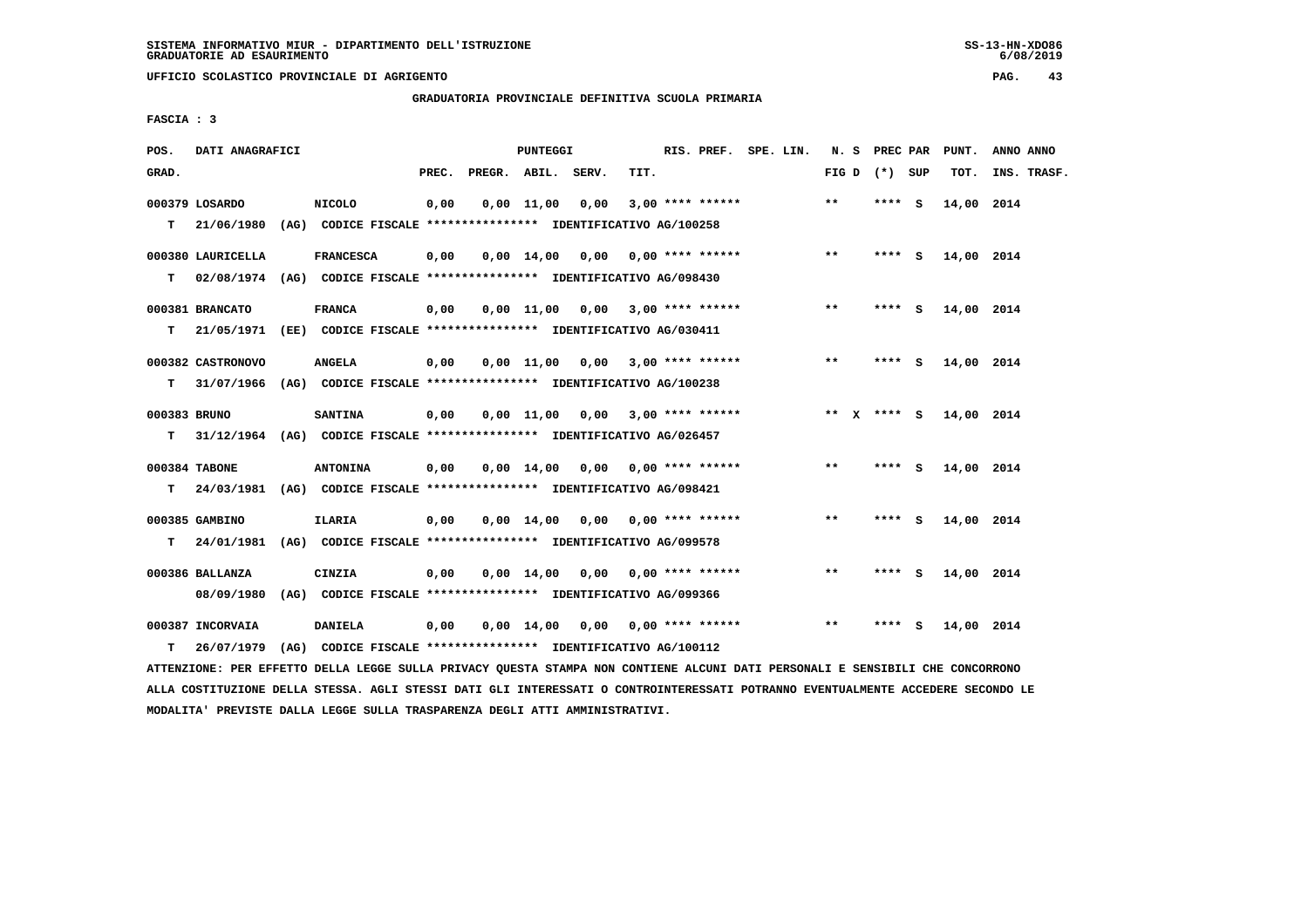**UFFICIO SCOLASTICO PROVINCIALE DI AGRIGENTO PAG. 43**

 **GRADUATORIA PROVINCIALE DEFINITIVA SCUOLA PRIMARIA**

 **FASCIA : 3**

| POS.               | DATI ANAGRAFICI                                                                               |                  |       | <b>PUNTEGGI</b> |                                                                                                     |      | RIS. PREF. SPE. LIN. |  |                 | N. S PREC PAR | PUNT.      | ANNO ANNO   |
|--------------------|-----------------------------------------------------------------------------------------------|------------------|-------|-----------------|-----------------------------------------------------------------------------------------------------|------|----------------------|--|-----------------|---------------|------------|-------------|
| GRAD.              |                                                                                               |                  | PREC. |                 | PREGR. ABIL. SERV.                                                                                  | TIT. |                      |  | FIG D $(*)$ SUP |               | TOT.       | INS. TRASF. |
|                    | 000379 LOSARDO<br>T 21/06/1980                                                                | NICOLO           | 0,00  | $0,00$ 11,00    | 0,00<br>(AG) CODICE FISCALE **************** IDENTIFICATIVO AG/100258                               |      | $3,00$ **** ******   |  | $* *$           | **** S        | 14,00 2014 |             |
| т                  | 000380 LAURICELLA<br>02/08/1974 (AG) CODICE FISCALE *************** IDENTIFICATIVO AG/098430  | <b>FRANCESCA</b> | 0,00  |                 | $0,00$ 14,00 0,00 0,00 **** ******                                                                  |      |                      |  | $***$           | $***$ S       | 14,00 2014 |             |
| т                  | 000381 BRANCATO<br>21/05/1971 (EE) CODICE FISCALE **************** IDENTIFICATIVO AG/030411   | <b>FRANCA</b>    | 0,00  |                 | $0.00$ 11.00 0.00 3.00 **** ******                                                                  |      |                      |  | $* *$           | **** S        | 14,00 2014 |             |
| т                  | 000382 CASTRONOVO<br>31/07/1966 (AG) CODICE FISCALE **************** IDENTIFICATIVO AG/100238 | <b>ANGELA</b>    | 0,00  |                 | $0,00$ 11,00 0,00 3,00 **** ******                                                                  |      |                      |  | **              | **** S        | 14,00 2014 |             |
| 000383 BRUNO<br>T. | 31/12/1964 (AG) CODICE FISCALE **************** IDENTIFICATIVO AG/026457                      | <b>SANTINA</b>   | 0,00  |                 | $0.00$ 11.00 0.00 3.00 **** ******                                                                  |      |                      |  | ** $X$ **** $S$ |               | 14,00 2014 |             |
| T.                 | 000384 TABONE<br>24/03/1981 (AG) CODICE FISCALE *************** IDENTIFICATIVO AG/098421      | <b>ANTONINA</b>  | 0,00  |                 | $0.00 \quad 14.00 \quad 0.00 \quad 0.00 \quad *** \quad ***$                                        |      |                      |  | $* *$           | **** S        | 14,00 2014 |             |
| T.                 | 000385 GAMBINO<br>24/01/1981 (AG) CODICE FISCALE *************** IDENTIFICATIVO AG/099578     | <b>ILARIA</b>    | 0,00  |                 | $0,00$ $14,00$ $0,00$                                                                               |      | $0.00$ **** ******   |  | $***$           | **** $S$      | 14,00 2014 |             |
|                    | 000386 BALLANZA<br>08/09/1980                                                                 | CINZIA           | 0,00  |                 | $0,00$ 14,00 0,00 0,00 **** ******<br>(AG) CODICE FISCALE **************** IDENTIFICATIVO AG/099366 |      |                      |  | $* *$           | $***$ S       | 14,00 2014 |             |
| T.                 | 000387 INCORVAIA<br>26/07/1979                                                                | <b>DANIELA</b>   | 0,00  |                 | $0,00$ 14,00 0,00 0,00 **** ******<br>(AG) CODICE FISCALE **************** IDENTIFICATIVO AG/100112 |      |                      |  | $* *$           | **** S        | 14,00 2014 |             |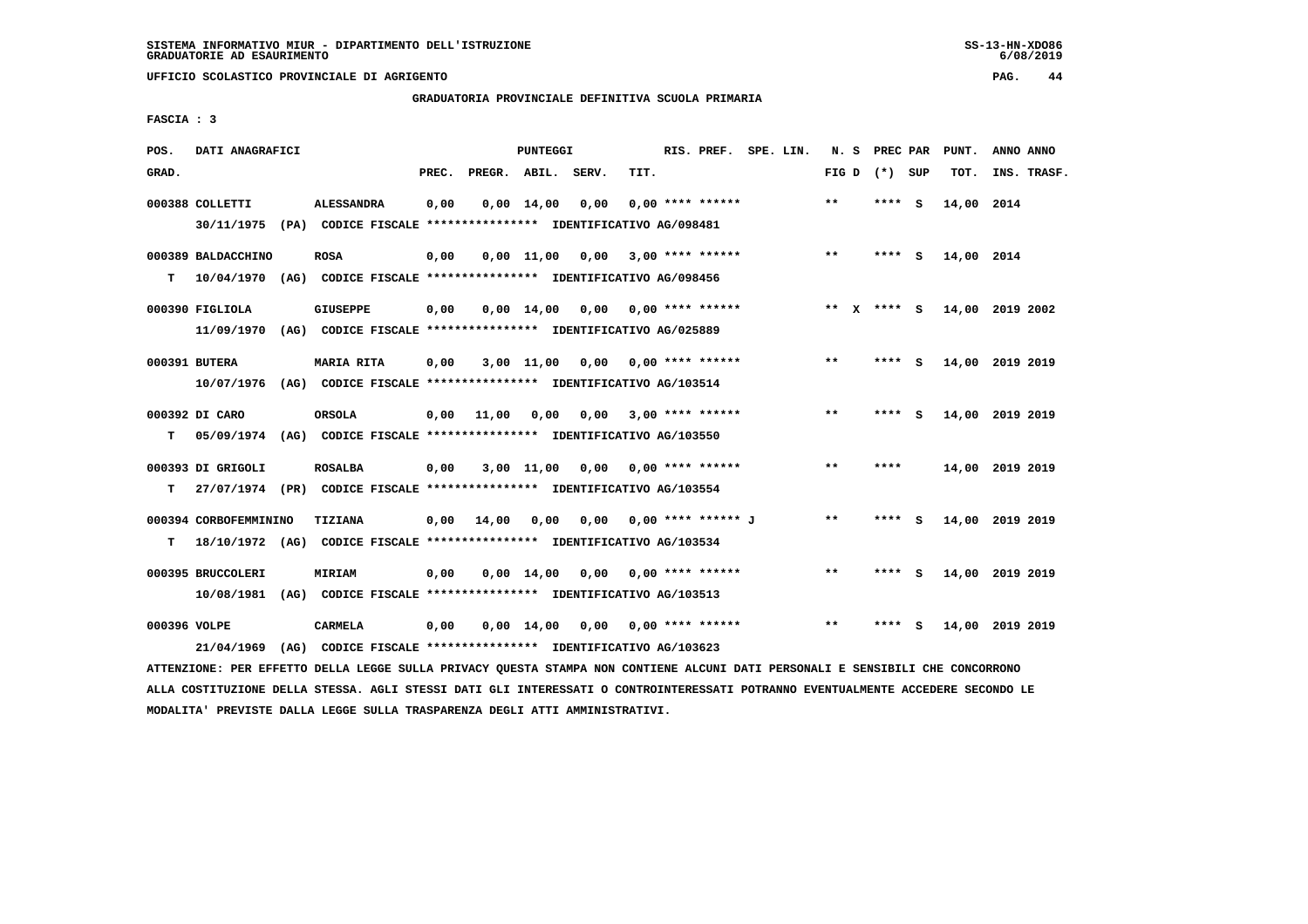**UFFICIO SCOLASTICO PROVINCIALE DI AGRIGENTO PAG. 44**

 **GRADUATORIA PROVINCIALE DEFINITIVA SCUOLA PRIMARIA**

 **FASCIA : 3**

| POS.         | DATI ANAGRAFICI       |      |                                                                         |       |                    | PUNTEGGI           |      |      | RIS. PREF.                | SPE. LIN. | N. S  |          | PREC PAR |          | PUNT.           | ANNO ANNO |             |
|--------------|-----------------------|------|-------------------------------------------------------------------------|-------|--------------------|--------------------|------|------|---------------------------|-----------|-------|----------|----------|----------|-----------------|-----------|-------------|
| GRAD.        |                       |      |                                                                         | PREC. | PREGR. ABIL. SERV. |                    |      | TIT. |                           |           | FIG D |          | (*) SUP  |          | TOT.            |           | INS. TRASF. |
|              | 000388 COLLETTI       |      | <b>ALESSANDRA</b>                                                       | 0,00  |                    | $0,00$ 14,00       | 0,00 |      | $0.00$ **** ******        |           | $***$ |          | ****     | - S      | 14,00 2014      |           |             |
|              |                       |      | 30/11/1975 (PA) CODICE FISCALE *************** IDENTIFICATIVO AG/098481 |       |                    |                    |      |      |                           |           |       |          |          |          |                 |           |             |
|              | 000389 BALDACCHINO    |      | <b>ROSA</b>                                                             | 0,00  |                    | $0,00$ 11,00       | 0,00 |      | $3.00$ **** ******        |           | $***$ |          | $***$ S  |          | 14,00 2014      |           |             |
| т            | 10/04/1970            |      | (AG) CODICE FISCALE **************** IDENTIFICATIVO AG/098456           |       |                    |                    |      |      |                           |           |       |          |          |          |                 |           |             |
|              | 000390 FIGLIOLA       |      | <b>GIUSEPPE</b>                                                         | 0,00  |                    | $0,00 \quad 14,00$ |      |      | $0.00$ $0.00$ **** ****** |           | $**$  | <b>X</b> | **** S   |          | 14,00 2019 2002 |           |             |
|              | 11/09/1970            |      | (AG) CODICE FISCALE **************** IDENTIFICATIVO AG/025889           |       |                    |                    |      |      |                           |           |       |          |          |          |                 |           |             |
|              | 000391 BUTERA         |      | <b>MARIA RITA</b>                                                       | 0,00  |                    | $3,00$ 11,00       | 0.00 |      | $0.00$ **** ******        |           | **    |          | ****     | - S      | 14,00 2019 2019 |           |             |
|              | 10/07/1976            |      | (AG) CODICE FISCALE **************** IDENTIFICATIVO AG/103514           |       |                    |                    |      |      |                           |           |       |          |          |          |                 |           |             |
|              | 000392 DI CARO        |      | <b>ORSOLA</b>                                                           | 0,00  | 11,00              | 0,00               | 0,00 |      | $3.00$ **** ******        |           | $* *$ |          | ****     | <b>S</b> | 14,00 2019 2019 |           |             |
| т            | 05/09/1974            |      | (AG) CODICE FISCALE **************** IDENTIFICATIVO AG/103550           |       |                    |                    |      |      |                           |           |       |          |          |          |                 |           |             |
|              | 000393 DI GRIGOLI     |      | <b>ROSALBA</b>                                                          | 0.00  |                    | $3,00$ $11,00$     | 0.00 |      | $0.00$ **** ******        |           | $***$ |          | ****     |          | 14,00 2019 2019 |           |             |
| т            |                       |      | 27/07/1974 (PR) CODICE FISCALE *************** IDENTIFICATIVO AG/103554 |       |                    |                    |      |      |                           |           |       |          |          |          |                 |           |             |
|              | 000394 CORBOFEMMININO |      | TIZIANA                                                                 | 0,00  | 14,00              | 0.00               | 0.00 |      | 0,00 **** ****** J        |           | $**$  |          | ****     | - S      | 14,00 2019 2019 |           |             |
| т            |                       |      | 18/10/1972 (AG) CODICE FISCALE *************** IDENTIFICATIVO AG/103534 |       |                    |                    |      |      |                           |           |       |          |          |          |                 |           |             |
|              | 000395 BRUCCOLERI     |      | MIRIAM                                                                  | 0.00  |                    | $0.00 \quad 14.00$ | 0,00 |      | 0,00 **** ******          |           | $***$ |          | **** S   |          | 14,00 2019 2019 |           |             |
|              | 10/08/1981            |      | (AG) CODICE FISCALE **************** IDENTIFICATIVO AG/103513           |       |                    |                    |      |      |                           |           |       |          |          |          |                 |           |             |
|              |                       |      |                                                                         |       |                    |                    |      |      |                           |           |       |          |          |          |                 |           |             |
| 000396 VOLPE |                       |      | CARMELA                                                                 | 0,00  |                    | $0.00 \quad 14.00$ | 0,00 |      | $0.00$ **** ******        |           | $* *$ |          | ****     | - S      | 14,00           | 2019 2019 |             |
|              | 21/04/1969            | (AG) | CODICE FISCALE **************** IDENTIFICATIVO AG/103623                |       |                    |                    |      |      |                           |           |       |          |          |          |                 |           |             |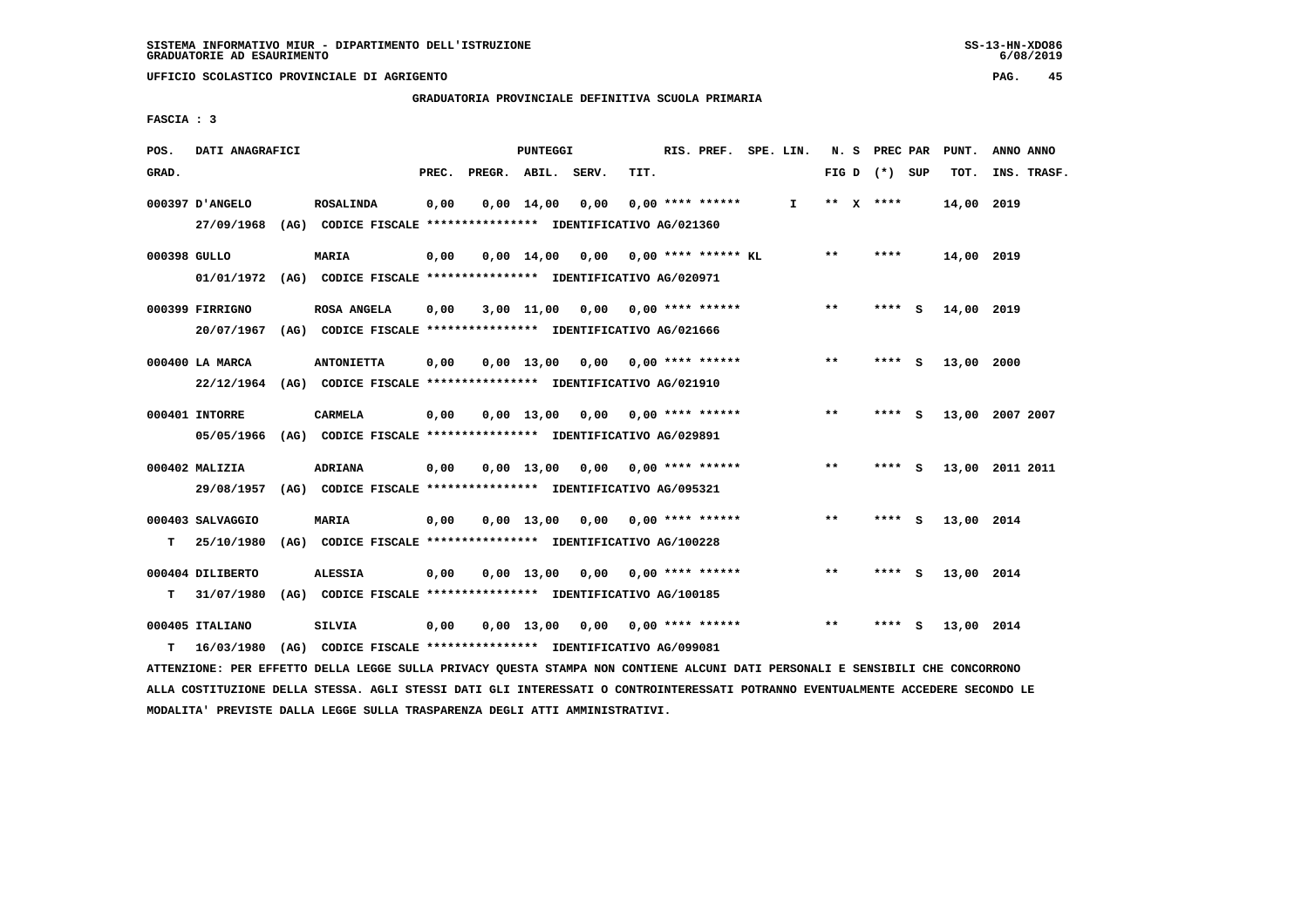**GRADUATORIA PROVINCIALE DEFINITIVA SCUOLA PRIMARIA**

 **FASCIA : 3**

| POS.         | DATI ANAGRAFICI               |      |                                                                                   |       |                    | <b>PUNTEGGI</b>    |      |      | RIS. PREF.                | SPE. LIN.    | N.S   | PREC PAR        |          | PUNT.      | ANNO ANNO       |  |
|--------------|-------------------------------|------|-----------------------------------------------------------------------------------|-------|--------------------|--------------------|------|------|---------------------------|--------------|-------|-----------------|----------|------------|-----------------|--|
| GRAD.        |                               |      |                                                                                   | PREC. | PREGR. ABIL. SERV. |                    |      | TIT. |                           |              |       | FIG D $(*)$ SUP |          | TOT.       | INS. TRASF.     |  |
|              | 000397 D'ANGELO<br>27/09/1968 |      | <b>ROSALINDA</b><br>(AG) CODICE FISCALE **************** IDENTIFICATIVO AG/021360 | 0,00  |                    | $0,00 \quad 14,00$ | 0,00 |      | $0.00$ **** ******        | $\mathbf{I}$ |       | ** $X$ ****     |          | 14,00      | 2019            |  |
|              |                               |      |                                                                                   |       |                    |                    |      |      |                           |              |       |                 |          |            |                 |  |
| 000398 GULLO |                               |      | MARIA                                                                             | 0,00  |                    | $0,00 \quad 14,00$ | 0,00 |      | $0.00$ **** ****** KL     |              | $* *$ | ****            |          | 14,00 2019 |                 |  |
|              | 01/01/1972                    |      | (AG) CODICE FISCALE **************** IDENTIFICATIVO AG/020971                     |       |                    |                    |      |      |                           |              |       |                 |          |            |                 |  |
|              | 000399 FIRRIGNO               |      | ROSA ANGELA                                                                       | 0,00  |                    | 3,00 11,00         |      |      | $0,00$ $0,00$ **** ****** |              | $**$  | **** S          |          | 14,00 2019 |                 |  |
|              | 20/07/1967                    |      | (AG) CODICE FISCALE **************** IDENTIFICATIVO AG/021666                     |       |                    |                    |      |      |                           |              |       |                 |          |            |                 |  |
|              | 000400 LA MARCA               |      | <b>ANTONIETTA</b>                                                                 | 0,00  |                    | $0.00$ 13.00       |      |      | $0.00$ $0.00$ **** ****** |              | $* *$ | ****            | - S      | 13,00      | 2000            |  |
|              |                               |      | 22/12/1964 (AG) CODICE FISCALE *************** IDENTIFICATIVO AG/021910           |       |                    |                    |      |      |                           |              |       |                 |          |            |                 |  |
|              |                               |      |                                                                                   |       |                    |                    |      |      |                           |              |       |                 |          |            |                 |  |
|              | 000401 INTORRE                |      | CARMELA                                                                           | 0,00  |                    | $0.00$ 13,00       |      |      | $0.00$ $0.00$ **** ****** |              | $**$  | ****            | - S      |            | 13,00 2007 2007 |  |
|              | 05/05/1966                    |      | (AG) CODICE FISCALE **************** IDENTIFICATIVO AG/029891                     |       |                    |                    |      |      |                           |              |       |                 |          |            |                 |  |
|              | 000402 MALIZIA                |      | <b>ADRIANA</b>                                                                    | 0,00  |                    | $0.00$ 13.00       |      |      | $0.00$ $0.00$ **** ****** |              | $***$ | **** S          |          |            | 13,00 2011 2011 |  |
|              | 29/08/1957                    |      | (AG) CODICE FISCALE **************** IDENTIFICATIVO AG/095321                     |       |                    |                    |      |      |                           |              |       |                 |          |            |                 |  |
|              | 000403 SALVAGGIO              |      | <b>MARIA</b>                                                                      | 0,00  |                    | 0,00 13,00         | 0,00 |      | $0.00$ **** ******        |              | $* *$ | ****            | - S      | 13,00 2014 |                 |  |
| T.           | 25/10/1980                    |      | (AG) CODICE FISCALE **************** IDENTIFICATIVO AG/100228                     |       |                    |                    |      |      |                           |              |       |                 |          |            |                 |  |
|              |                               |      |                                                                                   |       |                    |                    |      |      |                           |              |       |                 |          |            |                 |  |
|              | 000404 DILIBERTO              |      | <b>ALESSIA</b>                                                                    | 0,00  |                    | $0,00 \quad 13,00$ | 0,00 |      | $0.00$ **** ******        |              | $***$ | ****            | <b>S</b> | 13,00 2014 |                 |  |
| т            | 31/07/1980                    | (AG) | CODICE FISCALE **************** IDENTIFICATIVO AG/100185                          |       |                    |                    |      |      |                           |              |       |                 |          |            |                 |  |
|              | 000405 ITALIANO               |      | <b>SILVIA</b>                                                                     | 0,00  |                    | 0,00 13,00         | 0,00 |      | 0,00 **** ******          |              | $* *$ | ****            | s        | 13,00 2014 |                 |  |
| т            | 16/03/1980                    | (AG) | CODICE FISCALE **************** IDENTIFICATIVO AG/099081                          |       |                    |                    |      |      |                           |              |       |                 |          |            |                 |  |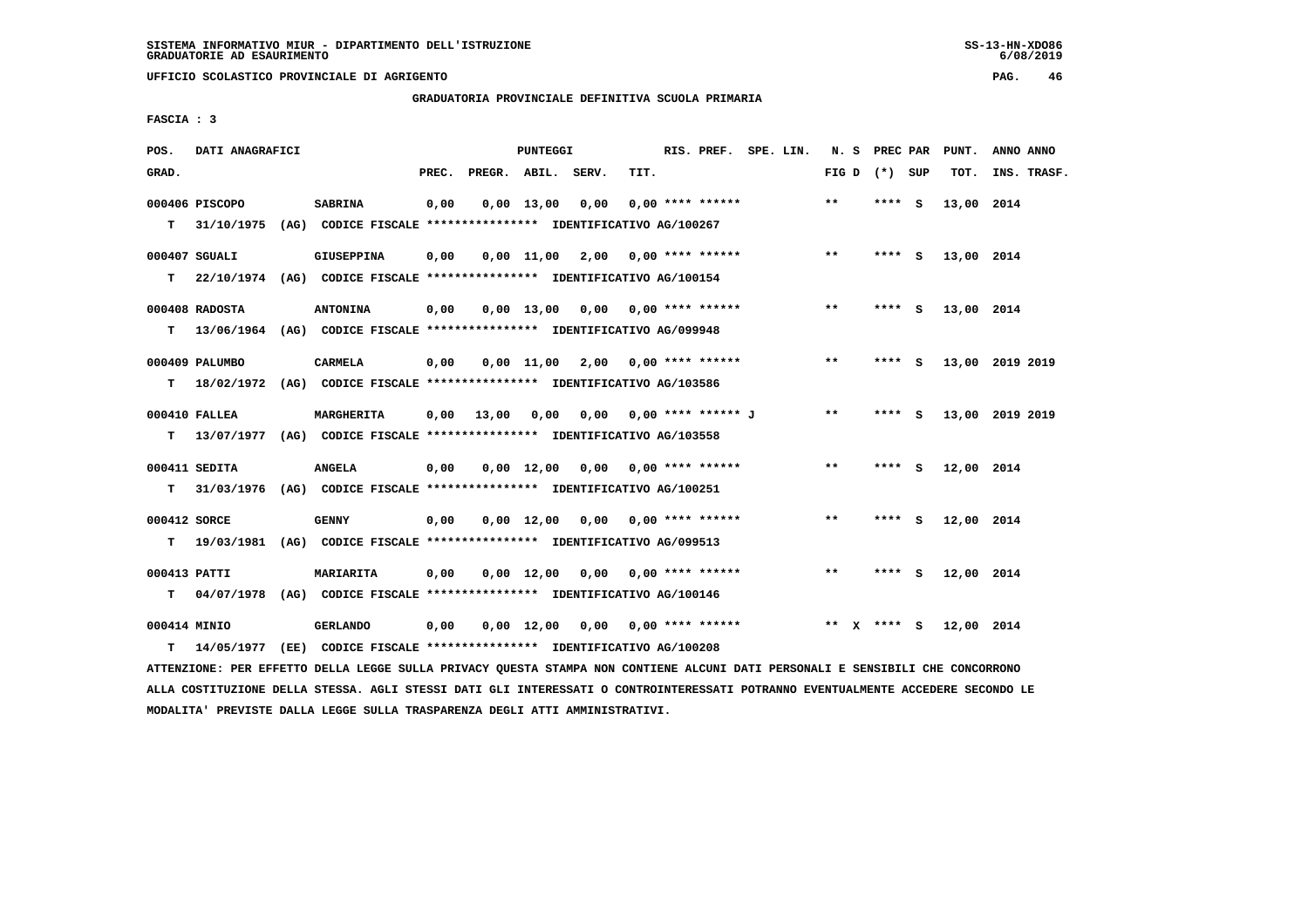**UFFICIO SCOLASTICO PROVINCIALE DI AGRIGENTO PAG. 46**

 **GRADUATORIA PROVINCIALE DEFINITIVA SCUOLA PRIMARIA**

 **FASCIA : 3**

| POS.         | DATI ANAGRAFICI |                                                                           |       |                    | <b>PUNTEGGI</b> |                                    |      | RIS. PREF. SPE. LIN.    |  |         | N. S PREC PAR   | PUNT.      | ANNO ANNO       |
|--------------|-----------------|---------------------------------------------------------------------------|-------|--------------------|-----------------|------------------------------------|------|-------------------------|--|---------|-----------------|------------|-----------------|
| GRAD.        |                 |                                                                           | PREC. | PREGR. ABIL. SERV. |                 |                                    | TIT. |                         |  |         | FIG D $(*)$ SUP | TOT.       | INS. TRASF.     |
|              | 000406 PISCOPO  | <b>SABRINA</b>                                                            | 0,00  |                    | 0,00 13,00      | 0,00                               |      | $0.00$ **** ******      |  | $***$   | **** S          | 13,00 2014 |                 |
|              |                 | T 31/10/1975 (AG) CODICE FISCALE *************** IDENTIFICATIVO AG/100267 |       |                    |                 |                                    |      |                         |  |         |                 |            |                 |
|              | 000407 SGUALI   | <b>GIUSEPPINA</b>                                                         | 0,00  |                    |                 | $0,00$ 11,00 2,00 0,00 **** ****** |      |                         |  | $***$   | **** S          | 13,00 2014 |                 |
| T.           |                 | 22/10/1974 (AG) CODICE FISCALE **************** IDENTIFICATIVO AG/100154  |       |                    |                 |                                    |      |                         |  |         |                 |            |                 |
|              | 000408 RADOSTA  | <b>ANTONINA</b>                                                           | 0,00  |                    |                 | $0.00$ 13.00 0.00 0.00 **** ****** |      |                         |  | $* *$   | **** S          | 13,00 2014 |                 |
|              |                 | T 13/06/1964 (AG) CODICE FISCALE *************** IDENTIFICATIVO AG/099948 |       |                    |                 |                                    |      |                         |  |         |                 |            |                 |
|              | 000409 PALUMBO  | CARMELA                                                                   | 0,00  |                    |                 | $0,00$ 11,00 2,00 0,00 **** ****** |      |                         |  | $***$   | $***5$          |            | 13,00 2019 2019 |
| т            |                 | 18/02/1972 (AG) CODICE FISCALE *************** IDENTIFICATIVO AG/103586   |       |                    |                 |                                    |      |                         |  |         |                 |            |                 |
|              | 000410 FALLEA   | MARGHERITA                                                                | 0.00  | 13,00              | 0.00            |                                    |      | 0,00 0,00 **** ****** J |  | $* *$   | $***$ S         |            | 13,00 2019 2019 |
| т            |                 | 13/07/1977 (AG) CODICE FISCALE *************** IDENTIFICATIVO AG/103558   |       |                    |                 |                                    |      |                         |  |         |                 |            |                 |
|              | 000411 SEDITA   | <b>ANGELA</b>                                                             | 0,00  |                    |                 | $0.00$ 12.00 0.00 0.00 **** ****** |      |                         |  | $**$    | **** S          | 12,00 2014 |                 |
| т            |                 | 31/03/1976 (AG) CODICE FISCALE **************** IDENTIFICATIVO AG/100251  |       |                    |                 |                                    |      |                         |  |         |                 |            |                 |
| 000412 SORCE |                 | <b>GENNY</b>                                                              | 0,00  |                    |                 | $0,00$ 12,00 0,00 0,00 **** ****** |      |                         |  | $***$   | **** S          | 12,00 2014 |                 |
|              |                 | T 19/03/1981 (AG) CODICE FISCALE *************** IDENTIFICATIVO AG/099513 |       |                    |                 |                                    |      |                         |  |         |                 |            |                 |
| 000413 PATTI |                 | <b>MARIARITA</b>                                                          | 0,00  |                    |                 | $0.00$ 12.00 0.00 0.00 **** ****** |      |                         |  | **      | **** S          | 12,00 2014 |                 |
|              |                 | T 04/07/1978 (AG) CODICE FISCALE *************** IDENTIFICATIVO AG/100146 |       |                    |                 |                                    |      |                         |  |         |                 |            |                 |
| 000414 MINIO |                 | <b>GERLANDO</b>                                                           | 0,00  |                    |                 | $0,00$ 12,00 0,00 0,00 **** ****** |      |                         |  | $***$ X | **** S          | 12,00 2014 |                 |
| т            | 14/05/1977      | (EE) CODICE FISCALE *************** IDENTIFICATIVO AG/100208              |       |                    |                 |                                    |      |                         |  |         |                 |            |                 |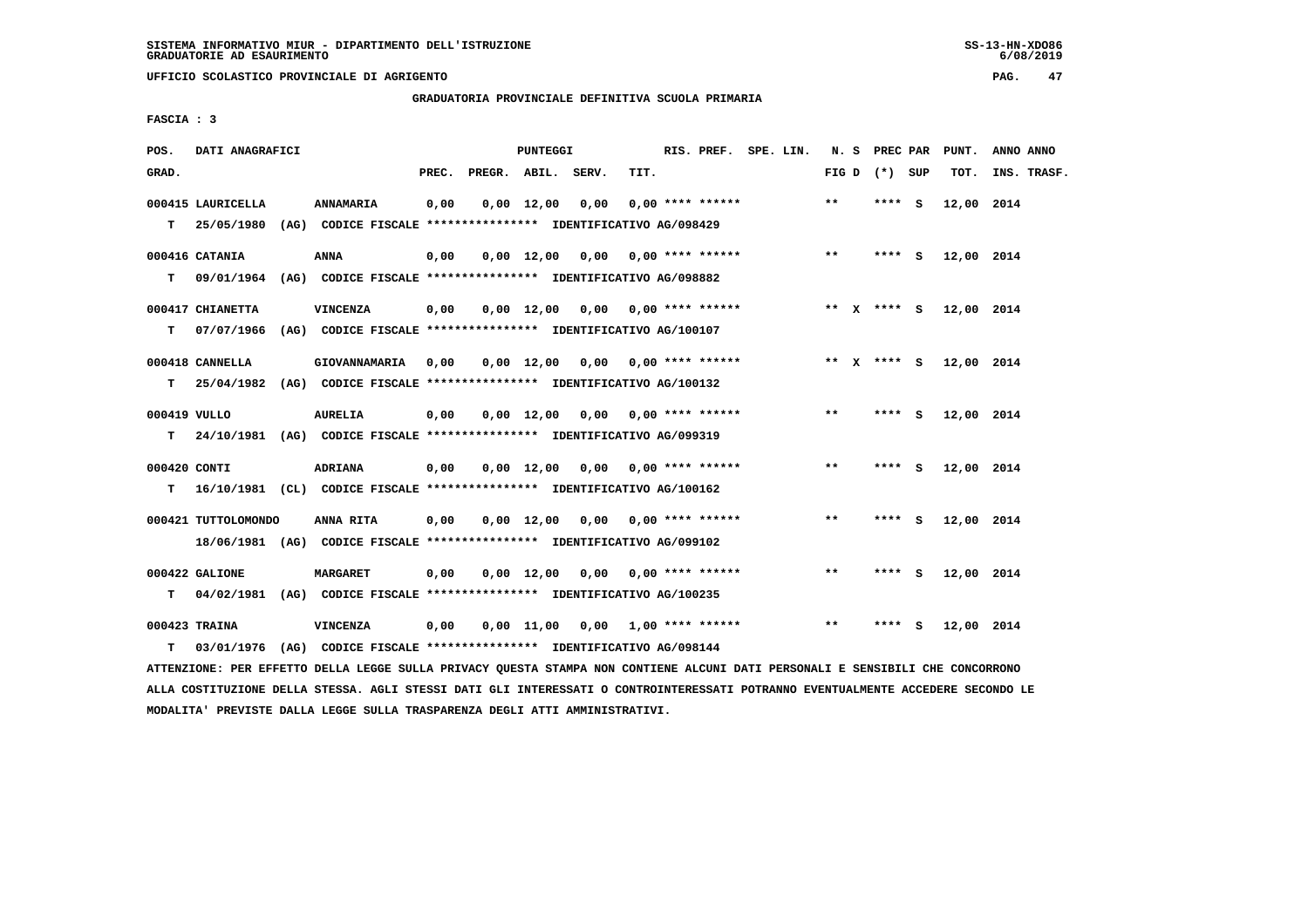**UFFICIO SCOLASTICO PROVINCIALE DI AGRIGENTO PAG. 47**

 **GRADUATORIA PROVINCIALE DEFINITIVA SCUOLA PRIMARIA**

 **FASCIA : 3**

| POS.         | DATI ANAGRAFICI     |                                                                           |       |                    | PUNTEGGI   |                                                            |                       | RIS. PREF. SPE. LIN. |  |       | N. S PREC PAR   | PUNT.      | ANNO ANNO   |
|--------------|---------------------|---------------------------------------------------------------------------|-------|--------------------|------------|------------------------------------------------------------|-----------------------|----------------------|--|-------|-----------------|------------|-------------|
| GRAD.        |                     |                                                                           | PREC. | PREGR. ABIL. SERV. |            |                                                            | TIT.                  |                      |  |       | FIG D $(*)$ SUP | TOT.       | INS. TRASF. |
|              | 000415 LAURICELLA   | <b>ANNAMARIA</b>                                                          | 0,00  |                    |            | $0,00 \quad 12,00 \quad 0,00$                              |                       | $0.00$ **** ******   |  | $* *$ | **** S          | 12,00 2014 |             |
|              |                     | T 25/05/1980 (AG) CODICE FISCALE *************** IDENTIFICATIVO AG/098429 |       |                    |            |                                                            |                       |                      |  |       |                 |            |             |
|              | 000416 CATANIA      | <b>ANNA</b>                                                               | 0,00  |                    |            | $0,00$ 12,00 0,00 0,00 **** ******                         |                       |                      |  | $***$ | $***$ S         | 12,00 2014 |             |
| T.           |                     | 09/01/1964 (AG) CODICE FISCALE *************** IDENTIFICATIVO AG/098882   |       |                    |            |                                                            |                       |                      |  |       |                 |            |             |
|              | 000417 CHIANETTA    | <b>VINCENZA</b>                                                           | 0,00  |                    |            | $0,00$ 12,00 0,00 0,00 **** ******                         |                       |                      |  |       | ** x **** S     | 12,00 2014 |             |
|              |                     | T 07/07/1966 (AG) CODICE FISCALE *************** IDENTIFICATIVO AG/100107 |       |                    |            |                                                            |                       |                      |  |       |                 |            |             |
|              | 000418 CANNELLA     | <b>GIOVANNAMARIA</b>                                                      | 0,00  |                    |            | $0.00 \quad 12.00 \quad 0.00 \quad 0.00 \quad$ **** ****** |                       |                      |  |       | ** x **** s     | 12,00 2014 |             |
| T.           |                     | 25/04/1982 (AG) CODICE FISCALE *************** IDENTIFICATIVO AG/100132   |       |                    |            |                                                            |                       |                      |  |       |                 |            |             |
| 000419 VULLO |                     | <b>AURELIA</b>                                                            | 0,00  |                    |            | $0,00$ 12,00 0,00 0,00 **** ******                         |                       |                      |  | $* *$ | $***5$          | 12,00 2014 |             |
|              |                     | T 24/10/1981 (AG) CODICE FISCALE *************** IDENTIFICATIVO AG/099319 |       |                    |            |                                                            |                       |                      |  |       |                 |            |             |
| 000420 CONTI |                     | ADRIANA                                                                   | 0,00  |                    |            | $0,00$ 12,00 0,00 0,00 **** ******                         |                       |                      |  | $* *$ | $***$ S         | 12,00 2014 |             |
| т            |                     | 16/10/1981 (CL) CODICE FISCALE **************** IDENTIFICATIVO AG/100162  |       |                    |            |                                                            |                       |                      |  |       |                 |            |             |
|              |                     | ANNA RITA                                                                 |       |                    |            | $0,00$ 12,00 0,00 0,00 **** ******                         |                       |                      |  | **    | **** S          | 12,00 2014 |             |
|              | 000421 TUTTOLOMONDO | 18/06/1981 (AG) CODICE FISCALE *************** IDENTIFICATIVO AG/099102   | 0,00  |                    |            |                                                            |                       |                      |  |       |                 |            |             |
|              |                     |                                                                           |       |                    |            |                                                            |                       |                      |  |       |                 |            |             |
|              | 000422 GALIONE      | <b>MARGARET</b>                                                           | 0,00  |                    |            | $0,00$ 12,00 0,00 0,00 **** ******                         |                       |                      |  | $* *$ | **** S          | 12,00 2014 |             |
| T.           |                     | 04/02/1981 (AG) CODICE FISCALE *************** IDENTIFICATIVO AG/100235   |       |                    |            |                                                            |                       |                      |  |       |                 |            |             |
|              | 000423 TRAINA       | <b>VINCENZA</b>                                                           | 0,00  |                    | 0,00 11,00 |                                                            | 0,00 1,00 **** ****** |                      |  | **    | **** S          | 12,00 2014 |             |
| T.           |                     | 03/01/1976 (AG) CODICE FISCALE *************** IDENTIFICATIVO AG/098144   |       |                    |            |                                                            |                       |                      |  |       |                 |            |             |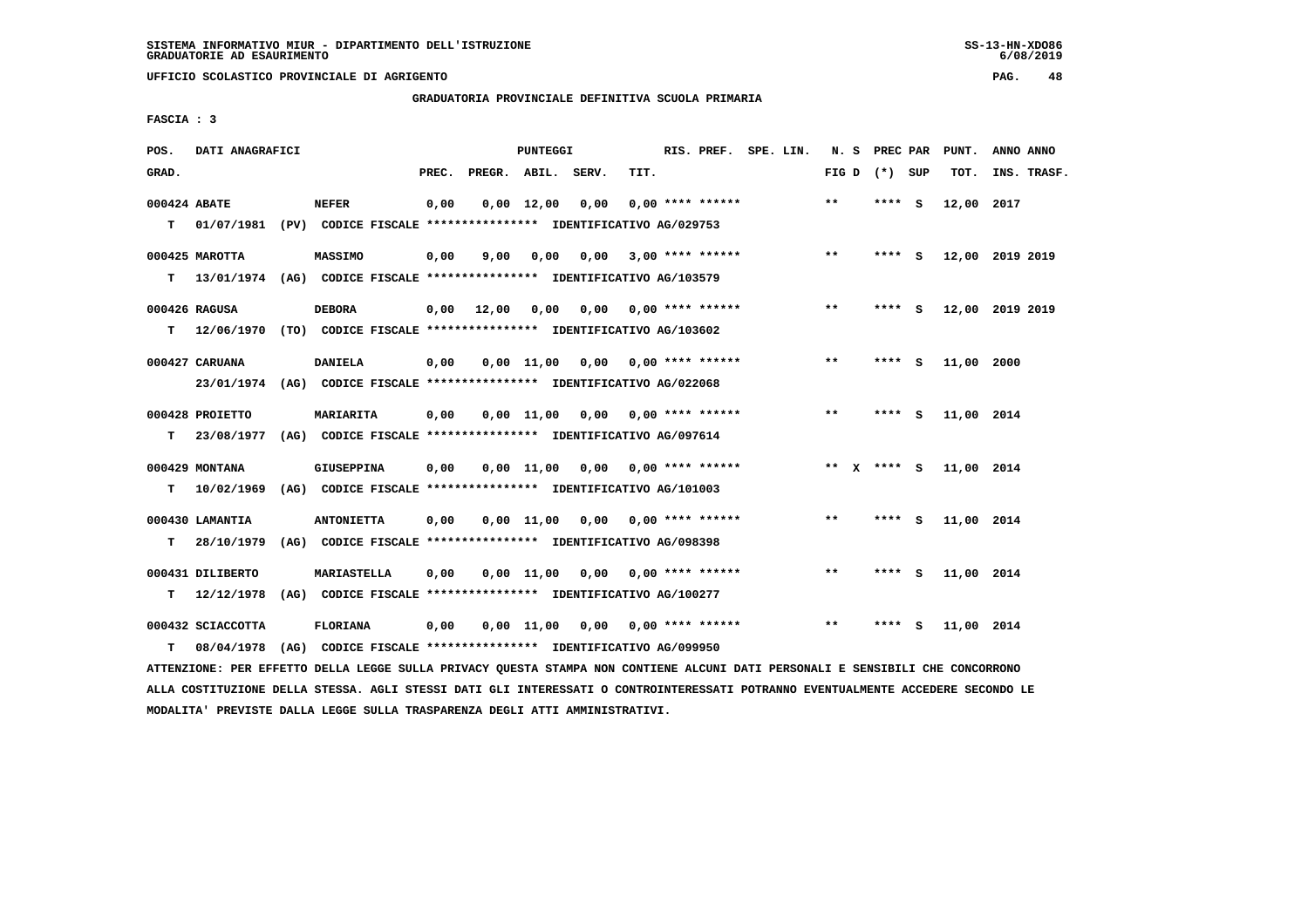**UFFICIO SCOLASTICO PROVINCIALE DI AGRIGENTO PAG. 48**

 **GRADUATORIA PROVINCIALE DEFINITIVA SCUOLA PRIMARIA**

 **FASCIA : 3**

| POS.         | DATI ANAGRAFICI   |                                                                          |       |              | PUNTEGGI           |                                    |      | RIS. PREF.                | SPE. LIN. | N. S    | PREC PAR        |     | PUNT.      | ANNO ANNO       |
|--------------|-------------------|--------------------------------------------------------------------------|-------|--------------|--------------------|------------------------------------|------|---------------------------|-----------|---------|-----------------|-----|------------|-----------------|
| GRAD.        |                   |                                                                          | PREC. | PREGR. ABIL. |                    | SERV.                              | TIT. |                           |           |         | FIG D $(*)$ SUP |     | TOT.       | INS. TRASF.     |
| 000424 ABATE |                   | <b>NEFER</b>                                                             | 0,00  |              | $0,00$ 12,00       | 0,00                               |      | $0.00$ **** ******        |           | $***$   | **** S          |     | 12,00      | 2017            |
| T.           |                   | 01/07/1981 (PV) CODICE FISCALE **************** IDENTIFICATIVO AG/029753 |       |              |                    |                                    |      |                           |           |         |                 |     |            |                 |
|              | 000425 MAROTTA    | <b>MASSIMO</b>                                                           | 0,00  | 9,00         | 0,00               | 0,00                               |      | $3.00$ **** ******        |           | $***$   | $***$ S         |     |            | 12,00 2019 2019 |
| T.           |                   | 13/01/1974 (AG) CODICE FISCALE **************** IDENTIFICATIVO AG/103579 |       |              |                    |                                    |      |                           |           |         |                 |     |            |                 |
|              | 000426 RAGUSA     | <b>DEBORA</b>                                                            | 0,00  | 12,00        | 0,00               | 0,00                               |      | $0.00$ **** ******        |           | $* *$   | **** S          |     |            | 12,00 2019 2019 |
| т            |                   | 12/06/1970 (TO) CODICE FISCALE **************** IDENTIFICATIVO AG/103602 |       |              |                    |                                    |      |                           |           |         |                 |     |            |                 |
|              | 000427 CARUANA    | <b>DANIELA</b>                                                           | 0,00  |              | 0.00 11.00         | 0.00                               |      | $0.00$ **** ******        |           | **      | **** S          |     | 11,00 2000 |                 |
|              | 23/01/1974        | (AG) CODICE FISCALE **************** IDENTIFICATIVO AG/022068            |       |              |                    |                                    |      |                           |           |         |                 |     |            |                 |
|              | 000428 PROIETTO   | <b>MARIARITA</b>                                                         | 0,00  |              | $0.00$ 11.00       | 0,00                               |      | 0,00 **** ******          |           | $**$    | ****            | - S | 11,00 2014 |                 |
| T.           | 23/08/1977        | (AG) CODICE FISCALE **************** IDENTIFICATIVO AG/097614            |       |              |                    |                                    |      |                           |           |         |                 |     |            |                 |
|              | 000429 MONTANA    | <b>GIUSEPPINA</b>                                                        | 0,00  |              |                    | $0.00$ 11.00 0.00 0.00 **** ****** |      |                           |           | $***$ X | $***$ S         |     | 11,00 2014 |                 |
| т            | 10/02/1969        | (AG) CODICE FISCALE **************** IDENTIFICATIVO AG/101003            |       |              |                    |                                    |      |                           |           |         |                 |     |            |                 |
|              | 000430 LAMANTIA   | <b>ANTONIETTA</b>                                                        | 0,00  |              | $0.00$ 11.00       |                                    |      | $0.00$ $0.00$ **** ****** |           | **      | **** S          |     | 11,00 2014 |                 |
| т            | 28/10/1979        | (AG) CODICE FISCALE *************** IDENTIFICATIVO AG/098398             |       |              |                    |                                    |      |                           |           |         |                 |     |            |                 |
|              | 000431 DILIBERTO  | <b>MARIASTELLA</b>                                                       | 0,00  |              | $0,00 \quad 11,00$ | 0,00                               |      | $0.00$ **** ******        |           | $* *$   | ****            | ్   | 11,00 2014 |                 |
| т            | 12/12/1978        | (AG) CODICE FISCALE **************** IDENTIFICATIVO AG/100277            |       |              |                    |                                    |      |                           |           |         |                 |     |            |                 |
|              | 000432 SCIACCOTTA | FLORIANA                                                                 | 0,00  |              | 0.00 11.00         | 0,00                               |      | $0.00$ **** ******        |           | $* *$   | ****            | s   | 11,00 2014 |                 |
| т            | 08/04/1978        | (AG) CODICE FISCALE **************** IDENTIFICATIVO AG/099950            |       |              |                    |                                    |      |                           |           |         |                 |     |            |                 |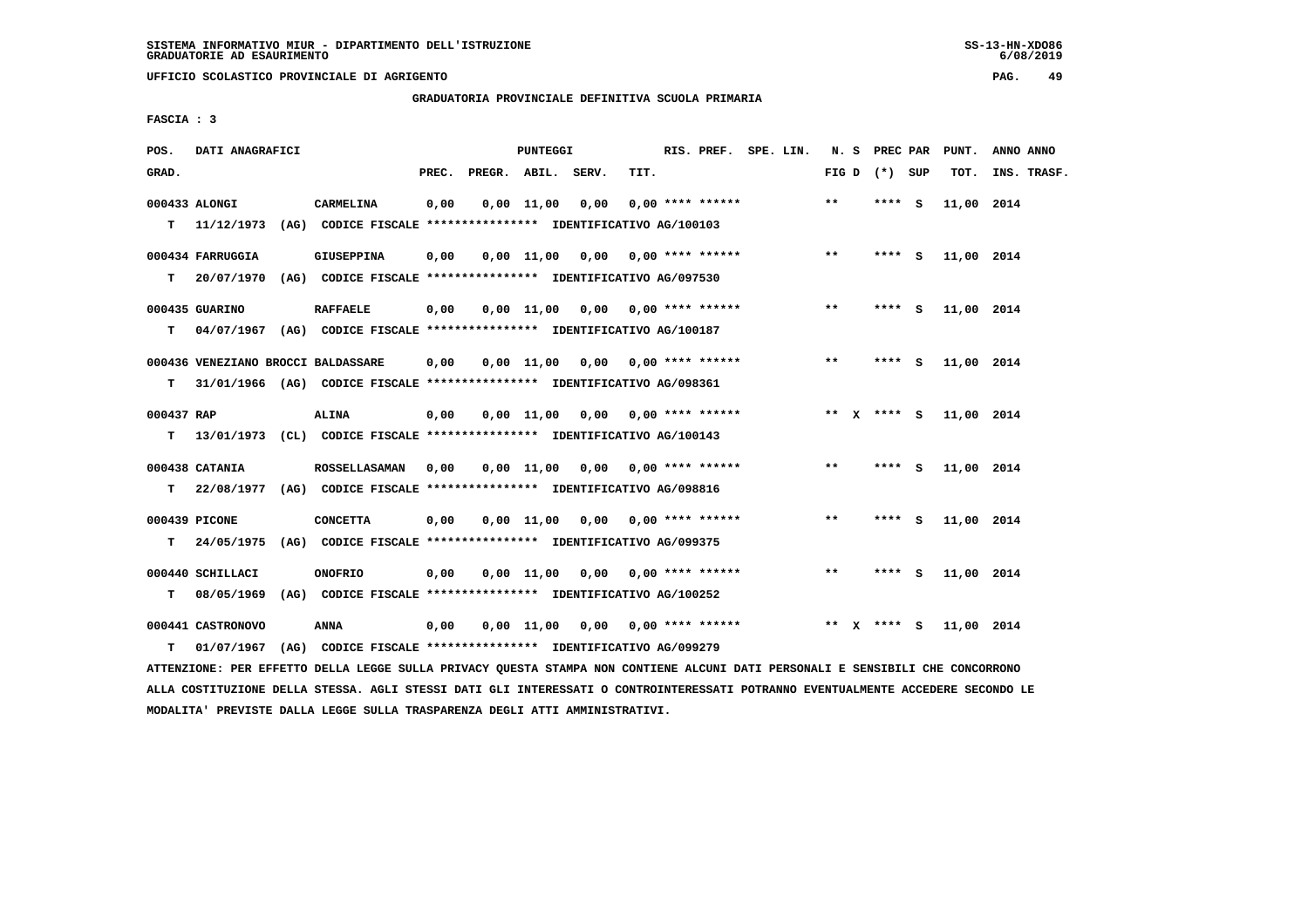**UFFICIO SCOLASTICO PROVINCIALE DI AGRIGENTO PAG. 49**

 **GRADUATORIA PROVINCIALE DEFINITIVA SCUOLA PRIMARIA**

 **FASCIA : 3**

| POS.       | DATI ANAGRAFICI                                                                            |                      |       | PUNTEGGI     |                                    |      | RIS. PREF. SPE. LIN.      |  |       | N. S PREC PAR   | PUNT.      | ANNO ANNO   |
|------------|--------------------------------------------------------------------------------------------|----------------------|-------|--------------|------------------------------------|------|---------------------------|--|-------|-----------------|------------|-------------|
| GRAD.      |                                                                                            |                      | PREC. |              | PREGR. ABIL. SERV.                 | TIT. |                           |  |       | FIG D $(*)$ SUP | TOT.       | INS. TRASF. |
|            | 000433 ALONGI<br>T 11/12/1973 (AG) CODICE FISCALE *************** IDENTIFICATIVO AG/100103 | CARMELINA            | 0,00  | $0.00$ 11.00 | 0,00                               |      | $0.00$ **** ******        |  | $* *$ | **** S          | 11,00 2014 |             |
|            |                                                                                            |                      |       |              |                                    |      |                           |  |       |                 |            |             |
|            | 000434 FARRUGGIA                                                                           | <b>GIUSEPPINA</b>    | 0,00  |              | $0,00$ 11,00 0,00 0,00 **** ****** |      |                           |  | $***$ | **** S          | 11,00 2014 |             |
| T.         | 20/07/1970 (AG) CODICE FISCALE *************** IDENTIFICATIVO AG/097530                    |                      |       |              |                                    |      |                           |  |       |                 |            |             |
|            | 000435 GUARINO                                                                             | <b>RAFFAELE</b>      | 0,00  |              | $0,00$ 11,00 0,00 0,00 **** ****** |      |                           |  | $* *$ | **** S          | 11,00 2014 |             |
| T.         | 04/07/1967 (AG) CODICE FISCALE *************** IDENTIFICATIVO AG/100187                    |                      |       |              |                                    |      |                           |  |       |                 |            |             |
|            | 000436 VENEZIANO BROCCI BALDASSARE                                                         |                      | 0,00  |              | $0.00$ 11,00 0.00 0.00 **** ****** |      |                           |  | $***$ | **** S          | 11,00 2014 |             |
| T.         | 31/01/1966 (AG) CODICE FISCALE *************** IDENTIFICATIVO AG/098361                    |                      |       |              |                                    |      |                           |  |       |                 |            |             |
| 000437 RAP |                                                                                            | <b>ALINA</b>         | 0,00  | 0,00 11,00   |                                    |      | $0,00$ $0,00$ **** ****** |  |       | ** x **** S     | 11,00 2014 |             |
| т          | 13/01/1973 (CL) CODICE FISCALE *************** IDENTIFICATIVO AG/100143                    |                      |       |              |                                    |      |                           |  |       |                 |            |             |
|            | 000438 CATANIA                                                                             | <b>ROSSELLASAMAN</b> | 0,00  |              | $0,00$ 11,00 0,00 0,00 **** ****** |      |                           |  | **    | $***5$          | 11,00 2014 |             |
| T.         | 22/08/1977 (AG) CODICE FISCALE *************** IDENTIFICATIVO AG/098816                    |                      |       |              |                                    |      |                           |  |       |                 |            |             |
|            | 000439 PICONE                                                                              | <b>CONCETTA</b>      | 0,00  |              | $0.00$ 11,00 0.00 0.00 **** ****** |      |                           |  | $***$ | **** S          | 11,00 2014 |             |
| T.         | 24/05/1975 (AG) CODICE FISCALE *************** IDENTIFICATIVO AG/099375                    |                      |       |              |                                    |      |                           |  |       |                 |            |             |
|            | 000440 SCHILLACI                                                                           | <b>ONOFRIO</b>       | 0,00  |              | $0,00$ 11,00 0,00 0,00 **** ****** |      |                           |  | $* *$ | **** S          | 11,00 2014 |             |
| т          | 08/05/1969 (AG) CODICE FISCALE **************** IDENTIFICATIVO AG/100252                   |                      |       |              |                                    |      |                           |  |       |                 |            |             |
|            | 000441 CASTRONOVO                                                                          | ANNA                 | 0,00  |              | $0,00$ 11,00 0,00 0,00 **** ****** |      |                           |  |       | ** x **** s     | 11,00 2014 |             |
| т          | 01/07/1967 (AG) CODICE FISCALE *************** IDENTIFICATIVO AG/099279                    |                      |       |              |                                    |      |                           |  |       |                 |            |             |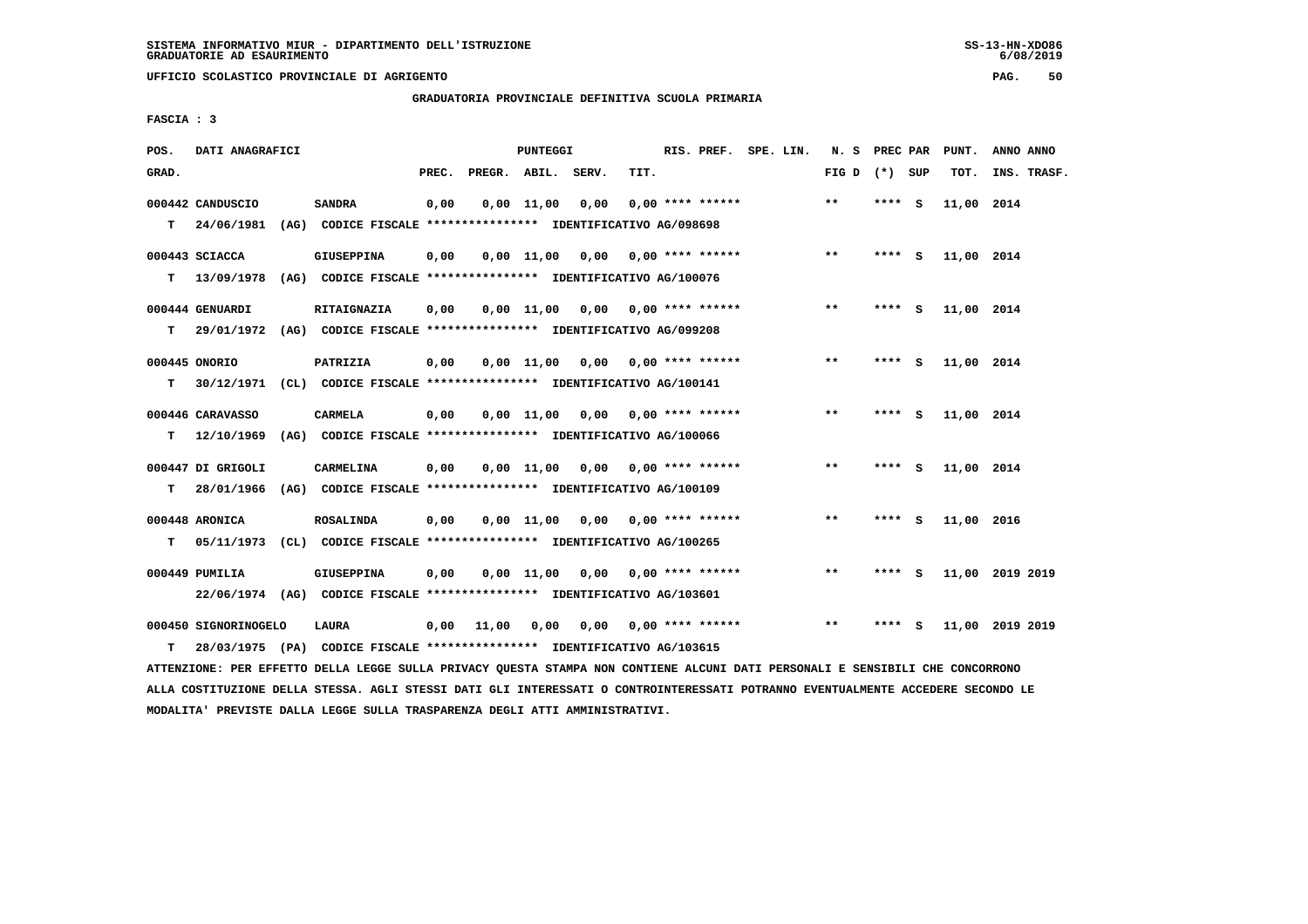**UFFICIO SCOLASTICO PROVINCIALE DI AGRIGENTO PAG. 50**

 **GRADUATORIA PROVINCIALE DEFINITIVA SCUOLA PRIMARIA**

 **FASCIA : 3**

| POS.  | DATI ANAGRAFICI      |                                                                         |       |              | <b>PUNTEGGI</b>    |       |      | RIS. PREF. SPE. LIN.      |  | N. S PREC PAR   |        |          | PUNT.      | ANNO ANNO       |  |
|-------|----------------------|-------------------------------------------------------------------------|-------|--------------|--------------------|-------|------|---------------------------|--|-----------------|--------|----------|------------|-----------------|--|
| GRAD. |                      |                                                                         | PREC. | PREGR. ABIL. |                    | SERV. | TIT. |                           |  | FIG D $(*)$ SUP |        |          | TOT.       | INS. TRASF.     |  |
|       | 000442 CANDUSCIO     | <b>SANDRA</b>                                                           | 0,00  |              | $0,00 \quad 11,00$ | 0,00  |      | $0.00$ **** ******        |  | $* *$           | **** S |          | 11,00 2014 |                 |  |
| T.    | 24/06/1981           | (AG) CODICE FISCALE **************** IDENTIFICATIVO AG/098698           |       |              |                    |       |      |                           |  |                 |        |          |            |                 |  |
|       | 000443 SCIACCA       | <b>GIUSEPPINA</b>                                                       | 0,00  |              | 0.00 11.00         | 0.00  |      | $0.00$ **** ******        |  | $***$           | ****   | - S      | 11,00 2014 |                 |  |
| т     | 13/09/1978           | (AG) CODICE FISCALE **************** IDENTIFICATIVO AG/100076           |       |              |                    |       |      |                           |  |                 |        |          |            |                 |  |
|       | 000444 GENUARDI      | <b>RITAIGNAZIA</b>                                                      | 0,00  |              | 0.00 11.00         |       |      | $0.00$ $0.00$ **** ****** |  | $***$           | **** S |          | 11,00 2014 |                 |  |
| т     |                      | 29/01/1972 (AG) CODICE FISCALE *************** IDENTIFICATIVO AG/099208 |       |              |                    |       |      |                           |  |                 |        |          |            |                 |  |
|       | 000445 ONORIO        | PATRIZIA                                                                | 0,00  |              | 0.00 11.00         | 0.00  |      | $0.00$ **** ******        |  | $* *$           | ****   | - S      | 11,00 2014 |                 |  |
| т     | 30/12/1971           | (CL) CODICE FISCALE **************** IDENTIFICATIVO AG/100141           |       |              |                    |       |      |                           |  |                 |        |          |            |                 |  |
|       | 000446 CARAVASSO     | <b>CARMELA</b>                                                          | 0,00  |              | $0,00 \quad 11,00$ | 0,00  |      | $0.00$ **** ******        |  | $***$           | ****   | - S      | 11,00 2014 |                 |  |
| т     | 12/10/1969           | (AG) CODICE FISCALE **************** IDENTIFICATIVO AG/100066           |       |              |                    |       |      |                           |  |                 |        |          |            |                 |  |
|       | 000447 DI GRIGOLI    | CARMELINA                                                               | 0,00  |              | $0.00$ 11.00       | 0,00  |      | $0.00$ **** ******        |  | $***$           | **** S |          | 11,00 2014 |                 |  |
| т     | 28/01/1966           | (AG) CODICE FISCALE **************** IDENTIFICATIVO AG/100109           |       |              |                    |       |      |                           |  |                 |        |          |            |                 |  |
|       | 000448 ARONICA       | <b>ROSALINDA</b>                                                        | 0,00  |              | $0,00$ 11,00       | 0,00  |      | $0.00$ **** ******        |  | $***$           | ****   | <b>S</b> | 11,00      | 2016            |  |
| т     | 05/11/1973           | (CL) CODICE FISCALE **************** IDENTIFICATIVO AG/100265           |       |              |                    |       |      |                           |  |                 |        |          |            |                 |  |
|       | 000449 PUMILIA       | <b>GIUSEPPINA</b>                                                       | 0,00  |              | $0,00 \quad 11,00$ | 0,00  |      | $0.00$ **** ******        |  | $* *$           | **** S |          |            | 11,00 2019 2019 |  |
|       |                      | 22/06/1974 (AG) CODICE FISCALE *************** IDENTIFICATIVO AG/103601 |       |              |                    |       |      |                           |  |                 |        |          |            |                 |  |
|       | 000450 SIGNORINOGELO | <b>LAURA</b>                                                            | 0,00  | 11,00        | 0,00               |       |      | $0,00$ $0,00$ **** ****** |  | $**$            | ****   | - S      |            | 11,00 2019 2019 |  |
| т     |                      | 28/03/1975 (PA) CODICE FISCALE *************** IDENTIFICATIVO AG/103615 |       |              |                    |       |      |                           |  |                 |        |          |            |                 |  |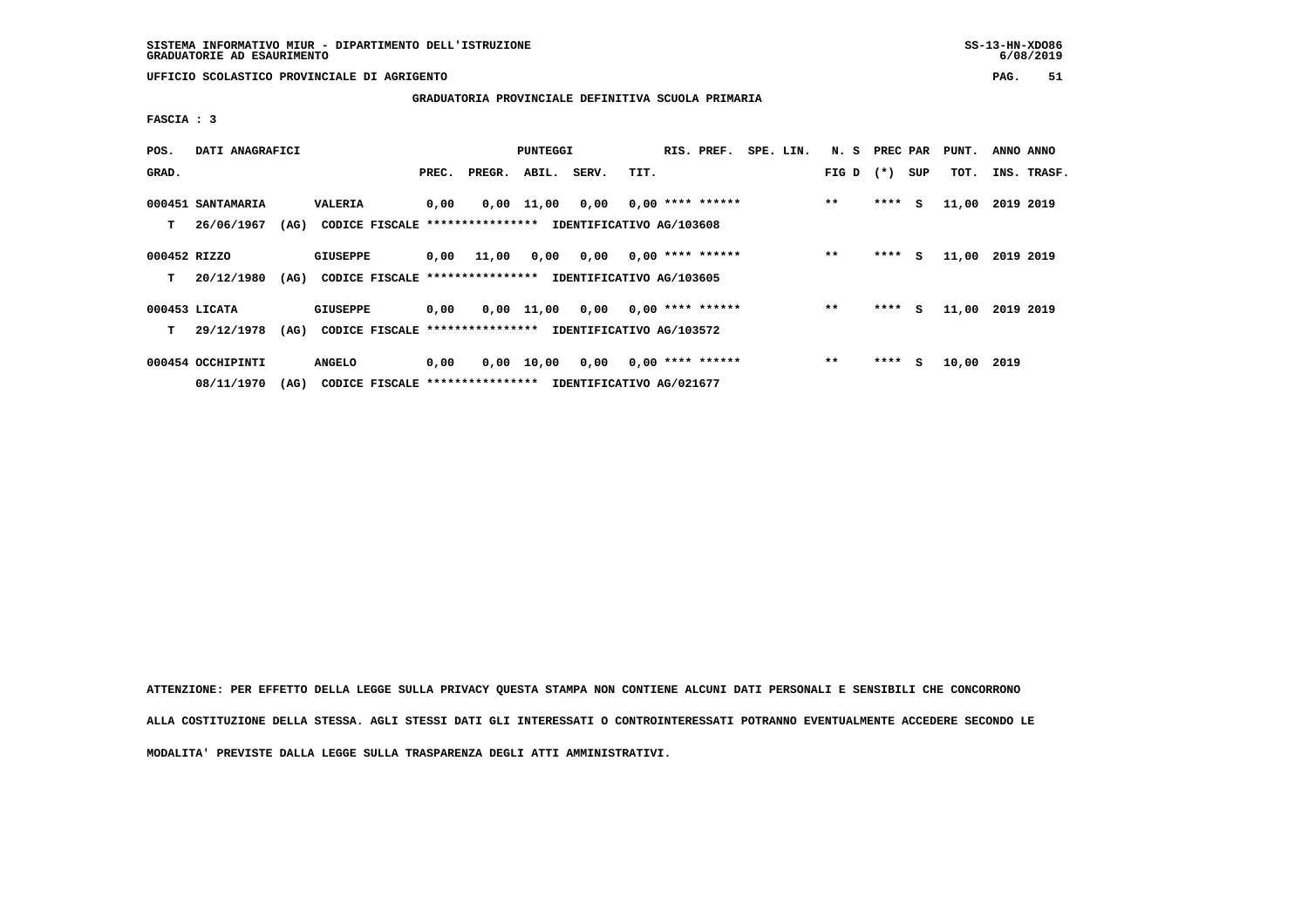**GRADUATORIA PROVINCIALE DEFINITIVA SCUOLA PRIMARIA**

 **FASCIA : 3**

| POS.         | DATI ANAGRAFICI   |      |                                  |       |        | PUNTEGGI |       | RIS. PREF.               | SPE. LIN.          | N. S | PREC PAR |        | PUNT. | ANNO ANNO |           |             |
|--------------|-------------------|------|----------------------------------|-------|--------|----------|-------|--------------------------|--------------------|------|----------|--------|-------|-----------|-----------|-------------|
| GRAD.        |                   |      |                                  | PREC. | PREGR. | ABIL.    | SERV. | TIT.                     |                    |      | FIG D    | $(* )$ | SUP   | TOT.      |           | INS. TRASF. |
|              | 000451 SANTAMARIA |      | VALERIA                          | 0,00  | 0,00   | 11,00    | 0,00  |                          | $0,00$ **** ****** |      | $* *$    | ****   | s     | 11,00     | 2019 2019 |             |
| т            | 26/06/1967        | (AG) | CODICE FISCALE ***************** |       |        |          |       | IDENTIFICATIVO AG/103608 |                    |      |          |        |       |           |           |             |
| 000452 RIZZO |                   |      | <b>GIUSEPPE</b>                  | 0,00  | 11,00  | 0,00     | 0,00  |                          | $0,00$ **** ****** |      | $***$    | ****   | s     | 11,00     | 2019 2019 |             |
| т            | 20/12/1980        | (AG) | CODICE FISCALE ****************  |       |        |          |       | IDENTIFICATIVO AG/103605 |                    |      |          |        |       |           |           |             |
|              | 000453 LICATA     |      | <b>GIUSEPPE</b>                  | 0,00  | 0,00   | 11,00    | 0,00  |                          | $0,00$ **** ****** |      | $* *$    | ****   | S.    | 11,00     | 2019 2019 |             |
| т            | 29/12/1978        | (AG) | CODICE FISCALE ***************** |       |        |          |       | IDENTIFICATIVO AG/103572 |                    |      |          |        |       |           |           |             |
|              | 000454 OCCHIPINTI |      | <b>ANGELO</b>                    | 0,00  | 0,00   | 10,00    | 0,00  |                          | $0,00$ **** ****** |      | $* *$    | ****   | s     | 10,00     | 2019      |             |
|              | 08/11/1970        | (AG) | CODICE FISCALE ***************** |       |        |          |       | IDENTIFICATIVO AG/021677 |                    |      |          |        |       |           |           |             |